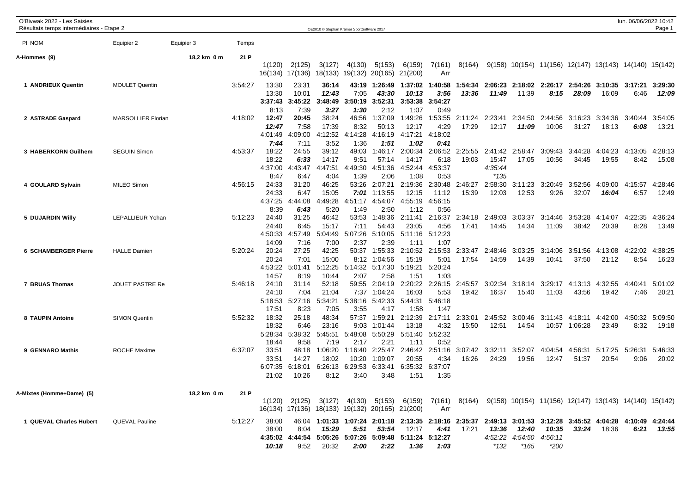| O'Bivwak 2022 - Les Saisies<br>Résultats temps intermédiaires - Etape 2 |                           |             |         |                  |                  | OE2010 © Stephan Krämer SportSoftware 2017 |                  |                                                         |                  |                 |                                                                                                               |                  |                                                          |                  |                  |                  | lun. 06/06/2022 10:42 | Page 1           |
|-------------------------------------------------------------------------|---------------------------|-------------|---------|------------------|------------------|--------------------------------------------|------------------|---------------------------------------------------------|------------------|-----------------|---------------------------------------------------------------------------------------------------------------|------------------|----------------------------------------------------------|------------------|------------------|------------------|-----------------------|------------------|
|                                                                         |                           |             |         |                  |                  |                                            |                  |                                                         |                  |                 |                                                                                                               |                  |                                                          |                  |                  |                  |                       |                  |
| PI NOM                                                                  | Equipier 2                | Equipier 3  | Temps   |                  |                  |                                            |                  |                                                         |                  |                 |                                                                                                               |                  |                                                          |                  |                  |                  |                       |                  |
| A-Hommes (9)                                                            |                           | 18,2 km 0 m | 21 P    |                  |                  |                                            |                  |                                                         |                  |                 |                                                                                                               |                  |                                                          |                  |                  |                  |                       |                  |
|                                                                         |                           |             |         | 1(120)           | 2(125)           | 3(127)                                     | 4(130)           | 5(153)                                                  | 6(159)           | 7(161)          | 8(164)                                                                                                        |                  | $9(158)$ 10(154) 11(156) 12(147) 13(143) 14(140) 15(142) |                  |                  |                  |                       |                  |
|                                                                         |                           |             |         |                  | 16(134) 17(136)  |                                            | 18(133) 19(132)  | 20(165)                                                 | 21(200)          | Arr             |                                                                                                               |                  |                                                          |                  |                  |                  |                       |                  |
| 1 ANDRIEUX Quentin                                                      | <b>MOULET Quentin</b>     |             | 3:54:27 | 13:30            | 23:31            | 36:14                                      | 43:19            | 1:26:49                                                 | 1:37:02          | 1:40:58         | 1:54:34                                                                                                       | 2:06:23          | 2:18:02                                                  |                  | 2:26:17 2:54:26  | 3:10:35          | 3:17:21               | 3:29:30          |
|                                                                         |                           |             |         | 13:30            | 10:01<br>3:45:22 | 12:43<br>3:48:49                           | 7:05<br>3:50:19  | 43:30<br>3:52:31                                        | 10:13<br>3:53:38 | 3:56<br>3:54:27 | 13:36                                                                                                         | 11:49            | 11:39                                                    | 8:15             | 28:09            | 16:09            | 6:46                  | 12:09            |
|                                                                         |                           |             |         | 3:37:43<br>8:13  | 7:39             | 3:27                                       | 1:30             | 2:12                                                    | 1:07             | 0:49            |                                                                                                               |                  |                                                          |                  |                  |                  |                       |                  |
| 2 ASTRADE Gaspard                                                       | <b>MARSOLLIER Florian</b> |             | 4:18:02 | 12:47            | 20:45            | 38:24                                      | 46:56            | 1:37:09                                                 | 1:49:26          | 1:53:55         | 2:11:24                                                                                                       | 2:23:41          | 2:34:50                                                  | 2:44:56          | 3:16:23          | 3:34:36          | 3:40:44               | 3:54:05          |
|                                                                         |                           |             |         | 12:47            | 7:58             | 17:39                                      | 8:32             | 50:13                                                   | 12:17            | 4:29            | 17:29                                                                                                         | 12:17            | 11:09                                                    | 10:06            | 31:27            | 18:13            | 6:08                  | 13:21            |
|                                                                         |                           |             |         | 4:01:49          | 4:09:00          | 4:12:52                                    | 4:14:28          | 4:16:19                                                 | 4:17:21          | 4:18:02         |                                                                                                               |                  |                                                          |                  |                  |                  |                       |                  |
|                                                                         |                           |             |         | 7:44             | 7:11             | 3:52                                       | 1:36             | 1:51                                                    | 1:02             | 0:41            |                                                                                                               |                  |                                                          |                  |                  |                  |                       |                  |
| 3 HABERKORN Guilhem                                                     | <b>SEGUIN Simon</b>       |             | 4:53:37 | 18:22            | 24:55            | 39:12                                      | 49:03            | 1:46:17                                                 | 2:00:34          |                 | 2:06:52 2:25:55                                                                                               |                  | 2:41:42 2:58:47                                          | 3:09:43          | 3:44:28          | 4:04:23          | 4:13:05               | 4:28:13          |
|                                                                         |                           |             |         | 18:22            | 6:33             | 14:17                                      | 9:51             | 57:14                                                   | 14:17            | 6:18            | 19:03                                                                                                         | 15:47            | 17:05                                                    | 10:56            | 34:45            | 19:55            | 8:42                  | 15:08            |
|                                                                         |                           |             |         | 4:37:00<br>8:47  | :43:47<br>4      | 4:47:51                                    | 4:49:30          | 4:51:36                                                 | 4:52:44          | 4:53:37<br>0:53 |                                                                                                               | 4:35:44<br>*135  |                                                          |                  |                  |                  |                       |                  |
|                                                                         | <b>MILEO Simon</b>        |             | 4:56:15 | 24:33            | 6:47<br>31:20    | 4:04<br>46:25                              | 1:39<br>53:26    | 2:06<br>2:07:21                                         | 1:08<br>2:19:36  | 2:30:48         | 2:46:27                                                                                                       | 2:58:30          | 3:11:23                                                  | 3:20:49          | 3:52:56          | 4:09:00          | 4:15:57               | 4:28:46          |
| 4 GOULARD Sylvain                                                       |                           |             |         | 24:33            | 6:47             | 15:05                                      | 7:01             | 1:13:55                                                 | 12:15            | 11:12           | 15:39                                                                                                         | 12:03            | 12:53                                                    | 9:26             | 32:07            | 16:04            | 6:57                  | 12:49            |
|                                                                         |                           |             |         | 4:37:25          | :44:08<br>4      | :49:28<br>Δ                                | 4:51:17          | 4:54:07                                                 | 4:55:19          | 4:56:15         |                                                                                                               |                  |                                                          |                  |                  |                  |                       |                  |
|                                                                         |                           |             |         | 8:39             | 6:43             | 5:20                                       | 1:49             | 2:50                                                    | 1:12             | 0:56            |                                                                                                               |                  |                                                          |                  |                  |                  |                       |                  |
| 5 DUJARDIN Willy                                                        | LEPALLIEUR Yohan          |             | 5:12:23 | 24:40            | 31:25            | 46:42                                      | 53:53            | 1:48:36                                                 | 2:11:41          | 2:16:37         | 2:34:18                                                                                                       | 2:49:03          | 3:03:37                                                  | 3:14:46          | 3:53:28          | 4:14:07          | 4:22:35               | 4:36:24          |
|                                                                         |                           |             |         | 24:40            | 6:45             | 15:17                                      | 7:11             | 54:43                                                   | 23:05            | 4:56            | 17:41                                                                                                         | 14:45            | 14:34                                                    | 11:09            | 38:42            | 20:39            | 8:28                  | 13:49            |
|                                                                         |                           |             |         | 4:50:33          | 4:57:49          | 5:04:49                                    | 5:07:26          | 5:10:05                                                 | 5:11:16          | 5:12:23         |                                                                                                               |                  |                                                          |                  |                  |                  |                       |                  |
|                                                                         |                           |             |         | 14:09            | 7:16             | 7:00                                       | 2:37             | 2:39                                                    | 1:11             | 1:07            |                                                                                                               |                  |                                                          |                  |                  |                  |                       |                  |
| <b>6 SCHAMBERGER Pierre</b>                                             | <b>HALLE Damien</b>       |             | 5:20:24 | 20:24            | 27:25            | 42:25                                      | 50:37            | 1:55:33                                                 | 2:10:52          | 2:15:53         | 2:33:47                                                                                                       | 2:48:46          | 3:03:25                                                  | 3:14:06          |                  | 3:51:56 4:13:08  | 4:22:02               | 4:38:25          |
|                                                                         |                           |             |         | 20:24            | 7:01             | 15:00                                      | 8:12             | 1:04:56                                                 | 15:19            | 5:01<br>5:20:24 | 17:54                                                                                                         | 14:59            | 14:39                                                    | 10:41            | 37:50            | 21:12            | 8:54                  | 16:23            |
|                                                                         |                           |             |         | 4:53:22<br>14:57 | 5:01:41<br>8:19  | 5:12:25<br>10:44                           | 5:14:32<br>2:07  | 5:17:30<br>2:58                                         | 5:19:21<br>1:51  | 1:03            |                                                                                                               |                  |                                                          |                  |                  |                  |                       |                  |
| 7 BRUAS Thomas                                                          | <b>JOUET PASTRE Re</b>    |             | 5:46:18 | 24:10            | 31:14            | 52:18                                      | 59:55            | 2:04:19                                                 | 2:20:22          | 2:26:15         | 2:45:57                                                                                                       | 3:02:34          | 3:18:14                                                  | 3:29:17          | 4:13:13          | 4:32:55          | 4:40:41               | 5:01:02          |
|                                                                         |                           |             |         | 24:10            | 7:04             | 21:04                                      | 7:37             | 1:04:24                                                 | 16:03            | 5:53            | 19:42                                                                                                         | 16:37            | 15:40                                                    | 11:03            | 43:56            | 19:42            | 7:46                  | 20:21            |
|                                                                         |                           |             |         | 5:18:53          | 5:27:16          | :34:21<br>5                                | 5:38:16          | 5:42:33                                                 | 5:44:31          | 5:46:18         |                                                                                                               |                  |                                                          |                  |                  |                  |                       |                  |
|                                                                         |                           |             |         | 17:51            | 8:23             | 7:05                                       | 3:55             | 4:17                                                    | 1:58             | 1:47            |                                                                                                               |                  |                                                          |                  |                  |                  |                       |                  |
| 8 TAUPIN Antoine                                                        | <b>SIMON Quentin</b>      |             | 5:52:32 | 18:32            | 25:18            | 48:34                                      | 57:37            | 1:59:21                                                 | 2:12:39          | 2:17:11         | 2:33:01                                                                                                       | 2:45:52          | 3:00:46                                                  | 3:11:43          | 4:18:11          | 4:42:00          | 4:50:32               | 5:09:50          |
|                                                                         |                           |             |         | 18:32            | 6:46             | 23:16                                      | 9:03             | 1:01:44                                                 | 13:18            | 4:32            | 15:50                                                                                                         | 12:51            | 14:54                                                    |                  | 10:57 1:06:28    | 23:49            | 8:32                  | 19:18            |
|                                                                         |                           |             |         | 5:28:34          | 5:38:32          | 5:45:51                                    | 5:48:08          | 5:50:29                                                 | 5:51:40          | 5:52:32         |                                                                                                               |                  |                                                          |                  |                  |                  |                       |                  |
|                                                                         |                           |             |         | 18:44            | 9:58             | 7:19<br>1:06:20                            | 2:17             | 2:21                                                    | 1:11             | 0:52            |                                                                                                               |                  |                                                          |                  |                  |                  |                       |                  |
| 9 GENNARO Mathis                                                        | <b>ROCHE Maxime</b>       |             | 6:37:07 | 33:51<br>33:51   | 48:18<br>14:27   | 18:02                                      | 1:16:40<br>10:20 | 2:25:47<br>1:09:07                                      | 2:46:42<br>20:55 | 2:51:16<br>4:34 | 3:07:42<br>16:26                                                                                              | 3:32:11<br>24:29 | 3:52:07<br>19:56                                         | 4:04:54<br>12:47 | 4:56:31<br>51:37 | 5:17:25<br>20:54 | 5:26:31<br>9:06       | 5:46:33<br>20:02 |
|                                                                         |                           |             |         | 6:07:35          | 6:18:01          | 6:26:13                                    | 6:29:53          | 6:33:41                                                 | 6:35:32          | 6:37:07         |                                                                                                               |                  |                                                          |                  |                  |                  |                       |                  |
|                                                                         |                           |             |         | 21:02            | 10:26            | 8:12                                       | 3:40             | 3:48                                                    | 1:51             | 1:35            |                                                                                                               |                  |                                                          |                  |                  |                  |                       |                  |
|                                                                         |                           |             |         |                  |                  |                                            |                  |                                                         |                  |                 |                                                                                                               |                  |                                                          |                  |                  |                  |                       |                  |
| A-Mixtes (Homme+Dame) (5)                                               |                           | 18,2 km 0 m | 21 P    |                  |                  |                                            |                  |                                                         |                  |                 |                                                                                                               |                  |                                                          |                  |                  |                  |                       |                  |
|                                                                         |                           |             |         |                  | 1(120) 2(125)    |                                            |                  | 3(127) 4(130) 5(153) 6(159)                             |                  |                 | 7(161) 8(164) 9(158) 10(154) 11(156) 12(147) 13(143) 14(140) 15(142)                                          |                  |                                                          |                  |                  |                  |                       |                  |
|                                                                         |                           |             |         |                  |                  |                                            |                  | 16(134) 17(136) 18(133) 19(132) 20(165) 21(200)         |                  | Arr             |                                                                                                               |                  |                                                          |                  |                  |                  |                       |                  |
| 1 QUEVAL Charles Hubert                                                 | <b>QUEVAL Pauline</b>     |             | 5:12:27 | 38:00            |                  |                                            |                  |                                                         |                  |                 | 46:04 1:01:33 1:07:24 2:01:18 2:13:35 2:18:16 2:35:37 2:49:13 3:01:53 3:12:28 3:45:52 4:04:28 4:10:49 4:24:44 |                  |                                                          |                  |                  |                  |                       |                  |
|                                                                         |                           |             |         | 38:00            | 8:04             | 15:29                                      |                  | $5:51$ $53:54$                                          | 12:17            | 4:41            | 17:21                                                                                                         | 13:36            | 12:40                                                    | 10:35            |                  | $33:24$ 18:36    |                       | $6:21$ $13:55$   |
|                                                                         |                           |             |         |                  |                  |                                            |                  | 4:35:02 4:44:54 5:05:26 5:07:26 5:09:48 5:11:24 5:12:27 |                  |                 |                                                                                                               |                  | 4:52:22 4:54:50 4:56:11                                  |                  |                  |                  |                       |                  |
|                                                                         |                           |             |         | 10:18            | 9:52             | 20:32                                      | 2:00             | 2:22                                                    | 1:36             | 1:03            |                                                                                                               | *132             | $*165$                                                   | $*200$           |                  |                  |                       |                  |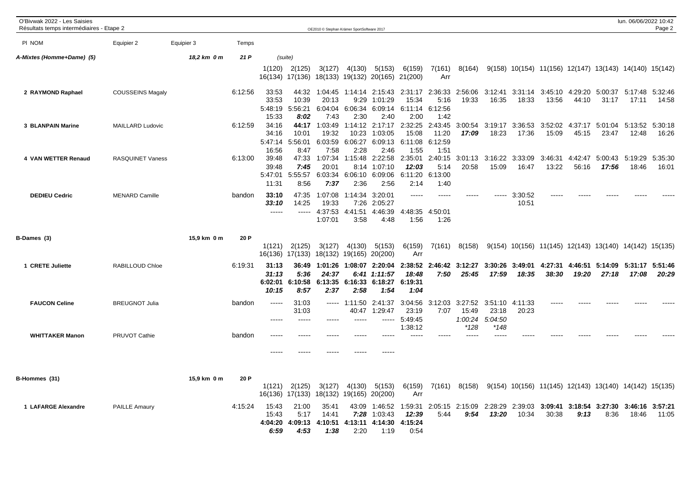| O'Bivwak 2022 - Les Saisies<br>Résultats temps intermédiaires - Etape 2 |                         |             |         |                                    |                                   | OE2010 © Stephan Krämer SportSoftware 2017 |                                     |                                               |                                        |                                     |                                     |                                     |                  |                                                          |                  |                          | lun. 06/06/2022 10:42    | Page 2           |
|-------------------------------------------------------------------------|-------------------------|-------------|---------|------------------------------------|-----------------------------------|--------------------------------------------|-------------------------------------|-----------------------------------------------|----------------------------------------|-------------------------------------|-------------------------------------|-------------------------------------|------------------|----------------------------------------------------------|------------------|--------------------------|--------------------------|------------------|
| PI NOM                                                                  | Equipier 2              | Equipier 3  | Temps   |                                    |                                   |                                            |                                     |                                               |                                        |                                     |                                     |                                     |                  |                                                          |                  |                          |                          |                  |
| A-Mixtes (Homme+Dame) (5)                                               |                         | 18,2 km 0 m | 21 P    |                                    | (suite)                           |                                            |                                     |                                               |                                        |                                     |                                     |                                     |                  |                                                          |                  |                          |                          |                  |
|                                                                         |                         |             |         | 1(120)                             | 2(125)<br>16(134) 17(136)         | 3(127)                                     | 4(130)                              | 5(153)<br>18(133) 19(132) 20(165) 21(200)     | 6(159)                                 | 7(161)<br>Arr                       | 8(164)                              |                                     |                  | 9(158) 10(154) 11(156) 12(147) 13(143) 14(140) 15(142)   |                  |                          |                          |                  |
| 2 RAYMOND Raphael                                                       | <b>COUSSEINS Magaly</b> |             | 6:12:56 | 33:53<br>33:53<br>5:48:19<br>15:33 | 44:32<br>10:39<br>5:56:21<br>8:02 | 1:04:45<br>20:13<br>6:04:04<br>7:43        | 1:14:14<br>9:29<br>6:06:34<br>2:30  | 2:15:43<br>1:01:29<br>6:09:14<br>2:40         | 2:31:17<br>15:34<br>6:11:14<br>2:00    | 2:36:33<br>5:16<br>6:12:56<br>1:42  | 2:56:06<br>19:33                    | 3:12:41<br>16:35                    | 3:31:14<br>18:33 | 3:45:10<br>13:56                                         | 4:29:20<br>44:10 | 5:00:37<br>31:17         | 5:17:48<br>17:11         | 5:32:46<br>14:58 |
| 3 BLANPAIN Marine                                                       | <b>MAILLARD Ludovic</b> |             | 6:12:59 | 34:16<br>34:16<br>5:47:14<br>16:56 | 44:17<br>10:01<br>5:56:01<br>8:47 | 1:03:49<br>19:32<br>6:03:59<br>7:58        | 1:14:12<br>10:23<br>6:06:27<br>2:28 | 2:17:17<br>1:03:05<br>6:09:13<br>2:46         | 2:32:25<br>15:08<br>6:11:08<br>1:55    | 2:43:45<br>11:20<br>6:12:59<br>1:51 | 3:00:54<br>17:09                    | 3:19:17<br>18:23                    | 3:36:53<br>17:36 | 3:52:02<br>15:09                                         | 45:15            | 4:37:17 5:01:04<br>23:47 | 5:13:52<br>12:48         | 5:30:18<br>16:26 |
| 4 VAN WETTER Renaud                                                     | RASQUINET Vaness        |             | 6:13:00 | 39:48<br>39:48<br>5:47:01<br>11:31 | 47:33<br>7:45<br>5:55:57<br>8:56  | 1:07:34<br>20:01<br>7:37                   | 8:14<br>6:03:34 6:06:10<br>2:36     | 1:15:48 2:22:58<br>1:07:10<br>6:09:06<br>2:56 | 2:35:01<br>12:03<br>6:11:20<br>2:14    | 2:40:15<br>5:14<br>6:13:00<br>1:40  | 20:58                               | 3:01:13 3:16:22<br>15:09            | 3:33:09<br>16:47 | 3:46:31<br>13:22                                         | 4:42:47<br>56:16 | 17:56                    | 5:00:43 5:19:29<br>18:46 | 5:35:30<br>16:01 |
| <b>DEDIEU Cedric</b>                                                    | <b>MENARD Camille</b>   |             | bandon  | 33:10<br>33:10<br>$- - - - -$      | 47:35<br>14:25<br>$- - - - -$     | 1:07:08<br>19:33<br>4:37:53<br>1:07:01     | 1:14:34<br>4:41:51<br>3:58          | 3:20:01<br>7:26 2:05:27<br>4:46:39<br>4:48    | -----<br>4:48:35<br>1:56               | 4:50:01<br>1:26                     |                                     |                                     | 3:30:52<br>10:51 |                                                          |                  |                          |                          |                  |
| B-Dames (3)                                                             |                         | 15,9 km 0 m | 20 P    | 1(121)                             | 2(125)<br>16(136) 17(133)         | 3(127)                                     | 4(130)<br>18(132) 19(165)           | 5(153)<br>20(200)                             | 6(159)<br>Arr                          | 7(161)                              | 8(158)                              |                                     |                  | $9(154)$ 10(156) 11(145) 12(143) 13(140) 14(142) 15(135) |                  |                          |                          |                  |
| 1 CRETE Juliette                                                        | RABILLOUD Chloe         |             | 6:19:31 | 31:13<br>31:13<br>6:02:01<br>10:15 | 36:49<br>5:36<br>6:10:58<br>8:57  | 1:01:26<br>24:37<br>6:13:35<br>2:37        | 1:08:07<br>6:41<br>6:16:33<br>2:58  | 2:20:04<br>1:11:57<br>6:18:27<br>1:54         | 2:38:52<br>18:48<br>6:19:31<br>1:04    | 7:50                                | 2:46:42 3:12:27<br>25:45            | 3:30:26<br>17:59                    | 3:49:01<br>18:35 | 4:27:31<br>38:30                                         | 4:46:51<br>19:20 | 5:14:09<br>27:18         | 5:31:17<br>17:08         | 5:51:46<br>20:29 |
| <b>FAUCON Celine</b>                                                    | <b>BREUGNOT Julia</b>   |             | bandon  | $\frac{1}{2}$<br>$---$             | 31:03<br>31:03<br>$\frac{1}{2}$   | -----                                      | ----- 1:11:50<br>40:47              | 2:41:37<br>1:29:47<br>-----                   | 3:04:56<br>23:19<br>5:49:45<br>1:38:12 | 3:12:03<br>7:07                     | 3:27:52<br>15:49<br>1:00:24<br>*128 | 3:51:10<br>23:18<br>5:04:50<br>*148 | 4:11:33<br>20:23 |                                                          |                  |                          |                          |                  |
| <b>WHITTAKER Manon</b>                                                  | PRUVOT Cathie           |             | bandon  |                                    |                                   |                                            |                                     |                                               |                                        |                                     |                                     |                                     |                  |                                                          |                  |                          |                          |                  |
| B-Hommes (31)                                                           |                         | 15,9 km 0 m | 20 P    | 1(121)<br>16(136)                  | 2(125)<br>17(133)                 | 3(127)<br>18(132)                          | 4(130)<br>19(165)                   | 5(153)<br>20(200)                             | 6(159)<br>Arr                          | 7(161)                              | 8(158)                              |                                     |                  | $9(154)$ 10(156) 11(145) 12(143) 13(140) 14(142) 15(135) |                  |                          |                          |                  |
| 1 LAFARGE Alexandre                                                     | <b>PAILLE Amaury</b>    |             | 4:15:24 | 15:43<br>15:43<br>4:04:20<br>6:59  | 21:00<br>5:17<br>4:09:13<br>4:53  | 35:41<br>14:41<br>4:10:51<br>1:38          | 43:09<br>7:28<br>4:13:11<br>2:20    | 1:46:52<br>1:03:43<br>4:14:30<br>1:19         | 1:59:31<br>12:39<br>4:15:24<br>0:54    | 2:05:15<br>5:44                     | 2:15:09<br>9:54                     | 2:28:29<br>13:20                    | 2:39:03<br>10:34 | 3:09:41<br>30:38                                         | 3:18:54<br>9:13  | 8:36                     | 3:27:30 3:46:16<br>18:46 | 3:57:21<br>11:05 |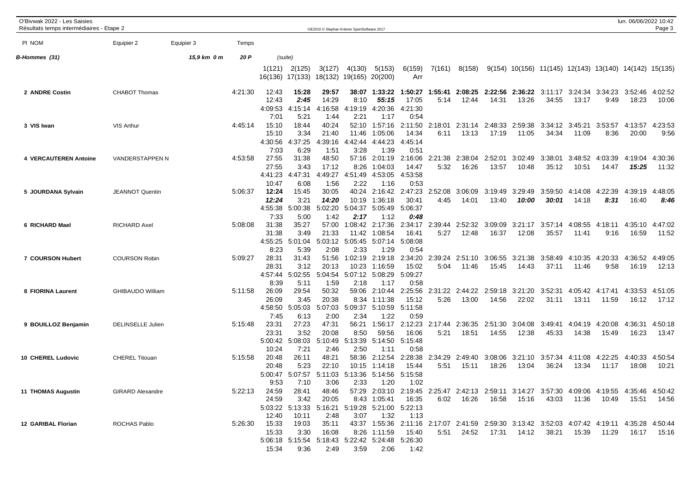| O'Bivwak 2022 - Les Saisies<br>Résultats temps intermédiaires - Etape 2 |                          |             |         |                                            |                                          |                                           | OE2010 © Stephan Krämer SportSoftware 2017              |                                             |                                             |                                                                                                       |                  |                  |                                          |                                                          |                  |                          | lun. 06/06/2022 10:42 | Page 3           |
|-------------------------------------------------------------------------|--------------------------|-------------|---------|--------------------------------------------|------------------------------------------|-------------------------------------------|---------------------------------------------------------|---------------------------------------------|---------------------------------------------|-------------------------------------------------------------------------------------------------------|------------------|------------------|------------------------------------------|----------------------------------------------------------|------------------|--------------------------|-----------------------|------------------|
| PI NOM                                                                  | Equipier 2               | Equipier 3  | Temps   |                                            |                                          |                                           |                                                         |                                             |                                             |                                                                                                       |                  |                  |                                          |                                                          |                  |                          |                       |                  |
| B-Hommes (31)                                                           |                          | 15,9 km 0 m | 20 P    |                                            | (suite)                                  |                                           |                                                         |                                             |                                             |                                                                                                       |                  |                  |                                          |                                                          |                  |                          |                       |                  |
|                                                                         |                          |             |         | 1(121)                                     | 2(125)<br>16(136) 17(133)                | 3(127)                                    | 4(130)<br>18(132) 19(165) 20(200)                       | 5(153)                                      | 6(159)<br>Arr                               | 7(161)                                                                                                | 8(158)           |                  |                                          | $9(154)$ 10(156) 11(145) 12(143) 13(140) 14(142) 15(135) |                  |                          |                       |                  |
| 2 ANDRE Costin                                                          | <b>CHABOT Thomas</b>     |             | 4:21:30 | 12:43<br>12:43<br>4:09:53<br>7:01          | 15:28<br>2:45<br>:15:14<br>5:21          | 29:57<br>14:29<br>4:16:58<br>1:44         | 38:07<br>8:10<br>4:19:19<br>2:21                        | 1:33:22<br>55:15<br>4:20:36<br>1:17         | 1:50:27<br>17:05<br>4:21:30<br>0:54         | 1:55:41<br>5:14                                                                                       | 12:44            | 14:31            | 2:08:25 2:22:56 2:36:22 3:11:17<br>13:26 | 34:55                                                    | 13:17            | 3:24:34 3:34:23<br>9:49  | 3:52:46<br>18:23      | 4:02:52<br>10:06 |
| 3 VIS Iwan                                                              | <b>VIS Arthur</b>        |             | 4:45:14 | 15:10<br>15:10<br>4:30:56<br>7:03          | 18:44<br>3:34<br>4:37:25<br>6:29         | 40:24<br>21:40<br>4:39:16<br>1:51         | 52:10<br>11:46<br>4:42:44<br>3:28                       | 1:57:16<br>1:05:06<br>4:44:23<br>1:39       | 2:11:50<br>14:34<br>4:45:14<br>0:51         | 2:18:01<br>6:11                                                                                       | 2:31:14<br>13:13 | 2:48:33<br>17:19 | 2:59:38<br>11:05                         | 3:34:12<br>34:34                                         | 3:45:21<br>11:09 | 3:53:57<br>8:36          | 4:13:57<br>20:00      | 4:23:53<br>9:56  |
| 4 VERCAUTEREN Antoine                                                   | VANDERSTAPPEN N          |             | 4:53:58 | 27:55<br>27:55<br>4:41:23<br>10:47         | 31:38<br>3:43<br>4:47:31<br>6:08         | 48:50<br>17:12<br>4:49:27<br>1:56         | 57:16<br>8:26<br>4:51:49<br>2:22                        | 2:01:19<br>1:04:03<br>4:53:05<br>1:16       | 2:16:06<br>14:47<br>4:53:58<br>0:53         | 2:21:38<br>5:32                                                                                       | 2:38:04<br>16:26 | 2:52:01<br>13:57 | 3:02:49<br>10:48                         | 3:38:01<br>35:12                                         | 3:48:52<br>10:51 | 4:03:39<br>14:47         | 4:19:04<br>15:25      | 4:30:36<br>11:32 |
| 5 JOURDANA Sylvain                                                      | <b>JEANNOT Quentin</b>   |             | 5:06:37 | 12:24<br>12:24<br>4:55:38                  | 15:45<br>3:21<br>5:00:38                 | 30:05<br>14:20<br>5:02:20                 | 40:24<br>10:19<br>5:04:37                               | 2:16:42<br>1:36:18<br>5:05:49               | 2:47:23<br>30:41<br>5:06:37                 | 2:52:08<br>4:45                                                                                       | 3:06:09<br>14:01 | 3:19:49<br>13:40 | 3:29:49<br>10:00                         | 3:59:50<br>30:01                                         | 14:18            | 4:14:08 4:22:39<br>8:31  | 4:39:19<br>16:40      | 4:48:05<br>8:46  |
| 6 RICHARD Mael                                                          | <b>RICHARD Axel</b>      |             | 5:08:08 | 7:33<br>31:38<br>31:38<br>4:55:25          | 5:00<br>35:27<br>3:49<br>5:01:04         | 1:42<br>57:00<br>21:33                    | 2:17<br>1:08:42<br>11:42<br>5:03:12 5:05:45 5:07:14     | 1:12<br>2:17:36<br>1:08:54                  | 0:48<br>2:34:17<br>16:41<br>5:08:08         | 2:39:44<br>5:27                                                                                       | 2:52:32<br>12:48 | 3:09:09<br>16:37 | 3:21:17<br>12:08                         | 3:57:14<br>35:57                                         | 4:08:55<br>11:41 | 4:18:11<br>9:16          | 4:35:10<br>16:59      | 4:47:02<br>11:52 |
| 7 COURSON Hubert                                                        | <b>COURSON Robin</b>     |             | 5:09:27 | 8:23<br>28:31<br>28:31<br>4:57:44          | 5:39<br>31:43<br>3:12<br>5:02:55         | 2:08<br>51:56<br>20:13<br>5:04:54         | 2:33<br>1:02:19<br>10:23<br>5:07:12                     | 1:29<br>2:19:18<br>1:16:59<br>5:08:29       | 0:54<br>2:34:20<br>15:02<br>5:09:27         | 2:39:24<br>5:04                                                                                       | 2:51:10<br>11:46 | 3:06:55<br>15:45 | 3:21:38<br>14:43                         | 3:58:49<br>37:11                                         | 4:10:35<br>11:46 | 4:20:33<br>9:58          | 4:36:52<br>16:19      | 4:49:05<br>12:13 |
| 8 FIORINA Laurent                                                       | <b>GHIBAUDO William</b>  |             | 5:11:58 | 8:39<br>26:09<br>26:09<br>4:58:50          | 5:11<br>29:54<br>3:45<br>5:05:03         | 1:59<br>50:32<br>20:38<br>5:07:03         | 2:18<br>59:06<br>8:34<br>5:09:37                        | 1:17<br>2:10:44<br>1:11:38<br>5:10:59       | 0:58<br>2:25:56<br>15:12<br>5:11:58         | 2:31:22<br>5:26                                                                                       | 2:44:22<br>13:00 | 2:59:18<br>14:56 | 3:21:20<br>22:02                         | 3:52:31<br>31:11                                         | 13:11            | 4:05:42 4:17:41<br>11:59 | 4:33:53<br>16:12      | 4:51:05<br>17:12 |
| 9 BOUILLOZ Benjamin                                                     | <b>DELINSELLE Julien</b> |             | 5:15:48 | 7:45<br>23:31<br>23:31<br>5:00:42<br>10:24 | 6:13<br>27:23<br>3:52<br>5:08:03<br>7:21 | 2:00<br>47:31<br>20:08<br>5:10:49<br>2:46 | 2:34<br>56:21<br>8:50<br>5:13:39<br>2:50                | 1:22<br>1:56:17<br>59:56<br>5:14:50<br>1:11 | 0:59<br>2:12:23<br>16:06<br>5:15:48<br>0:58 | 2:17:44<br>5:21                                                                                       | 2:36:35<br>18:51 | 2:51:30<br>14:55 | 3:04:08<br>12:38                         | 3:49:41<br>45:33                                         | 4:04:19<br>14:38 | 4:20:08<br>15:49         | 4:36:31<br>16:23      | 4:50:18<br>13:47 |
| 10 CHEREL Ludovic                                                       | <b>CHEREL Titouan</b>    |             | 5:15:58 | 20:48<br>20:48<br>5:00:47<br>9:53          | 26:11<br>5:23<br>5:07:57<br>7:10         | 48:21<br>22:10<br>5:11:03<br>3:06         | 58:36<br>10:15<br>5:13:36<br>2:33                       | 2:12:54<br>1:14:18<br>5:14:56<br>1:20       | 2:28:38<br>15:44<br>5:15:58<br>1:02         | 2:34:29<br>5:51                                                                                       | 2:49:40<br>15:11 | 3:08:06<br>18:26 | 3:21:10<br>13:04                         | 3:57:34<br>36:24                                         | 4:11:08<br>13:34 | 4:22:25<br>11:17         | 4:40:33<br>18:08      | 4:50:54<br>10:21 |
| <b>11 THOMAS Augustin</b>                                               | <b>GIRARD Alexandre</b>  |             | 5:22:13 | 24:59<br>24:59<br>12:40                    | 28:41<br>3:42<br>10:11                   | 48:46<br>20:05<br>2:48                    | 5:03:22 5:13:33 5:16:21 5:19:28 5:21:00 5:22:13<br>3:07 | 8:43 1:05:41<br>1:32                        | 16:35<br>1:13                               | 57:29 2:03:10 2:19:45 2:25:47 2:42:13 2:59:11 3:14:27 3:57:30 4:09:06 4:19:55 4:35:46 4:50:42<br>6:02 | 16:26            | 16:58            | 15:16                                    | 43:03                                                    | 11:36            | 10:49                    |                       |                  |
| 12 GARIBAL Florian                                                      | ROCHAS Pablo             |             | 5:26:30 | 15:33<br>15:33<br>15:34                    | 19:03<br>3:30<br>9:36                    | 35:11<br>16:08<br>2:49                    | 5:06:18 5:15:54 5:18:43 5:22:42 5:24:48 5:26:30<br>3:59 | 8:26 1:11:59<br>2:06                        | 15:40<br>1:42                               | 43:37 1:55:36 2:11:16 2:17:07 2:41:59 2:59:30 3:13:42 3:52:03 4:07:42 4:19:11 4:35:28 4:50:44         |                  |                  |                                          | 5:51  24:52  17:31  14:12  38:21  15:39  11:29           |                  |                          | 16:17 15:16           |                  |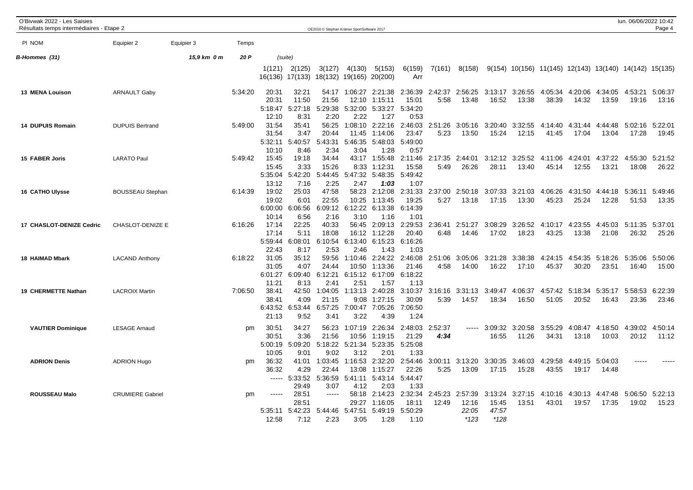| O'Bivwak 2022 - Les Saisies<br>Résultats temps intermédiaires - Etape 2 |                         |             |         |                                             |                                          | OE2010 © Stephan Krämer SportSoftware 2017 |                                     |                                                       |                                             |                  |                                     |                                     |                  |                                                          |                          |                  | lun. 06/06/2022 10:42 | Page 4           |
|-------------------------------------------------------------------------|-------------------------|-------------|---------|---------------------------------------------|------------------------------------------|--------------------------------------------|-------------------------------------|-------------------------------------------------------|---------------------------------------------|------------------|-------------------------------------|-------------------------------------|------------------|----------------------------------------------------------|--------------------------|------------------|-----------------------|------------------|
| PI NOM                                                                  | Equipier 2              | Equipier 3  | Temps   |                                             |                                          |                                            |                                     |                                                       |                                             |                  |                                     |                                     |                  |                                                          |                          |                  |                       |                  |
|                                                                         |                         |             | 20 P    |                                             |                                          |                                            |                                     |                                                       |                                             |                  |                                     |                                     |                  |                                                          |                          |                  |                       |                  |
| B-Hommes (31)                                                           |                         | 15,9 km 0 m |         | 1(121)                                      | (suite)<br>2(125)<br>16(136) 17(133)     | 3(127)                                     | 4(130)<br>18(132) 19(165) 20(200)   | 5(153)                                                | 6(159)<br>Arr                               | 7(161)           | 8(158)                              |                                     |                  | $9(154)$ 10(156) 11(145) 12(143) 13(140) 14(142) 15(135) |                          |                  |                       |                  |
| 13 MENA Louison                                                         | <b>ARNAULT Gaby</b>     |             | 5:34:20 | 20:31<br>20:31<br>5:18:47                   | 32:21<br>11:50<br>5:27:18                | 54:17<br>21:56<br>5:29:38                  | 1:06:27<br>12:10<br>5:32:00         | 2:21:38<br>1:15:11<br>5:33:27                         | 2:36:39<br>15:01<br>5:34:20                 | 2:42:37<br>5:58  | 2:56:25<br>13:48                    | 3:13:17<br>16:52                    | 3:26:55<br>13:38 | 4:05:34<br>38:39                                         | 4:20:06<br>14:32         | 4:34:05<br>13:59 | 4:53:21<br>19:16      | 5:06:37<br>13:16 |
| 14 DUPUIS Romain                                                        | <b>DUPUIS Bertrand</b>  |             | 5:49:00 | 12:10<br>31:54<br>31:54<br>5:32:11          | 8:31<br>35:41<br>3:47<br>5:40:57         | 2:20<br>56:25<br>20:44<br>5:43:31          | 2:22<br>1:08:10<br>11:45<br>5:46:35 | 1:27<br>2:22:16<br>1:14:06<br>5:48:03                 | 0:53<br>2:46:03<br>23:47<br>5:49:00         | 2:51:26<br>5:23  | 3:05:16<br>13:50                    | 3:20:40<br>15:24                    | 3:32:55<br>12:15 | 4:14:40<br>41:45                                         | 4:31:44 4:44:48<br>17:04 | 13:04            | 5:02:16<br>17:28      | 5:22:01<br>19:45 |
| 15 FABER Joris                                                          | <b>LARATO Paul</b>      |             | 5:49:42 | 10:10<br>15:45<br>15:45<br>5:35:04          | 8:46<br>19:18<br>3:33<br>5:42:20         | 2:34<br>34:44<br>15:26<br>5:44:45          | 3:04<br>43:17<br>8:33<br>5:47:32    | 1:28<br>1:55:48<br>1:12:3'<br>5:48:35                 | 0:57<br>2:11:46<br>15:58<br>5:49:42         | 2:17:35<br>5:49  | 2:44:01<br>26:26                    | 3:12:12<br>28:11                    | 3:25:52<br>13:40 | 4:11:06<br>45:14                                         | 4:24:01<br>12:55         | 4:37:22<br>13:21 | 4:55:30<br>18:08      | 5:21:52<br>26:22 |
| <b>16 CATHO Ulysse</b>                                                  | <b>BOUSSEAU Stephan</b> |             | 6:14:39 | 13:12<br>19:02<br>19:02<br>6:00:00<br>10:14 | 7:16<br>25:03<br>6:01<br>6:06:56<br>6:56 | 2:25<br>47:58<br>22:55<br>6:09:12<br>2:16  | 2:47<br>58:23<br>10:25<br>3:10      | 1:03<br>2:12:08<br>1:13:45<br>6:12:22 6:13:38<br>1:16 | 1:07<br>2:31:33<br>19:25<br>6:14:39<br>1:01 | 2:37:00<br>5:27  | 2:50:18<br>13:18                    | 3:07:33<br>17:15                    | 3:21:03<br>13:30 | 4:06:26<br>45:23                                         | 4:31:50<br>25:24         | 4:44:18<br>12:28 | 5:36:11<br>51:53      | 5:49:46<br>13:35 |
| 17 CHASLOT-DENIZE Cedric                                                | <b>CHASLOT-DENIZE E</b> |             | 6:16:26 | 17:14<br>17:14<br>5:59:44<br>22:43          | 22:25<br>5:11<br>6:08:01<br>8:17         | 40:33<br>18:08<br>6:10:54<br>2:53          | 56:45<br>16:12<br>6:13:40<br>2:46   | 2:09:13<br>1:12:28<br>6:15:23<br>1:43                 | 2:29:53<br>20:40<br>6:16:26<br>1:03         | 2:36:41<br>6:48  | 2:51:27<br>14:46                    | 3:08:29<br>17:02                    | 3:26:52<br>18:23 | 4:10:17<br>43:25                                         | 4:23:55<br>13:38         | 4:45:03<br>21:08 | 5:11:35<br>26:32      | 5:37:01<br>25:26 |
| 18 HAIMAD Mbark                                                         | <b>LACAND Anthony</b>   |             | 6:18:22 | 31:05<br>31:05<br>6:01:27<br>11:21          | 35:12<br>4:07<br>6:09:40<br>8:13         | 59:56<br>24:44<br>6:12:21<br>2:41          | 1:10:46<br>10:50<br>6:15:12<br>2:51 | 2:24:22<br>1:13:36<br>6:17:09<br>1:57                 | 2:46:08<br>21:46<br>6:18:22<br>1:13         | 2:51:06<br>4:58  | 3:05:06<br>14:00                    | 3:21:28<br>16:22                    | 3:38:38<br>17:10 | 4:24:15<br>45:37                                         | 4:54:35<br>30:20         | 5:18:26<br>23:51 | 5:35:06<br>16:40      | 5:50:06<br>15:00 |
| 19 CHERMETTE Nathan                                                     | <b>LACROIX Martin</b>   |             | 7:06:50 | 38:41<br>38:41<br>6:43:52<br>21:13          | 42:50<br>4:09<br>6:53:44<br>9:52         | 1:04:05<br>21:15<br>6:57:25<br>3:41        | 1:13:13<br>9:08<br>7:00:47<br>3:22  | 2:40:28<br>1:27:15<br>7:05:26<br>4:39                 | 3:10:37<br>30:09<br>7:06:50<br>1:24         | 3:16:16<br>5:39  | 3:31:13<br>14:57                    | 3:49:47<br>18:34                    | 4:06:37<br>16:50 | 4:57:42<br>51:05                                         | 5:18:34<br>20:52         | 5:35:17<br>16:43 | 5:58:53<br>23:36      | 6:22:39<br>23:46 |
| <b>VAUTIER Dominique</b>                                                | <b>LESAGE Arnaud</b>    |             | pm      | 30:51<br>30:51<br>5:00:19<br>10:05          | 34:27<br>3:36<br>5:09:20<br>9:01         | 56:23<br>21:56<br>5:18:22<br>9:02          | 1:07:19<br>10:56<br>5:21:34<br>3:12 | 2:26:34<br>1:19:15<br>5:23:35<br>2:01                 | 2:48:03<br>21:29<br>5:25:08<br>1:33         | 2:52:37<br>4:34  | $- - - - -$                         | 3:09:32<br>16:55                    | 3:20:58<br>11:26 | 3:55:29<br>34:31                                         | 4:08:47<br>13:18         | 4:18:50<br>10:03 | 4:39:02<br>20:12      | 4:50:14<br>11:12 |
| <b>ADRION Denis</b>                                                     | <b>ADRION Hugo</b>      |             | pm      | 36:32<br>36:32<br>$\cdots$                  | 41:01<br>4:29<br>5:33:52<br>29:49        | 1:03:45<br>22:44<br>5:36:59<br>3:07        | 1:16:53<br>13:08<br>5:41:11<br>4:12 | 2:32:20<br>1:15:27<br>5:43:14<br>2:03                 | 2:54:46<br>22:26<br>5:44:47<br>1:33         | 3:00:11<br>5:25  | 3:13:20<br>13:09                    | 3:30:35<br>17:15                    | 3:46:03<br>15:28 | 4:29:58<br>43:55                                         | 4:49:15<br>19:17         | 5:04:03<br>14:48 |                       |                  |
| <b>ROUSSEAU Malo</b>                                                    | <b>CRUMIERE Gabriel</b> |             | pm      | 5:35:11<br>12:58                            | 28:51<br>28:51<br>5:42:23<br>7:12        | $- - - - -$<br>5:44:46<br>2:23             | 58:18<br>29:27<br>5:47:51<br>3:05   | 2:14:23<br>1:16:05<br>5:49:19<br>1:28                 | 2:32:34<br>18:11<br>5:50:29<br>1:10         | 2:45:23<br>12:49 | 2:57:39<br>12:16<br>22:05<br>$*123$ | 3:13:24<br>15:45<br>47:57<br>$*128$ | 3:27:15<br>13:51 | 4:10:16<br>43:01                                         | 4:30:13 4:47:48<br>19:57 | 17:35            | 5:06:50<br>19:02      | 5:22:13<br>15:23 |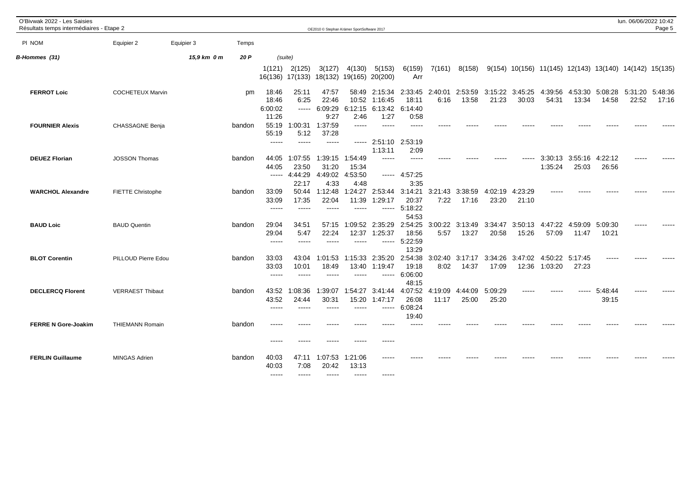| O'Bivwak 2022 - Les Saisies<br>Résultats temps intermédiaires - Etape 2 |                          |             |        |                                    |                                            | OE2010 © Stephan Krämer SportSoftware 2017 |                                           |                                       |                                        |                  |                  |                  |                  |                                                          |                  |                  | lun. 06/06/2022 10:42 | Page 5           |
|-------------------------------------------------------------------------|--------------------------|-------------|--------|------------------------------------|--------------------------------------------|--------------------------------------------|-------------------------------------------|---------------------------------------|----------------------------------------|------------------|------------------|------------------|------------------|----------------------------------------------------------|------------------|------------------|-----------------------|------------------|
| PI NOM                                                                  | Equipier 2               | Equipier 3  | Temps  |                                    |                                            |                                            |                                           |                                       |                                        |                  |                  |                  |                  |                                                          |                  |                  |                       |                  |
| B-Hommes (31)                                                           |                          | 15,9 km 0 m | 20 P   | (suite)                            |                                            |                                            |                                           |                                       |                                        |                  |                  |                  |                  |                                                          |                  |                  |                       |                  |
|                                                                         |                          |             |        | 1(121)                             | 2(125)<br>16(136) 17(133)                  | 3(127)<br>18(132)                          | 4(130)<br>19(165)                         | 5(153)<br>20(200)                     | 6(159)<br>Arr                          | 7(161)           | 8(158)           |                  |                  | $9(154)$ 10(156) 11(145) 12(143) 13(140) 14(142) 15(135) |                  |                  |                       |                  |
| <b>FERROT Loic</b>                                                      | <b>COCHETEUX Marvin</b>  |             | pm     | 18:46<br>18:46<br>6:00:02<br>11:26 | 25:11<br>6:25<br>$\qquad \qquad - - - - -$ | 47:57<br>22:46<br>6:09:29<br>9:27          | 58:49<br>10:52<br>6:12:15<br>2:46         | 2:15:34<br>1:16:45<br>6:13:42<br>1:27 | 2:33:45<br>18:11<br>6:14:40<br>0:58    | 2:40:01<br>6:16  | 2:53:59<br>13:58 | 3:15:22<br>21:23 | 3:45:25<br>30:03 | 4:39:56<br>54:31                                         | 4:53:30<br>13:34 | 5:08:28<br>14:58 | 5:31:20<br>22:52      | 5:48:36<br>17:16 |
| <b>FOURNIER Alexis</b>                                                  | CHASSAGNE Benja          |             | bandon | 55:19<br>55:19<br>-----            | 1:00:31<br>5:12                            | 1:37:59<br>37:28<br>-----                  | -----<br>$- - - - -$                      | -----<br>2:51:10                      | 2:53:19                                |                  |                  |                  |                  |                                                          |                  |                  |                       |                  |
| <b>DEUEZ Florian</b>                                                    | <b>JOSSON Thomas</b>     |             | bandon | 44:05<br>44:05<br>$\cdots$         | 1:07:55<br>23:50<br>4:44:29                | 1:39:15<br>31:20<br>4:49:02                | 1:54:49<br>15:34<br>4:53:50               | 1:13:11<br>$\frac{1}{2}$              | 2:09<br>$\frac{1}{2}$<br>$--- 4:57:25$ |                  |                  |                  |                  | 3:30:13<br>1:35:24                                       | 3:55:16<br>25:03 | 4:22:12<br>26:56 |                       |                  |
| <b>WARCHOL Alexandre</b>                                                | <b>FIETTE Christophe</b> |             | bandon | 33:09<br>33:09<br>$\frac{1}{2}$    | 22:17<br>50:44<br>17:35<br>$\frac{1}{2}$   | 4:33<br>1:12:48<br>22:04<br>$\frac{1}{2}$  | 4:48<br>1:24:27<br>11:39<br>$\frac{1}{2}$ | 2:53:44<br>1:29:17<br>-----           | 3:35<br>3:14:21<br>20:37<br>5:18:22    | 3:21:43<br>7:22  | 3:38:59<br>17:16 | 4:02:19<br>23:20 | 4:23:29<br>21:10 |                                                          |                  |                  |                       |                  |
| <b>BAUD Loic</b>                                                        | <b>BAUD Quentin</b>      |             | bandon | 29:04<br>29:04<br>-----            | 34:51<br>5:47<br>$\cdots$                  | 57:15<br>22:24<br>-----                    | 1:09:52<br>12:37<br>-----                 | 2:35:29<br>1:25:37<br>-----           | 54:53<br>2:54:25<br>18:56<br>5:22:59   | 3:00:22<br>5:57  | 3:13:49<br>13:27 | 3:34:47<br>20:58 | 3:50:13<br>15:26 | 4:47:22<br>57:09                                         | 4:59:09<br>11:47 | 5:09:30<br>10:21 |                       |                  |
| <b>BLOT Corentin</b>                                                    | PILLOUD Pierre Edou      |             | bandon | 33:03<br>33:03<br>$\frac{1}{2}$    | 43:04<br>10:01<br>$\frac{1}{2}$            | 1:01:53<br>18:49<br>$\frac{1}{2}$          | 1:15:33<br>13:40<br>-----                 | 2:35:20<br>1:19:47<br>-----           | 13:29<br>2:54:38<br>19:18<br>6:06:00   | 3:02:40<br>8:02  | 3:17:17<br>14:37 | 3:34:26<br>17:09 | 3:47:02<br>12:36 | 4:50:22<br>1:03:20                                       | 5:17:45<br>27:23 |                  |                       |                  |
| <b>DECLERCQ Florent</b>                                                 | <b>VERRAEST Thibaut</b>  |             | bandon | 43:52<br>43:52<br>-----            | :08:36<br>24:44<br>$- - - - -$             | :39:07<br>30:31<br>----                    | 1:54:27<br>15:20                          | 3:41:44<br>1:47:17<br>-----           | 48:15<br>4:07:52<br>26:08<br>6:08:24   | 4:19:09<br>11:17 | 4:44:09<br>25:00 | 5:09:29<br>25:20 |                  |                                                          |                  | 5:48:44<br>39:15 |                       |                  |
| <b>FERRE N Gore-Joakim</b>                                              | <b>THIEMANN Romain</b>   |             | bandon | -----<br>-----                     | $\frac{1}{2}$<br>$- - - - -$               | -----                                      | -----                                     | -----                                 | 19:40                                  |                  |                  |                  |                  |                                                          |                  |                  |                       |                  |
| <b>FERLIN Guillaume</b>                                                 | <b>MINGAS Adrien</b>     |             | bandon | 40:03<br>40:03<br>$- - - - -$      | 47:11<br>7:08<br>$- - - - - -$             | 1:07:53<br>20:42<br>$- - - - -$            | 1:21:06<br>13:13<br>$- - - - -$           | -----<br>$- - - - -$                  |                                        |                  |                  |                  |                  |                                                          |                  |                  |                       |                  |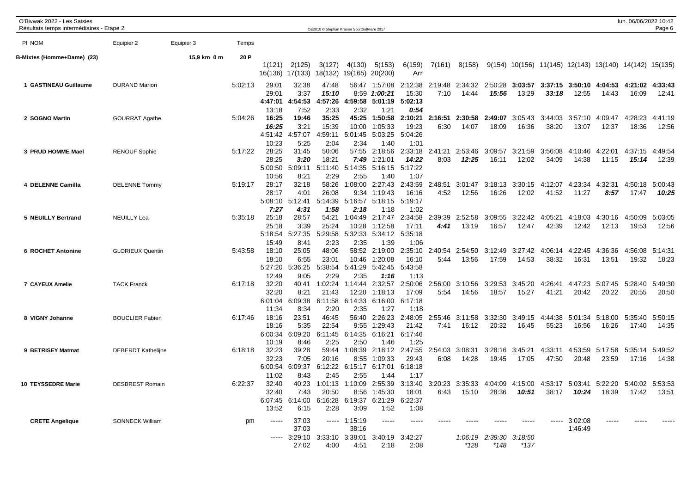| O'Bivwak 2022 - Les Saisies<br>Résultats temps intermédiaires - Etape 2 |                           |             |         |                   |                           |                  | OE2010 © Stephan Krämer SportSoftware 2017 |                                                                                                         |                  |                 |                  |                         |                                                        |                  |                  |                  | lun. 06/06/2022 10:42 | Page 6           |
|-------------------------------------------------------------------------|---------------------------|-------------|---------|-------------------|---------------------------|------------------|--------------------------------------------|---------------------------------------------------------------------------------------------------------|------------------|-----------------|------------------|-------------------------|--------------------------------------------------------|------------------|------------------|------------------|-----------------------|------------------|
| PI NOM                                                                  | Equipier 2                | Equipier 3  | Temps   |                   |                           |                  |                                            |                                                                                                         |                  |                 |                  |                         |                                                        |                  |                  |                  |                       |                  |
| B-Mixtes (Homme+Dame) (23)                                              |                           | 15,9 km 0 m | 20 P    |                   |                           |                  |                                            |                                                                                                         |                  |                 |                  |                         |                                                        |                  |                  |                  |                       |                  |
|                                                                         |                           |             |         | 1(121)<br>16(136) | 2(125)<br>17(133) 18(132) | 3(127)           | 4(130)<br>19(165)                          | 5(153)<br>20(200)                                                                                       | 6(159)<br>Arr    | 7(161)          | 8(158)           |                         | 9(154) 10(156) 11(145) 12(143) 13(140) 14(142) 15(135) |                  |                  |                  |                       |                  |
| 1 GASTINEAU Guillaume                                                   | <b>DURAND Marion</b>      |             | 5:02:13 | 29:01             | 32:38                     | 47:48            | 56:47                                      | 1:57:08                                                                                                 | 2:12:38          | 2:19:48         | 2:34:32          | 2:50:28                 | 3:03:57                                                | 3:37:15          | 3:50:10          | 4:04:53          | 4:21:02 4:33:43       |                  |
|                                                                         |                           |             |         | 29:01             | 3:37                      | 15:10            | 8:59                                       | 1:00:21                                                                                                 | 15:30            | 7:10            | 14:44            | 15:56                   | 13:29                                                  | 33:18            | 12:55            | 14:43            | 16:09                 | 12:41            |
|                                                                         |                           |             |         | 4:47:01<br>13:18  | 4:54:53<br>7:52           | 4:57:26<br>2:33  | 4:59:58<br>2:32                            | $5:01:19$ $5:02:13$<br>1:21                                                                             | 0:54             |                 |                  |                         |                                                        |                  |                  |                  |                       |                  |
| 2 SOGNO Martin                                                          | <b>GOURRAT Agathe</b>     |             | 5:04:26 | 16:25             | 19:46                     | 35:25            | 45:25                                      | 1:50:58                                                                                                 | 2:10:21          | 2:16:51         | 2:30:58          | 2:49:07                 | 3:05:43                                                | 3:44:03          | 3:57:10          | 4:09:47          | 4:28:23               | 4:41:19          |
|                                                                         |                           |             |         | 16:25<br>4:51:42  | 3:21<br>:57:07<br>4       | 15:39<br>4:59:11 | 10:00<br>5:01:45                           | 1:05:33<br>5:03:25                                                                                      | 19:23<br>5:04:26 | 6:30            | 14:07            | 18:09                   | 16:36                                                  | 38:20            | 13:07            | 12:37            | 18:36                 | 12:56            |
|                                                                         |                           |             |         | 10:23             | 5:25                      | 2:04             | 2:34                                       | 1:40                                                                                                    | 1:01             |                 |                  |                         |                                                        |                  |                  |                  |                       |                  |
| 3 PRUD HOMME Mael                                                       | <b>RENOUF Sophie</b>      |             | 5:17:22 | 28:25             | 31:45                     | 50:06            |                                            | 57:55 2:18:56                                                                                           | 2:33:18          | 2:41:21         | 2:53:46          | 3:09:57                 | 3:21:59                                                | 3:56:08          | 4:10:46          | 4:22:01          | 4:37:15               | 4:49:54          |
|                                                                         |                           |             |         | 28:25<br>5:00:50  | 3:20<br>5:09:11           | 18:21<br>5:11:40 | 5:14:35                                    | 7:49 1:21:01<br>5:16:15                                                                                 | 14:22<br>5:17:22 | 8:03            | 12:25            | 16:11                   | 12:02                                                  | 34:09            | 14:38            | 11:15            | 15:14                 | 12:39            |
|                                                                         |                           |             |         | 10:56             | 8:21                      | 2:29             | 2:55                                       | 1:40                                                                                                    | 1:07             |                 |                  |                         |                                                        |                  |                  |                  |                       |                  |
| 4 DELENNE Camilla                                                       | <b>DELENNE Tommy</b>      |             | 5:19:17 | 28:17<br>28:17    | 32:18<br>4:01             | 58:26<br>26:08   | 1:08:00<br>9:34                            | 2:27:43<br>1:19:43                                                                                      | 2:43:59<br>16:16 | 2:48:51<br>4:52 | 3:01:47<br>12:56 | 3:18:13<br>16:26        | 3:30:15<br>12:02                                       | 4:12:07<br>41:52 | 4:23:34<br>11:27 | 4:32:31<br>8:57  | 4:50:18<br>17:47      | 5:00:43<br>10:25 |
|                                                                         |                           |             |         | 5:08:10           | 5:12:41                   | 5:14:39          | 5:16:57                                    | 5:18:15                                                                                                 | 5:19:17          |                 |                  |                         |                                                        |                  |                  |                  |                       |                  |
|                                                                         |                           |             |         | 7:27              | 4:31                      | 1:58             | 2:18                                       | 1:18                                                                                                    | 1:02             |                 |                  |                         |                                                        |                  |                  |                  |                       |                  |
| 5 NEUILLY Bertrand                                                      | <b>NEUILLY Lea</b>        |             | 5:35:18 | 25:18<br>25:18    | 28:57<br>3:39             | 54:21<br>25:24   | 1:04:49<br>10:28                           | 2:17:47<br>1:12:58                                                                                      | 2:34:58<br>17:11 | 2:39:39<br>4:41 | 2:52:58<br>13:19 | 3:09:55<br>16:57        | 3:22:42<br>12:47                                       | 4:05:21<br>42:39 | 4:18:03<br>12:42 | 4:30:16<br>12:13 | 4:50:09<br>19:53      | 5:03:05<br>12:56 |
|                                                                         |                           |             |         | 5:18:54           | 5:27:35                   | 5:29:58          | 5:32:33                                    | 5:34:12                                                                                                 | 5:35:18          |                 |                  |                         |                                                        |                  |                  |                  |                       |                  |
| <b>6 ROCHET Antonine</b>                                                | <b>GLORIEUX Quentin</b>   |             | 5:43:58 | 15:49<br>18:10    | 8:41<br>25:05             | 2:23<br>48:06    | 2:35<br>58:52                              | 1:39<br>2:19:00                                                                                         | 1:06<br>2:35:10  | 2:40:54         | 2:54:50          | 3:12:49                 | 3:27:42                                                | 4:06:14          | 4:22:45          | 4:36:36          | 4:56:08               | 5:14:31          |
|                                                                         |                           |             |         | 18:10             | 6:55                      | 23:01            | 10:46                                      | 1:20:08                                                                                                 | 16:10            | 5:44            | 13:56            | 17:59                   | 14:53                                                  | 38:32            | 16:31            | 13:51            | 19:32                 | 18:23            |
|                                                                         |                           |             |         | 5:27:20           | 5:36:25                   | 5:38:54          | 5:41:29                                    | 5:42:45                                                                                                 | 5:43:58          |                 |                  |                         |                                                        |                  |                  |                  |                       |                  |
| 7 CAYEUX Amelie                                                         | <b>TACK Franck</b>        |             | 6:17:18 | 12:49<br>32:20    | 9:05<br>40:41             | 2:29<br>1:02:24  | 2:35<br>1:14:44                            | 1:16<br>2:32:57                                                                                         | 1:13<br>2:50:06  | 2:56:00         | 3:10:56          | 3:29:53                 | 3:45:20                                                | 4:26:41          | 4:47:23          | 5:07:45          | 5:28:40               | 5:49:30          |
|                                                                         |                           |             |         | 32:20             | 8:21                      | 21:43            | 12:20                                      | 1:18:13                                                                                                 | 17:09            | 5:54            | 14:56            | 18:57                   | 15:27                                                  | 41:21            | 20:42            | 20:22            | 20:55                 | 20:50            |
|                                                                         |                           |             |         | 6:01:04<br>11:34  | 6:09:38<br>8:34           | 6:11:58<br>2:20  | 6:14:33<br>2:35                            | 6:16:00<br>1:27                                                                                         | 6:17:18<br>1:18  |                 |                  |                         |                                                        |                  |                  |                  |                       |                  |
| 8 VIGNY Johanne                                                         | <b>BOUCLIER Fabien</b>    |             | 6:17:46 | 18:16             | 23:51                     | 46:45            | 56:40                                      | 2:26:23                                                                                                 | 2:48:05          | 2:55:46         | 3:11:58          | 3:32:30                 | 3:49:15                                                | 4:44:38          |                  | 5:01:34 5:18:00  | 5:35:40               | 5:50:15          |
|                                                                         |                           |             |         | 18:16             | 5:35                      | 22:54            | 9:55                                       | 1:29:43                                                                                                 | 21:42            | 7:41            | 16:12            | 20:32                   | 16:45                                                  | 55:23            | 16:56            | 16:26            | 17:40                 | 14:35            |
|                                                                         |                           |             |         | 6:00:34<br>10:19  | 6:09:20<br>8:46           | 6:11:45<br>2:25  | 2:50                                       | 6:14:35 6:16:21<br>1:46                                                                                 | 6:17:46<br>1:25  |                 |                  |                         |                                                        |                  |                  |                  |                       |                  |
| 9 BETRISEY Matmat                                                       | <b>DEBERDT Kathelijne</b> |             | 6:18:18 | 32:23             | 39:28                     | 59:44            | 1:08:39                                    | 2:18:12                                                                                                 | 2:47:55          | 2:54:03         | 3:08:31          | 3:28:16                 | 3:45:21                                                | 4:33:11          | 4:53:59          | 5:17:58          | 5:35:14               | 5:49:52          |
|                                                                         |                           |             |         | 32:23<br>6:00:54  | 7:05<br>6:09:37           | 20:16            | 8:55<br>6:12:22 6:15:17                    | 1:09:33<br>6:17:01                                                                                      | 29:43<br>6:18:18 | 6:08            | 14:28            | 19:45                   | 17:05                                                  | 47:50            | 20:48            | 23:59            | 17:16                 | 14:38            |
|                                                                         |                           |             |         | 11:02             | 8:43                      | 2:45             | 2:55                                       | 1:44                                                                                                    | 1:17             |                 |                  |                         |                                                        |                  |                  |                  |                       |                  |
| 10 TEYSSEDRE Marie                                                      | <b>DESBREST Romain</b>    |             | 6:22:37 | 32:40             | 40:23                     |                  |                                            | 1:01:13 1:10:09 2:55:39 3:13:40 3:20:23 3:35:33 4:04:09 4:15:00 4:53:17 5:03:41 5:22:20 5:40:02 5:53:53 |                  |                 |                  |                         |                                                        |                  |                  |                  |                       |                  |
|                                                                         |                           |             |         | 32:40             | 7:43<br>6:07:45 6:14:00   | 20:50            | 6:16:28 6:19:37                            | 8:56 1:45:30<br>6:21:29                                                                                 | 18:01<br>6:22:37 | 6:43            | 15:10            | 28:36                   | 10:51                                                  | 38:17            | 10:24            | 18:39            | 17:42                 | 13:51            |
|                                                                         |                           |             |         | 13:52             | 6:15                      | 2:28             | 3:09                                       | 1:52                                                                                                    | 1:08             |                 |                  |                         |                                                        |                  |                  |                  |                       |                  |
| <b>CRETE Angelique</b>                                                  | <b>SONNECK William</b>    |             | pm      | -----             | 37:03                     |                  | $--- 1:15:19$                              | $- - - - -$                                                                                             |                  |                 |                  |                         |                                                        |                  | 3:02:08          |                  |                       |                  |
|                                                                         |                           |             |         |                   | 37:03                     |                  | 38:16                                      | 3:29:10 3:33:10 3:38:01 3:40:19 3:42:27                                                                 |                  |                 |                  | 1:06:19 2:39:30 3:18:50 |                                                        |                  | 1:46:49          |                  |                       |                  |
|                                                                         |                           |             |         |                   | 27:02                     | 4:00             | 4:51                                       | 2:18                                                                                                    | 2:08             |                 | $*128$           | $*148$                  | $*137$                                                 |                  |                  |                  |                       |                  |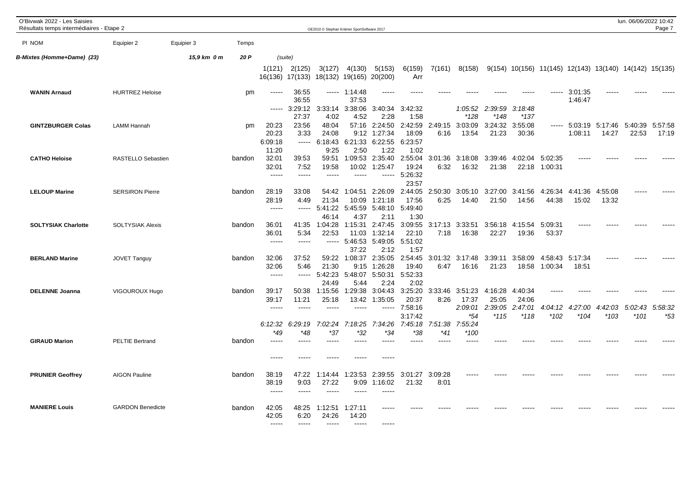| O'Bivwak 2022 - Les Saisies<br>Résultats temps intermédiaires - Etape 2 |                         |             |        |                                 |                                 | OE2010 © Stephan Krämer SportSoftware 2017 |                                     |                                       |                                     |                  |                             |                             |                             |                                                          |                    |                  | lun. 06/06/2022 10:42 | Page 7           |
|-------------------------------------------------------------------------|-------------------------|-------------|--------|---------------------------------|---------------------------------|--------------------------------------------|-------------------------------------|---------------------------------------|-------------------------------------|------------------|-----------------------------|-----------------------------|-----------------------------|----------------------------------------------------------|--------------------|------------------|-----------------------|------------------|
| PI NOM                                                                  | Equipier 2              | Equipier 3  | Temps  |                                 |                                 |                                            |                                     |                                       |                                     |                  |                             |                             |                             |                                                          |                    |                  |                       |                  |
| <b>B-Mixtes (Homme+Dame) (23)</b>                                       |                         | 15,9 km 0 m | 20 P   | (suite)                         |                                 |                                            |                                     |                                       |                                     |                  |                             |                             |                             |                                                          |                    |                  |                       |                  |
|                                                                         |                         |             |        | 1(121)<br>16(136) 17(133)       | 2(125)                          | 3(127)<br>18(132)                          | 4(130)<br>19(165)                   | 5(153)<br>20(200)                     | 6(159)<br>Arr                       | 7(161)           | 8(158)                      |                             |                             | $9(154)$ 10(156) 11(145) 12(143) 13(140) 14(142) 15(135) |                    |                  |                       |                  |
| <b>WANIN Arnaud</b>                                                     | <b>HURTREZ Heloise</b>  |             | pm     | -----                           | 36:55<br>36:55                  | -----                                      | 1:14:48<br>37:53                    |                                       |                                     |                  |                             |                             |                             |                                                          | 3:01:35<br>1:46:47 |                  |                       |                  |
|                                                                         |                         |             |        | $\cdots$                        | 3:29:12<br>27:37                | 3:33:14<br>4:02                            | 3:38:06<br>4:52                     | 3:40:34<br>2:28                       | 3:42:32<br>1:58                     |                  | 1:05:52<br>*128             | 2:39:59<br>*148             | 3:18:48<br>*137             |                                                          |                    |                  |                       |                  |
| <b>GINTZBURGER Colas</b>                                                | <b>LAMM Hannah</b>      |             | pm     | 20:23<br>20:23<br>6:09:18       | 23:56<br>3:33<br>$-----1$       | 48:04<br>24:08<br>6:18:43                  | 57:16<br>9:12<br>6:21:33            | 2:24:50<br>1:27:34<br>6:22:55         | 2:42:59<br>18:09<br>6:23:57         | 2:49:15<br>6:16  | 3:03:09<br>13:54            | 3:24:32<br>21:23            | 3:55:08<br>30:36            | -----                                                    | 5:03:19<br>1:08:11 | 5:17:46<br>14:27 | 5:40:39<br>22:53      | 5:57:58<br>17:19 |
| <b>CATHO Heloise</b>                                                    | RASTELLO Sebastien      |             | bandon | 11:20<br>32:01<br>32:01         | 39:53<br>7:52                   | 9:25<br>59:51<br>19:58                     | 2:50<br>1:09:53<br>10:02            | 1:22<br>2:35:40<br>1:25:47            | 1:02<br>2:55:04<br>19:24            | 3:01:36<br>6:32  | 3:18:08<br>16:32            | 3:39:46<br>21:38            | 4:02:04<br>22:18            | 5:02:35<br>1:00:31                                       |                    |                  |                       |                  |
|                                                                         |                         |             |        | $----$                          | $--- -$                         | $--- -$                                    |                                     | -----                                 | 5:26:32<br>23:57                    |                  |                             |                             |                             |                                                          |                    |                  |                       |                  |
| <b>LELOUP Marine</b>                                                    | <b>SERSIRON Pierre</b>  |             | bandon | 28:19<br>28:19<br>$---$         | 33:08<br>4:49                   | 54:42<br>21:34<br>5:41:22                  | 1:04:51<br>10:09<br>5:45:59         | 2:26:09<br>1:21:18<br>5:48:10         | 2:44:05<br>17:56<br>5:49:40         | 2:50:30<br>6:25  | 3:05:10<br>14:40            | 3:27:00<br>21:50            | 3:41:56<br>14:56            | 4:26:34<br>44:38                                         | 4:41:36<br>15:02   | 4:55:08<br>13:32 |                       |                  |
| <b>SOLTYSIAK Charlotte</b>                                              | <b>SOLTYSIAK Alexis</b> |             | bandon | 36:01<br>36:01<br>$---$         | 41:35<br>5:34<br>$- - - - -$    | 46:14<br>1:04:28<br>22:53<br>$\frac{1}{2}$ | 4:37<br>1:15:31<br>11:03<br>5:46:53 | 2:11<br>2:47:45<br>1:32:14<br>5:49:05 | 1:30<br>3:09:55<br>22:10<br>5:51:02 | 3:17:13<br>7:18  | 3:33:51<br>16:38            | 3:56:18<br>22:27            | 4:15:54<br>19:36            | 5:09:31<br>53:37                                         |                    |                  |                       |                  |
| <b>BERLAND Marine</b>                                                   | <b>JOVET Tanguy</b>     |             | bandon | 32:06<br>32:06                  | 37:52<br>5:46                   | 59:22<br>21:30                             | 37:22<br>1:08:37<br>9:15            | 2:12<br>2:35:05<br>1:26:28            | 1:57<br>2:54:45<br>19:40            | 3:01:32<br>6:47  | 3:17:48<br>16:16            | 3:39:11<br>21:23            | 3:58:09<br>18:58            | 4:58:43<br>1:00:34                                       | 5:17:34<br>18:51   |                  |                       |                  |
|                                                                         |                         |             |        | $\frac{1}{2}$                   | $--- - - -$                     | 5:42:23<br>24:49                           | 5:48:07<br>5:44                     | 5:50:31<br>2:24                       | 5:52:33<br>2:02                     |                  |                             |                             |                             |                                                          |                    |                  |                       |                  |
| <b>DELENNE Joanna</b>                                                   | VIGOUROUX Hugo          |             | bandon | 39:17<br>39:17<br>-----         | 50:38<br>11:21<br>$\frac{1}{2}$ | 1:15:56<br>25:18<br>-----                  | 1:29:38<br>13:42<br>-----           | 3:04:43<br>1:35:05<br>$- - - - -$     | 3:25:20<br>20:37<br>7:58:16         | 3:33:46<br>8:26  | 3:51:23<br>17:37<br>2:09:01 | 4:16:28<br>25:05<br>2:39:05 | 4:40:34<br>24:06<br>2:47:01 | 4:04:12                                                  | 4:27:00            | 4:42:03          | 5:02:43               | 5:58:32          |
|                                                                         |                         |             |        | 6:12:32<br>*49                  | 6:29:19<br>$*48$                | 7:02:24<br>*37                             | 7:18:25<br>*32                      | 7:34:26<br>*34                        | 3:17:42<br>7:45:18<br>*38           | 7:51:38<br>$*41$ | $*54$<br>7:55:24<br>$*100$  | $*115$                      | $*118$                      | *102                                                     | $*104$             | $*103$           | *101                  | $*53$            |
| <b>GIRAUD Marion</b>                                                    | <b>PELTIE Bertrand</b>  |             | bandon | -----<br>$---$                  | $\frac{1}{2}$<br>$---$          | -----                                      | -----                               | -----<br>-----                        | -----                               | $\frac{1}{2}$    | -----                       |                             |                             |                                                          |                    |                  |                       |                  |
| <b>PRUNIER Geoffrey</b>                                                 | <b>AIGON Pauline</b>    |             | bandon | 38:19<br>38:19<br>$---$         | 47:22<br>9:03<br>$\frac{1}{2}$  | 1:14:44<br>27:22<br>-----                  | 1:23:53<br>9:09<br>-----            | 2:39:55<br>1:16:02<br>-----           | 3:01:27<br>21:32                    | 3:09:28<br>8:01  |                             |                             |                             |                                                          |                    |                  |                       |                  |
| <b>MANIERE Louis</b>                                                    | <b>GARDON Benedicte</b> |             | bandon | 42:05<br>42:05<br>$\frac{1}{2}$ | 48:25<br>6:20<br>$\frac{1}{2}$  | 1:12:51<br>24:26<br>$\frac{1}{2}$          | 1:27:11<br>14:20<br>$---$           | -----                                 |                                     |                  |                             |                             |                             |                                                          |                    |                  |                       |                  |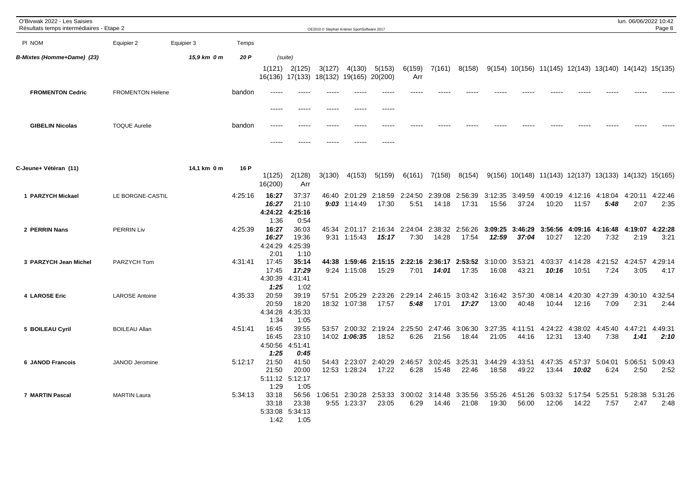| O'Bivwak 2022 - Les Saisies<br>Résultats temps intermédiaires - Etape 2 |                         |             |         |                                   |                                                         |         | OE2010 © Stephan Krämer SportSoftware 2017 |                          |                 |                  |                  |                  |                  |                                                          |                  |                 | lun. 06/06/2022 10:42 | Page 8          |
|-------------------------------------------------------------------------|-------------------------|-------------|---------|-----------------------------------|---------------------------------------------------------|---------|--------------------------------------------|--------------------------|-----------------|------------------|------------------|------------------|------------------|----------------------------------------------------------|------------------|-----------------|-----------------------|-----------------|
| PI NOM                                                                  | Equipier 2              | Equipier 3  | Temps   |                                   |                                                         |         |                                            |                          |                 |                  |                  |                  |                  |                                                          |                  |                 |                       |                 |
| <b>B-Mixtes (Homme+Dame) (23)</b>                                       |                         | 15,9 km 0 m | 20 P    |                                   | (suite)<br>$1(121)$ $2(125)$<br>16(136) 17(133) 18(132) | 3(127)  | 4(130)<br>19(165)                          | 5(153)<br>20(200)        | 6(159)<br>Arr   | 7(161)           | 8(158)           |                  |                  | $9(154)$ 10(156) 11(145) 12(143) 13(140) 14(142) 15(135) |                  |                 |                       |                 |
| <b>FROMENTON Cedric</b>                                                 | <b>FROMENTON Helene</b> |             | bandon  |                                   | ----                                                    |         |                                            | -----                    |                 |                  |                  |                  |                  |                                                          |                  |                 |                       |                 |
| <b>GIBELIN Nicolas</b>                                                  | <b>TOQUE Aurelie</b>    |             | bandon  | $- - - - -$<br>-----              | $\frac{1}{2}$                                           | -----   |                                            | -----<br>-----<br>-----  |                 |                  |                  |                  |                  |                                                          |                  |                 |                       |                 |
| C-Jeune+ Vétéran (11)                                                   |                         | 14,1 km 0 m | 16 P    | 1(125)<br>16(200)                 | 2(128)<br>Arr                                           | 3(130)  | 4(153)                                     | 5(159)                   | 6(161)          | 7(158)           | 8(154)           |                  |                  | $9(156)$ 10(148) 11(143) 12(137) 13(133) 14(132) 15(165) |                  |                 |                       |                 |
| 1 PARZYCH Mickael                                                       | LE BORGNE-CASTIL        |             | 4:25:16 | 16:27<br>16:27<br>4:24:22<br>1:36 | 37:37<br>21:10<br>4:25:16<br>0:54                       | 46:40   | 2:01:29<br>$9:03$ 1:14:49                  | 2:18:59<br>17:30         | 2:24:50<br>5:51 | 2:39:08<br>14:18 | 2:56:39<br>17:31 | 3:12:35<br>15:56 | 3:49:59<br>37:24 | 4:00:19<br>10:20                                         | 4:12:16<br>11:57 | 4:18:04<br>5:48 | 4:20:11<br>2:07       | 4:22:46<br>2:35 |
| 2 PERRIN Nans                                                           | <b>PERRIN Liv</b>       |             | 4:25:39 | 16:27<br>16:27<br>4:24:29<br>2:01 | 36:03<br>19:36<br>4:25:39<br>1:10                       | 45:34   | 2:01:17<br>9:31 1:15:43                    | 2:16:34<br>15:17         | 2:24:04<br>7:30 | 2:38:32<br>14:28 | 2:56:26<br>17:54 | 3:09:25<br>12:59 | 3:46:29<br>37:04 | 3:56:56<br>10:27                                         | 4:09:16<br>12:20 | 4:16:48<br>7:32 | 4:19:07<br>2:19       | 4:22:28<br>3:21 |
| 3 PARZYCH Jean Michel                                                   | PARZYCH Tom             |             | 4:31:41 | 17:45<br>17:45<br>4:30:39<br>1:25 | 35:14<br>17:29<br>4:31:41<br>1:02                       | 44:38   | 1:59:46<br>9:24 1:15:08                    | 2:15:15<br>15:29         | 2:22:16<br>7:01 | 2:36:17<br>14:01 | 2:53:52<br>17:35 | 3:10:00<br>16:08 | 3:53:21<br>43:21 | 4:03:37<br>10:16                                         | 4:14:28<br>10:51 | 4:21:52<br>7:24 | 4:24:57<br>3:05       | 4:29:14<br>4:17 |
| 4 LAROSE Eric                                                           | <b>LAROSE Antoine</b>   |             | 4:35:33 | 20:59<br>20:59<br>4:34:28<br>1:34 | 39:19<br>18:20<br>4:35:33<br>1:05                       | 57:51   | 2:05:29<br>18:32 1:07:38                   | 2:23:26<br>17:57         | 2:29:14<br>5:48 | 2:46:15<br>17:01 | 3:03:42<br>17:27 | 3:16:42<br>13:00 | 3:57:30<br>40:48 | 4:08:14<br>10:44                                         | 4:20:30<br>12:16 | 4:27:39<br>7:09 | 4:30:10<br>2:31       | 4:32:54<br>2:44 |
| 5 BOILEAU Cyril                                                         | <b>BOILEAU Allan</b>    |             | 4:51:41 | 16:45<br>16:45<br>4:50:56<br>1:25 | 39:55<br>23:10<br>4:51:41<br>0:45                       | 53:57   | 2:00:32<br>14:02 1:06:35                   | 2:19:24<br>18:52         | 2:25:50<br>6:26 | 2:47:46<br>21:56 | 3:06:30<br>18:44 | 3:27:35<br>21:05 | 4:11:51<br>44:16 | 4:24:22<br>12:31                                         | 4:38:02<br>13:40 | 4:45:40<br>7:38 | 4:47:21<br>1:41       | 4:49:31<br>2:10 |
| <b>6 JANOD Francois</b>                                                 | JANOD Jeromine          |             | 5:12:17 | 21:50<br>21:50<br>1:29            | 41:50<br>20:00<br>5:11:12 5:12:17<br>1:05               | 54:43   | 2:23:07<br>12:53 1:28:24                   | 2:40:29<br>17:22         | 2:46:57<br>6:28 | 3:02:45<br>15:48 | 3:25:31<br>22:46 | 3:44:29<br>18:58 | 4:33:51<br>49:22 | 4:47:35<br>13:44                                         | 4:57:37<br>10:02 | 5:04:01<br>6:24 | 5:06:51<br>2:50       | 5:09:43<br>2:52 |
| <b>7 MARTIN Pascal</b>                                                  | <b>MARTIN Laura</b>     |             | 5:34:13 | 33:18<br>33:18<br>5:33:08<br>1:42 | 56:56<br>23:38<br>5:34:13<br>1:05                       | 1:06:51 | 9:55 1:23:37                               | 2:30:28 2:53:33<br>23:05 | 3:00:02<br>6:29 | 3:14:48<br>14:46 | 3:35:56<br>21:08 | 3:55:26<br>19:30 | 56:00            | 4:51:26 5:03:32<br>12:06                                 | 5:17:54<br>14:22 | 5:25:51<br>7:57 | 5:28:38<br>2:47       | 5:31:26<br>2:48 |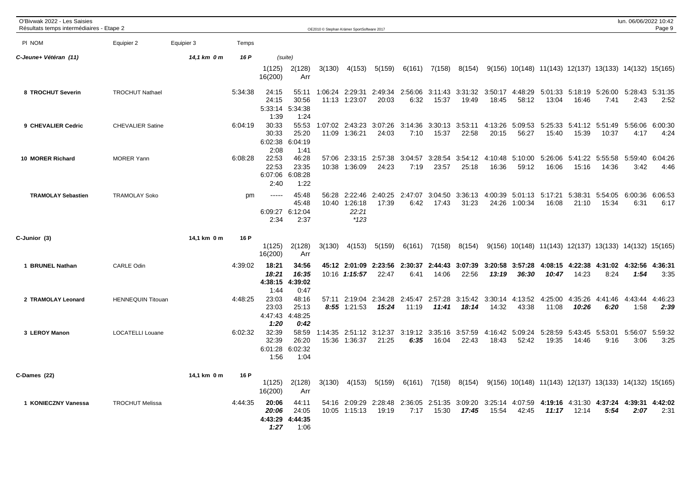| O'Bivwak 2022 - Les Saisies<br>Résultats temps intermédiaires - Etape 2 |                          |             |         |                                   |                                           |                | OE2010 © Stephan Krämer SportSoftware 2017 |                                  |                 |                  |                          |                  |                          |                                                                      |                          |                          | lun. 06/06/2022 10:42   | Page 9                  |
|-------------------------------------------------------------------------|--------------------------|-------------|---------|-----------------------------------|-------------------------------------------|----------------|--------------------------------------------|----------------------------------|-----------------|------------------|--------------------------|------------------|--------------------------|----------------------------------------------------------------------|--------------------------|--------------------------|-------------------------|-------------------------|
| PI NOM                                                                  | Equipier 2               | Equipier 3  | Temps   |                                   |                                           |                |                                            |                                  |                 |                  |                          |                  |                          |                                                                      |                          |                          |                         |                         |
| C-Jeune+ Vétéran (11)                                                   |                          | 14,1 km 0 m | 16 P    |                                   | (suite)                                   |                |                                            |                                  |                 |                  |                          |                  |                          |                                                                      |                          |                          |                         |                         |
|                                                                         |                          |             |         | 1(125)<br>16(200)                 | 2(128)<br>Arr                             | 3(130)         | 4(153)                                     | 5(159)                           | 6(161)          | 7(158)           | 8(154)                   |                  |                          | $9(156)$ $10(148)$ $11(143)$ $12(137)$ $13(133)$ $14(132)$ $15(165)$ |                          |                          |                         |                         |
| 8 TROCHUT Severin                                                       | <b>TROCHUT Nathael</b>   |             | 5:34:38 | 24:15<br>24:15<br>5:33:14<br>1:39 | 55:11<br>30:56<br>5:34:38<br>1:24         | 1:06:24        | 2:29:31<br>11:13 1:23:07                   | 2:49:34<br>20:03                 | 2:56:06<br>6:32 | 3:11:43<br>15:37 | 3:31:32<br>19:49         | 3:50:17<br>18:45 | 4:48:29<br>58:12         | 5:01:33<br>13:04                                                     | 5:18:19<br>16:46         | 5:26:00<br>7:41          | 2:43                    | 5:28:43 5:31:35<br>2:52 |
| 9 CHEVALIER Cedric                                                      | <b>CHEVALIER Satine</b>  |             | 6:04:19 | 30:33<br>30:33<br>6:02:38<br>2:08 | 55:53<br>25:20<br>6:04:19<br>1:41         |                | 1:07:02 2:43:23<br>11:09 1:36:21           | 3:07:26<br>24:03                 | 3:14:36<br>7:10 | 3:30:13<br>15:37 | 3:53:11<br>22:58         | 4:13:26<br>20:15 | 5:09:53<br>56:27         | 5:25:33<br>15:40                                                     | 15:39                    | 5:41:12 5:51:49<br>10:37 | 5:56:06<br>4:17         | 6:00:30<br>4:24         |
| 10 MORER Richard                                                        | <b>MORER Yann</b>        |             | 6:08:28 | 22:53<br>22:53<br>6:07:06<br>2:40 | 46:28<br>23:35<br>6:08:28<br>1:22         |                | 57:06 2:33:15<br>10:38 1:36:09             | 2:57:38<br>24:23                 | 3:04:57<br>7:19 | 3:28:54<br>23:57 | 3:54:12<br>25:18         | 4:10:48<br>16:36 | 5:10:00<br>59:12         | 5:26:06<br>16:06                                                     | 5:41:22<br>15:16         | 5:55:58<br>14:36         | 5:59:40<br>3:42         | 6:04:26<br>4:46         |
| <b>TRAMOLAY Sebastien</b>                                               | <b>TRAMOLAY Soko</b>     |             | pm      | $- - - - -$<br>2:34               | 45:48<br>45:48<br>6:09:27 6:12:04<br>2:37 | 56:28<br>10:40 | 2:22:46<br>1:26:18<br>22:21<br>*123        | 2:40:25<br>17:39                 | 2:47:07<br>6:42 | 3:04:50<br>17:43 | 3:36:13<br>31:23         | 4:00:39<br>24:26 | 1:00:34                  | 5:01:13 5:17:21<br>16:08                                             | 5:38:31<br>21:10         | 5:54:05<br>15:34         | 6:00:36<br>6:31         | 6:06:53<br>6:17         |
| C-Junior (3)                                                            |                          | 14,1 km 0 m | 16 P    | 1(125)<br>16(200)                 | 2(128)<br>Arr                             | 3(130)         | 4(153)                                     | 5(159)                           | 6(161)          | 7(158)           | 8(154)                   |                  |                          | 9(156) 10(148) 11(143) 12(137) 13(133) 14(132) 15(165)               |                          |                          |                         |                         |
| 1 BRUNEL Nathan                                                         | <b>CARLE Odin</b>        |             | 4:39:02 | 18:21<br>18:21<br>4:38:15<br>1:44 | 34:56<br>16:35<br>4:39:02<br>0:47         |                | 10:16 1:15:57                              | 45:12 2:01:09 2:23:56<br>22:47   | 2:30:37<br>6:41 | 2:44:43<br>14:06 | 3:07:39<br>22:56         | 13:19            | 3:20:58 3:57:28<br>36:30 | 10:47                                                                | 4:08:15 4:22:38<br>14:23 | 8:24                     | 4:31:02 4:32:56<br>1:54 | 4:36:31<br>3:35         |
| 2 TRAMOLAY Leonard                                                      | <b>HENNEQUIN Titouan</b> |             | 4:48:25 | 23:03<br>23:03<br>4:47:43<br>1:20 | 48:16<br>25:13<br>4:48:25<br>0:42         | 57:11          | $8:55$ 1:21:53                             | 2:19:04 2:34:28 2:45:47<br>15:24 | 11:19           | 11:41            | 2:57:28 3:15:42<br>18:14 | 3:30:14<br>14:32 | 4:13:52<br>43:38         | 4:25:00<br>11:08                                                     | 4:35:26<br>10:26         | 4:41:46<br>6:20          | 4:43:44<br>1:58         | 4:46:23<br>2:39         |
| 3 LEROY Manon                                                           | <b>LOCATELLI Louane</b>  |             | 6:02:32 | 32:39<br>32:39<br>6:01:28<br>1:56 | 58:59<br>26:20<br>6:02:32<br>1:04         | 1:14:35        | 15:36 1:36:37                              | 2:51:12 3:12:37<br>21:25         | 3:19:12<br>6:35 | 3:35:16<br>16:04 | 3:57:59<br>22:43         | 18:43            | 4:16:42 5:09:24<br>52:42 | 5:28:59<br>19:35                                                     | 5:43:45<br>14:46         | 5:53:01<br>9:16          | 5:56:07<br>3:06         | 5:59:32<br>3:25         |
| C-Dames (22)                                                            |                          | 14,1 km 0 m | 16 P    | 1(125)<br>16(200)                 | 2(128)<br>Arr                             | 3(130)         | 4(153)                                     | 5(159)                           | 6(161)          | 7(158)           | 8(154)                   |                  |                          | 9(156) 10(148) 11(143) 12(137) 13(133) 14(132) 15(165)               |                          |                          |                         |                         |
| 1 KONIECZNY Vanessa                                                     | <b>TROCHUT Melissa</b>   |             | 4:44:35 | 20:06<br>20:06<br>1:27            | 44:11<br>24:05<br>4:43:29 4:44:35<br>1:06 | 54:16          | 2:09:29<br>10:05 1:15:13                   | 2:28:48<br>19:19                 | 2:36:05<br>7:17 | 2:51:35<br>15:30 | 3:09:20<br>17:45         | 3:25:14<br>15:54 | 4:07:59<br>42:45         | 4:19:16<br>11:17                                                     | 4:31:30<br>12:14         | 4:37:24<br>5:54          | 4:39:31<br>2:07         | 4:42:02<br>2:31         |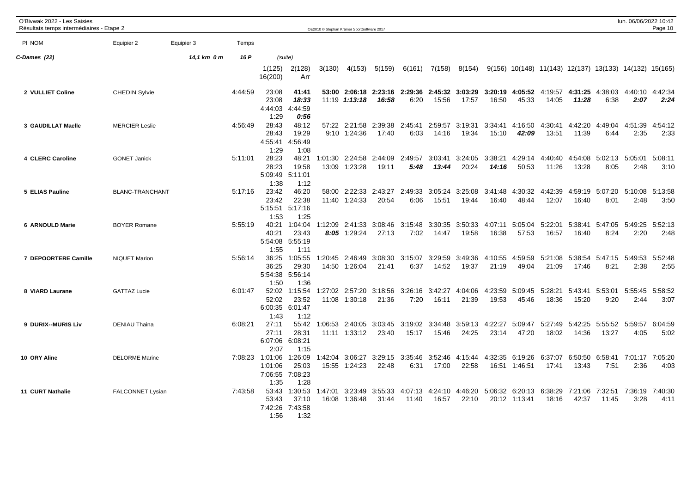| O'Bivwak 2022 - Les Saisies<br>Résultats temps intermédiaires - Etape 2 |                         |             |         |                                               |                                           |                  | OE2010 © Stephan Krämer SportSoftware 2017 |                                        |                  |                  |                          |                  |                                          |                                                          |                  |                                  | lun. 06/06/2022 10:42 | Page 10         |
|-------------------------------------------------------------------------|-------------------------|-------------|---------|-----------------------------------------------|-------------------------------------------|------------------|--------------------------------------------|----------------------------------------|------------------|------------------|--------------------------|------------------|------------------------------------------|----------------------------------------------------------|------------------|----------------------------------|-----------------------|-----------------|
| PI NOM                                                                  | Equipier 2              | Equipier 3  | Temps   |                                               |                                           |                  |                                            |                                        |                  |                  |                          |                  |                                          |                                                          |                  |                                  |                       |                 |
| C-Dames (22)                                                            |                         | 14,1 km 0 m | 16 P    |                                               | (suite)                                   |                  |                                            |                                        |                  |                  |                          |                  |                                          |                                                          |                  |                                  |                       |                 |
|                                                                         |                         |             |         | 1(125)<br>16(200)                             | 2(128)<br>Arr                             | 3(130)           | 4(153)                                     | 5(159)                                 | 6(161)           | 7(158)           | 8(154)                   |                  |                                          | $9(156)$ 10(148) 11(143) 12(137) 13(133) 14(132) 15(165) |                  |                                  |                       |                 |
| 2 VULLIET Coline                                                        | <b>CHEDIN Sylvie</b>    |             | 4:44:59 | 23:08<br>23:08<br>4:44:03<br>1:29             | 41:41<br>18:33<br>4:44:59<br>0:56         |                  | 11:19 1:13:18                              | 53:00 2:06:18 2:23:16 2:29:36<br>16:58 | 6:20             | 15:56            | 2:45:32 3:03:29<br>17:57 | 3:20:19<br>16:50 | 4:05:52 4:19:57<br>45:33                 | 14:05                                                    | 11:28            | 4:31:25 4:38:03<br>6:38          | 4:40:10<br>2:07       | 4:42:34<br>2:24 |
| 3 GAUDILLAT Maelle                                                      | <b>MERCIER Leslie</b>   |             | 4:56:49 | 28:43<br>28:43<br>1:29                        | 48:12<br>19:29<br>4:55:41 4:56:49<br>1:08 |                  | 57:22 2:21:58<br>$9:10$ 1:24:36            | 2:39:38<br>17:40                       | 2:45:41<br>6:03  | 2:59:57<br>14:16 | 3:19:31<br>19:34         | 3:34:41<br>15:10 | 4:16:50<br>42:09                         | 4:30:41<br>13:51                                         | 4:42:20<br>11:39 | 4:49:04<br>6:44                  | 4:51:39<br>2:35       | 4:54:12<br>2:33 |
| 4 CLERC Caroline                                                        | <b>GONET Janick</b>     |             | 5:11:01 | 28:23<br>28:23<br>5:09:49 5:11:01<br>1:38     | 48:21<br>19:58<br>1:12                    | 1:01:30          | 2:24:58<br>13:09 1:23:28                   | 2:44:09<br>19:11                       | 2:49:57<br>5:48  | 3:03:41<br>13:44 | 3:24:05<br>20:24         | 3:38:21<br>14:16 | 4:29:14<br>50:53                         | 4:40:40<br>11:26                                         | 4:54:08<br>13:28 | 5:02:13<br>8:05                  | 5:05:01<br>2:48       | 5:08:11<br>3:10 |
| 5 ELIAS Pauline                                                         | BLANC-TRANCHANT         |             | 5:17:16 | 23:42<br>23:42<br>1:53                        | 46:20<br>22:38<br>5:15:51 5:17:16<br>1:25 |                  | 58:00 2:22:33<br>11:40 1:24:33             | 2:43:27<br>20:54                       | 2:49:33<br>6:06  | 3:05:24<br>15:51 | 3:25:08<br>19:44         | 3:41:48<br>16:40 | 4:30:32<br>48:44                         | 4:42:39<br>12:07                                         | 4:59:19<br>16:40 | 5:07:20<br>8:01                  | 5:10:08<br>2:48       | 5:13:58<br>3:50 |
| 6 ARNOULD Marie                                                         | <b>BOYER Romane</b>     |             | 5:55:19 | 40:21<br>40:21<br>5:54:08<br>1:55             | 1:04:04<br>23:43<br>5:55:19<br>1:11       |                  | 1:12:09 2:41:33<br>$8:05$ 1:29:24          | 3:08:46<br>27:13                       | 3:15:48<br>7:02  | 3:30:35<br>14:47 | 3:50:33<br>19:58         | 4:07:11<br>16:38 | 5:05:04<br>57:53                         | 5:22:01<br>16:57                                         | 5:38:41<br>16:40 | 5:47:05<br>8:24                  | 5:49:25<br>2:20       | 5:52:13<br>2:48 |
| 7 DEPOORTERE Camille                                                    | <b>NIQUET Marion</b>    |             | 5:56:14 | 36:25<br>36:25<br>5:54:38<br>1:50             | 1:05:55<br>29:30<br>5:56:14<br>1:36       | 1:20:45          | 2:46:49<br>14:50 1:26:04                   | 3:08:30<br>21:41                       | 3:15:07<br>6:37  | 3:29:59<br>14:52 | 3:49:36<br>19:37         | 4:10:55<br>21:19 | 4:59:59<br>49:04                         | 5:21:08<br>21:09                                         | 5:38:54<br>17:46 | 5:47:15<br>8:21                  | 5:49:53<br>2:38       | 5:52:48<br>2:55 |
| 8 VIARD Laurane                                                         | <b>GATTAZ Lucie</b>     |             | 6:01:47 | 52:02<br>52:02<br>6:00:35<br>1:43             | 1:15:54<br>23:52<br>6:01:47<br>1:12       |                  | 1:27:02 2:57:20<br>11:08 1:30:18           | 3:18:56<br>21:36                       | 3:26:16<br>7:20  | 3:42:27<br>16:11 | 4:04:06<br>21:39         | 4:23:59<br>19:53 | 5:09:45<br>45:46                         | 5:28:21<br>18:36                                         | 5:43:41<br>15:20 | 5:53:01<br>9:20                  | 5:55:45<br>2:44       | 5:58:52<br>3:07 |
| 9 DURIX--MURIS Liv                                                      | <b>DENIAU Thaina</b>    |             | 6:08:21 | 27:11<br>27:11<br>6:07:06<br>2:07             | 55:42<br>28:31<br>6:08:21<br>1:15         |                  | 1:06:53 2:40:05<br>11:11 1:33:12           | 3:03:45<br>23:40                       | 3:19:02<br>15:17 | 3:34:48<br>15:46 | 3:59:13<br>24:25         | 4:22:27<br>23:14 | 5:09:47<br>47:20                         | 5:27:49<br>18:02                                         | 5:42:25<br>14:36 | 5:55:52<br>13:27                 | 5:59:57<br>4:05       | 6:04:59<br>5:02 |
| 10 ORY Aline                                                            | <b>DELORME</b> Marine   |             |         | 7:08:23 1:01:06<br>1:01:06<br>7:06:55<br>1:35 | 1:26:09<br>25:03<br>7:08:23<br>1:28       | 1:42:04<br>15:55 | 3:06:27<br>1:24:23                         | 3:29:15 3:35:46<br>22:48               | 6:31             | 3:52:46<br>17:00 | 4:15:44<br>22:58         | 4:32:35          | 6:19:26<br>16:51 1:46:51                 | 17:41                                                    | 13:43            | 6:37:07 6:50:50 6:58:41<br>7:51  | 7:01:17<br>2:36       | 7:05:20<br>4:03 |
| 11 CURT Nathalie                                                        | <b>FALCONNET Lysian</b> |             | 7:43:58 | 53:43<br>53:43<br>7:42:26<br>1:56             | 1:30:53<br>37:10<br>7:43:58<br>1:32       | 1:47:01<br>16:08 | 3:23:49<br>1:36:48                         | 3:55:33<br>31:44                       | 4:07:13<br>11:40 | 16:57            | 4:24:10 4:46:20<br>22:10 |                  | 5:06:32 6:20:13 6:38:29<br>20:12 1:13:41 | 18:16                                                    | 42:37            | 7:21:06 7:32:51 7:36:19<br>11:45 | 3:28                  | 7:40:30<br>4:11 |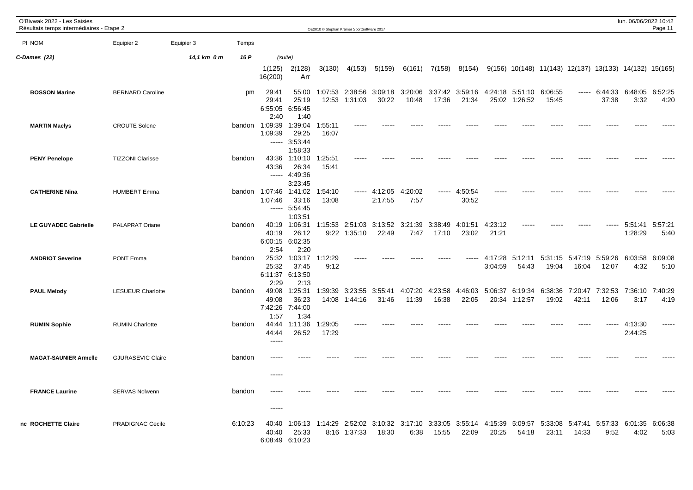| O'Bivwak 2022 - Les Saisies<br>Résultats temps intermédiaires - Etape 2 |                          |             |         |                                    |                                                    |                  | OE2010 © Stephan Krämer SportSoftware 2017 |                          |                  |                  |                  |                    |                          |                                                        |                          |                        | lun. 06/06/2022 10:42 | Page 11         |
|-------------------------------------------------------------------------|--------------------------|-------------|---------|------------------------------------|----------------------------------------------------|------------------|--------------------------------------------|--------------------------|------------------|------------------|------------------|--------------------|--------------------------|--------------------------------------------------------|--------------------------|------------------------|-----------------------|-----------------|
| PI NOM                                                                  | Equipier 2               | Equipier 3  | Temps   |                                    |                                                    |                  |                                            |                          |                  |                  |                  |                    |                          |                                                        |                          |                        |                       |                 |
| C-Dames (22)                                                            |                          | 14,1 km 0 m | 16 P    |                                    | (suite)                                            |                  |                                            |                          |                  |                  |                  |                    |                          |                                                        |                          |                        |                       |                 |
|                                                                         |                          |             |         | 1(125)<br>16(200)                  | 2(128)<br>Arr                                      | 3(130)           | 4(153)                                     | 5(159)                   | 6(161)           | 7(158)           | 8(154)           |                    |                          | 9(156) 10(148) 11(143) 12(137) 13(133) 14(132) 15(165) |                          |                        |                       |                 |
| <b>BOSSON Marine</b>                                                    | <b>BERNARD Caroline</b>  |             | pm      | 29:41<br>29:41<br>2:40             | 55:00<br>25:19<br>6:55:05 6:56:45<br>1:40          | 1:07:53<br>12:53 | 2:38:56<br>1:31:03                         | 3:09:18<br>30:22         | 3:20:06<br>10:48 | 3:37:42<br>17:36 | 3:59:16<br>21:34 | 4:24:18            | 5:51:10<br>25:02 1:26:52 | 6:06:55<br>15:45                                       |                          | $--- 6:44:33$<br>37:38 | 6:48:05<br>3:32       | 6:52:25<br>4:20 |
| <b>MARTIN Maelys</b>                                                    | <b>CROUTE Solene</b>     |             |         | bandon 1:09:39<br>1:09:39<br>----- | 1:39:04<br>29:25<br>3:53:44<br>1:58:33             | 1:55:11<br>16:07 |                                            |                          |                  |                  |                  |                    |                          |                                                        |                          |                        |                       |                 |
| <b>PENY Penelope</b>                                                    | <b>TIZZONI Clarisse</b>  |             | bandon  | 43:36                              | 43:36 1:10:10<br>26:34<br>$--- 4:49:36$<br>3:23:45 | 1:25:51<br>15:41 |                                            |                          |                  |                  |                  |                    |                          |                                                        |                          |                        |                       |                 |
| <b>CATHERINE Nina</b>                                                   | <b>HUMBERT Emma</b>      |             | bandon  | 1:07:46 1:41:02<br>1:07:46         | 33:16<br>$--- 5:54:45$<br>1:03:51                  | 1:54:10<br>13:08 | -----                                      | 4:12:05<br>2:17:55       | 4:20:02<br>7:57  | -----            | 4:50:54<br>30:52 |                    |                          |                                                        |                          |                        |                       |                 |
| <b>LE GUYADEC Gabrielle</b>                                             | PALAPRAT Oriane          |             | bandon  | 40:19<br>40:19<br>2:54             | 1:06:31<br>26:12<br>6:00:15 6:02:35<br>2:20        |                  | 1:15:53 2:51:03<br>9:22 1:35:10            | 3:13:52<br>22:49         | 3:21:39<br>7:47  | 3:38:49<br>17:10 | 4:01:51<br>23:02 | 4:23:12<br>21:21   |                          |                                                        |                          |                        | 5:51:41<br>1:28:29    | 5:57:21<br>5:40 |
| <b>ANDRIOT Severine</b>                                                 | <b>PONT Emma</b>         |             | bandon  | 25:32<br>25:32<br>2:29             | 1:03:17<br>37:45<br>6:11:37 6:13:50<br>2:13        | 1:12:29<br>9:12  |                                            |                          |                  |                  |                  | 4:17:28<br>3:04:59 | 5:12:11<br>54:43         | 19:04                                                  | 5:31:15 5:47:19<br>16:04 | 5:59:26<br>12:07       | 6:03:58<br>4:32       | 6:09:08<br>5:10 |
| <b>PAUL Melody</b>                                                      | <b>LESUEUR Charlotte</b> |             | bandon  | 49:08<br>49:08<br>7:42:26<br>1:57  | 1:25:31<br>36:23<br>7:44:00<br>1:34                | 1:39:39<br>14:08 | 3:23:55<br>1:44:16                         | 3:55:41<br>31:46         | 4:07:20<br>11:39 | 4:23:58<br>16:38 | 4:46:03<br>22:05 | 5:06:37<br>20:34   | 6:19:34<br>1:12:57       | 6:38:36<br>19:02                                       | 7:20:47<br>42:11         | 7:32:53<br>12:06       | 7:36:10<br>3:17       | 7:40:29<br>4:19 |
| <b>RUMIN Sophie</b>                                                     | <b>RUMIN Charlotte</b>   |             | bandon  | 44:44<br>44:44<br>$\frac{1}{2}$    | 1:11:36<br>26:52                                   | 1:29:05<br>17:29 |                                            |                          |                  |                  |                  |                    |                          |                                                        |                          |                        | 4:13:30<br>2:44:25    |                 |
| <b>MAGAT-SAUNIER Armelle</b>                                            | <b>GJURASEVIC Claire</b> |             | bandon  | ----                               |                                                    |                  |                                            |                          |                  |                  |                  |                    |                          |                                                        |                          |                        |                       |                 |
| <b>FRANCE Laurine</b>                                                   | <b>SERVAS Nolwenn</b>    |             | bandon  | -----<br>$- - - - -$               |                                                    |                  |                                            |                          |                  |                  |                  |                    |                          |                                                        |                          |                        |                       |                 |
| nc ROCHETTE Claire                                                      | PRADIGNAC Cecile         |             | 6:10:23 | 40:40<br>40:40                     | 1:06:13<br>25:33<br>6:08:49 6:10:23                | 1:14:29          | 2:52:02<br>8:16 1:37:33                    | 3:10:32 3:17:10<br>18:30 | 6:38             | 3:33:05<br>15:55 | 3:55:14<br>22:09 | 4:15:39<br>20:25   | 5:09:57<br>54:18         | 5:33:08<br>23:11                                       | 5:47:41 5:57:33<br>14:33 | 9:52                   | 6:01:35<br>4:02       | 6:06:38<br>5:03 |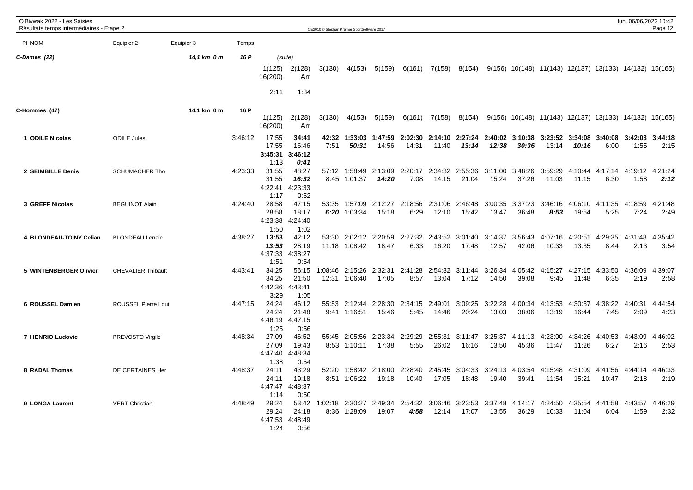| O'Bivwak 2022 - Les Saisies<br>Résultats temps intermédiaires - Etape 2 |                           |             |         |                                   |                                   | OE2010 © Stephan Krämer SportSoftware 2017 |                                  |                          |                         |                                  |                                  |                  |                          |                                                          |                          |                         | lun. 06/06/2022 10:42   | Page 12                 |
|-------------------------------------------------------------------------|---------------------------|-------------|---------|-----------------------------------|-----------------------------------|--------------------------------------------|----------------------------------|--------------------------|-------------------------|----------------------------------|----------------------------------|------------------|--------------------------|----------------------------------------------------------|--------------------------|-------------------------|-------------------------|-------------------------|
| PI NOM                                                                  | Equipier 2                | Equipier 3  | Temps   |                                   |                                   |                                            |                                  |                          |                         |                                  |                                  |                  |                          |                                                          |                          |                         |                         |                         |
| C-Dames (22)                                                            |                           | 14,1 km 0 m | 16 P    | (suite)                           |                                   |                                            |                                  |                          |                         |                                  |                                  |                  |                          |                                                          |                          |                         |                         |                         |
|                                                                         |                           |             |         | 1(125)<br>16(200)<br>2:11         | 2(128)<br>Arr<br>1:34             | 3(130)                                     | 4(153)                           | 5(159)                   | 6(161)                  | 7(158)                           | 8(154)                           |                  |                          | 9(156) 10(148) 11(143) 12(137) 13(133) 14(132) 15(165)   |                          |                         |                         |                         |
|                                                                         |                           |             |         |                                   |                                   |                                            |                                  |                          |                         |                                  |                                  |                  |                          |                                                          |                          |                         |                         |                         |
| C-Hommes (47)                                                           |                           | 14,1 km 0 m | 16 P    | 1(125)<br>16(200)                 | 2(128)<br>Arr                     | 3(130)                                     | 4(153)                           | 5(159)                   | 6(161)                  |                                  | 7(158) 8(154)                    |                  |                          | $9(156)$ 10(148) 11(143) 12(137) 13(133) 14(132) 15(165) |                          |                         |                         |                         |
| 1 ODILE Nicolas                                                         | <b>ODILE Jules</b>        |             | 3:46:12 | 17:55<br>17:55<br>3:45:31<br>1:13 | 34:41<br>16:46<br>3:46:12<br>0:41 | 7:51                                       | 42:32 1:33:03<br>50:31           | 1:47:59<br>14:56         | 2:02:30<br>14:31        | 11:40                            | 2:14:10 2:27:24<br>13:14         | 12:38            | 2:40:02 3:10:38<br>30:36 | 13:14                                                    | 3:23:52 3:34:08<br>10:16 | 3:40:08<br>6:00         | 3:42:03<br>1:55         | 3:44:18<br>2:15         |
| 2 SEIMBILLE Denis                                                       | <b>SCHUMACHER Tho</b>     |             | 4:23:33 | 31:55<br>31:55<br>4:22:41<br>1:17 | 48:27<br>16:32<br>4:23:33<br>0:52 |                                            | 57:12 1:58:49<br>8:45 1:01:37    | 2:13:09<br>14:20         | 7:08                    | 2:20:17 2:34:32 2:55:36<br>14:15 | 21:04                            | 3:11:00<br>15:24 | 3:48:26<br>37:26         | 3:59:29<br>11:03                                         | 4:10:44 4:17:14<br>11:15 | 6:30                    | 1:58                    | 4:19:12 4:21:24<br>2:12 |
| 3 GREFF Nicolas                                                         | <b>BEGUINOT Alain</b>     |             | 4:24:40 | 28:58<br>28:58<br>4:23:38<br>1:50 | 47:15<br>18:17<br>4:24:40<br>1:02 |                                            | 53:35 1:57:09<br>6:20 1:03:34    | 2:12:27<br>15:18         | 6:29                    | 2:18:56 2:31:06<br>12:10         | 2:46:48<br>15:42                 | 3:00:35<br>13:47 | 3:37:23<br>36:48         | 3:46:16<br>8:53                                          | 19:54                    | 4:06:10 4:11:35<br>5:25 | 4:18:59<br>7:24         | 4:21:48<br>2:49         |
| 4 BLONDEAU-TOINY Celian                                                 | <b>BLONDEAU Lenaic</b>    |             | 4:38:27 | 13:53<br>13:53<br>4:37:33<br>1:51 | 42:12<br>28:19<br>4:38:27<br>0:54 |                                            | 53:30 2:02:12<br>11:18 1:08:42   | 2:20:59<br>18:47         | 2:27:32<br>6:33         | 2:43:52<br>16:20                 | 3:01:40<br>17:48                 | 3:14:37<br>12:57 | 3:56:43<br>42:06         | 4:07:16<br>10:33                                         | 4:20:51<br>13:35         | 4:29:35<br>8:44         | 4:31:48<br>2:13         | 4:35:42<br>3:54         |
| 5 WINTENBERGER Olivier                                                  | <b>CHEVALIER Thibault</b> |             | 4:43:41 | 34:25<br>34:25<br>4:42:36<br>3:29 | 56:15<br>21:50<br>4:43:41<br>1:05 |                                            | 1:08:46 2:15:26<br>12:31 1:06:40 | 2:32:31<br>17:05         | 8:57                    | 13:04                            | 2:41:28 2:54:32 3:11:44<br>17:12 | 3:26:34<br>14:50 | 39:08                    | 4:05:42 4:15:27 4:27:15 4:33:50<br>9:45                  | 11:48                    | 6:35                    | 4:36:09<br>2:19         | 4:39:07<br>2:58         |
| 6 ROUSSEL Damien                                                        | ROUSSEL Pierre Loui       |             | 4:47:15 | 24:24<br>24:24<br>4:46:19<br>1:25 | 46:12<br>21:48<br>4:47:15<br>0:56 |                                            | 55:53 2:12:44<br>9:41 1:16:51    | 2:28:30<br>15:46         | 5:45                    | 2:34:15 2:49:01<br>14:46         | 3:09:25<br>20:24                 | 3:22:28<br>13:03 | 4:00:34<br>38:06         | 4:13:53<br>13:19                                         | 4:30:37<br>16:44         | 4:38:22<br>7:45         | 2:09                    | 4:40:31 4:44:54<br>4:23 |
| 7 HENRIO Ludovic                                                        | PREVOSTO Virgile          |             | 4:48:34 | 27:09<br>27:09<br>4:47:40<br>1:38 | 46:52<br>19:43<br>4:48:34<br>0:54 |                                            | 55:45 2:05:56<br>8:53 1:10:11    | 2:23:34<br>17:38         | 2:29:29<br>5:55         | 2:55:31<br>26:02                 | 3:11:47<br>16:16                 | 3:25:37<br>13:50 | 4:11:13<br>45:36         | 4:23:00<br>11:47                                         | 11:26                    | 4:34:26 4:40:53<br>6:27 | 4:43:09<br>2:16         | 4:46:02<br>2:53         |
| 8 RADAL Thomas                                                          | DE CERTAINES Her          |             | 4:48:37 | 24:11<br>24:11<br>4:47:47<br>1:14 | 43:29<br>19:18<br>4:48:37<br>0:50 | 52:20                                      | 8:51 1:06:22                     | 1:58:42 2:18:00<br>19:18 | 2:28:40<br>10:40        | 2:45:45<br>17:05                 | 3:04:33<br>18:48                 | 3:24:13<br>19:40 | 39:41                    | 4:03:54 4:15:48<br>11:54                                 | 4:31:09<br>15:21         | 4:41:56<br>10:47        | 4:44:14 4:46:33<br>2:18 | 2:19                    |
| 9 LONGA Laurent                                                         | <b>VERT Christian</b>     |             | 4:48:49 | 29:24<br>29:24<br>4:47:53<br>1:24 | 53:42<br>24:18<br>4:48:49<br>0:56 | 1:02:18                                    | 2:30:27<br>8:36 1:28:09          | 19:07                    | 2:49:34 2:54:32<br>4:58 | 3:06:46<br>12:14                 | 3:23:53<br>17:07                 | 13:55            | 36:29                    | 3:37:48 4:14:17 4:24:50<br>10:33                         | 4:35:54 4:41:58<br>11:04 | 6:04                    | 1:59                    | 4:43:57 4:46:29<br>2:32 |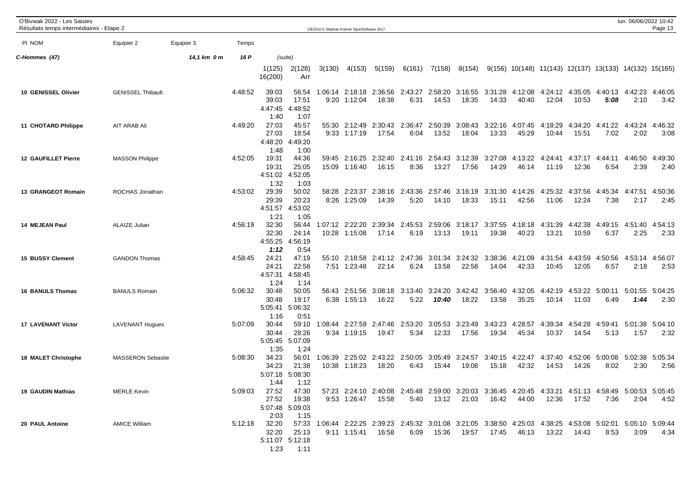| O'Bivwak 2022 - Les Saisies<br>Résultats temps intermédiaires - Etape 2 |                          |             |         |                                   |                                                       | OE2010 © Stephan Krämer SportSoftware 2017 |                                 |                                                                                                                        |                         |                  |                          |                  |                  |                  |                          |                                                          | lun. 06/06/2022 10:42 | Page 13         |
|-------------------------------------------------------------------------|--------------------------|-------------|---------|-----------------------------------|-------------------------------------------------------|--------------------------------------------|---------------------------------|------------------------------------------------------------------------------------------------------------------------|-------------------------|------------------|--------------------------|------------------|------------------|------------------|--------------------------|----------------------------------------------------------|-----------------------|-----------------|
| PI NOM                                                                  | Equipier 2               | Equipier 3  | Temps   |                                   |                                                       |                                            |                                 |                                                                                                                        |                         |                  |                          |                  |                  |                  |                          |                                                          |                       |                 |
| C-Hommes (47)                                                           |                          | 14,1 km 0 m | 16 P    |                                   | (suite)                                               |                                            |                                 |                                                                                                                        |                         |                  |                          |                  |                  |                  |                          |                                                          |                       |                 |
|                                                                         |                          |             |         | 1(125)<br>16(200)                 | 2(128)<br>Arr                                         | 3(130)                                     | 4(153)                          | 5(159)                                                                                                                 | 6(161)                  | 7(158)           | 8(154)                   |                  |                  |                  |                          | $9(156)$ 10(148) 11(143) 12(137) 13(133) 14(132) 15(165) |                       |                 |
| 10 GENISSEL Olivier                                                     | <b>GENISSEL Thibault</b> |             | 4:48:52 | 39:03<br>39:03<br>4:47:45<br>1:40 | 56:54<br>17:51<br>4:48:52<br>1:07                     |                                            | 1:06:14 2:18:18<br>9:20 1:12:04 | 18:38                                                                                                                  | 2:36:56 2:43:27<br>6:31 | 14:53            | 2:58:20 3:16:55<br>18:35 | 3:31:28<br>14:33 | 4:12:08<br>40:40 | 12:04            | 4:24:12 4:35:05<br>10:53 | 4:40:13 4:42:23<br>5:08                                  | 2:10                  | 4:46:05<br>3:42 |
| 11 CHOTARD Philippe                                                     | AIT ARAB Ali             |             | 4:49:20 | 27:03<br>27:03<br>4:48:20<br>1:48 | 45:57<br>18:54<br>4:49:20<br>1:00                     |                                            | 55:30 2:12:49<br>9:33 1:17:19   | 2:30:43 2:36:47<br>17:54                                                                                               | 6:04                    | 2:50:39<br>13:52 | 3:08:43<br>18:04         | 3:22:16<br>13:33 | 4:07:45<br>45:29 | 4:18:29<br>10:44 | 4:34:20<br>15:51         | 4:41:22<br>7:02                                          | 4:43:24<br>2:02       | 4:46:32<br>3:08 |
| <b>12 GAUFILLET Pierre</b>                                              | <b>MASSON Philippe</b>   |             | 4:52:05 | 19:31<br>19:31<br>4:51:02<br>1:32 | 44:36<br>25:05<br>4:52:05<br>1:03                     |                                            | 59:45 2:16:25<br>15:09 1:16:40  | 16:15                                                                                                                  | 2:32:40 2:41:16<br>8:36 | 13:27            | 2:54:43 3:12:39<br>17:56 | 3:27:08<br>14:29 | 4:13:22<br>46:14 | 4:24:41<br>11:19 | 4:37:17<br>12:36         | 4:44:11<br>6:54                                          | 4:46:50<br>2:39       | 4:49:30<br>2:40 |
| 13 GRANGEOT Romain                                                      | ROCHAS Jonathan          |             | 4:53:02 | 29:39<br>29:39<br>4:51:57<br>1:21 | 50:02<br>20:23<br>4:53:02<br>1:05                     | 58:28                                      | 2:23:37<br>8:26 1:25:09         | 2:38:16<br>14:39                                                                                                       | 2:43:36<br>5:20         | 14:10            | 2:57:46 3:16:19<br>18:33 | 3:31:30<br>15:11 | 4:14:26<br>42:56 | 4:25:32<br>11:06 | 4:37:56<br>12:24         | 4:45:34<br>7:38                                          | 4:47:51<br>2:17       | 4:50:36<br>2:45 |
| 14 MEJEAN Paul                                                          | <b>ALAIZE Julian</b>     |             | 4:56:19 | 32:30<br>32:30<br>4:55:25<br>1:12 | 56:44<br>24:14<br>4:56:19<br>0:54                     | 1:07:12<br>10:28                           | 2:22:20<br>1:15:08              | 2:39:34<br>17:14                                                                                                       | 2:45:53<br>6:19         | 2:59:06<br>13:13 | 3:18:17<br>19:11         | 3:37:55<br>19:38 | 4:18:18<br>40:23 | 4:31:39<br>13:21 | 4:42:38<br>10:59         | 4:49:15<br>6:37                                          | 4:51:40<br>2:25       | 4:54:13<br>2:33 |
| <b>15 BUSSY Clement</b>                                                 | <b>GANDON Thomas</b>     |             | 4:58:45 | 24:21<br>24:21<br>4:57:31<br>1:24 | 47:19<br>22:58<br>4:58:45<br>1:14                     |                                            | 55:10 2:18:58<br>7:51 1:23:48   | 2:41:12 2:47:36<br>22:14                                                                                               | 6:24                    | 13:58            | 3:01:34 3:24:32<br>22:58 | 3:38:36<br>14:04 | 4:21:09<br>42:33 | 4:31:54<br>10:45 | 4:43:59<br>12:05         | 4:50:56<br>6:57                                          | 4:53:14<br>2:18       | 4:56:07<br>2:53 |
| <b>16 BANULS Thomas</b>                                                 | <b>BANULS Romain</b>     |             | 5:06:32 | 30:48<br>30:48<br>5:05:41<br>1:16 | 50:05<br>19:17<br>5:06:32<br>0:51                     |                                            | 56:43 2:51:56<br>6:38 1:55:13   | 3:08:18<br>16:22                                                                                                       | 3:13:40<br>5:22         | 3:24:20<br>10:40 | 3:42:42<br>18:22         | 3:56:40<br>13:58 | 4:32:05<br>35:25 | 4:42:19<br>10:14 | 4:53:22 5:00:11<br>11:03 | 6:49                                                     | 5:01:55<br>1:44       | 5:04:25<br>2:30 |
| <b>17 LAVENANT Victor</b>                                               | <b>LAVENANT Hugues</b>   |             | 5:07:09 | 30:44<br>30:44<br>5:05:45<br>1:35 | 59:10<br>28:26<br>5:07:09<br>1:24                     | 1:08:44                                    | 2:27:59<br>9:34 1:19:15         | 2:47:46<br>19:47                                                                                                       | 2:53:20<br>5:34         | 3:05:53<br>12:33 | 3:23:49<br>17:56         | 3:43:23<br>19:34 | 4:28:57<br>45:34 | 4:39:34<br>10:37 | 4:54:28<br>14:54         | 4:59:41<br>5:13                                          | 5:01:38<br>1:57       | 5:04:10<br>2:32 |
| <b>18 MALET Christophe</b>                                              | <b>MASSERON Sebastie</b> |             | 5:08:30 | 34:23<br>34:23<br>5:07:18<br>1:44 | 56:01<br>21:38<br>5:08:30<br>1:12                     | 1:06:39                                    | 10:38 1:18:23                   | 2:25:02 2:43:22 2:50:05<br>18:20                                                                                       | 6:43                    | 15:44            | 3:05:49 3:24:57<br>19:08 | 3:40:15<br>15:18 | 4:22:47<br>42:32 | 4:37:40<br>14:53 | 4:52:06<br>14:26         | 5:00:08 5:02:38<br>8:02                                  | 2:30                  | 5:05:34<br>2:56 |
| 19 GAUDIN Mathias                                                       | <b>MERLE Kevin</b>       |             | 5:09:03 | 2:03                              | 27:52 47:30<br>27:52 19:38<br>5:07:48 5:09:03<br>1:15 |                                            | $9:53$ 1:26:47 15:58            | 57:23 2:24:10 2:40:08 2:45:48 2:59:00 3:20:03 3:36:45 4:20:45 4:33:21 4:51:13 4:58:49 5:00:53 5:05:45                  |                         |                  | 5:40  13:12  21:03       |                  | 16:42 44:00      | 12:36            | 17:52                    | 7:36                                                     | 2:04                  | 4:52            |
| 20 PAUL Antoine                                                         | <b>AMICE William</b>     |             |         | 5:12:18 32:20<br>32:20<br>1:23    | 25:13<br>5:11:07 5:12:18<br>1:11                      |                                            | 9:11 1:15:41                    | 57:33 1:06:44 2:22:25 2:39:23 2:45:32 3:01:08 3:21:05 3:38:50 4:25:03 4:38:25 4:53:08 5:02:01 5:05:10 5:09:44<br>16:58 |                         | 6:09 15:36       | 19:57                    | 17:45            | 46:13            |                  |                          | 8:53                                                     | 3:09                  | 4:34            |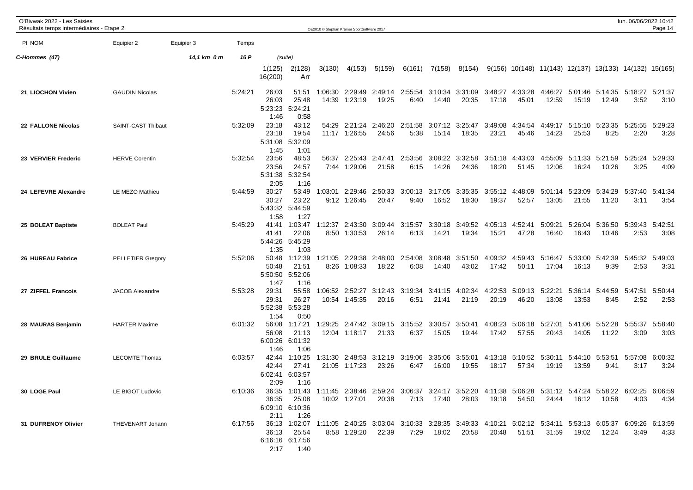| O'Bivwak 2022 - Les Saisies<br>Résultats temps intermédiaires - Etape 2 |                          |             |         |                                                                                                                               |                                             |         | OE2010 © Stephan Krämer SportSoftware 2017 |                                                                                                                                              |                 |                  |                          |                  |                                                        |                  |                          |                         | lun. 06/06/2022 10:42                   | Page 14         |
|-------------------------------------------------------------------------|--------------------------|-------------|---------|-------------------------------------------------------------------------------------------------------------------------------|---------------------------------------------|---------|--------------------------------------------|----------------------------------------------------------------------------------------------------------------------------------------------|-----------------|------------------|--------------------------|------------------|--------------------------------------------------------|------------------|--------------------------|-------------------------|-----------------------------------------|-----------------|
| PI NOM                                                                  | Equipier 2               | Equipier 3  | Temps   |                                                                                                                               |                                             |         |                                            |                                                                                                                                              |                 |                  |                          |                  |                                                        |                  |                          |                         |                                         |                 |
| C-Hommes (47)                                                           |                          | 14,1 km 0 m | 16 P    |                                                                                                                               | (suite)                                     |         |                                            |                                                                                                                                              |                 |                  |                          |                  |                                                        |                  |                          |                         |                                         |                 |
|                                                                         |                          |             |         | 1(125)<br>16(200)                                                                                                             | 2(128)<br>Arr                               | 3(130)  | 4(153)                                     | 5(159)                                                                                                                                       | 6(161)          | 7(158)           | 8(154)                   |                  | 9(156) 10(148) 11(143) 12(137) 13(133) 14(132) 15(165) |                  |                          |                         |                                         |                 |
| 21 LIOCHON Vivien                                                       | <b>GAUDIN Nicolas</b>    |             | 5:24:21 | 26:03<br>26:03<br>5:23:23<br>1:46                                                                                             | 51:51<br>25:48<br>5:24:21<br>0:58           | 1:06:30 | 2:29:49<br>14:39 1:23:19                   | 2:49:14 2:55:54<br>19:25                                                                                                                     | 6:40            | 14:40            | 3:10:34 3:31:09<br>20:35 | 3:48:27<br>17:18 | 4:33:28<br>45:01                                       | 4:46:27<br>12:59 | 15:19                    | 12:49                   | 5:01:46 5:14:35 5:18:27 5:21:37<br>3:52 | 3:10            |
| 22 FALLONE Nicolas                                                      | SAINT-CAST Thibaut       |             | 5:32:09 | 23:18<br>23:18<br>5:31:08<br>1:45                                                                                             | 43:12<br>19:54<br>5:32:09<br>1:01           | 54:29   | 2:21:24<br>11:17 1:26:55                   | 2:46:20<br>24:56                                                                                                                             | 2:51:58<br>5:38 | 15:14            | 3:07:12 3:25:47<br>18:35 | 3:49:08<br>23:21 | 4:34:54<br>45:46                                       | 4:49:17<br>14:23 | 5:15:10<br>25:53         | 5:23:35<br>8:25         | 5:25:55<br>2:20                         | 5:29:23<br>3:28 |
| 23 VERVIER Frederic                                                     | <b>HERVE Corentin</b>    |             | 5:32:54 | 23:56<br>23:56<br>5:31:38<br>2:05                                                                                             | 48:53<br>24:57<br>5:32:54<br>1:16           | 56:37   | 2:25:43<br>7:44 1:29:06                    | 2:47:41<br>21:58                                                                                                                             | 2:53:56<br>6:15 | 3:08:22<br>14:26 | 3:32:58<br>24:36         | 3:51:18<br>18:20 | 4:43:03<br>51:45                                       | 4:55:09<br>12:06 | 5:11:33<br>16:24         | 5:21:59<br>10:26        | 5:25:24<br>3:25                         | 5:29:33<br>4:09 |
| 24 LEFEVRE Alexandre                                                    | LE MEZO Mathieu          |             | 5:44:59 | 30:27<br>30:27<br>5:43:32<br>1:58                                                                                             | 53:49<br>23:22<br>5:44:59<br>1:27           | 1:03:01 | 2:29:46<br>9:12 1:26:45                    | 2:50:33<br>20:47                                                                                                                             | 3:00:13<br>9:40 | 3:17:05<br>16:52 | 3:35:35<br>18:30         | 3:55:12<br>19:37 | 4:48:09<br>52:57                                       | 13:05            | 5:01:14 5:23:09<br>21:55 | 5:34:29<br>11:20        | 5:37:40 5:41:34<br>3:11                 | 3:54            |
| 25 BOLEAT Baptiste                                                      | <b>BOLEAT Paul</b>       |             | 5:45:29 | 41:41<br>41:41<br>5:44:26<br>1:35                                                                                             | 1:03:47<br>22:06<br>5:45:29<br>1:03         | 1:12:37 | 2:43:30<br>8:50 1:30:53                    | 3:09:44<br>26:14                                                                                                                             | 3:15:57<br>6:13 | 3:30:18<br>14:21 | 3:49:52<br>19:34         | 4:05:13<br>15:21 | 4:52:41<br>47:28                                       | 5:09:21<br>16:40 | 5:26:04<br>16:43         | 5:36:50<br>10:46        | 5:39:43<br>2:53                         | 5:42:51<br>3:08 |
| 26 HUREAU Fabrice                                                       | <b>PELLETIER Gregory</b> |             | 5:52:06 | 50:48<br>50:48<br>5:50:50<br>1:47                                                                                             | 1:12:39<br>21:51<br>5:52:06<br>1:16         | 1:21:05 | 2:29:38<br>8:26 1:08:33                    | 2:48:00 2:54:08<br>18:22                                                                                                                     | 6:08            | 3:08:48<br>14:40 | 3:51:50<br>43:02         | 4:09:32<br>17:42 | 4:59:43<br>50:11                                       | 5:16:47<br>17:04 | 5:33:00<br>16:13         | 5:42:39<br>9:39         | 5:45:32<br>2:53                         | 5:49:03<br>3:31 |
| 27 ZIFFEL Francois                                                      | <b>JACOB Alexandre</b>   |             | 5:53:28 | 29:31<br>29:31<br>5:52:38<br>1:54                                                                                             | 55:58<br>26:27<br>5:53:28<br>0:50           |         | 1:06:52 2:52:27<br>10:54 1:45:35           | 3:12:43<br>20:16                                                                                                                             | 3:19:34<br>6:51 | 3:41:15<br>21:41 | 4:02:34<br>21:19         | 4:22:53<br>20:19 | 5:09:13<br>46:20                                       | 5:22:21<br>13:08 | 5:36:14<br>13:53         | 5:44:59<br>8:45         | 5:47:51<br>2:52                         | 5:50:44<br>2:53 |
| 28 MAURAS Benjamin                                                      | <b>HARTER Maxime</b>     |             | 6:01:32 | 56:08<br>56:08<br>6:00:26<br>1:46                                                                                             | 1:17:21<br>21:13<br>6:01:32<br>1:06         | 1:29:25 | 2:47:42<br>12:04 1:18:17                   | 3:09:15<br>21:33                                                                                                                             | 3:15:52<br>6:37 | 3:30:57<br>15:05 | 3:50:41<br>19:44         | 4:08:23<br>17:42 | 5:06:18<br>57:55                                       | 5:27:01<br>20:43 | 5:41:06<br>14:05         | 5:52:28<br>11:22        | 5:55:37<br>3:09                         | 5:58:40<br>3:03 |
| 29 BRULE Guillaume                                                      | <b>LECOMTE Thomas</b>    |             | 6:03:57 | 42:44<br>42:44<br>6:02:41<br>2:09                                                                                             | 1:10:25<br>27:41<br>6:03:57<br>1:16         |         | 1:31:30 2:48:53<br>21:05 1:17:23           | 3:12:19 3:19:06<br>23:26                                                                                                                     | 6:47            | 3:35:06<br>16:00 | 3:55:01<br>19:55         | 4:13:18<br>18:17 | 5:10:52<br>57:34                                       | 5:30:11<br>19:19 | 13:59                    | 5:44:10 5:53:51<br>9:41 | 5:57:08<br>3:17                         | 6:00:32<br>3:24 |
| 30 LOGE Paul                                                            | LE BIGOT Ludovic         |             | 6:10:36 | 2:11                                                                                                                          | 36:35 25:08<br>6:09:10 6:10:36<br>1:26      |         |                                            | 36:35 1:01:43 1:11:45 2:38:46 2:59:24 3:06:37 3:24:17 3:52:20 4:11:38 5:06:28 5:31:12 5:47:24 5:58:22 6:02:25 6:06:59<br>10:02 1:27:01 20:38 |                 |                  | 7:13  17:40  28:03       |                  | 19:18  54:50  24:44  16:12  10:58                      |                  |                          |                         |                                         | 4:03 4:34       |
| 31 DUFRENOY Olivier                                                     | THEVENART Johann         |             |         | 6:17:56 36:13 1:02:07 1:11:05 2:40:25 3:03:04 3:10:33 3:28:35 3:49:33 4:10:21 5:02:12 5:34:11 5:53:13 6:05:37 6:09:26 6:13:59 | 36:13 25:54<br>6:16:16 6:17:56<br>2:17 1:40 |         | 8:58 1:29:20                               | 22:39                                                                                                                                        |                 | 7:29 18:02       | 20:58                    | 20:48            | 51:51                                                  | 31:59            | 19:02                    | 12:24                   |                                         | $3:49$ $4:33$   |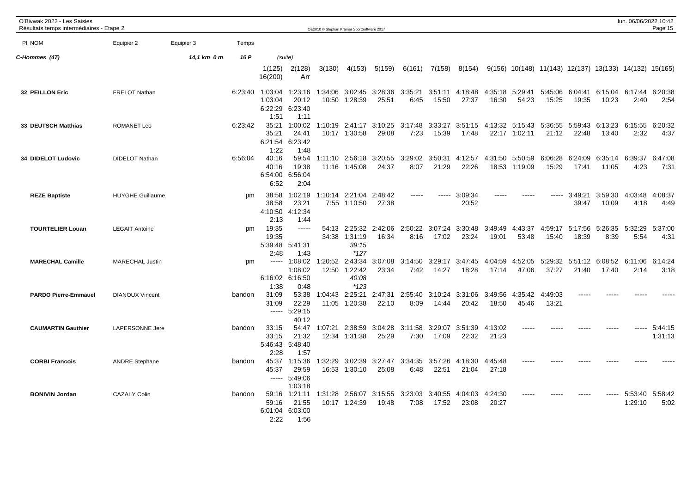| O'Bivwak 2022 - Les Saisies<br>Résultats temps intermédiaires - Etape 2 |                         |             |         |                                       |                                                                           |                  | OE2010 © Stephan Krämer SportSoftware 2017  |                          |                 |                  |                                  |                  |                          |                                                        |                  |                                 | lun. 06/06/2022 10:42           | Page 15            |
|-------------------------------------------------------------------------|-------------------------|-------------|---------|---------------------------------------|---------------------------------------------------------------------------|------------------|---------------------------------------------|--------------------------|-----------------|------------------|----------------------------------|------------------|--------------------------|--------------------------------------------------------|------------------|---------------------------------|---------------------------------|--------------------|
| PI NOM                                                                  | Equipier 2              | Equipier 3  | Temps   |                                       |                                                                           |                  |                                             |                          |                 |                  |                                  |                  |                          |                                                        |                  |                                 |                                 |                    |
| C-Hommes (47)                                                           |                         | 14,1 km 0 m | 16 P    |                                       | (suite)                                                                   |                  |                                             |                          |                 |                  |                                  |                  |                          |                                                        |                  |                                 |                                 |                    |
|                                                                         |                         |             |         | 1(125)<br>16(200)                     | 2(128)<br>Arr                                                             | 3(130)           | 4(153)                                      | 5(159)                   | 6(161)          | 7(158)           | 8(154)                           |                  |                          | 9(156) 10(148) 11(143) 12(137) 13(133) 14(132) 15(165) |                  |                                 |                                 |                    |
| 32 PEILLON Eric                                                         | <b>FRELOT Nathan</b>    |             | 6:23:40 | 1:03:04<br>1:03:04<br>6:22:29<br>1:51 | 1:23:16<br>20:12<br>6:23:40<br>1:11                                       | 1:34:06          | 3:02:45<br>10:50 1:28:39                    | 3:28:36<br>25:51         | 3:35:21<br>6:45 | 15:50            | 3:51:11 4:18:48<br>27:37         | 16:30            | 4:35:18 5:29:41<br>54:23 | 5:45:06 6:04:41<br>15:25                               | 19:35            | 10:23                           | 6:15:04 6:17:44<br>2:40         | 6:20:38<br>2:54    |
| 33 DEUTSCH Matthias                                                     | <b>ROMANET Leo</b>      |             | 6:23:42 | 35:21<br>35:21<br>6:21:54<br>1:22     | 1:00:02<br>24:41<br>6:23:42<br>1:48                                       |                  | 1:10:19 2:41:17<br>10:17 1:30:58            | 3:10:25<br>29:08         | 3:17:48<br>7:23 | 3:33:27<br>15:39 | 17:48                            |                  | 22:17 1:02:11            | 3:51:15 4:13:32 5:15:43 5:36:55 5:59:43<br>21:12       | 22:48            | 13:40                           | 6:13:23 6:15:55 6:20:32<br>2:32 | 4:37               |
| 34 DIDELOT Ludovic                                                      | <b>DIDELOT Nathan</b>   |             | 6:56:04 | 40:16<br>40:16<br>6:52                | 59:54<br>19:38<br>6:54:00 6:56:04<br>2:04                                 | 1:11:10<br>11:16 | 2:56:18<br>1:45:08                          | 3:20:55<br>24:37         | 3:29:02<br>8:07 | 3:50:31<br>21:29 | 4:12:57<br>22:26                 | 4:31:50<br>18:53 | 5:50:59<br>1:19:09       | 6:06:28<br>15:29                                       | 6:24:09<br>17:41 | 6:35:14<br>11:05                | 6:39:37<br>4:23                 | 6:47:08<br>7:31    |
| <b>REZE Baptiste</b>                                                    | <b>HUYGHE Guillaume</b> |             | pm      | 38:58<br>38:58<br>4:10:50<br>2:13     | 1:02:19<br>23:21<br>4:12:34<br>1:44                                       | 1:10:14          | 7:55 1:10:50                                | 2:21:04 2:48:42<br>27:38 |                 |                  | 3:09:34<br>20:52                 |                  |                          |                                                        | 3:49:21<br>39:47 | 3:59:30<br>10:09                | 4:03:48<br>4:18                 | 4:08:37<br>4:49    |
| <b>TOURTELIER Louan</b>                                                 | <b>LEGAIT Antoine</b>   |             | pm      | 19:35<br>19:35<br>2:48                | $---$<br>5:39:48 5:41:31<br>1:43                                          | 54:13            | 2:25:32<br>34:38 1:31:19<br>39:15<br>$*127$ | 2:42:06<br>16:34         | 2:50:22<br>8:16 | 3:07:24<br>17:02 | 3:30:48<br>23:24                 | 3:49:49<br>19:01 | 4:43:37<br>53:48         | 4:59:17<br>15:40                                       | 18:39            | 5:17:56 5:26:35 5:32:29<br>8:39 | 5:54                            | 5:37:00<br>4:31    |
| <b>MARECHAL Camille</b>                                                 | <b>MARECHAL Justin</b>  |             | pm      | -----<br>1:38                         | 1:08:02  1:20:52  2:43:34<br>1:08:02<br>6:16:02 6:16:50<br>0:48           |                  | 12:50 1:22:42<br>40:08<br>$*123$            | 3:07:08<br>23:34         | 3:14:50<br>7:42 | 14:27            | 3:29:17 3:47:45 4:04:59<br>18:28 | 17:14            | 47:06                    | 4:52:05 5:29:32<br>37:27                               | 21:40            | 17:40                           | 5:51:12 6:08:52 6:11:06<br>2:14 | 6:14:24<br>3:18    |
| <b>PARDO Pierre-Emmauel</b>                                             | <b>DIANOUX Vincent</b>  |             | bandon  | 31:09<br>31:09                        | 53:38<br>22:29<br>$--- 5:29:15$<br>40:12                                  | 11:05            | 1:04:43 2:25:21<br>1:20:38                  | 2:47:31<br>22:10         | 2:55:40<br>8:09 | 14:44            | 3:10:24 3:31:06<br>20:42         | 3:49:56<br>18:50 | 4:35:42<br>45:46         | 4:49:03<br>13:21                                       |                  |                                 |                                 |                    |
| <b>CAUMARTIN Gauthier</b>                                               | LAPERSONNE Jere         |             | bandon  | 33:15<br>33:15<br>2:28                | 54:47<br>21:32<br>5:46:43 5:48:40<br>1:57                                 | 1:07:21<br>12:34 | 2:38:59<br>1:31:38                          | 3:04:28<br>25:29         | 7:30            | 17:09            | 3:11:58 3:29:07 3:51:39<br>22:32 | 4:13:02<br>21:23 | $- - - - -$              |                                                        |                  | -----                           |                                 | 5:44:15<br>1:31:13 |
| <b>CORBI Francois</b>                                                   | <b>ANDRE Stephane</b>   |             | bandon  | 45:37                                 | 45:37 1:15:36<br>29:59<br>$--- 5:49:06$<br>1:03:18                        | 1:32:29          | 3:02:39<br>16:53 1:30:10                    | 3:27:47<br>25:08         | 3:34:35<br>6:48 | 22:51            | 3:57:26 4:18:30<br>21:04         | 4:45:48<br>27:18 |                          |                                                        |                  |                                 |                                 |                    |
| <b>BONIVIN Jordan</b>                                                   | <b>CAZALY Colin</b>     |             | bandon  | 59:16<br>2:22                         | 59:16 1:21:11 1:31:28 2:56:07 3:15:55<br>21:55<br>6:01:04 6:03:00<br>1:56 |                  | 10:17 1:24:39                               | 19:48                    | 3:23:03<br>7:08 | 17:52            | 3:40:55 4:04:03<br>23:08         | 4:24:30<br>20:27 | $\frac{1}{2}$            |                                                        | -----            |                                 | 5:53:40 5:58:42<br>1:29:10      | 5:02               |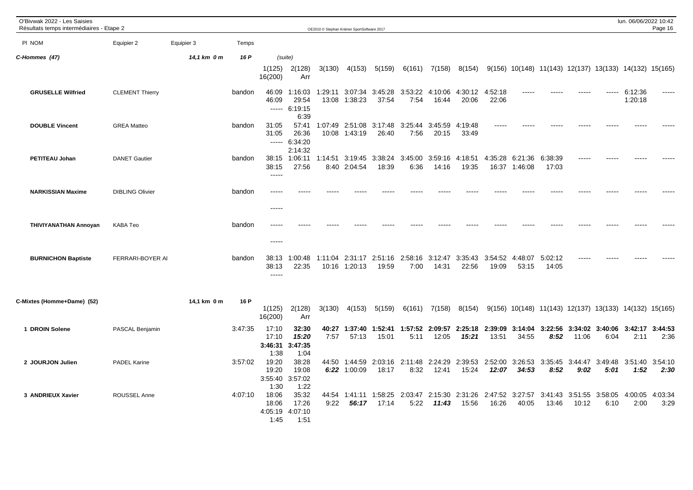| O'Bivwak 2022 - Les Saisies<br>Résultats temps intermédiaires - Etape 2 |                        |             |         |                                   |                                            |                  | OE2010 © Stephan Krämer SportSoftware 2017 |                                    |                 |                   |                          |                                                  |                    |                  |       |                                                                      | lun. 06/06/2022 10:42 | Page 16         |
|-------------------------------------------------------------------------|------------------------|-------------|---------|-----------------------------------|--------------------------------------------|------------------|--------------------------------------------|------------------------------------|-----------------|-------------------|--------------------------|--------------------------------------------------|--------------------|------------------|-------|----------------------------------------------------------------------|-----------------------|-----------------|
| PI NOM                                                                  | Equipier 2             | Equipier 3  | Temps   |                                   |                                            |                  |                                            |                                    |                 |                   |                          |                                                  |                    |                  |       |                                                                      |                       |                 |
| C-Hommes (47)                                                           |                        | 14,1 km 0 m | 16 P    |                                   | (suite)                                    |                  |                                            |                                    |                 |                   |                          |                                                  |                    |                  |       |                                                                      |                       |                 |
|                                                                         |                        |             |         | 1(125)<br>16(200)                 | 2(128)<br>Arr                              | 3(130)           | 4(153)                                     | 5(159)                             | 6(161)          | 7(158)            | 8(154)                   |                                                  |                    |                  |       | 9(156) 10(148) 11(143) 12(137) 13(133) 14(132) 15(165)               |                       |                 |
| <b>GRUSELLE Wilfried</b>                                                | <b>CLEMENT Thierry</b> |             | bandon  | 46:09<br>46:09                    | 1:16:03<br>29:54<br>$--- 6:19:15$<br>6:39  | 1:29:11<br>13:08 | 3:07:34<br>1:38:23                         | 3:45:28<br>37:54                   | 3:53:22<br>7:54 | 4:10:06<br>16:44  | 4:30:12<br>20:06         | 4:52:18<br>22:06                                 |                    |                  |       |                                                                      | 6:12:36<br>1:20:18    | -----           |
| <b>DOUBLE Vincent</b>                                                   | <b>GREA Matteo</b>     |             | bandon  | 31:05<br>31:05                    | 57:41<br>26:36<br>$--- 6:34:20$<br>2:14:32 |                  | 1:07:49 2:51:08<br>10:08 1:43:19           | 3:17:48<br>26:40                   | 3:25:44<br>7:56 | 3:45:59<br>20:15  | 4:19:48<br>33:49         |                                                  |                    |                  |       |                                                                      |                       |                 |
| <b>PETITEAU Johan</b>                                                   | <b>DANET Gautier</b>   |             | bandon  | 38:15<br>38:15<br>$\frac{1}{2}$   | 1:06:11<br>27:56                           | 1:14:51          | 3:19:45<br>8:40 2:04:54                    | 3:38:24<br>18:39                   | 3:45:00<br>6:36 | 3:59:16<br>14:16  | 4:18:51<br>19:35         | 4:35:28<br>16:37                                 | 6:21:36<br>1:46:08 | 6:38:39<br>17:03 |       |                                                                      |                       |                 |
| <b>NARKISSIAN Maxime</b>                                                | <b>DIBLING Olivier</b> |             | bandon  | -----                             |                                            |                  |                                            |                                    |                 |                   |                          |                                                  |                    |                  |       |                                                                      |                       |                 |
| <b>THIVIYANATHAN Annoyan</b>                                            | <b>KABA Teo</b>        |             | bandon  | -----                             |                                            |                  |                                            |                                    |                 |                   |                          |                                                  |                    |                  |       |                                                                      |                       |                 |
| <b>BURNICHON Baptiste</b>                                               | FERRARI-BOYER AI       |             | bandon  | 38:13<br>38:13<br>$- - - - -$     | 1:00:48<br>22:35                           | 1:11:04          | 2:31:17<br>10:16 1:20:13                   | 2:51:16<br>19:59                   | 2:58:16<br>7:00 | 3:12:47<br>14:31  | 3:35:43<br>22:56         | 3:54:52<br>19:09                                 | 4:48:07<br>53:15   | 5:02:12<br>14:05 | ----  |                                                                      |                       |                 |
| C-Mixtes (Homme+Dame) (52)                                              |                        | 14,1 km 0 m | 16 P    | 1(125)<br>16(200)                 | 2(128)<br>Arr                              | 3(130)           | 4(153)                                     | 5(159)                             |                 | $6(161)$ $7(158)$ | 8(154)                   |                                                  |                    |                  |       | $9(156)$ $10(148)$ $11(143)$ $12(137)$ $13(133)$ $14(132)$ $15(165)$ |                       |                 |
| 1 DROIN Solene                                                          | PASCAL Benjamin        |             | 3:47:35 | 17:10<br>17:10<br>3:46:31<br>1:38 | 32:30<br>15:20<br>3:47:35<br>1:04          | 7:57             | 40:27 1:37:40<br>57:13                     | 15:01                              | 5:11            | 12:05             | 15:21                    | 1:52:41 1:57:52 2:09:57 2:25:18 2:39:09<br>13:51 | 34:55              | 8:52             | 11:06 | 3:14:04 3:22:56 3:34:02 3:40:06 3:42:17 3:44:53<br>6:04              | 2:11                  | 2:36            |
| 2 JOURJON Julien                                                        | <b>PADEL Karine</b>    |             | 3:57:02 | 19:20<br>19:20<br>3:55:40<br>1:30 | 38:28<br>19:08<br>3:57:02<br>1:22          |                  | 44:50 1:44:59<br>6:22 1:00:09              | 2:03:16 2:11:48<br>18:17           | 8:32            | 12:41             | 2:24:29 2:39:53<br>15:24 | 2:52:00<br>12:07                                 | 3:26:53<br>34:53   | 8:52             | 9:02  | 3:35:45 3:44:47 3:49:48 3:51:40<br>5:01                              | 1:52                  | 3:54:10<br>2:30 |
| 3 ANDRIEUX Xavier                                                       | ROUSSEL Anne           |             | 4:07:10 | 18:06<br>18:06<br>1:45            | 35:32<br>17:26<br>4:05:19 4:07:10<br>1:51  | 44:54<br>9:22    | 56:17                                      | 1:41:11  1:58:25  2:03:47<br>17:14 | 5:22            | 11:43             | 2:15:30 2:31:26<br>15:56 | 2:47:52<br>16:26                                 | 3:27:57<br>40:05   | 13:46            | 10:12 | 3:41:43 3:51:55 3:58:05 4:00:05<br>6:10                              | 2:00                  | 4:03:34<br>3:29 |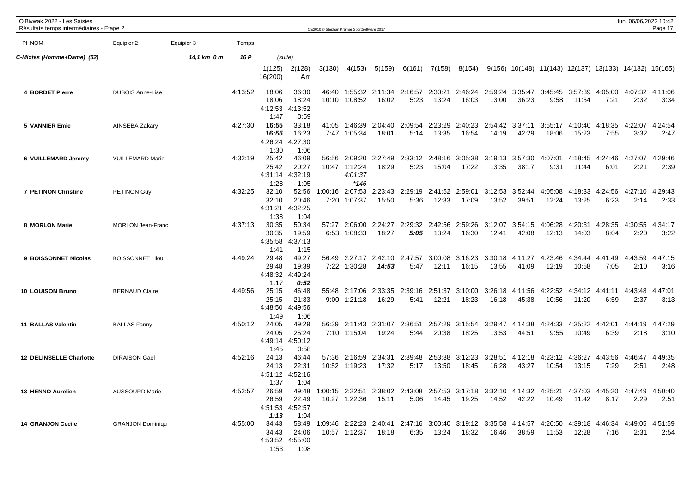| O'Bivwak 2022 - Les Saisies<br>Résultats temps intermédiaires - Etape 2 |                          |             |         |                                           |                                   | OE2010 C Stephan Krämer SportSoftware 2017 |                                                     |                                        |                 |                          |                          |                          |                          |                                                                                                                     |                                      |                         | lun. 06/06/2022 10:42             | Page 17         |
|-------------------------------------------------------------------------|--------------------------|-------------|---------|-------------------------------------------|-----------------------------------|--------------------------------------------|-----------------------------------------------------|----------------------------------------|-----------------|--------------------------|--------------------------|--------------------------|--------------------------|---------------------------------------------------------------------------------------------------------------------|--------------------------------------|-------------------------|-----------------------------------|-----------------|
| PI NOM                                                                  | Equipier 2               | Equipier 3  | Temps   |                                           |                                   |                                            |                                                     |                                        |                 |                          |                          |                          |                          |                                                                                                                     |                                      |                         |                                   |                 |
| C-Mixtes (Homme+Dame) (52)                                              |                          | 14,1 km 0 m | 16 P    |                                           | (suite)                           |                                            |                                                     |                                        |                 |                          |                          |                          |                          |                                                                                                                     |                                      |                         |                                   |                 |
|                                                                         |                          |             |         | 1(125)<br>16(200)                         | 2(128)<br>Arr                     | 3(130)                                     | 4(153)                                              | 5(159)                                 | 6(161)          | 7(158)                   | 8(154)                   |                          |                          | $9(156)$ 10(148) 11(143) 12(137) 13(133) 14(132) 15(165)                                                            |                                      |                         |                                   |                 |
| 4 BORDET Pierre                                                         | <b>DUBOIS Anne-Lise</b>  |             | 4:13:52 | 18:06<br>18:06<br>4:12:53<br>1:47         | 36:30<br>18:24<br>4:13:52<br>0:59 |                                            | 10:10 1:08:52                                       | 46:40 1:55:32 2:11:34 2:16:57<br>16:02 | 5:23            | 2:30:21<br>13:24         | 16:03                    | 2:46:24 2:59:24<br>13:00 | 36:23                    | 3:35:47 3:45:45 3:57:39<br>9:58                                                                                     | 11:54                                | 7:21                    | 4:05:00  4:07:32  4:11:06<br>2:32 | 3:34            |
| <b>5 VANNIER Emie</b>                                                   | AINSEBA Zakary           |             | 4:27:30 | 16:55<br>16:55<br>4:26:24<br>1:30         | 33:18<br>16:23<br>4:27:30<br>1:06 | 41:05                                      | 1:46:39<br>7:47 1:05:34                             | 2:04:40<br>18:01                       | 2:09:54<br>5:14 | 2:23:29<br>13:35         | 2:40:23<br>16:54         | 14:19                    | 2:54:42 3:37:11<br>42:29 | 3:55:17<br>18:06                                                                                                    | 4:10:40<br>15:23                     | 4:18:35<br>7:55         | 4:22:07<br>3:32                   | 4:24:54<br>2:47 |
| 6 VUILLEMARD Jeremy                                                     | <b>VUILLEMARD Marie</b>  |             | 4:32:19 | 25:42<br>25:42<br>4:31:14<br>1:28         | 46:09<br>20:27<br>4:32:19<br>1:05 |                                            | 56:56 2:09:20<br>10:47 1:12:24<br>4:01:37<br>$*146$ | 2:27:49<br>18:29                       | 2:33:12<br>5:23 | 15:04                    | 2:48:16 3:05:38<br>17:22 | 3:19:13<br>13:35         | 3:57:30<br>38:17         | 4:07:01<br>9:31                                                                                                     | 11:44                                | 4:18:45 4:24:46<br>6:01 | 4:27:07<br>2:21                   | 4:29:46<br>2:39 |
| <b>7 PETINON Christine</b>                                              | PETINON Guy              |             | 4:32:25 | 32:10<br>32:10<br>4:31:21<br>1:38         | 52:56<br>20:46<br>4:32:25<br>1:04 |                                            | 1:00:16 2:07:53<br>7:20 1:07:37                     | 2:23:43<br>15:50                       | 2:29:19<br>5:36 | 2:41:52 2:59:01<br>12:33 | 17:09                    | 3:12:53<br>13:52         | 3:52:44<br>39:51         | 4:05:08<br>12:24                                                                                                    | 4:18:33<br>13:25                     | 4:24:56<br>6:23         | 4:27:10<br>2:14                   | 4:29:43<br>2:33 |
| 8 MORLON Marie                                                          | <b>MORLON Jean-Franc</b> |             | 4:37:13 | 30:35<br>30:35<br>4:35:58<br>1:41         | 50:34<br>19:59<br>4:37:13<br>1:15 | 57:27                                      | 2:06:00<br>6:53 1:08:33                             | 2:24:27<br>18:27                       | 2:29:32<br>5:05 | 2:42:56<br>13:24         | 2:59:26<br>16:30         | 3:12:07<br>12:41         | 3:54:15<br>42:08         | 4:06:28<br>12:13                                                                                                    | 4:20:31<br>14:03                     | 4:28:35<br>8:04         | 4:30:55<br>2:20                   | 4:34:17<br>3:22 |
| 9 BOISSONNET Nicolas                                                    | <b>BOISSONNET Lilou</b>  |             | 4:49:24 | 29:48<br>29:48<br>4:48:32<br>1:17         | 49:27<br>19:39<br>4:49:24<br>0:52 | 56:49                                      | 2:27:17<br>7:22 1:30:28                             | 2:42:10 2:47:57<br>14:53               | 5:47            | 3:00:08<br>12:11         | 3:16:23<br>16:15         | 3:30:18<br>13:55         | 4:11:27<br>41:09         | 4:23:46<br>12:19                                                                                                    | 4:34:44   4:41:49   4:43:59<br>10:58 | 7:05                    | 2:10                              | 4:47:15<br>3:16 |
| 10 LOUISON Bruno                                                        | <b>BERNAUD Claire</b>    |             | 4:49:56 | 25:15<br>25:15<br>4:48:50<br>1:49         | 46:48<br>21:33<br>4:49:56<br>1:06 |                                            | 55:48 2:17:06<br>$9:00$ 1:21:18                     | 2:33:35<br>16:29                       | 2:39:16<br>5:41 | 2:51:37<br>12:21         | 3:10:00<br>18:23         | 3:26:18<br>16:18         | 4:11:56<br>45:38         | 4:22:52<br>10:56                                                                                                    | 4:34:12 4:41:11<br>11:20             | 6:59                    | 4:43:48<br>2:37                   | 4:47:01<br>3:13 |
| <b>11 BALLAS Valentin</b>                                               | <b>BALLAS Fanny</b>      |             | 4:50:12 | 24:05<br>24:05<br>4:49:14<br>1:45         | 49:29<br>25:24<br>4:50:12<br>0:58 | 56:39                                      | 2:11:43<br>7:10 1:15:04                             | 2:31:07<br>19:24                       | 2:36:51<br>5:44 | 2:57:29<br>20:38         | 3:15:54<br>18:25         | 3:29:47<br>13:53         | 4:14:38<br>44:51         | 4:24:33<br>9:55                                                                                                     | 4:35:22<br>10:49                     | 4:42:01<br>6:39         | 4:44:19<br>2:18                   | 4:47:29<br>3:10 |
| <b>12 DELINSELLE Charlotte</b>                                          | <b>DIRAISON Gael</b>     |             | 4:52:16 | 24:13<br>24:13<br>4:51:12 4:52:16<br>1:37 | 46:44<br>22:31<br>1:04            | 57:36                                      | 10:52 1:19:23                                       | 2:16:59 2:34:31<br>17:32               | 2:39:48<br>5:17 | 13:50                    | 2:53:38 3:12:23<br>18:45 | 3:28:51<br>16:28         | 4:12:18<br>43:27         | 4:23:12 4:36:27<br>10:54                                                                                            | 13:15                                | 4:43:56 4:46:47<br>7:29 | 2:51                              | 4:49:35<br>2:48 |
| 13 HENNO Aurelien                                                       | <b>AUSSOURD Marie</b>    |             | 4:52:57 | 26:59<br>4:51:53 4:52:57<br>1:13          | 22:49<br>1:04                     |                                            | 10:27 1:22:36                                       | 15:11                                  |                 |                          | 5:06  14:45  19:25       | 14:52 42:22              |                          | 26:59 49:48 1:00:15 2:22:51 2:38:02 2:43:08 2:57:53 3:17:18 3:32:10 4:14:32 4:25:21 4:37:03 4:45:20 4:47:49 4:50:40 |                                      | 8:17                    | 2:29                              | 2:51            |
| <b>14 GRANJON Cecile</b>                                                | <b>GRANJON Dominiqu</b>  |             | 4:55:00 | 34:43<br>34:43<br>4:53:52 4:55:00<br>1:53 | 24:06<br>1:08                     |                                            | 10:57 1:12:37 18:18                                 |                                        |                 |                          | 6:35  13:24  18:32       | 16:46                    | 38:59                    | 58:49 1:09:46 2:22:23 2:40:41 2:47:16 3:00:40 3:19:12 3:35:58 4:14:57 4:26:50 4:39:18 4:46:34 4:49:05 4:51:59       |                                      | 7:16                    | 2:31                              | 2:54            |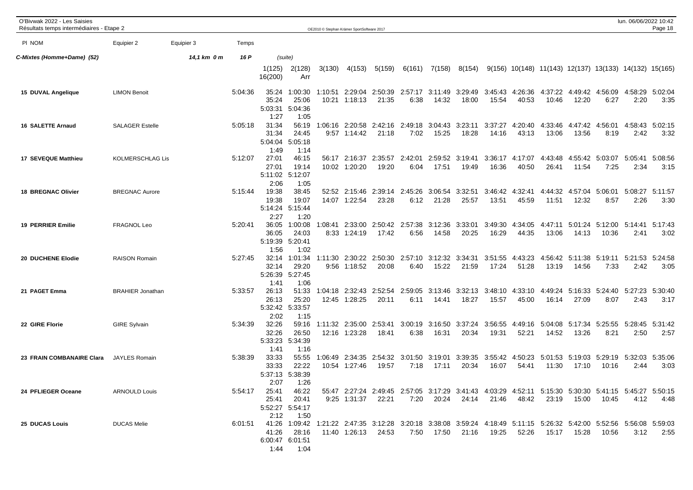| O'Bivwak 2022 - Les Saisies<br>Résultats temps intermédiaires - Etape 2 |                         |             |         |                                                                                                                                        |                                                       |                  | OE2010 © Stephan Krämer SportSoftware 2017 |                                                                                                       |                                         |                          |                  |                  |                  |                                                          |                          |                                         | lun. 06/06/2022 10:42   | Page 18         |
|-------------------------------------------------------------------------|-------------------------|-------------|---------|----------------------------------------------------------------------------------------------------------------------------------------|-------------------------------------------------------|------------------|--------------------------------------------|-------------------------------------------------------------------------------------------------------|-----------------------------------------|--------------------------|------------------|------------------|------------------|----------------------------------------------------------|--------------------------|-----------------------------------------|-------------------------|-----------------|
| PI NOM                                                                  | Equipier 2              | Equipier 3  | Temps   |                                                                                                                                        |                                                       |                  |                                            |                                                                                                       |                                         |                          |                  |                  |                  |                                                          |                          |                                         |                         |                 |
| C-Mixtes (Homme+Dame) (52)                                              |                         | 14,1 km 0 m | 16 P    |                                                                                                                                        | (suite)                                               |                  |                                            |                                                                                                       |                                         |                          |                  |                  |                  |                                                          |                          |                                         |                         |                 |
|                                                                         |                         |             |         | 1(125)<br>16(200)                                                                                                                      | 2(128)<br>Arr                                         | 3(130)           | 4(153)                                     | 5(159)                                                                                                | 6(161)                                  | 7(158)                   | 8(154)           |                  |                  | $9(156)$ 10(148) 11(143) 12(137) 13(133) 14(132) 15(165) |                          |                                         |                         |                 |
| 15 DUVAL Angelique                                                      | <b>LIMON Benoit</b>     |             | 5:04:36 | 35:24<br>35:24<br>5:03:31<br>1:27                                                                                                      | 1:00:30<br>25:06<br>5:04:36<br>1:05                   | 10:21            | 1:10:51 2:29:04<br>1:18:13                 | 21:35                                                                                                 | 2:50:39 2:57:17 3:11:49 3:29:49<br>6:38 | 14:32                    | 18:00            | 3:45:43<br>15:54 | 4:26:36<br>40:53 | 4:37:22<br>10:46                                         | 4:49:42<br>12:20         | 4:56:09<br>6:27                         | 4:58:29<br>2:20         | 5:02:04<br>3:35 |
| <b>16 SALETTE Arnaud</b>                                                | <b>SALAGER Estelle</b>  |             | 5:05:18 | 31:34<br>31:34<br>5:04:04<br>1:49                                                                                                      | 56:19<br>24:45<br>5:05:18<br>1:14                     | 1:06:16          | 2:20:58<br>$9:57$ 1:14:42                  | 2:42:16 2:49:18<br>21:18                                                                              | 7:02                                    | 3:04:43<br>15:25         | 3:23:11<br>18:28 | 3:37:27<br>14:16 | 4:20:40<br>43:13 | 4:33:46<br>13:06                                         | 4:47:42<br>13:56         | 4:56:01<br>8:19                         | 4:58:43<br>2:42         | 5:02:15<br>3:32 |
| 17 SEVEQUE Matthieu                                                     | KOLMERSCHLAG Lis        |             | 5:12:07 | 27:01<br>27:01<br>5:11:02 5:12:07<br>2:06                                                                                              | 46:15<br>19:14<br>1:05                                |                  | 56:17 2:16:37<br>10:02 1:20:20             | 2:35:57<br>19:20                                                                                      | 2:42:01<br>6:04                         | 2:59:52<br>17:51         | 3:19:41<br>19:49 | 3:36:17<br>16:36 | 4:17:07<br>40:50 | 4:43:48<br>26:41                                         | 4:55:42<br>11:54         | 5:03:07<br>7:25                         | 5:05:41<br>2:34         | 5:08:56<br>3:15 |
| <b>18 BREGNAC Olivier</b>                                               | <b>BREGNAC Aurore</b>   |             | 5:15:44 | 19:38<br>19:38<br>5:14:24<br>2:27                                                                                                      | 38:45<br>19:07<br>5:15:44<br>1:20                     |                  | 52:52 2:15:46<br>14:07 1:22:54             | 2:39:14<br>23:28                                                                                      | 2:45:26<br>6:12                         | 3:06:54<br>21:28         | 3:32:51<br>25:57 | 3:46:42<br>13:51 | 4:32:41<br>45:59 | 4:44:32<br>11:51                                         | 4:57:04<br>12:32         | 5:06:01<br>8:57                         | 5:08:27 5:11:57<br>2:26 | 3:30            |
| <b>19 PERRIER Emilie</b>                                                | FRAGNOL Leo             |             | 5:20:41 | 36:05<br>36:05<br>5:19:39<br>1:56                                                                                                      | 1:00:08<br>24:03<br>5:20:41<br>1:02                   | 1:08:41          | 2:33:00<br>8:33 1:24:19                    | 2:50:42 2:57:38<br>17:42                                                                              | 6:56                                    | 3:12:36<br>14:58         | 3:33:01<br>20:25 | 3:49:30<br>16:29 | 4:34:05<br>44:35 | 4:47:11<br>13:06                                         | 5:01:24<br>14:13         | 5:12:00    5:14:41    5:17:43<br>10:36  | 2:41                    | 3:02            |
| 20 DUCHENE Elodie                                                       | <b>RAISON Romain</b>    |             | 5:27:45 | 32:14<br>32:14<br>5:26:39<br>1:41                                                                                                      | 1:01:34<br>29:20<br>5:27:45<br>1:06                   | 1:11:30          | 9:56 1:18:52                               | 2:30:22 2:50:30 2:57:10<br>20:08                                                                      | 6:40                                    | 3:12:32 3:34:31<br>15:22 | 21:59            | 3:51:55<br>17:24 | 4:43:23<br>51:28 | 13:19                                                    | 14:56                    | 4:56:42 5:11:38 5:19:11 5:21:53<br>7:33 | 2:42                    | 5:24:58<br>3:05 |
| 21 PAGET Emma                                                           | <b>BRAHIER Jonathan</b> |             | 5:33:57 | 26:13<br>26:13<br>5:32:42 5:33:57<br>2:02                                                                                              | 51:33<br>25:20<br>1:15                                | 1:04:18<br>12:45 | 2:32:43<br>1:28:25                         | 2:52:54<br>20:11                                                                                      | 2:59:05<br>6:11                         | 3:13:46<br>14:41         | 3:32:13<br>18:27 | 3:48:10<br>15:57 | 4:33:10<br>45:00 | 4:49:24<br>16:14                                         | 5:16:33<br>27:09         | 5:24:40<br>8:07                         | 5:27:23<br>2:43         | 5:30:40<br>3:17 |
| 22 GIRE Florie                                                          | <b>GIRE Sylvain</b>     |             | 5:34:39 | 32:26<br>32:26<br>5:33:23<br>1:41                                                                                                      | 59:16<br>26:50<br>5:34:39<br>1:16                     | 12:16            | 1:11:32 2:35:00<br>1:23:28                 | 2:53:41<br>18:41                                                                                      | 3:00:19<br>6:38                         | 3:16:50<br>16:31         | 3:37:24<br>20:34 | 3:56:55<br>19:31 | 4:49:16<br>52:21 | 5:04:08<br>14:52                                         | 5:17:34 5:25:55<br>13:26 | 8:21                                    | 5:28:45<br>2:50         | 5:31:42<br>2:57 |
| 23 FRAIN COMBANAIRE Clara                                               | <b>JAYLES Romain</b>    |             | 5:38:39 | 33:33<br>33:33<br>5:37:13<br>2:07                                                                                                      | 55:55<br>22:22<br>5:38:39<br>1:26                     | 1:06:49          | 2:34:35<br>10:54 1:27:46                   | 2:54:32 3:01:50<br>19:57                                                                              | 7:18                                    | 3:19:01<br>17:11         | 3:39:35<br>20:34 | 3:55:42<br>16:07 | 4:50:23<br>54:41 | 5:01:53<br>11:30                                         | 17:10                    | 5:19:03 5:29:19 5:32:03<br>10:16        | 2:44                    | 5:35:06<br>3:03 |
| 24 PFLIEGER Oceane                                                      | <b>ARNOULD Louis</b>    |             | 5:54:17 | 2:12                                                                                                                                   | 25:41 46:22<br>25:41 20:41<br>5:52:27 5:54:17<br>1:50 |                  | 9:25 1:31:37 22:21                         | 55:47 2:27:24 2:49:45 2:57:05 3:17:29 3:41:43 4:03:29 4:52:11 5:15:30 5:30:30 5:41:15 5:45:27 5:50:15 |                                         |                          |                  |                  |                  | 7:20  20:24  24:14  21:46  48:42  23:19  15:00  10:45    |                          |                                         |                         | 4:12 4:48       |
| 25 DUCAS Louis                                                          | <b>DUCAS Melie</b>      |             |         | 6:01:51 41:26 1:09:42 1:21:22 2:47:35 3:12:28 3:20:18 3:38:08 3:59:24 4:18:49 5:11:15 5:26:32 5:42:00 5:52:56 5:56:08 5:59:03<br>41:26 | 28:16<br>6:00:47 6:01:51<br>1:44 1:04                 |                  |                                            | 11:40 1:26:13 24:53                                                                                   |                                         | 7:50  17:50  21:16       |                  |                  |                  |                                                          |                          | 10:56                                   | 3:12                    | 2:55            |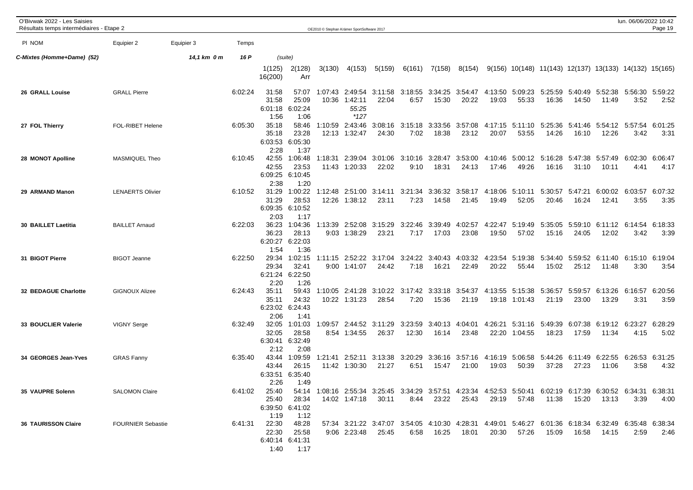| O'Bivwak 2022 - Les Saisies<br>Résultats temps intermédiaires - Etape 2 |                          |             |         |                                   |                                                |                  | OE2010 © Stephan Krämer SportSoftware 2017 |                                                                                                                     |                  |                  |                                          |                  |                    |                                                          |                  |                          | lun. 06/06/2022 10:42                           | Page 19         |
|-------------------------------------------------------------------------|--------------------------|-------------|---------|-----------------------------------|------------------------------------------------|------------------|--------------------------------------------|---------------------------------------------------------------------------------------------------------------------|------------------|------------------|------------------------------------------|------------------|--------------------|----------------------------------------------------------|------------------|--------------------------|-------------------------------------------------|-----------------|
| PI NOM                                                                  | Equipier 2               | Equipier 3  | Temps   |                                   |                                                |                  |                                            |                                                                                                                     |                  |                  |                                          |                  |                    |                                                          |                  |                          |                                                 |                 |
| C-Mixtes (Homme+Dame) (52)                                              |                          | 14,1 km 0 m | 16 P    |                                   | (suite)                                        |                  |                                            |                                                                                                                     |                  |                  |                                          |                  |                    |                                                          |                  |                          |                                                 |                 |
|                                                                         |                          |             |         | 1(125)<br>16(200)                 | 2(128)<br>Arr                                  | 3(130)           | 4(153)                                     | 5(159)                                                                                                              | 6(161)           | 7(158)           | 8(154)                                   |                  |                    | $9(156)$ 10(148) 11(143) 12(137) 13(133) 14(132) 15(165) |                  |                          |                                                 |                 |
| 26 GRALL Louise                                                         | <b>GRALL Pierre</b>      |             | 6:02:24 | 31:58<br>31:58<br>6:01:18<br>1:56 | 57:07<br>25:09<br>6:02:24<br>1:06              | 1:07:43<br>10:36 | 2:49:54<br>1:42:11<br>55:25<br>*127        | 3:11:58<br>22:04                                                                                                    | 6:57             | 15:30            | 3:18:55 3:34:25 3:54:47 4:13:50<br>20:22 | 19:03            | 5:09:23<br>55:33   | 5:25:59<br>16:36                                         | 5:40:49<br>14:50 | 5:52:38<br>11:49         | 5:56:30<br>3:52                                 | 5:59:22<br>2:52 |
| 27 FOL Thierry                                                          | FOL-RIBET Helene         |             | 6:05:30 | 35:18<br>35:18<br>6:03:53<br>2:28 | 58:46<br>23:28<br>6:05:30<br>1:37              | 1:10:59          | 2:43:46<br>12:13 1:32:47                   | 3:08:16<br>24:30                                                                                                    | 3:15:18<br>7:02  | 3:33:56<br>18:38 | 3:57:08<br>23:12                         | 4:17:15<br>20:07 | 5:11:10<br>53:55   | 5:25:36<br>14:26                                         | 5:41:46<br>16:10 | 12:26                    | 5:54:12 5:57:54 6:01:25<br>3:42                 | 3:31            |
| 28 MONOT Apolline                                                       | MASMIQUEL Theo           |             | 6:10:45 | 42:55<br>42:55<br>6:09:25<br>2:38 | 1:06:48<br>23:53<br>6:10:45<br>1:20            | 1:18:31          | 2:39:04<br>11:43 1:20:33                   | 3:01:06<br>22:02                                                                                                    | 3:10:16<br>9:10  | 3:28:47<br>18:31 | 3:53:00<br>24:13                         | 4:10:46<br>17:46 | 5:00:12<br>49:26   | 5:16:28 5:47:38<br>16:16                                 | 31:10            | 5:57:49<br>10:11         | 6:02:30<br>4:41                                 | 6:06:47<br>4:17 |
| 29 ARMAND Manon                                                         | <b>LENAERTS Olivier</b>  |             | 6:10:52 | 31:29<br>31:29<br>6:09:35<br>2:03 | 1:00:22<br>28:53<br>6:10:52<br>1:17            |                  | 12:26 1:38:12                              | 1:12:48  2:51:00  3:14:11<br>23:11                                                                                  | 3:21:34<br>7:23  | 3:36:32<br>14:58 | 3:58:17<br>21:45                         | 4:18:06<br>19:49 | 5:10:11<br>52:05   | 5:30:57<br>20:46                                         | 5:47:21<br>16:24 | 12:41                    | 6:00:02 6:03:57<br>3:55                         | 6:07:32<br>3:35 |
| 30 BAILLET Laetitia                                                     | <b>BAILLET Arnaud</b>    |             | 6:22:03 | 36:23<br>36:23<br>6:20:27<br>1:54 | 1:04:36<br>28:13<br>6:22:03<br>1:36            | 1:13:39          | 2:52:08<br>9:03 1:38:29                    | 3:15:29<br>23:21                                                                                                    | 3:22:46<br>7:17  | 3:39:49<br>17:03 | 4:02:57<br>23:08                         | 4:22:47<br>19:50 | 5:19:49<br>57:02   | 5:35:05<br>15:16                                         | 5:59:10<br>24:05 | 12:02                    | 6:11:12 6:14:54 6:18:33<br>3:42                 | 3:39            |
| 31 BIGOT Pierre                                                         | <b>BIGOT Jeanne</b>      |             | 6:22:50 | 29:34<br>29:34<br>6:21:24<br>2:20 | 1:02:15<br>32:41<br>6:22:50<br>1:26            |                  | 9:00 1:41:07                               | 1:11:15 2:52:22 3:17:04<br>24:42                                                                                    | 3:24:22<br>7:18  | 3:40:43<br>16:21 | 4:03:32<br>22:49                         | 4:23:54<br>20:22 | 5:19:38<br>55:44   | 15:02                                                    | 25:12            | 11:48                    | 5:34:40 5:59:52 6:11:40 6:15:10 6:19:04<br>3:30 | 3:54            |
| 32 BEDAGUE Charlotte                                                    | <b>GIGNOUX Alizee</b>    |             | 6:24:43 | 35:11<br>35:11<br>2:06            | 59:43<br>24:32<br>6:23:02 6:24:43<br>1:41      |                  | 1:10:05 2:41:28<br>10:22 1:31:23           | 3:10:22<br>28:54                                                                                                    | 3:17:42<br>7:20  | 3:33:18<br>15:36 | 3:54:37<br>21:19                         | 4:13:55<br>19:18 | 5:15:38<br>1:01:43 | 5:36:57<br>21:19                                         | 5:59:57<br>23:00 | 6:13:26<br>13:29         | 6:16:57<br>3:31                                 | 6:20:56<br>3:59 |
| 33 BOUCLIER Valerie                                                     | <b>VIGNY Serge</b>       |             | 6:32:49 | 32:05<br>32:05<br>6:30:41<br>2:12 | 1:01:03<br>28:58<br>6:32:49<br>2:08            | 1:09:57          | 2:44:52<br>8:54 1:34:55                    | 3:11:29<br>26:37                                                                                                    | 3:23:59<br>12:30 | 3:40:13<br>16:14 | 4:04:01<br>23:48                         | 4:26:21<br>22:20 | 5:31:16<br>1:04:55 | 5:49:39<br>18:23                                         | 6:07:38<br>17:59 | 6:19:12 6:23:27<br>11:34 | 4:15                                            | 6:28:29<br>5:02 |
| 34 GEORGES Jean-Yves                                                    | <b>GRAS Fanny</b>        |             | 6:35:40 | 43:44<br>43:44<br>6:33:51<br>2:26 | 1:09:59<br>26:15<br>6:35:40<br>1:49            | 1:21:41          | 2:52:11<br>11:42 1:30:30                   | 3:13:38 3:20:29<br>21:27                                                                                            | 6:51             | 3:36:16<br>15:47 | 3:57:16<br>21:00                         | 4:16:19<br>19:03 | 5:06:58<br>50:39   | 5:44:26<br>37:28                                         | 6:11:49<br>27:23 | 11:06                    | 6:22:55 6:26:53 6:31:25<br>3:58                 | 4:32            |
| 35 VAUPRE Solenn                                                        | <b>SALOMON Claire</b>    |             | 6:41:02 | 1:19                              | 25:40 28:34<br>6:39:50 6:41:02<br>1:12         |                  | 14:02 1:47:18 30:11                        | 25:40 54:14 1:08:16 2:55:34 3:25:45 3:34:29 3:57:51 4:23:34 4:52:53 5:50:41 6:02:19 6:17:39 6:30:52 6:34:31 6:38:31 |                  | 8:44 23:22 25:43 |                                          |                  |                    | 29:19 57:48 11:38 15:20 13:13                            |                  |                          | 3:39                                            | 4:00            |
| <b>36 TAURISSON Claire</b>                                              | <b>FOURNIER Sebastie</b> |             |         | 6:41:31 22:30<br>22:30            | 48:28<br>25:58<br>6:40:14 6:41:31<br>1:40 1:17 |                  | 9:06 2:23:48 25:45                         | 57:34 3:21:22 3:47:07 3:54:05 4:10:30 4:28:31 4:49:01 5:46:27 6:01:36 6:18:34 6:32:49 6:35:48 6:38:34               |                  | 6:58 16:25       | 18:01                                    | 20:30            | 57:26              | 15:09                                                    | 16:58            | 14:15                    | 2:59                                            | 2:46            |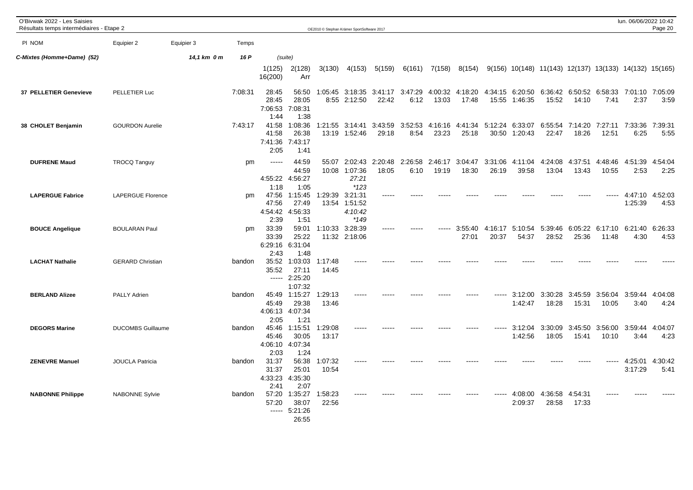| O'Bivwak 2022 - Les Saisies<br>Résultats temps intermédiaires - Etape 2 |                          |             |         |                                           |                                                |                  | OE2010 © Stephan Krämer SportSoftware 2017    |                  |                 |                  |                  |                  |                                  |                  |                          |                                                          | lun. 06/06/2022 10:42 | Page 20         |
|-------------------------------------------------------------------------|--------------------------|-------------|---------|-------------------------------------------|------------------------------------------------|------------------|-----------------------------------------------|------------------|-----------------|------------------|------------------|------------------|----------------------------------|------------------|--------------------------|----------------------------------------------------------|-----------------------|-----------------|
| PI NOM                                                                  | Equipier 2               | Equipier 3  | Temps   |                                           |                                                |                  |                                               |                  |                 |                  |                  |                  |                                  |                  |                          |                                                          |                       |                 |
| C-Mixtes (Homme+Dame) (52)                                              |                          | 14,1 km 0 m | 16 P    | (suite)                                   |                                                |                  |                                               |                  |                 |                  |                  |                  |                                  |                  |                          |                                                          |                       |                 |
|                                                                         |                          |             |         | 1(125)<br>16(200)                         | 2(128)<br>Arr                                  | 3(130)           | 4(153)                                        | 5(159)           | 6(161)          | 7(158)           | 8(154)           |                  |                                  |                  |                          | $9(156)$ 10(148) 11(143) 12(137) 13(133) 14(132) 15(165) |                       |                 |
| 37 PELLETIER Genevieve                                                  | PELLETIER Luc            |             | 7:08:31 | 28:45<br>28:45<br>7:06:53<br>1:44         | 56:50<br>28:05<br>7:08:31<br>1:38              |                  | 1:05:45 3:18:35<br>8:55 2:12:50               | 3:41:17<br>22:42 | 3:47:29<br>6:12 | 4:00:32<br>13:03 | 4:18:20<br>17:48 |                  | 4:34:15 6:20:50<br>15:55 1:46:35 | 6:36:42<br>15:52 | 6:50:52 6:58:33<br>14:10 | 7:41                                                     | 7:01:10<br>2:37       | 7:05:09<br>3:59 |
| 38 CHOLET Benjamin                                                      | <b>GOURDON Aurelie</b>   |             | 7:43:17 | 41:58<br>41:58<br>7:41:36<br>2:05         | 1:08:36<br>26:38<br>7:43:17<br>1:41            | 1:21:55          | 3:14:41<br>13:19 1:52:46                      | 3:43:59<br>29:18 | 3:52:53<br>8:54 | 4:16:16<br>23:23 | 4:41:34<br>25:18 | 5:12:24<br>30:50 | 6:33:07<br>1:20:43               | 6:55:54<br>22:47 | 7:14:20<br>18:26         | 7:27:11<br>12:51                                         | 7:33:36<br>6:25       | 7:39:31<br>5:55 |
| <b>DUFRENE Maud</b>                                                     | <b>TROCQ Tanguy</b>      |             | pm      | -----<br>4:55:22                          | 44:59<br>44:59<br>4:56:27                      | 55:07            | 2:02:43<br>10:08 1:07:36<br>27:21             | 2:20:48<br>18:05 | 2:26:58<br>6:10 | 2:46:17<br>19:19 | 3:04:47<br>18:30 | 3:31:06<br>26:19 | 4:11:04<br>39:58                 | 4:24:08<br>13:04 | 4:37:51<br>13:43         | 4:48:46<br>10:55                                         | 4:51:39<br>2:53       | 4:54:04<br>2:25 |
| <b>LAPERGUE Fabrice</b>                                                 | <b>LAPERGUE Florence</b> |             | pm      | 1:18<br>47:56<br>47:56<br>4:54:42         | 1:05<br>1:15:45<br>27:49<br>4:56:33            | 1:29:39          | $*123$<br>3:21:31<br>13:54 1:51:52<br>4:10:42 |                  |                 |                  |                  |                  |                                  |                  |                          |                                                          | 4:47:10<br>1:25:39    | 4:52:03<br>4:53 |
| <b>BOUCE Angelique</b>                                                  | <b>BOULARAN Paul</b>     |             | pm      | 2:39<br>33:39<br>33:39<br>6:29:16<br>2:43 | 1:51<br>59:01<br>25:22<br>6:31:04              | 1:10:33          | *149<br>3:28:39<br>11:32 2:18:06              |                  |                 |                  | 3:55:40<br>27:01 | 4:16:17<br>20:37 | 5:10:54<br>54:37                 | 5:39:46<br>28:52 | 25:36                    | 6:05:22 6:17:10<br>11:48                                 | 6:21:40<br>4:30       | 6:26:33<br>4:53 |
| <b>LACHAT Nathalie</b>                                                  | <b>GERARD Christian</b>  |             | bandon  | 35:52<br>35:52<br>-----                   | 1:48<br>1:03:03<br>27:11<br>2:25:20<br>1:07:32 | 1:17:48<br>14:45 |                                               |                  |                 |                  |                  |                  |                                  |                  |                          |                                                          |                       |                 |
| <b>BERLAND Alizee</b>                                                   | PALLY Adrien             |             | bandon  | 45:49<br>4:06:13 4:07:34<br>2:05          | 45:49 1:15:27<br>29:38<br>1:21                 | 1:29:13<br>13:46 | $\frac{1}{2}$                                 | -----            |                 | -----            | -----            | -----            | 3:12:00<br>1:42:47               | 3:30:28<br>18:28 | 3:45:59<br>15:31         | 3:56:04<br>10:05                                         | 3:59:44<br>3:40       | 4:04:08<br>4:24 |
| <b>DEGORS Marine</b>                                                    | <b>DUCOMBS Guillaume</b> |             | bandon  | 45:46<br>45:46<br>4:06:10<br>2:03         | 1:15:51<br>30:05<br>4:07:34<br>1:24            | 1:29:08<br>13:17 |                                               |                  |                 |                  |                  |                  | 3:12:04<br>1:42:56               | 3:30:09<br>18:05 | 3:45:50<br>15:41         | 3:56:00<br>10:10                                         | 3:59:44<br>3:44       | 4:04:07<br>4:23 |
| <b>ZENEVRE Manuel</b>                                                   | <b>JOUCLA Patricia</b>   |             | bandon  | 31:37<br>31:37<br>4:33:23<br>2:41         | 56:38<br>25:01<br>4:35:30<br>2:07              | 1:07:32<br>10:54 |                                               |                  |                 |                  |                  |                  |                                  |                  |                          |                                                          | 4:25:01<br>3:17:29    | 4:30:42<br>5:41 |
| <b>NABONNE Philippe</b>                                                 | <b>NABONNE Sylvie</b>    |             | bandon  | 57:20<br>57:20<br>-----                   | 1:35:27<br>38:07<br>5:21:26<br>26:55           | 1:58:23<br>22:56 |                                               |                  |                 |                  |                  |                  | 4:08:00<br>2:09:37               | 4:36:58<br>28:58 | 4:54:31<br>17:33         |                                                          |                       |                 |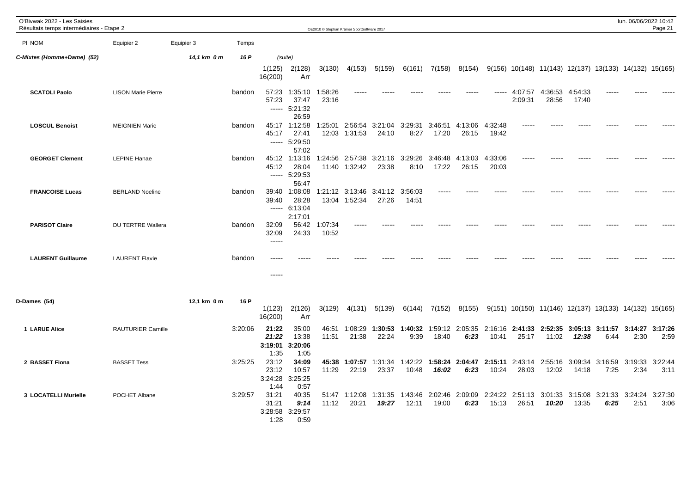| O'Bivwak 2022 - Les Saisies<br>Résultats temps intermédiaires - Etape 2 |                           |             |         |                                   |                                                  |                  | OE2010 © Stephan Krämer SportSoftware 2017 |                          |                  |                  |                         |                          |                    |                                                        |                          |                         | lun. 06/06/2022 10:42 | Page 21         |
|-------------------------------------------------------------------------|---------------------------|-------------|---------|-----------------------------------|--------------------------------------------------|------------------|--------------------------------------------|--------------------------|------------------|------------------|-------------------------|--------------------------|--------------------|--------------------------------------------------------|--------------------------|-------------------------|-----------------------|-----------------|
| PI NOM                                                                  | Equipier 2                | Equipier 3  | Temps   |                                   |                                                  |                  |                                            |                          |                  |                  |                         |                          |                    |                                                        |                          |                         |                       |                 |
| C-Mixtes (Homme+Dame) (52)                                              |                           | 14,1 km 0 m | 16 P    | 1(125)<br>16(200)                 | (suite)<br>2(128)<br>Arr                         | 3(130)           | 4(153)                                     | 5(159)                   | 6(161)           | 7(158)           | 8(154)                  |                          |                    | 9(156) 10(148) 11(143) 12(137) 13(133) 14(132) 15(165) |                          |                         |                       |                 |
| <b>SCATOLI Paolo</b>                                                    | <b>LISON Marie Pierre</b> |             | bandon  | 57:23<br>57:23                    | 1:35:10<br>37:47<br>$--- 5:21:32$<br>26:59       | 1:58:26<br>23:16 |                                            |                          |                  |                  |                         | -----                    | 4:07:57<br>2:09:31 | 4:36:53<br>28:56                                       | 4:54:33<br>17:40         |                         |                       |                 |
| <b>LOSCUL Benoist</b>                                                   | <b>MEIGNIEN Marie</b>     |             | bandon  | 45:17                             | 45:17 1:12:58<br>27:41<br>$--- 5:29:50$<br>57:02 |                  | 1:25:01 2:56:54<br>12:03 1:31:53           | 3:21:04<br>24:10         | 3:29:31<br>8:27  | 3:46:51<br>17:20 | 4:13:06<br>26:15        | 4:32:48<br>19:42         |                    |                                                        |                          |                         |                       |                 |
| <b>GEORGET Clement</b>                                                  | <b>LEPINE Hanae</b>       |             | bandon  | 45:12                             | 45:12 1:13:16<br>28:04<br>$--- 5:29:53$<br>56:47 |                  | 1:24:56 2:57:38<br>11:40 1:32:42           | 3:21:16 3:29:26<br>23:38 | 8:10             | 3:46:48<br>17:22 | 4:13:03<br>26:15        | 4:33:06<br>20:03         | $\frac{1}{2}$      |                                                        |                          |                         |                       |                 |
| <b>FRANCOISE Lucas</b>                                                  | <b>BERLAND Noeline</b>    |             | bandon  | 39:40<br>39:40                    | 1:08:08<br>28:28<br>$--- 6:13:04$<br>2:17:01     |                  | 1:21:12 3:13:46<br>13:04 1:52:34           | 3:41:12 3:56:03<br>27:26 | 14:51            | -----            |                         |                          |                    |                                                        |                          |                         |                       |                 |
| <b>PARISOT Claire</b>                                                   | DU TERTRE Wallera         |             | bandon  | 32:09<br>32:09<br>$--- -$         | 56:42<br>24:33                                   | 1:07:34<br>10:52 |                                            |                          |                  |                  |                         |                          |                    |                                                        |                          |                         |                       |                 |
| <b>LAURENT Guillaume</b>                                                | <b>LAURENT Flavie</b>     |             | bandon  | ----<br>$\frac{1}{2}$             |                                                  |                  |                                            |                          |                  |                  |                         |                          |                    |                                                        |                          |                         |                       |                 |
| D-Dames (54)                                                            |                           | 12,1 km 0 m | 16 P    | 1(123)<br>16(200)                 | 2(126)<br>Arr                                    | 3(129)           | 4(131)                                     | 5(139)                   | 6(144)           | 7(152)           | 8(155)                  |                          |                    | 9(151) 10(150) 11(146) 12(137) 13(133) 14(132) 15(165) |                          |                         |                       |                 |
| 1 LARUE Alice                                                           | RAUTURIER Camille         |             | 3:20:06 | 21:22<br>21:22<br>3:19:01<br>1:35 | 35:00<br>13:38<br>3:20:06<br>1:05                | 46:51<br>11:51   | 1:08:29<br>21:38                           | 1:30:53<br>22:24         | 1:40:32<br>9:39  | 18:40            | 1:59:12 2:05:35<br>6:23 | 2:16:16<br>10:41         | 25:17              | 2:41:33 2:52:35 3:05:13 3:11:57<br>11:02               | 12:38                    | 6:44                    | 3:14:27<br>2:30       | 3:17:26<br>2:59 |
| 2 BASSET Fiona                                                          | <b>BASSET Tess</b>        |             | 3:25:25 | 23:12<br>23:12<br>3:24:28<br>1:44 | 34:09<br>10:57<br>3:25:25<br>0:57                | 11:29            | 45:38 1:07:57 1:31:34<br>22:19             | 23:37                    | 1:42:22<br>10:48 | 16:02            | 1:58:24 2:04:47<br>6:23 | 2:15:11<br>10:24         | 28:03              | 2:43:14 2:55:16<br>12:02                               | 14:18                    | 3:09:34 3:16:59<br>7:25 | 3:19:33<br>2:34       | 3:22:44<br>3:11 |
| 3 LOCATELLI Murielle                                                    | POCHET Albane             |             | 3:29:57 | 31:21<br>31:21<br>1:28            | 40:35<br>9:14<br>3:28:58 3:29:57<br>0:59         | 11:12            | 51:47 1:12:08<br>20:21                     | 1:31:35 1:43:46<br>19:27 | 12:11            | 19:00            | 2:02:46 2:09:09<br>6:23 | 2:24:22 2:51:13<br>15:13 | 26:51              | 3:01:33<br>10:20                                       | 3:15:08 3:21:33<br>13:35 | 6:25                    | 3:24:24<br>2:51       | 3:27:30<br>3:06 |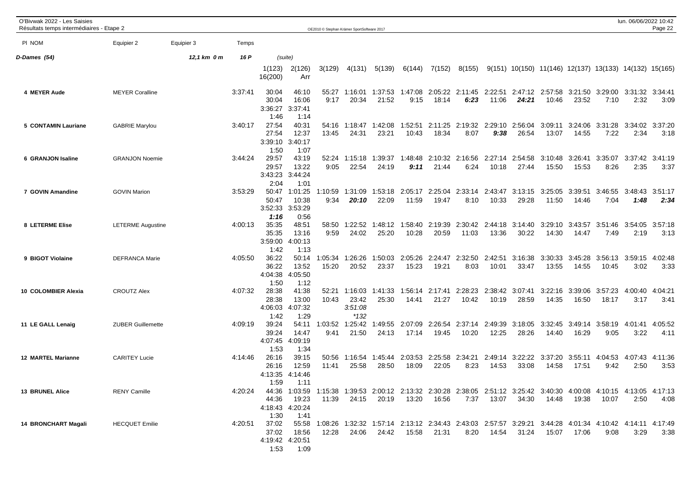| O'Bivwak 2022 - Les Saisies<br>Résultats temps intermédiaires - Etape 2 |                          |             |         |                                                                                                                                                |                                             |                  | OE2010 © Stephan Krämer SportSoftware 2017 |                                                                                                                                      |                                                 |                  |                         |                    |                  |                                                          |                  |                          | lun. 06/06/2022 10:42 | Page 22         |
|-------------------------------------------------------------------------|--------------------------|-------------|---------|------------------------------------------------------------------------------------------------------------------------------------------------|---------------------------------------------|------------------|--------------------------------------------|--------------------------------------------------------------------------------------------------------------------------------------|-------------------------------------------------|------------------|-------------------------|--------------------|------------------|----------------------------------------------------------|------------------|--------------------------|-----------------------|-----------------|
| PI NOM                                                                  | Equipier 2               | Equipier 3  | Temps   |                                                                                                                                                |                                             |                  |                                            |                                                                                                                                      |                                                 |                  |                         |                    |                  |                                                          |                  |                          |                       |                 |
| D-Dames (54)                                                            |                          | 12,1 km 0 m | 16 P    |                                                                                                                                                | (suite)                                     |                  |                                            |                                                                                                                                      |                                                 |                  |                         |                    |                  |                                                          |                  |                          |                       |                 |
|                                                                         |                          |             |         | 1(123)<br>16(200)                                                                                                                              | 2(126)<br>Arr                               | 3(129)           | 4(131)                                     | 5(139)                                                                                                                               | 6(144)                                          | 7(152)           | 8(155)                  |                    |                  | $9(151)$ 10(150) 11(146) 12(137) 13(133) 14(132) 15(165) |                  |                          |                       |                 |
| 4 MEYER Aude                                                            | <b>MEYER Coralline</b>   |             | 3:37:41 | 30:04<br>30:04<br>3:36:27<br>1:46                                                                                                              | 46:10<br>16:06<br>3:37:41<br>1:14           | 55:27<br>9:17    | 1:16:01<br>20:34                           | 21:52                                                                                                                                | 1:37:53 1:47:08 2:05:22 2:11:45 2:22:51<br>9:15 | 18:14            | 6:23                    | 11:06              | 24:21            | 2:47:12 2:57:58 3:21:50 3:29:00 3:31:32<br>10:46         | 23:52            | 7:10                     | 2:32                  | 3:34:41<br>3:09 |
| 5 CONTAMIN Lauriane                                                     | <b>GABRIE Marylou</b>    |             | 3:40:17 | 27:54<br>27:54<br>3:39:10<br>1:50                                                                                                              | 40:31<br>12:37<br>3:40:17<br>1:07           | 54:16<br>13:45   | 1:18:47<br>24:31                           | 1:42:08<br>23:21                                                                                                                     | 1:52:51<br>10:43                                | 2:11:25<br>18:34 | 2:19:32<br>8:07         | 2:29:10<br>9:38    | 2:56:04<br>26:54 | 3:09:11<br>13:07                                         | 3:24:06<br>14:55 | 3:31:28<br>7:22          | 3:34:02<br>2:34       | 3:37:20<br>3:18 |
| 6 GRANJON Isaline                                                       | <b>GRANJON Noemie</b>    |             | 3:44:24 | 29:57<br>29:57<br>3:43:23<br>2:04                                                                                                              | 43:19<br>13:22<br>3:44:24<br>1:01           | 52:24<br>9:05    | 1:15:18<br>22:54                           | 1:39:37<br>24:19                                                                                                                     | 1:48:48<br>9:11                                 | 2:10:32<br>21:44 | 2:16:56<br>6:24         | 2:27:14<br>10:18   | 2:54:58<br>27:44 | 3:10:48<br>15:50                                         | 3:26:41<br>15:53 | 3:35:07<br>8:26          | 3:37:42<br>2:35       | 3:41:19<br>3:37 |
| 7 GOVIN Amandine                                                        | <b>GOVIN Marion</b>      |             | 3:53:29 | 50:47<br>50:47<br>3:52:33<br>1:16                                                                                                              | 1:01:25<br>10:38<br>3:53:29<br>0:56         | 1:10:59<br>9:34  | 1:31:09<br>20:10                           | 1:53:18<br>22:09                                                                                                                     | 2:05:17<br>11:59                                | 19:47            | 2:25:04 2:33:14<br>8:10 | 2:43:47<br>10:33   | 3:13:15<br>29:28 | 3:25:05<br>11:50                                         | 3:39:51<br>14:46 | 3:46:55<br>7:04          | 3:48:43<br>1:48       | 3:51:17<br>2:34 |
| 8 LETERME Elise                                                         | <b>LETERME Augustine</b> |             | 4:00:13 | 35:35<br>35:35<br>3:59:00<br>1:42                                                                                                              | 48:51<br>13:16<br>4:00:13<br>1:13           | 58:50<br>9:59    | 1:22:52<br>24:02                           | 1:48:12<br>25:20                                                                                                                     | 1:58:40<br>10:28                                | 2:19:39<br>20:59 | 2:30:42<br>11:03        | 2:44:18<br>13:36   | 3:14:40<br>30:22 | 3:29:10<br>14:30                                         | 3:43:57<br>14:47 | 3:51:46<br>7:49          | 3:54:05<br>2:19       | 3:57:18<br>3:13 |
| 9 BIGOT Violaine                                                        | <b>DEFRANCA Marie</b>    |             | 4:05:50 | 36:22<br>36:22<br>4:04:38<br>1:50                                                                                                              | 50:14<br>13:52<br>4:05:50<br>1:12           | 1:05:34<br>15:20 | 1:26:26<br>20:52                           | 1:50:03<br>23:37                                                                                                                     | 2:05:26<br>15:23                                | 2:24:47<br>19:21 | 2:32:50<br>8:03         | 2:42:51<br>10:01   | 3:16:38<br>33:47 | 3:30:33<br>13:55                                         | 3:45:28<br>14:55 | 3:56:13 3:59:15<br>10:45 | 3:02                  | 4:02:48<br>3:33 |
| 10 COLOMBIER Alexia                                                     | <b>CROUTZ Alex</b>       |             | 4:07:32 | 28:38<br>28:38<br>4:06:03<br>1:42                                                                                                              | 41:38<br>13:00<br>4:07:32<br>1:29           | 10:43            | 52:21 1:16:03<br>23:42<br>3:51:08<br>*132  | 1:41:33<br>25:30                                                                                                                     | 1:56:14<br>14:41                                | 2:17:41<br>21:27 | 2:28:23<br>10:42        | 2:38:42<br>10:19   | 3:07:41<br>28:59 | 3:22:16<br>14:35                                         | 3:39:06<br>16:50 | 3:57:23<br>18:17         | 4:00:40<br>3:17       | 4:04:21<br>3:41 |
| 11 LE GALL Lenaig                                                       | <b>ZUBER Guillemette</b> |             | 4:09:19 | 39:24<br>39:24<br>4:07:45<br>1:53                                                                                                              | 54:11<br>14:47<br>4:09:19<br>1:34           | 1:03:52<br>9:41  | 1:25:42<br>21:50                           | 1:49:55<br>24:13                                                                                                                     | 2:07:09<br>17:14                                | 2:26:54<br>19:45 | 2:37:14<br>10:20        | 2:49:39<br>12:25   | 3:18:05<br>28:26 | 3:32:45<br>14:40                                         | 16:29            | 3:49:14 3:58:19<br>9:05  | 4:01:41<br>3:22       | 4:05:52<br>4:11 |
| <b>12 MARTEL Marianne</b>                                               | <b>CARITEY Lucie</b>     |             | 4:14:46 | 26:16<br>26:16<br>4:13:35<br>1:59                                                                                                              | 39:15<br>12:59<br>4:14:46<br>1:11           | 50:56<br>11:41   | 1:16:54<br>25:58                           | 1:45:44<br>28:50                                                                                                                     | 2:03:53<br>18:09                                | 2:25:58<br>22:05 | 2:34:21<br>8:23         | 2:49:14<br>14:53   | 3:22:22<br>33:08 | 3:37:20<br>14:58                                         | 17:51            | 3:55:11 4:04:53<br>9:42  | 4:07:43<br>2:50       | 4:11:36<br>3:53 |
| <b>13 BRUNEL Alice</b>                                                  | <b>RENY Camille</b>      |             |         | 4:20:24 44:36 1:03:59 1:15:38 1:39:53 2:00:12 2:13:32 2:30:28 2:38:05 2:51:12 3:25:42 3:40:30 4:00:08 4:10:15 4:13:05 4:17:13<br>44:36<br>1:30 | 19:23<br>4:18:43 4:20:24<br>1:41            | 11:39            | 24:15                                      | 20:19                                                                                                                                |                                                 |                  |                         | 7:37  13:07  34:30 |                  | 14:48                                                    | 19:38            | 10:07                    | 2:50                  | 4:08            |
| <b>14 BRONCHART Magali</b>                                              | <b>HECQUET Emilie</b>    |             | 4:20:51 | 37:02                                                                                                                                          | 37:02 18:56<br>4:19:42 4:20:51<br>1:53 1:09 | 12:28            | 24:06                                      | 55:58 1:08:26 1:32:32 1:57:14 2:13:12 2:34:43 2:43:03 2:57:57 3:29:21 3:44:28 4:01:34 4:10:42 4:14:11 4:17:49<br>24:42  15:58  21:31 |                                                 |                  |                         | 8:20  14:54  31:24 |                  |                                                          | 15:07  17:06     | 9:08                     | 3:29                  | 3:38            |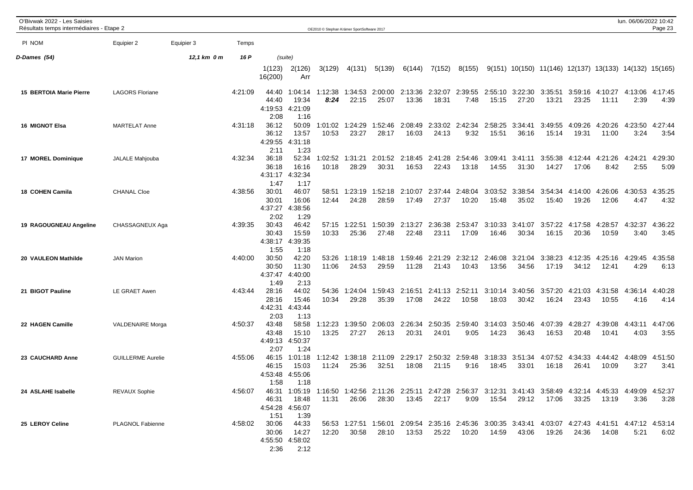| O'Bivwak 2022 - Les Saisies<br>Résultats temps intermédiaires - Etape 2 |                          |             |         |                                   |                                           | OE2010 © Stephan Krämer SportSoftware 2017 |                  |                                                                                                                                |                  |                  |                          |                                          |                  |                                                        |                  |                                  | lun. 06/06/2022 10:42   | Page 23         |
|-------------------------------------------------------------------------|--------------------------|-------------|---------|-----------------------------------|-------------------------------------------|--------------------------------------------|------------------|--------------------------------------------------------------------------------------------------------------------------------|------------------|------------------|--------------------------|------------------------------------------|------------------|--------------------------------------------------------|------------------|----------------------------------|-------------------------|-----------------|
| PI NOM                                                                  | Equipier 2               | Equipier 3  | Temps   |                                   |                                           |                                            |                  |                                                                                                                                |                  |                  |                          |                                          |                  |                                                        |                  |                                  |                         |                 |
| D-Dames (54)                                                            |                          | 12,1 km 0 m | 16 P    |                                   | (suite)                                   |                                            |                  |                                                                                                                                |                  |                  |                          |                                          |                  |                                                        |                  |                                  |                         |                 |
|                                                                         |                          |             |         | 1(123)<br>16(200)                 | 2(126)<br>Arr                             | 3(129)                                     | 4(131)           | 5(139)                                                                                                                         | 6(144)           | 7(152)           | 8(155)                   |                                          |                  | 9(151) 10(150) 11(146) 12(137) 13(133) 14(132) 15(165) |                  |                                  |                         |                 |
| <b>15 BERTOIA Marie Pierre</b>                                          | <b>LAGORS Floriane</b>   |             | 4:21:09 | 44:40<br>44:40<br>4:19:53<br>2:08 | 1:04:14<br>19:34<br>4:21:09<br>1:16       | 1:12:38<br>8:24                            | 1:34:53<br>22:15 | 2:00:00<br>25:07                                                                                                               | 13:36            | 18:31            | 7:48                     | 2:13:36 2:32:07 2:39:55 2:55:10<br>15:15 | 3:22:30<br>27:20 | 3:35:51<br>13:21                                       | 23:25            | 3:59:16 4:10:27<br>11:11         | 4:13:06 4:17:45<br>2:39 | 4:39            |
| <b>16 MIGNOT Elsa</b>                                                   | <b>MARTELAT Anne</b>     |             | 4:31:18 | 36:12<br>36:12<br>4:29:55<br>2:11 | 50:09<br>13:57<br>4:31:18<br>1:23         | 1:01:02<br>10:53                           | 1:24:29<br>23:27 | 1:52:46<br>28:17                                                                                                               | 2:08:49<br>16:03 | 2:33:02<br>24:13 | 2:42:34<br>9:32          | 2:58:25<br>15:51                         | 3:34:41<br>36:16 | 3:49:55<br>15:14                                       | 4:09:26<br>19:31 | 4:20:26<br>11:00                 | 4:23:50<br>3:24         | 4:27:44<br>3:54 |
| 17 MOREL Dominique                                                      | JALALE Mahjouba          |             | 4:32:34 | 36:18<br>36:18<br>4:31:17<br>1:47 | 52:34<br>16:16<br>4:32:34<br>1:17         | 1:02:52<br>10:18                           | 1:31:21<br>28:29 | 2:01:52<br>30:31                                                                                                               | 2:18:45<br>16:53 | 2:41:28<br>22:43 | 2:54:46<br>13:18         | 3:09:41<br>14:55                         | 3:41:11<br>31:30 | 3:55:38<br>14:27                                       | 17:06            | 4:12:44   4:21:26<br>8:42        | 4:24:21<br>2:55         | 4:29:30<br>5:09 |
| 18 COHEN Camila                                                         | <b>CHANAL Cloe</b>       |             | 4:38:56 | 30:01<br>30:01<br>4:37:27<br>2:02 | 46:07<br>16:06<br>4:38:56<br>1:29         | 58:51<br>12:44                             | 1:23:19<br>24:28 | 1:52:18<br>28:59                                                                                                               | 2:10:07<br>17:49 | 2:37:44<br>27:37 | 2:48:04<br>10:20         | 3:03:52<br>15:48                         | 3:38:54<br>35:02 | 3:54:34<br>15:40                                       | 4:14:00<br>19:26 | 4:26:06<br>12:06                 | 4:30:53<br>4:47         | 4:35:25<br>4:32 |
| 19 RAGOUGNEAU Angeline                                                  | CHASSAGNEUX Aga          |             | 4:39:35 | 30:43<br>30:43<br>4:38:17<br>1:55 | 46:42<br>15:59<br>4:39:35<br>1:18         | 57:15<br>10:33                             | 1:22:51<br>25:36 | 1:50:39<br>27:48                                                                                                               | 2:13:27<br>22:48 | 2:36:38<br>23:11 | 2:53:47<br>17:09         | 3:10:33<br>16:46                         | 3:41:07<br>30:34 | 3:57:22<br>16:15                                       | 4:17:58<br>20:36 | 4:28:57<br>10:59                 | 4:32:37<br>3:40         | 4:36:22<br>3:45 |
| 20 VAULEON Mathilde                                                     | <b>JAN Marion</b>        |             | 4:40:00 | 30:50<br>30:50<br>4:37:47<br>1:49 | 42:20<br>11:30<br>4:40:00<br>2:13         | 53:26<br>11:06                             | 1:18:19<br>24:53 | 1:48:18<br>29:59                                                                                                               | 1:59:46<br>11:28 | 2:21:29<br>21:43 | 10:43                    | 2:32:12 2:46:08<br>13:56                 | 3:21:04<br>34:56 | 3:38:23<br>17:19                                       | 4:12:35<br>34:12 | 4:25:16<br>12:41                 | 4:29:45<br>4:29         | 4:35:58<br>6:13 |
| 21 BIGOT Pauline                                                        | LE GRAET Awen            |             | 4:43:44 | 28:16<br>28:16<br>4:42:31<br>2:03 | 44:02<br>15:46<br>4:43:44<br>1:13         | 54:36<br>10:34                             | 1:24:04<br>29:28 | 1:59:43<br>35:39                                                                                                               | 2:16:51<br>17:08 | 24:22            | 2:41:13 2:52:11<br>10:58 | 3:10:14<br>18:03                         | 3:40:56<br>30:42 | 3:57:20<br>16:24                                       | 4:21:03<br>23:43 | 4:31:58<br>10:55                 | 4:36:14<br>4:16         | 4:40:28<br>4:14 |
| 22 HAGEN Camille                                                        | <b>VALDENAIRE Morga</b>  |             | 4:50:37 | 43:48<br>43:48<br>4:49:13<br>2:07 | 58:58<br>15:10<br>4:50:37<br>1:24         | 1:12:23<br>13:25                           | 1:39:50<br>27:27 | 2:06:03<br>26:13                                                                                                               | 2:26:34<br>20:31 | 2:50:35<br>24:01 | 2:59:40<br>9:05          | 3:14:03<br>14:23                         | 3:50:46<br>36:43 | 4:07:39<br>16:53                                       | 4:28:27<br>20:48 | 4:39:08<br>10:41                 | 4:43:11<br>4:03         | 4:47:06<br>3:55 |
| 23 CAUCHARD Anne                                                        | <b>GUILLERME Aurelie</b> |             | 4:55:06 | 46:15<br>46:15<br>4:53:48<br>1:58 | 1:01:18<br>15:03<br>4:55:06<br>1:18       | 1:12:42<br>11:24                           | 1:38:18<br>25:36 | 2:11:09<br>32:51                                                                                                               | 2:29:17<br>18:08 | 21:15            | 2:50:32 2:59:48<br>9:16  | 3:18:33<br>18:45                         | 3:51:34<br>33:01 | 4:07:52<br>16:18                                       | 26:41            | 4:34:33 4:44:42 4:48:09<br>10:09 | 3:27                    | 4:51:50<br>3:41 |
| 24 ASLAHE Isabelle                                                      | <b>REVAUX Sophie</b>     |             | 4:56:07 | 46:31<br>1:51                     | 18:48<br>4:54:28 4:56:07<br>1:39          | 11:31                                      | 26:06            | 46:31 1:05:19 1:16:50 1:42:56 2:11:26 2:25:11 2:47:28 2:56:37 3:12:31 3:41:43 3:58:49 4:32:14 4:45:33 4:49:09 4:52:37<br>28:30 | 13:45            | 22:17            | 9:09                     | 15:54                                    | 29:12            | 17:06                                                  | 33:25            | 13:19                            | 3:36                    | 3:28            |
| 25 LEROY Celine                                                         | PLAGNOL Fabienne         |             | 4:58:02 | 30:06<br>30:06<br>2:36            | 44:33<br>14:27<br>4:55:50 4:58:02<br>2:12 | 12:20                                      | 30:58            | 56:53 1:27:51 1:56:01 2:09:54 2:35:16 2:45:36 3:00:35 3:43:41 4:03:07 4:27:43 4:41:51 4:47:12 4:53:14<br>28:10                 | 13:53            | 25:22            | 10:20                    | 14:59                                    | 43:06            | 19:26                                                  | 24:36            | 14:08                            | 5:21                    | 6:02            |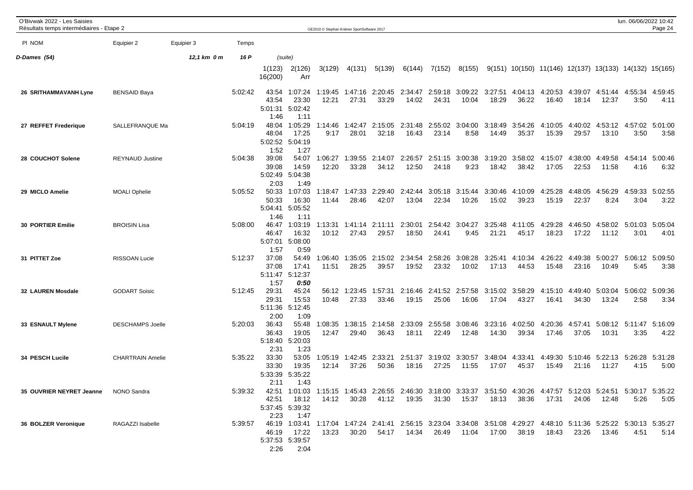| O'Bivwak 2022 - Les Saisies<br>Résultats temps intermédiaires - Etape 2 |                         |             |         |                                   |                                             | OE2010 C Stephan Krämer SportSoftware 2017 |                          |                                                                                                                                |                          |                  |                          |                  |                  |                                                          |                  |                                  | lun. 06/06/2022 10:42           | Page 24         |
|-------------------------------------------------------------------------|-------------------------|-------------|---------|-----------------------------------|---------------------------------------------|--------------------------------------------|--------------------------|--------------------------------------------------------------------------------------------------------------------------------|--------------------------|------------------|--------------------------|------------------|------------------|----------------------------------------------------------|------------------|----------------------------------|---------------------------------|-----------------|
| PI NOM                                                                  | Equipier 2              | Equipier 3  | Temps   |                                   |                                             |                                            |                          |                                                                                                                                |                          |                  |                          |                  |                  |                                                          |                  |                                  |                                 |                 |
| D-Dames (54)                                                            |                         | 12,1 km 0 m | 16 P    |                                   | (suite)                                     |                                            |                          |                                                                                                                                |                          |                  |                          |                  |                  |                                                          |                  |                                  |                                 |                 |
|                                                                         |                         |             |         | 1(123)<br>16(200)                 | 2(126)<br>Arr                               | 3(129)                                     | 4(131)                   | 5(139)                                                                                                                         | 6(144)                   | 7(152)           | 8(155)                   |                  |                  | $9(151)$ 10(150) 11(146) 12(137) 13(133) 14(132) 15(165) |                  |                                  |                                 |                 |
| 26 SRITHAMMAVANH Lyne                                                   | <b>BENSAID Baya</b>     |             | 5:02:42 | 43:54<br>5:01:31<br>1:46          | 43:54 1:07:24<br>23:30<br>5:02:42<br>1:11   | 12:21                                      | 1:19:45 1:47:16<br>27:31 | 33:29                                                                                                                          | 2:20:45 2:34:47<br>14:02 | 24:31            | 2:59:18 3:09:22<br>10:04 | 3:27:51<br>18:29 | 36:22            | 4:04:13 4:20:53<br>16:40                                 | 4:39:07<br>18:14 | 4:51:44<br>12:37                 | 4:55:34<br>3:50                 | 4:59:45<br>4:11 |
| 27 REFFET Frederique                                                    | SALLEFRANQUE Ma         |             | 5:04:19 | 48:04<br>48:04<br>1:52            | 1:05:29<br>17:25<br>5:02:52 5:04:19<br>1:27 | 1:14:46<br>9:17                            | 1:42:47<br>28:01         | 2:15:05<br>32:18                                                                                                               | 2:31:48<br>16:43         | 2:55:02<br>23:14 | 3:04:00<br>8:58          | 3:18:49<br>14:49 | 3:54:26<br>35:37 | 4:10:05<br>15:39                                         | 4:40:02<br>29:57 | 4:53:12<br>13:10                 | 4:57:02<br>3:50                 | 5:01:00<br>3:58 |
| 28 COUCHOT Solene                                                       | <b>REYNAUD Justine</b>  |             | 5:04:38 | 39:08<br>39:08<br>2:03            | 54:07<br>14:59<br>5:02:49 5:04:38<br>1:49   | 1:06:27<br>12:20                           | 1:39:55<br>33:28         | 2:14:07<br>34:12                                                                                                               | 2:26:57<br>12:50         | 2:51:15<br>24:18 | 3:00:38<br>9:23          | 3:19:20<br>18:42 | 3:58:02<br>38:42 | 4:15:07<br>17:05                                         | 4:38:00<br>22:53 | 4:49:58<br>11:58                 | 4:54:14<br>4:16                 | 5:00:46<br>6:32 |
| 29 MICLO Amelie                                                         | <b>MOALI Ophelie</b>    |             | 5:05:52 | 50:33<br>50:33<br>5:04:41<br>1:46 | 1:07:03<br>16:30<br>5:05:52<br>1:11         | 1:18:47<br>11:44                           | 1:47:33<br>28:46         | 2:29:40<br>42:07                                                                                                               | 2:42:44<br>13:04         | 22:34            | 3:05:18 3:15:44<br>10:26 | 3:30:46<br>15:02 | 4:10:09<br>39:23 | 4:25:28<br>15:19                                         | 4:48:05<br>22:37 | 4:56:29<br>8:24                  | 4:59:33<br>3:04                 | 5:02:55<br>3:22 |
| <b>30 PORTIER Emilie</b>                                                | <b>BROISIN Lisa</b>     |             | 5:08:00 | 46:47<br>46:47<br>5:07:01<br>1:57 | 1:03:19<br>16:32<br>5:08:00<br>0:59         | 1:13:31<br>10:12                           | 1:41:14<br>27:43         | 2:11:11<br>29:57                                                                                                               | 2:30:01<br>18:50         | 24:41            | 2:54:42 3:04:27<br>9:45  | 3:25:48<br>21:21 | 4:11:05<br>45:17 | 4:29:28<br>18:23                                         | 4:46:50<br>17:22 | 4:58:02<br>11:12                 | 5:01:03<br>3:01                 | 5:05:04<br>4:01 |
| 31 PITTET Zoe                                                           | <b>RISSOAN Lucie</b>    |             | 5:12:37 | 37:08<br>37:08<br>5:11:47<br>1:57 | 54:49<br>17:41<br>5:12:37<br>0:50           | 1:06:40<br>11:51                           | 1:35:05<br>28:25         | 2:15:02<br>39:57                                                                                                               | 2:34:54<br>19:52         | 2:58:26<br>23:32 | 3:08:28<br>10:02         | 3:25:41<br>17:13 | 4:10:34<br>44:53 | 4:26:22<br>15:48                                         | 4:49:38<br>23:16 | 5:00:27<br>10:49                 | 5:06:12<br>5:45                 | 5:09:50<br>3:38 |
| <b>32 LAUREN Mosdale</b>                                                | <b>GODART Soisic</b>    |             | 5:12:45 | 29:31<br>29:31<br>2:00            | 45:24<br>15:53<br>5:11:36 5:12:45<br>1:09   | 56:12<br>10:48                             | 1:23:45<br>27:33         | 1:57:31<br>33:46                                                                                                               | 2:16:46<br>19:15         | 2:41:52<br>25:06 | 2:57:58<br>16:06         | 3:15:02<br>17:04 | 3:58:29<br>43:27 | 4:15:10<br>16:41                                         | 4:49:40<br>34:30 | 5:03:04<br>13:24                 | 5:06:02<br>2:58                 | 5:09:36<br>3:34 |
| 33 ESNAULT Mylene                                                       | <b>DESCHAMPS Joelle</b> |             | 5:20:03 | 36:43<br>36:43<br>5:18:40<br>2:31 | 55:48<br>19:05<br>5:20:03<br>1:23           | 1:08:35<br>12:47                           | 1:38:15<br>29:40         | 2:14:58<br>36:43                                                                                                               | 2:33:09<br>18:11         | 2:55:58<br>22:49 | 3:08:46<br>12:48         | 3:23:16<br>14:30 | 4:02:50<br>39:34 | 4:20:36<br>17:46                                         | 4:57:41<br>37:05 | 10:31                            | 5:08:12 5:11:47 5:16:09<br>3:35 | 4:22            |
| 34 PESCH Lucile                                                         | <b>CHARTRAIN Amelie</b> |             | 5:35:22 | 33:30<br>33:30<br>5:33:39<br>2:11 | 53:05<br>19:35<br>5:35:22<br>1:43           | 1:05:19<br>12:14                           | 1:42:45<br>37:26         | 2:33:21<br>50:36                                                                                                               | 2:51:37<br>18:16         | 27:25            | 3:19:02 3:30:57<br>11:55 | 3:48:04<br>17:07 | 4:33:41<br>45:37 | 4:49:30<br>15:49                                         | 21:16            | 5:10:46 5:22:13 5:26:28<br>11:27 | 4:15                            | 5:31:28<br>5:00 |
| 35 OUVRIER NEYRET Jeanne NONO Sandra                                    |                         |             | 5:39:32 | 2:23                              | 42:51 18:12<br>5:37:45 5:39:32<br>1:47      | 14:12                                      | 30:28                    | 42:51 1:01:03 1:15:15 1:45:43 2:26:55 2:46:30 3:18:00 3:33:37 3:51:50 4:30:26 4:47:57 5:12:03 5:24:51 5:30:17 5:35:22<br>41:12 | 19:35                    |                  | 31:30 15:37              |                  | 18:13 38:36      | 17:31                                                    | 24:06            | 12:48                            | 5:26                            | 5:05            |
| 36 BOLZER Veronique                                                     | RAGAZZI Isabelle        |             | 5:39:57 | 46:19<br>2:26                     | 17:22<br>5:37:53 5:39:57<br>2:04            | 13:23                                      | 30:20                    | 46:19 1:03:41 1:17:04 1:47:24 2:41:41 2:56:15 3:23:04 3:34:08 3:51:08 4:29:27 4:48:10 5:11:36 5:25:22 5:30:13 5:35:27          | 54:17  14:34             |                  | 26:49 11:04              |                  | 17:00 38:19      | 18:43                                                    | 23:26            | 13:46                            | 4:51                            | 5:14            |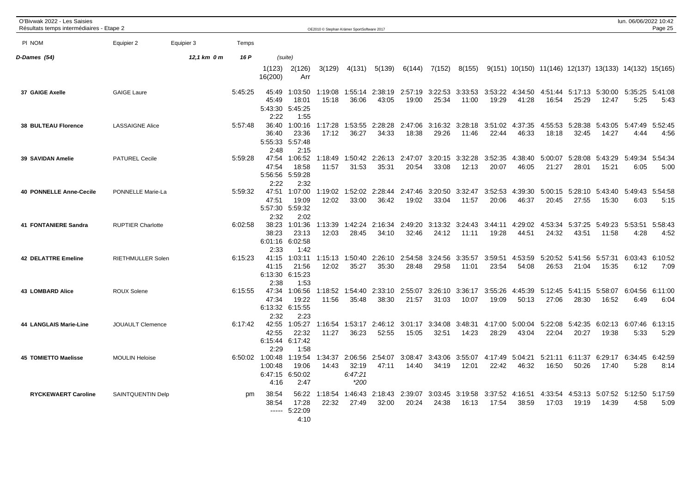| O'Bivwak 2022 - Les Saisies<br>Résultats temps intermédiaires - Etape 2 |                          |             |         |                                               |                                             | OE2010 © Stephan Krämer SportSoftware 2017 |                                       |                  |                  |                  |                          |                  |                  |                  |                  |                  | lun. 06/06/2022 10:42                                                | Page 25         |
|-------------------------------------------------------------------------|--------------------------|-------------|---------|-----------------------------------------------|---------------------------------------------|--------------------------------------------|---------------------------------------|------------------|------------------|------------------|--------------------------|------------------|------------------|------------------|------------------|------------------|----------------------------------------------------------------------|-----------------|
| PI NOM                                                                  | Equipier 2               | Equipier 3  | Temps   |                                               |                                             |                                            |                                       |                  |                  |                  |                          |                  |                  |                  |                  |                  |                                                                      |                 |
| D-Dames (54)                                                            |                          | 12,1 km 0 m | 16 P    |                                               | (suite)                                     |                                            |                                       |                  |                  |                  |                          |                  |                  |                  |                  |                  |                                                                      |                 |
|                                                                         |                          |             |         | 1(123)<br>16(200)                             | 2(126)<br>Arr                               | 3(129)                                     | 4(131)                                | 5(139)           | 6(144)           | 7(152)           | 8(155)                   |                  |                  |                  |                  |                  | $9(151)$ $10(150)$ $11(146)$ $12(137)$ $13(133)$ $14(132)$ $15(165)$ |                 |
| 37 GAIGE Axelle                                                         | <b>GAIGE Laure</b>       |             | 5:45:25 | 45:49<br>45:49<br>5:43:30<br>2:22             | 1:03:50<br>18:01<br>5:45:25<br>1:55         | 1:19:08<br>15:18                           | 1:55:14<br>36:06                      | 2:38:19<br>43:05 | 2:57:19<br>19:00 | 3:22:53<br>25:34 | 3:33:53<br>11:00         | 3:53:22<br>19:29 | 4:34:50<br>41:28 | 4:51:44<br>16:54 | 5:17:13<br>25:29 | 5:30:00<br>12:47 | 5:35:25<br>5:25                                                      | 5:41:08<br>5:43 |
| <b>38 BULTEAU Florence</b>                                              | <b>LASSAIGNE Alice</b>   |             | 5:57:48 | 36:40<br>36:40<br>5:55:33 5:57:48<br>2:48     | 1:00:16<br>23:36<br>2:15                    | 1:17:28<br>17:12                           | 1:53:55<br>36:27                      | 2:28:28<br>34:33 | 2:47:06<br>18:38 | 3:16:32<br>29:26 | 3:28:18<br>11:46         | 3:51:02<br>22:44 | 4:37:35<br>46:33 | 4:55:53<br>18:18 | 5:28:38<br>32:45 | 5:43:05<br>14:27 | 5:47:49<br>4:44                                                      | 5:52:45<br>4:56 |
| 39 SAVIDAN Amelie                                                       | <b>PATUREL Cecile</b>    |             | 5:59:28 | 47:54<br>47:54<br>2:22                        | 1:06:52<br>18:58<br>5:56:56 5:59:28<br>2:32 | 1:18:49<br>11:57                           | 1:50:42<br>31:53                      | 2:26:13<br>35:31 | 2:47:07<br>20:54 | 3:20:15<br>33:08 | 3:32:28<br>12:13         | 3:52:35<br>20:07 | 4:38:40<br>46:05 | 5:00:07<br>21:27 | 5:28:08<br>28:01 | 5:43:29<br>15:21 | 5:49:34<br>6:05                                                      | 5:54:34<br>5:00 |
| <b>40 PONNELLE Anne-Cecile</b>                                          | PONNELLE Marie-La        |             | 5:59:32 | 47:51<br>47:51<br>5:57:30 5:59:32<br>2:32     | 1:07:00<br>19:09<br>2:02                    | 1:19:02<br>12:02                           | 1:52:02<br>33:00                      | 2:28:44<br>36:42 | 2:47:46<br>19:02 | 3:20:50<br>33:04 | 3:32:47<br>11:57         | 3:52:53<br>20:06 | 4:39:30<br>46:37 | 5:00:15<br>20:45 | 5:28:10<br>27:55 | 5:43:40<br>15:30 | 5:49:43<br>6:03                                                      | 5:54:58<br>5:15 |
| <b>41 FONTANIERE Sandra</b>                                             | <b>RUPTIER Charlotte</b> |             | 6:02:58 | 38:23<br>38:23<br>6:01:16 6:02:58<br>2:33     | 1:01:36<br>23:13<br>1:42                    | 1:13:39<br>12:03                           | 1:42:24<br>28:45                      | 2:16:34<br>34:10 | 2:49:20<br>32:46 | 24:12            | 3:13:32 3:24:43<br>11:11 | 3:44:11<br>19:28 | 4:29:02<br>44:51 | 4:53:34<br>24:32 | 5:37:25<br>43:51 | 5:49:23<br>11:58 | 5:53:51<br>4:28                                                      | 5:58:43<br>4:52 |
| <b>42 DELATTRE Emeline</b>                                              | <b>RIETHMULLER Solen</b> |             | 6:15:23 | 41:15<br>41:15<br>6:13:30<br>2:38             | 1:03:11<br>21:56<br>6:15:23<br>1:53         | 1:15:13<br>12:02                           | 1:50:40<br>35:27                      | 2:26:10<br>35:30 | 2:54:58<br>28:48 | 3:24:56<br>29:58 | 3:35:57<br>11:01         | 3:59:51<br>23:54 | 4:53:59<br>54:08 | 5:20:52<br>26:53 | 5:41:56<br>21:04 | 5:57:31<br>15:35 | 6:03:43<br>6:12                                                      | 6:10:52<br>7:09 |
| 43 LOMBARD Alice                                                        | <b>ROUX Solene</b>       |             | 6:15:55 | 47:34<br>47:34<br>6:13:32<br>2:32             | 1:06:56<br>19:22<br>6:15:55<br>2:23         | 1:18:52<br>11:56                           | 1:54:40<br>35:48                      | 2:33:10<br>38:30 | 2:55:07<br>21:57 | 3:26:10<br>31:03 | 3:36:17<br>10:07         | 3:55:26<br>19:09 | 4:45:39<br>50:13 | 5:12:45<br>27:06 | 5:41:15<br>28:30 | 5:58:07<br>16:52 | 6:04:56<br>6:49                                                      | 6:11:00<br>6:04 |
| 44 LANGLAIS Marie-Line                                                  | <b>JOUAULT Clemence</b>  |             | 6:17:42 | 42:55<br>42:55<br>6:15:44<br>2:29             | 1:05:27<br>22:32<br>6:17:42<br>1:58         | 1:16:54<br>11:27                           | 1:53:17<br>36:23                      | 2:46:12<br>52:55 | 3:01:17<br>15:05 | 3:34:08<br>32:51 | 3:48:31<br>14:23         | 4:17:00<br>28:29 | 5:00:04<br>43:04 | 5:22:08<br>22:04 | 5:42:35<br>20:27 | 6:02:13<br>19:38 | 6:07:46<br>5:33                                                      | 6:13:15<br>5:29 |
| <b>45 TOMIETTO Maelisse</b>                                             | <b>MOULIN Heloise</b>    |             |         | 6:50:02 1:00:48<br>1:00:48<br>6:47:15<br>4:16 | 1:19:54<br>19:06<br>6:50:02<br>2:47         | 1:34:37<br>14:43                           | 2:06:56<br>32:19<br>6:47:21<br>$*200$ | 2:54:07<br>47:11 | 3:08:47<br>14:40 | 3:43:06<br>34:19 | 3:55:07<br>12:01         | 4:17:49<br>22:42 | 5:04:21<br>46:32 | 5:21:11<br>16:50 | 6:11:37<br>50:26 | 6:29:17<br>17:40 | 6:34:45<br>5:28                                                      | 6:42:59<br>8:14 |
| <b>RYCKEWAERT Caroline</b>                                              | SAINTQUENTIN Delp        |             | pm      | 38:54<br>38:54                                | 56:22<br>17:28<br>$--- 5:22:09$<br>4:10     | 1:18:54<br>22:32                           | 1:46:43<br>27:49                      | 2:18:43<br>32:00 | 2:39:07<br>20:24 | 3:03:45<br>24:38 | 3:19:58<br>16:13         | 3:37:52<br>17:54 | 4:16:51<br>38:59 | 4:33:54<br>17:03 | 4:53:13<br>19:19 | 14:39            | 5:07:52 5:12:50<br>4:58                                              | 5:17:59<br>5:09 |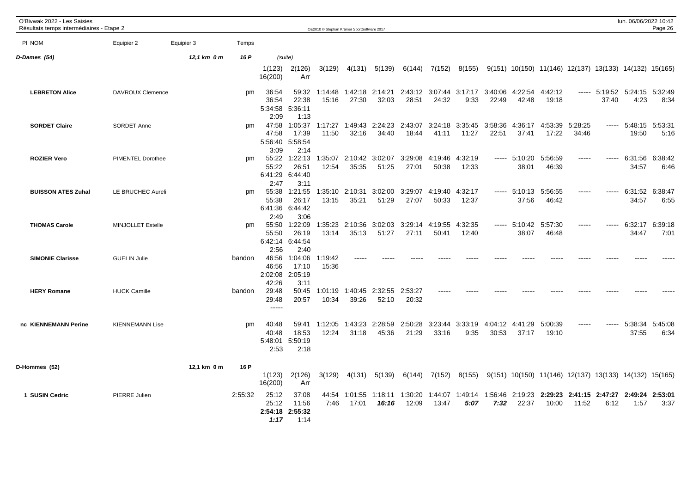| O'Bivwak 2022 - Les Saisies<br>Résultats temps intermédiaires - Etape 2 |                          |             |         |                               |                                             | OE2010 © Stephan Krämer SportSoftware 2017 |                  |                                  |                  |                          |                          |                  |                                  |                                                        |                  |                                                 | lun. 06/06/2022 10:42          | Page 26                 |
|-------------------------------------------------------------------------|--------------------------|-------------|---------|-------------------------------|---------------------------------------------|--------------------------------------------|------------------|----------------------------------|------------------|--------------------------|--------------------------|------------------|----------------------------------|--------------------------------------------------------|------------------|-------------------------------------------------|--------------------------------|-------------------------|
| PI NOM                                                                  | Equipier 2               | Equipier 3  | Temps   |                               |                                             |                                            |                  |                                  |                  |                          |                          |                  |                                  |                                                        |                  |                                                 |                                |                         |
| D-Dames (54)                                                            |                          | 12,1 km 0 m | 16 P    |                               | (suite)                                     |                                            |                  |                                  |                  |                          |                          |                  |                                  |                                                        |                  |                                                 |                                |                         |
|                                                                         |                          |             |         | 1(123)<br>16(200)             | 2(126)<br>Arr                               | 3(129)                                     | 4(131)           | 5(139)                           | 6(144)           | 7(152)                   | 8(155)                   |                  |                                  | 9(151) 10(150) 11(146) 12(137) 13(133) 14(132) 15(165) |                  |                                                 |                                |                         |
| <b>LEBRETON Alice</b>                                                   | <b>DAVROUX Clemence</b>  |             | pm      | 36:54<br>36:54<br>2:09        | 59:32<br>22:38<br>5:34:58 5:36:11<br>1:13   | 1:14:48<br>15:16                           | 27:30            | 1:42:18 2:14:21<br>32:03         | 28:51            | 2:43:12 3:07:44<br>24:32 | 3:17:17<br>9:33          | 3:40:06<br>22:49 | 4:22:54<br>42:48                 | 4:42:12<br>19:18                                       |                  | ----- 5:19:52 5:24:15 5:32:49<br>37:40          | 4:23                           | 8:34                    |
| <b>SORDET Claire</b>                                                    | SORDET Anne              |             | pm      | 47:58<br>47:58<br>3:09        | 1:05:37<br>17:39<br>5:56:40 5:58:54<br>2:14 | 1:17:27<br>11:50                           | 32:16            | 1:49:43 2:24:23 2:43:07<br>34:40 | 18:44            | 41:11                    | 3:24:18 3:35:45<br>11:27 | 3:58:36<br>22:51 | 4:36:17<br>37:41                 | 4:53:39<br>17:22                                       | 5:28:25<br>34:46 |                                                 | $--- 5:48:15 5:53:31$<br>19:50 | 5:16                    |
| <b>ROZIER Vero</b>                                                      | <b>PIMENTEL Dorothee</b> |             | pm      | 55:22<br>55:22<br>2:47        | 1:22:13<br>26:51<br>6:41:29 6:44:40<br>3:11 | 1:35:07<br>12:54                           | 2:10:42<br>35:35 | 3:02:07<br>51:25                 | 3:29:08<br>27:01 | 4:19:46<br>50:38         | 4:32:19<br>12:33         |                  | ----- 5:10:20<br>38:01           | 5:56:59<br>46:39                                       | $---$            | -----                                           | 34:57                          | 6:31:56 6:38:42<br>6:46 |
| <b>BUISSON ATES Zuhal</b>                                               | LE BRUCHEC Aureli        |             | pm      | 55:38<br>55:38<br>2:49        | 1:21:55<br>26:17<br>6:41:36 6:44:42<br>3:06 | 1:35:10<br>13:15                           | 2:10:31<br>35:21 | 3:02:00<br>51:29                 | 3:29:07<br>27:07 | 4:19:40<br>50:33         | 4:32:17<br>12:37         |                  | ----- 5:10:13<br>37:56           | 5:56:55<br>46:42                                       | -----            |                                                 | 6:31:52 6:38:47<br>34:57       | 6:55                    |
| <b>THOMAS Carole</b>                                                    | <b>MINJOLLET Estelle</b> |             | pm      | 55:50<br>55:50<br>2:56        | 1:22:09<br>26:19<br>6:42:14 6:44:54<br>2:40 | 1:35:23<br>13:14                           | 2:10:36<br>35:13 | 3:02:03<br>51:27                 | 3:29:14<br>27:11 | 4:19:55<br>50:41         | 4:32:35<br>12:40         |                  | ----- 5:10:42 5:57:30<br>38:07   | 46:48                                                  | -----            |                                                 | 6:32:17<br>34:47               | 6:39:18<br>7:01         |
| <b>SIMONIE Clarisse</b>                                                 | <b>GUELIN Julie</b>      |             | bandon  | 46:56<br>46:56<br>42:26       | 1:04:06<br>17:10<br>2:02:08 2:05:19<br>3:11 | 1:19:42<br>15:36                           |                  |                                  |                  |                          |                          |                  |                                  |                                                        |                  |                                                 |                                |                         |
| <b>HERY Romane</b>                                                      | <b>HUCK Camille</b>      |             | bandon  | 29:48<br>29:48<br>$- - - - -$ | 50:45<br>20:57                              | 1:01:19<br>10:34                           | 1:40:45<br>39:26 | 2:32:55<br>52:10                 | 2:53:27<br>20:32 |                          |                          |                  |                                  |                                                        |                  |                                                 |                                |                         |
| nc KIENNEMANN Perine                                                    | <b>KIENNEMANN Lise</b>   |             | pm      | 40:48<br>40:48<br>2:53        | 59:41<br>18:53<br>5:48:01 5:50:19<br>2:18   | 1:12:05<br>12:24                           | 1:43:23<br>31:18 | 2:28:59<br>45:36                 | 2:50:28<br>21:29 | 3:23:44<br>33:16         | 3:33:19<br>9:35          | 4:04:12<br>30:53 | 4:41:29<br>37:17                 | 5:00:39<br>19:10                                       | -----            |                                                 | 5:38:34<br>37:55               | 5:45:08<br>6:34         |
| D-Hommes (52)                                                           |                          | 12,1 km 0 m | 16 P    | 1(123)<br>16(200)             | 2(126)<br>Arr                               | 3(129)                                     | 4(131)           | 5(139)                           | 6(144)           | 7(152)                   | 8(155)                   |                  |                                  | 9(151) 10(150) 11(146) 12(137) 13(133) 14(132) 15(165) |                  |                                                 |                                |                         |
| 1 SUSIN Cedric                                                          | PIERRE Julien            |             | 2:55:32 | 25:12<br>25:12<br>1:17        | 37:08<br>11:56<br>2:54:18 2:55:32<br>1:14   | 44:54<br>7:46                              | 1:01:55<br>17:01 | 1:18:11<br>16:16                 | 1:30:20<br>12:09 | 1:44:07<br>13:47         | 5:07                     | 7:32             | 1:49:14 1:56:46 2:19:23<br>22:37 | 10:00                                                  | 11:52            | 2:29:23 2:41:15 2:47:27 2:49:24 2:53:01<br>6:12 | 1:57                           | 3:37                    |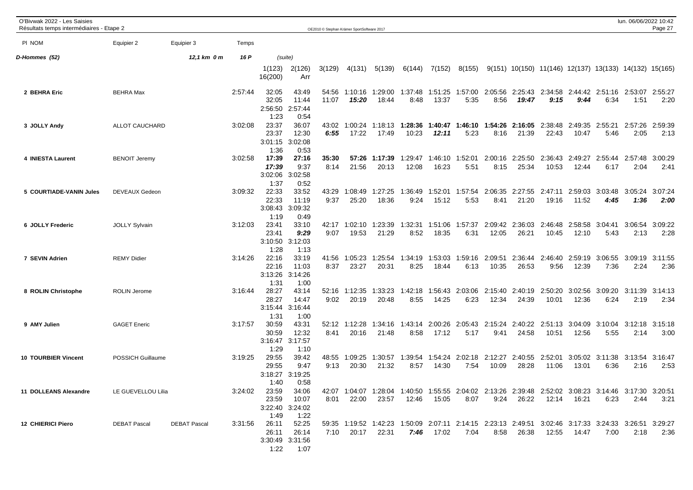| O'Bivwak 2022 - Les Saisies<br>Résultats temps intermédiaires - Etape 2 |                      |                     |         |                                   |                                           |                | OE2010 © Stephan Krämer SportSoftware 2017 |                                                                                                                |                  |                  |                         |                  |                  |                                                          |                  |                                 | lun. 06/06/2022 10:42 | Page 27         |
|-------------------------------------------------------------------------|----------------------|---------------------|---------|-----------------------------------|-------------------------------------------|----------------|--------------------------------------------|----------------------------------------------------------------------------------------------------------------|------------------|------------------|-------------------------|------------------|------------------|----------------------------------------------------------|------------------|---------------------------------|-----------------------|-----------------|
| PI NOM                                                                  | Equipier 2           | Equipier 3          | Temps   |                                   |                                           |                |                                            |                                                                                                                |                  |                  |                         |                  |                  |                                                          |                  |                                 |                       |                 |
| D-Hommes (52)                                                           |                      | 12,1 km 0 m         | 16 P    |                                   | (suite)                                   |                |                                            |                                                                                                                |                  |                  |                         |                  |                  |                                                          |                  |                                 |                       |                 |
|                                                                         |                      |                     |         | 1(123)<br>16(200)                 | 2(126)<br>Arr                             | 3(129)         | 4(131)                                     | 5(139)                                                                                                         | 6(144)           | 7(152)           | 8(155)                  |                  |                  | $9(151)$ 10(150) 11(146) 12(137) 13(133) 14(132) 15(165) |                  |                                 |                       |                 |
| 2 BEHRA Eric                                                            | <b>BEHRA Max</b>     |                     | 2:57:44 | 32:05<br>32:05<br>2:56:50<br>1:23 | 43:49<br>11:44<br>2:57:44<br>0:54         | 54:56<br>11:07 | 1:10:16<br>15:20                           | 1:29:00<br>18:44                                                                                               | 1:37:48<br>8:48  | 13:37            | 1:51:25 1:57:00<br>5:35 | 2:05:56<br>8:56  | 19:47            | 2:25:43 2:34:58 2:44:42 2:51:16 2:53:07<br>9:15          | 9:44             | 6:34                            | 1:51                  | 2:55:27<br>2:20 |
| 3 JOLLY Andy                                                            | ALLOT CAUCHARD       |                     | 3:02:08 | 23:37<br>23:37<br>3:01:15<br>1:36 | 36:07<br>12:30<br>3:02:08<br>0:53         | 43:02<br>6:55  | 1:00:24<br>17:22                           | 1:18:13<br>17:49                                                                                               | 1:28:36<br>10:23 | 1:40:47<br>12:11 | 1:46:10<br>5:23         | 1:54:26<br>8:16  | 2:16:05<br>21:39 | 2:38:48<br>22:43                                         | 2:49:35<br>10:47 | 2:55:21<br>5:46                 | 2:57:26<br>2:05       | 2:59:39<br>2:13 |
| 4 INIESTA Laurent                                                       | <b>BENOIT Jeremy</b> |                     | 3:02:58 | 17:39<br>17:39<br>3:02:06<br>1:37 | 27:16<br>9:37<br>3:02:58<br>0:52          | 35:30<br>8:14  | 57:26<br>21:56                             | 1:17:39<br>20:13                                                                                               | 1:29:47<br>12:08 | 1:46:10<br>16:23 | 1:52:01<br>5:51         | 2:00:16<br>8:15  | 2:25:50<br>25:34 | 2:36:43<br>10:53                                         | 2:49:27<br>12:44 | 2:55:44<br>6:17                 | 2:57:48<br>2:04       | 3:00:29<br>2:41 |
| 5 COURTIADE-VANIN Jules                                                 | DEVEAUX Gedeon       |                     | 3:09:32 | 22:33<br>22:33<br>3:08:43<br>1:19 | 33:52<br>11:19<br>3:09:32<br>0:49         | 43:29<br>9:37  | 1:08:49<br>25:20                           | 1:27:25<br>18:36                                                                                               | 1:36:49<br>9:24  | 1:52:01<br>15:12 | 1:57:54<br>5:53         | 2:06:35<br>8:41  | 21:20            | 2:27:55 2:47:11 2:59:03<br>19:16                         | 11:52            | 3:03:48<br>4:45                 | 3:05:24<br>1:36       | 3:07:24<br>2:00 |
| 6 JOLLY Frederic                                                        | <b>JOLLY Sylvain</b> |                     | 3:12:03 | 23:41<br>23:41<br>3:10:50<br>1:28 | 33:10<br>9:29<br>3:12:03<br>1:13          | 42:17<br>9:07  | 1:02:10<br>19:53                           | 1:23:39<br>21:29                                                                                               | 1:32:31<br>8:52  | 1:51:06<br>18:35 | 1:57:37<br>6:31         | 2:09:42<br>12:05 | 2:36:03<br>26:21 | 2:46:48<br>10:45                                         | 2:58:58<br>12:10 | 3:04:41<br>5:43                 | 3:06:54<br>2:13       | 3:09:22<br>2:28 |
| 7 SEVIN Adrien                                                          | <b>REMY Didier</b>   |                     | 3:14:26 | 22:16<br>22:16<br>3:13:26<br>1:31 | 33:19<br>11:03<br>3:14:26<br>1:00         | 41:56<br>8:37  | 1:05:23<br>23:27                           | 1:25:54<br>20:31                                                                                               | 1:34:19<br>8:25  | 1:53:03<br>18:44 | 1:59:16<br>6:13         | 2:09:51<br>10:35 | 2:36:44<br>26:53 | 2:46:40<br>9:56                                          | 2:59:19<br>12:39 | 3:06:55<br>7:36                 | 3:09:19<br>2:24       | 3:11:55<br>2:36 |
| 8 ROLIN Christophe                                                      | <b>ROLIN Jerome</b>  |                     | 3:16:44 | 28:27<br>28:27<br>3:15:44<br>1:31 | 43:14<br>14:47<br>3:16:44<br>1:00         | 52:16<br>9:02  | 1:12:35<br>20:19                           | 1:33:23<br>20:48                                                                                               | 1:42:18<br>8:55  | 1:56:43<br>14:25 | 2:03:06<br>6:23         | 2:15:40<br>12:34 | 2:40:19<br>24:39 | 2:50:20<br>10:01                                         | 3:02:56<br>12:36 | 3:09:20<br>6:24                 | 3:11:39<br>2:19       | 3:14:13<br>2:34 |
| 9 AMY Julien                                                            | <b>GAGET Eneric</b>  |                     | 3:17:57 | 30:59<br>30:59<br>3:16:47<br>1:29 | 43:31<br>12:32<br>3:17:57<br>1:10         | 52:12<br>8:41  | 1:12:28<br>20:16                           | 1:34:16<br>21:48                                                                                               | 1:43:14<br>8:58  | 2:00:26<br>17:12 | 2:05:43<br>5:17         | 2:15:24<br>9:41  | 2:40:22<br>24:58 | 2:51:13<br>10:51                                         | 3:04:09<br>12:56 | 3:10:04<br>5:55                 | 3:12:18<br>2:14       | 3:15:18<br>3:00 |
| <b>10 TOURBIER Vincent</b>                                              | POSSICH Guillaume    |                     | 3:19:25 | 29:55<br>29:55<br>3:18:27<br>1:40 | 39:42<br>9:47<br>3:19:25<br>0:58          | 48:55<br>9:13  | 1:09:25<br>20:30                           | 1:30:57<br>21:32                                                                                               | 1:39:54<br>8:57  | 14:30            | 1:54:24 2:02:18<br>7:54 | 2:12:27<br>10:09 | 2:40:55<br>28:28 | 2:52:01<br>11:06                                         | 13:01            | 3:05:02 3:11:38 3:13:54<br>6:36 | 2:16                  | 3:16:47<br>2:53 |
| 11 DOLLEANS Alexandre                                                   | LE GUEVELLOU Lilia   |                     | 3:24:02 | 23:59<br>23:59<br>1:49            | 34:06<br>10:07<br>3:22:40 3:24:02<br>1:22 | 8:01           | 22:00                                      | 42:07 1:04:07 1:28:04 1:40:50 1:55:55 2:04:02 2:13:26 2:39:48 2:52:02 3:08:23 3:14:46 3:17:30 3:20:51<br>23:57 | 12:46            | 15:05            | 8:07                    |                  | 9:24 26:22       | 12:14                                                    | 16:21            | 6:23                            | 2:44                  | 3:21            |
| <b>12 CHIERICI Piero</b>                                                | <b>DEBAT Pascal</b>  | <b>DEBAT Pascal</b> | 3:31:56 | 26:11<br>26:11<br>1:22            | 52:25<br>26:14<br>3:30:49 3:31:56<br>1:07 |                | 7:10 20:17                                 | 59:35 1:19:52 1:42:23 1:50:09 2:07:11 2:14:15 2:23:13 2:49:51 3:02:46 3:17:33 3:24:33 3:26:51 3:29:27<br>22:31 | 7:46             | 17:02            | 7:04                    |                  | 8:58 26:38       | 12:55                                                    | 14:47            | 7:00                            | 2:18                  | 2:36            |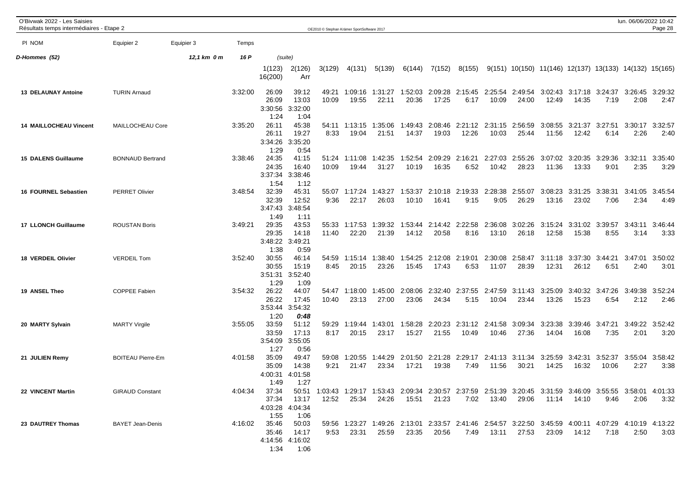| O'Bivwak 2022 - Les Saisies<br>Résultats temps intermédiaires - Etape 2 |                          |             |         |                                   |                                           |                | OE2010 © Stephan Krämer SportSoftware 2017 |                  |                  |                  |                                         |                          |                  |                  |                  |                         | lun. 06/06/2022 10:42                                                                                                 | Page 28         |
|-------------------------------------------------------------------------|--------------------------|-------------|---------|-----------------------------------|-------------------------------------------|----------------|--------------------------------------------|------------------|------------------|------------------|-----------------------------------------|--------------------------|------------------|------------------|------------------|-------------------------|-----------------------------------------------------------------------------------------------------------------------|-----------------|
| PI NOM                                                                  | Equipier 2               | Equipier 3  | Temps   |                                   |                                           |                |                                            |                  |                  |                  |                                         |                          |                  |                  |                  |                         |                                                                                                                       |                 |
| D-Hommes (52)                                                           |                          | 12,1 km 0 m | 16 P    |                                   | (suite)                                   |                |                                            |                  |                  |                  |                                         |                          |                  |                  |                  |                         |                                                                                                                       |                 |
|                                                                         |                          |             |         | 1(123)<br>16(200)                 | 2(126)<br>Arr                             | 3(129)         | 4(131)                                     | 5(139)           | 6(144)           | 7(152)           | 8(155)                                  |                          |                  |                  |                  |                         | 9(151) 10(150) 11(146) 12(137) 13(133) 14(132) 15(165)                                                                |                 |
| <b>13 DELAUNAY Antoine</b>                                              | <b>TURIN Arnaud</b>      |             | 3:32:00 | 26:09<br>26:09<br>3:30:56<br>1:24 | 39:12<br>13:03<br>3:32:00<br>1:04         | 49:21<br>10:09 | 1:09:16<br>19:55                           | 1:31:27<br>22:11 | 1:52:03<br>20:36 | 17:25            | 2:09:28 2:15:45 2:25:54 2:49:54<br>6:17 | 10:09                    | 24:00            | 12:49            | 14:35            | 7:19                    | 3:02:43 3:17:18 3:24:37 3:26:45<br>2:08                                                                               | 3:29:32<br>2:47 |
| <b>14 MAILLOCHEAU Vincent</b>                                           | MAILLOCHEAU Core         |             | 3:35:20 | 26:11<br>26:11<br>3:34:26<br>1:29 | 45:38<br>19:27<br>3:35:20<br>0:54         | 54:11<br>8:33  | 1:13:15<br>19:04                           | 1:35:06<br>21:51 | 1:49:43<br>14:37 | 2:08:46<br>19:03 | 12:26                                   | 2:21:12 2:31:15<br>10:03 | 2:56:59<br>25:44 | 3:08:55<br>11:56 | 3:21:37<br>12:42 | 3:27:51<br>6:14         | 3:30:17<br>2:26                                                                                                       | 3:32:57<br>2:40 |
| 15 DALENS Guillaume                                                     | <b>BONNAUD Bertrand</b>  |             | 3:38:46 | 24:35<br>24:35<br>3:37:34<br>1:54 | 41:15<br>16:40<br>3:38:46<br>1:12         | 51:24<br>10:09 | 1:11:08<br>19:44                           | 1:42:35<br>31:27 | 1:52:54<br>10:19 | 2:09:29<br>16:35 | 2:16:21<br>6:52                         | 2:27:03<br>10:42         | 2:55:26<br>28:23 | 3:07:02<br>11:36 | 3:20:35<br>13:33 | 3:29:36<br>9:01         | 3:32:11<br>2:35                                                                                                       | 3:35:40<br>3:29 |
| 16 FOURNEL Sebastien                                                    | <b>PERRET Olivier</b>    |             | 3:48:54 | 32:39<br>32:39<br>3:47:43<br>1:49 | 45:31<br>12:52<br>3:48:54<br>1:11         | 55:07<br>9:36  | 1:17:24<br>22:17                           | 1:43:27<br>26:03 | 1:53:37<br>10:10 | 16:41            | 2:10:18 2:19:33<br>9:15                 | 2:28:38<br>9:05          | 2:55:07<br>26:29 | 3:08:23<br>13:16 | 3:31:25<br>23:02 | 3:38:31<br>7:06         | 3:41:05<br>2:34                                                                                                       | 3:45:54<br>4:49 |
| <b>17 LLONCH Guillaume</b>                                              | <b>ROUSTAN Boris</b>     |             | 3:49:21 | 29:35<br>29:35<br>1:38            | 43:53<br>14:18<br>3:48:22 3:49:21<br>0:59 | 55:33<br>11:40 | 1:17:53<br>22:20                           | 1:39:32<br>21:39 | 1:53:44<br>14:12 | 2:14:42<br>20:58 | 2:22:58<br>8:16                         | 2:36:08<br>13:10         | 3:02:26<br>26:18 | 3:15:24<br>12:58 | 3:31:02<br>15:38 | 3:39:57<br>8:55         | 3:43:11<br>3:14                                                                                                       | 3:46:44<br>3:33 |
| 18 VERDEIL Olivier                                                      | <b>VERDEIL Tom</b>       |             | 3:52:40 | 30:55<br>30:55<br>1:29            | 46:14<br>15:19<br>3:51:31 3:52:40<br>1:09 | 54:59<br>8:45  | 1:15:14<br>20:15                           | 1:38:40<br>23:26 | 1:54:25<br>15:45 | 2:12:08<br>17:43 | 2:19:01<br>6:53                         | 2:30:08<br>11:07         | 2:58:47<br>28:39 | 3:11:18<br>12:31 | 3:37:30<br>26:12 | 3:44:21<br>6:51         | 3:47:01<br>2:40                                                                                                       | 3:50:02<br>3:01 |
| 19 ANSEL Theo                                                           | <b>COPPEE Fabien</b>     |             | 3:54:32 | 26:22<br>26:22<br>3:53:44<br>1:20 | 44:07<br>17:45<br>3:54:32<br>0:48         | 54:47<br>10:40 | 1:18:00<br>23:13                           | 1:45:00<br>27:00 | 2:08:06<br>23:06 | 2:32:40<br>24:34 | 2:37:55<br>5:15                         | 2:47:59<br>10:04         | 3:11:43<br>23:44 | 3:25:09<br>13:26 | 15:23            | 3:40:32 3:47:26<br>6:54 | 3:49:38<br>2:12                                                                                                       | 3:52:24<br>2:46 |
| 20 MARTY Sylvain                                                        | <b>MARTY Virgile</b>     |             | 3:55:05 | 33:59<br>33:59<br>3:54:09<br>1:27 | 51:12<br>17:13<br>3:55:05<br>0:56         | 59:29<br>8:17  | 1:19:44<br>20:15                           | 1:43:01<br>23:17 | 1:58:28<br>15:27 | 2:20:23<br>21:55 | 2:31:12<br>10:49                        | 2:41:58<br>10:46         | 3:09:34<br>27:36 | 3:23:38<br>14:04 | 3:39:46<br>16:08 | 3:47:21<br>7:35         | 3:49:22<br>2:01                                                                                                       | 3:52:42<br>3:20 |
| 21 JULIEN Remy                                                          | <b>BOITEAU Pierre-Em</b> |             | 4:01:58 | 35:09<br>35:09<br>4:00:31<br>1:49 | 49:47<br>14:38<br>4:01:58<br>1:27         | 59:08<br>9:21  | 1:20:55<br>21:47                           | 1:44:29<br>23:34 | 2:01:50<br>17:21 | 19:38            | 2:21:28 2:29:17<br>7:49                 | 2:41:13<br>11:56         | 3:11:34<br>30:21 | 3:25:59<br>14:25 | 3:42:31<br>16:32 | 3:52:37<br>10:06        | 3:55:04<br>2:27                                                                                                       | 3:58:42<br>3:38 |
| 22 VINCENT Martin                                                       | <b>GIRAUD Constant</b>   |             |         | 4:04:34 37:34<br>37:34<br>1:55    | 13:17<br>4:03:28 4:04:34<br>1:06          | 12:52          | 25:34                                      | 24:26            | 15:51            | 21:23            |                                         | 7:02  13:40  29:06       |                  |                  | 11:14  14:10     | 9:46                    | 50:51 1:03:43 1:29:17 1:53:43 2:09:34 2:30:57 2:37:59 2:51:39 3:20:45 3:31:59 3:46:09 3:55:55 3:58:01 4:01:33<br>2:06 | 3:32            |
| 23 DAUTREY Thomas                                                       | <b>BAYET Jean-Denis</b>  |             |         | 4:16:02 35:46<br>35:46<br>1:34    | 50:03<br>14:17<br>4:14:56 4:16:02<br>1:06 | 9:53           | 23:31                                      | 25:59            | 23:35            | 20:56            | 7:49                                    | 13:11                    | 27:53            | 23:09            | 14:12            | 7:18                    | 59:56 1:23:27 1:49:26 2:13:01 2:33:57 2:41:46 2:54:57 3:22:50 3:45:59 4:00:11 4:07:29 4:10:19 4:13:22<br>2:50         | 3:03            |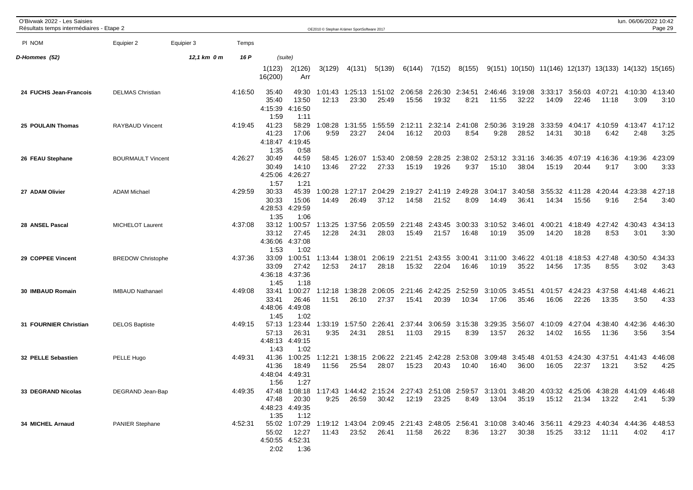| O'Bivwak 2022 - Les Saisies<br>Résultats temps intermédiaires - Etape 2 |                          |             |         |                                   |                                             |                  | OE2010 C Stephan Krämer SportSoftware 2017 |                                                                                                                                |                  |                  |                         |                  |                  |                  |                          |                  | lun. 06/06/2022 10:42                                    | Page 29         |
|-------------------------------------------------------------------------|--------------------------|-------------|---------|-----------------------------------|---------------------------------------------|------------------|--------------------------------------------|--------------------------------------------------------------------------------------------------------------------------------|------------------|------------------|-------------------------|------------------|------------------|------------------|--------------------------|------------------|----------------------------------------------------------|-----------------|
| PI NOM                                                                  | Equipier 2               | Equipier 3  | Temps   |                                   |                                             |                  |                                            |                                                                                                                                |                  |                  |                         |                  |                  |                  |                          |                  |                                                          |                 |
| D-Hommes (52)                                                           |                          | 12,1 km 0 m | 16 P    |                                   | (suite)                                     |                  |                                            |                                                                                                                                |                  |                  |                         |                  |                  |                  |                          |                  |                                                          |                 |
|                                                                         |                          |             |         | 1(123)<br>16(200)                 | 2(126)<br>Arr                               | 3(129)           | 4(131)                                     | 5(139)                                                                                                                         | 6(144)           | 7(152)           | 8(155)                  |                  |                  |                  |                          |                  | $9(151)$ 10(150) 11(146) 12(137) 13(133) 14(132) 15(165) |                 |
| 24 FUCHS Jean-Francois                                                  | <b>DELMAS Christian</b>  |             | 4:16:50 | 35:40<br>35:40<br>4:15:39<br>1:59 | 49:30<br>13:50<br>4:16:50<br>1:11           | 1:01:43<br>12:13 | 23:30                                      | 1:25:13 1:51:02<br>25:49                                                                                                       | 2:06:58<br>15:56 | 19:32            | 2:26:30 2:34:51<br>8:21 | 2:46:46<br>11:55 | 3:19:08<br>32:22 | 14:09            | 3:33:17 3:56:03<br>22:46 | 4:07:21<br>11:18 | 4:10:30 4:13:40<br>3:09                                  | 3:10            |
| 25 POULAIN Thomas                                                       | <b>RAYBAUD Vincent</b>   |             | 4:19:45 | 41:23<br>41:23<br>1:35            | 58:29<br>17:06<br>4:18:47 4:19:45<br>0:58   | 1:08:28<br>9:59  | 1:31:55<br>23:27                           | 1:55:59<br>24:04                                                                                                               | 2:12:11<br>16:12 | 2:32:14<br>20:03 | 2:41:08<br>8:54         | 2:50:36<br>9:28  | 3:19:28<br>28:52 | 3:33:59<br>14:31 | 4:04:17<br>30:18         | 4:10:59<br>6:42  | 4:13:47<br>2:48                                          | 4:17:12<br>3:25 |
| 26 FEAU Stephane                                                        | <b>BOURMAULT Vincent</b> |             | 4:26:27 | 30:49<br>30:49<br>4:25:06<br>1:57 | 44:59<br>14:10<br>4:26:27<br>1:21           | 58:45<br>13:46   | 1:26:07<br>27:22                           | 1:53:40<br>27:33                                                                                                               | 2:08:59<br>15:19 | 2:28:25<br>19:26 | 2:38:02<br>9:37         | 2:53:12<br>15:10 | 3:31:16<br>38:04 | 3:46:35<br>15:19 | 4:07:19<br>20:44         | 4:16:36<br>9:17  | 4:19:36<br>3:00                                          | 4:23:09<br>3:33 |
| 27 ADAM Olivier                                                         | <b>ADAM Michael</b>      |             | 4:29:59 | 30:33<br>30:33<br>4:28:53<br>1:35 | 45:39<br>15:06<br>4:29:59<br>1:06           | 1:00:28<br>14:49 | 1:27:17<br>26:49                           | 2:04:29<br>37:12                                                                                                               | 2:19:27<br>14:58 | 21:52            | 2:41:19 2:49:28<br>8:09 | 3:04:17<br>14:49 | 3:40:58<br>36:41 | 3:55:32<br>14:34 | 4:11:28<br>15:56         | 4:20:44<br>9:16  | 4:23:38<br>2:54                                          | 4:27:18<br>3:40 |
| 28 ANSEL Pascal                                                         | <b>MICHELOT Laurent</b>  |             | 4:37:08 | 33:12<br>33:12<br>4:36:06<br>1:53 | 1:00:57<br>27:45<br>4:37:08<br>1:02         | 1:13:25<br>12:28 | 1:37:56<br>24:31                           | 2:05:59<br>28:03                                                                                                               | 2:21:48<br>15:49 | 2:43:45<br>21:57 | 3:00:33<br>16:48        | 3:10:52<br>10:19 | 3:46:01<br>35:09 | 4:00:21<br>14:20 | 4:18:49<br>18:28         | 4:27:42<br>8:53  | 4:30:43<br>3:01                                          | 4:34:13<br>3:30 |
| 29 COPPEE Vincent                                                       | <b>BREDOW Christophe</b> |             | 4:37:36 | 33:09<br>33:09<br>1:45            | 1:00:51<br>27:42<br>4:36:18 4:37:36<br>1:18 | 1:13:44<br>12:53 | 1:38:01<br>24:17                           | 2:06:19<br>28:18                                                                                                               | 2:21:51<br>15:32 | 2:43:55<br>22:04 | 3:00:41<br>16:46        | 3:11:00<br>10:19 | 3:46:22<br>35:22 | 4:01:18<br>14:56 | 4:18:53<br>17:35         | 4:27:48<br>8:55  | 4:30:50<br>3:02                                          | 4:34:33<br>3:43 |
| 30 IMBAUD Romain                                                        | <b>IMBAUD Nathanael</b>  |             | 4:49:08 | 33:41<br>33:41<br>4:48:06<br>1:45 | 1:00:27<br>26:46<br>4:49:08<br>1:02         | 1:12:18<br>11:51 | 1:38:28<br>26:10                           | 2:06:05<br>27:37                                                                                                               | 2:21:46<br>15:41 | 2:42:25<br>20:39 | 2:52:59<br>10:34        | 3:10:05<br>17:06 | 3:45:51<br>35:46 | 4:01:57<br>16:06 | 4:24:23<br>22:26         | 4:37:58<br>13:35 | 4:41:48<br>3:50                                          | 4:46:21<br>4:33 |
| 31 FOURNIER Christian                                                   | <b>DELOS Baptiste</b>    |             | 4:49:15 | 57:13<br>57:13<br>4:48:13<br>1:43 | 1:23:44<br>26:31<br>4:49:15<br>1:02         | 1:33:19<br>9:35  | 1:57:50<br>24:31                           | 2:26:41<br>28:51                                                                                                               | 2:37:44<br>11:03 | 3:06:59<br>29:15 | 3:15:38<br>8:39         | 3:29:35<br>13:57 | 3:56:07<br>26:32 | 4:10:09<br>14:02 | 4:27:04<br>16:55         | 4:38:40<br>11:36 | 4:42:36<br>3:56                                          | 4:46:30<br>3:54 |
| 32 PELLE Sebastien                                                      | PELLE Hugo               |             | 4:49:31 | 41:36<br>41:36<br>4:48:04<br>1:56 | 1:00:25<br>18:49<br>4:49:31<br>1:27         | 1:12:21<br>11:56 | 1:38:15<br>25:54                           | 2:06:22<br>28:07                                                                                                               | 2:21:45<br>15:23 | 2:42:28<br>20:43 | 2:53:08<br>10:40        | 3:09:48<br>16:40 | 3:45:48<br>36:00 | 4:01:53<br>16:05 | 4:24:30<br>22:37         | 4:37:51<br>13:21 | 4:41:43<br>3:52                                          | 4:46:08<br>4:25 |
| 33 DEGRAND Nicolas                                                      | DEGRAND Jean-Bap         |             | 4:49:35 | 47:48<br>1:35                     | 20:30<br>4:48:23 4:49:35<br>1:12            | 9:25             | 26:59                                      | 47:48 1:08:18 1:17:43 1:44:42 2:15:24 2:27:43 2:51:08 2:59:57 3:13:01 3:48:20 4:03:32 4:25:06 4:38:28 4:41:09 4:46:48<br>30:42 | 12:19            | 23:25            | 8:49                    | 13:04            | 35:19            | 15:12            |                          | 21:34 13:22      | 2:41                                                     | 5:39            |
| 34 MICHEL Arnaud                                                        | <b>PANIER Stephane</b>   |             | 4:52:31 | 55:02<br>2:02                     | 12:27<br>4:50:55 4:52:31<br>1:36            | 11:43            | 23:52                                      | 55:02 1:07:29 1:19:12 1:43:04 2:09:45 2:21:43 2:48:05 2:56:41 3:10:08 3:40:46 3:56:11 4:29:23 4:40:34 4:44:36 4:48:53<br>26:41 | 11:58            | 26:22            | 8:36                    | 13:27            | 30:38            | 15:25            | 33:12                    | 11:11            | 4:02                                                     | 4:17            |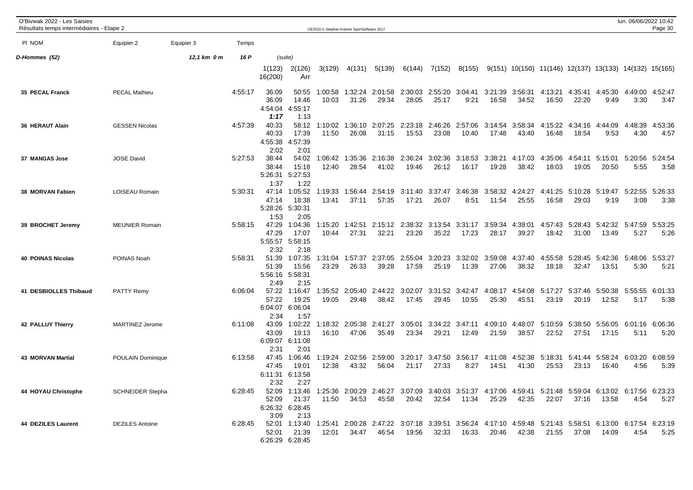| O'Bivwak 2022 - Les Saisies<br>Résultats temps intermédiaires - Etape 2 |                         |             |         |                                           |                                             | OE2010 © Stephan Krämer SportSoftware 2017 |                  |                  |                          |                  |                          |                  |                  |                                                        |                  |                                  | lun. 06/06/2022 10:42 | Page 30         |
|-------------------------------------------------------------------------|-------------------------|-------------|---------|-------------------------------------------|---------------------------------------------|--------------------------------------------|------------------|------------------|--------------------------|------------------|--------------------------|------------------|------------------|--------------------------------------------------------|------------------|----------------------------------|-----------------------|-----------------|
| PI NOM                                                                  | Equipier 2              | Equipier 3  | Temps   |                                           |                                             |                                            |                  |                  |                          |                  |                          |                  |                  |                                                        |                  |                                  |                       |                 |
| D-Hommes (52)                                                           |                         | 12,1 km 0 m | 16 P    |                                           | (suite)                                     |                                            |                  |                  |                          |                  |                          |                  |                  |                                                        |                  |                                  |                       |                 |
|                                                                         |                         |             |         | 1(123)<br>16(200)                         | 2(126)<br>Arr                               | 3(129)                                     | 4(131)           | 5(139)           | 6(144)                   | 7(152)           | 8(155)                   |                  |                  | 9(151) 10(150) 11(146) 12(137) 13(133) 14(132) 15(165) |                  |                                  |                       |                 |
| 35 PECAL Franck                                                         | <b>PECAL Mathieu</b>    |             | 4:55:17 | 36:09<br>36:09<br>1:17                    | 50:55<br>14:46<br>4:54:04 4:55:17<br>1:13   | 1:00:58<br>10:03                           | 1:32:24<br>31:26 | 2:01:58<br>29:34 | 2:30:03<br>28:05         | 2:55:20<br>25:17 | 3:04:41<br>9:21          | 3:21:39<br>16:58 | 3:56:31<br>34:52 | 4:13:21<br>16:50                                       | 4:35:41<br>22:20 | 4:45:30<br>9:49                  | 4:49:00<br>3:30       | 4:52:47<br>3:47 |
| 36 HERAUT Alain                                                         | <b>GESSEN Nicolas</b>   |             | 4:57:39 | 40:33<br>40:33<br>4:55:38<br>2:02         | 58:12<br>17:39<br>4:57:39<br>2:01           | 1:10:02<br>11:50                           | 1:36:10<br>26:08 | 2:07:25<br>31:15 | 2:23:18<br>15:53         | 2:46:26<br>23:08 | 2:57:06<br>10:40         | 3:14:54<br>17:48 | 3:58:34<br>43:40 | 4:15:22<br>16:48                                       | 4:34:16<br>18:54 | 4:44:09<br>9:53                  | 4:48:39<br>4:30       | 4:53:36<br>4:57 |
| 37 MANGAS Jose                                                          | <b>JOSE David</b>       |             | 5:27:53 | 38:44<br>38:44<br>5:26:31<br>1:37         | 54:02<br>15:18<br>5:27:53<br>1:22           | 1:06:42<br>12:40                           | 1:35:36<br>28:54 | 2:16:38<br>41:02 | 2:36:24<br>19:46         | 3:02:36<br>26:12 | 3:18:53<br>16:17         | 3:38:21<br>19:28 | 4:17:03<br>38:42 | 4:35:06<br>18:03                                       | 4:54:11<br>19:05 | 5:15:01<br>20:50                 | 5:20:56<br>5:55       | 5:24:54<br>3:58 |
| 38 MORVAN Fabien                                                        | LOISEAU Romain          |             | 5:30:31 | 47:14<br>47:14<br>5:28:26 5:30:31<br>1:53 | 1:05:52<br>18:38<br>2:05                    | 1:19:33<br>13:41                           | 1:56:44<br>37:11 | 2:54:19<br>57:35 | 3:11:40<br>17:21         | 3:37:47<br>26:07 | 3:46:38<br>8:51          | 3:58:32<br>11:54 | 4:24:27<br>25:55 | 4:41:25<br>16:58                                       | 5:10:28<br>29:03 | 5:19:47<br>9:19                  | 5:22:55<br>3:08       | 5:26:33<br>3:38 |
| 39 BROCHET Jeremy                                                       | <b>MEUNIER Romain</b>   |             | 5:58:15 | 47:29<br>47:29<br>2:32                    | 1:04:36<br>17:07<br>5:55:57 5:58:15<br>2:18 | 1:15:20<br>10:44                           | 1:42:51<br>27:31 | 32:21            | 2:15:12 2:38:32<br>23:20 | 3:13:54<br>35:22 | 3:31:17<br>17:23         | 3:59:34<br>28:17 | 4:39:01<br>39:27 | 4:57:43<br>18:42                                       | 5:28:43<br>31:00 | 5:42:32<br>13:49                 | 5:47:59<br>5:27       | 5:53:25<br>5:26 |
| <b>40 POINAS Nicolas</b>                                                | POINAS Noah             |             | 5:58:31 | 51:39<br>51:39<br>5:56:16 5:58:31<br>2:49 | 1:07:35<br>15:56<br>2:15                    | 1:31:04<br>23:29                           | 1:57:37<br>26:33 | 2:37:05<br>39:28 | 2:55:04<br>17:59         | 3:20:23<br>25:19 | 3:32:02<br>11:39         | 3:59:08<br>27:06 | 4:37:40<br>38:32 | 4:55:58<br>18:18                                       | 5:28:45<br>32:47 | 5:42:36<br>13:51                 | 5:48:06<br>5:30       | 5:53:27<br>5:21 |
| 41 DESBIOLLES Thibaud                                                   | <b>PATTY Remy</b>       |             | 6:06:04 | 57:22<br>57:22<br>6:04:07<br>2:34         | 1:16:47<br>19:25<br>6:06:04<br>1:57         | 1:35:52<br>19:05                           | 2:05:40<br>29:48 | 2:44:22<br>38:42 | 3:02:07<br>17:45         | 3:31:52<br>29:45 | 3:42:47<br>10:55         | 4:08:17<br>25:30 | 4:54:08<br>45:51 | 5:17:27<br>23:19                                       | 5:37:46<br>20:19 | 5:50:38<br>12:52                 | 5:55:55<br>5:17       | 6:01:33<br>5:38 |
| 42 PALLUY Thierry                                                       | <b>MARTINEZ Jerome</b>  |             | 6:11:08 | 43:09<br>43:09<br>6:09:07<br>2:31         | 1:02:22<br>19:13<br>6:11:08<br>2:01         | 1:18:32<br>16:10                           | 2:05:38<br>47:06 | 2:41:27<br>35:49 | 3:05:01<br>23:34         | 3:34:22<br>29:21 | 3:47:11<br>12:49         | 4:09:10<br>21:59 | 4:48:07<br>38:57 | 5:10:59<br>22:52                                       | 5:38:50<br>27:51 | 5:56:05<br>17:15                 | 6:01:16<br>5:11       | 6:06:36<br>5:20 |
| <b>43 MORVAN Martial</b>                                                | POULAIN Dominique       |             | 6:13:58 | 47:45<br>47:45<br>6:11:31 6:13:58<br>2:32 | 1:06:46<br>19:01<br>2:27                    | 1:19:24<br>12:38                           | 2:02:56<br>43:32 | 2:59:00<br>56:04 | 3:20:17<br>21:17         | 3:47:50<br>27:33 | 3:56:17<br>8:27          | 4:11:08<br>14:51 | 4:52:38<br>41:30 | 5:18:31<br>25:53                                       | 5:41:44<br>23:13 | 5:58:24 6:03:20<br>16:40         | 4:56                  | 6:08:59<br>5:39 |
| 44 HOYAU Christophe                                                     | <b>SCHNEIDER Stepha</b> |             | 6:28:45 | 52:09<br>52:09<br>6:26:32 6:28:45<br>3:09 | 1:13:46<br>21:37<br>2:13                    | 1:25:36<br>11:50                           | 2:00:29<br>34:53 | 2:46:27<br>45:58 | 3:07:09<br>20:42         | 32:54            | 3:40:03 3:51:37<br>11:34 | 4:17:06<br>25:29 | 4:59:41<br>42:35 | 5:21:48<br>22:07                                       | 37:16            | 5:59:04 6:13:02 6:17:56<br>13:58 | 4:54                  | 6:23:23<br>5:27 |
| <b>44 DEZILES Laurent</b>                                               | <b>DEZILES</b> Antoine  |             | 6:28:45 | 52:01<br>52:01                            | 1:13:40<br>21:39<br>6:26:29 6:28:45         | 1:25:41<br>12:01                           | 2:00:28<br>34:47 | 2:47:22<br>46:54 | 3:07:18<br>19:56         | 3:39:51<br>32:33 | 3:56:24<br>16:33         | 4:17:10<br>20:46 | 4:59:48<br>42:38 | 5:21:43<br>21:55                                       | 5:58:51<br>37:08 | 6:13:00<br>14:09                 | 6:17:54<br>4:54       | 6:23:19<br>5:25 |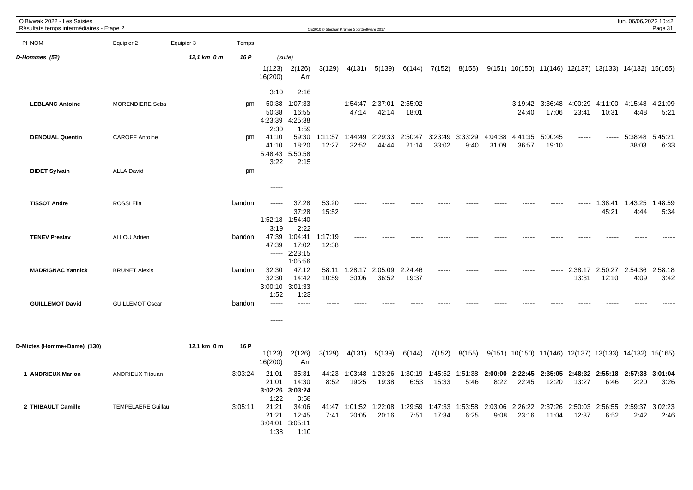| O'Bivwak 2022 - Les Saisies<br>Résultats temps intermédiaires - Etape 2 |                           |             |         |                                                   |                                                      |                  | OE2010 © Stephan Krämer SportSoftware 2017 |                  |                  |                  |                 |                  |                  |                          |                  |                  | lun. 06/06/2022 10:42                                           | Page 31         |
|-------------------------------------------------------------------------|---------------------------|-------------|---------|---------------------------------------------------|------------------------------------------------------|------------------|--------------------------------------------|------------------|------------------|------------------|-----------------|------------------|------------------|--------------------------|------------------|------------------|-----------------------------------------------------------------|-----------------|
| PI NOM                                                                  | Equipier 2                | Equipier 3  | Temps   |                                                   |                                                      |                  |                                            |                  |                  |                  |                 |                  |                  |                          |                  |                  |                                                                 |                 |
| D-Hommes (52)                                                           |                           | 12,1 km 0 m | 16 P    | 1(123)<br>16(200)                                 | (suite)<br>2(126)<br>Arr                             | 3(129)           | 4(131)                                     | 5(139)           | 6(144)           | 7(152)           | 8(155)          |                  |                  |                          |                  |                  | $9(151)$ 10(150) 11(146) 12(137) 13(133) 14(132) 15(165)        |                 |
| <b>LEBLANC Antoine</b>                                                  | MORENDIERE Seba           |             | pm      | 3:10<br>50:38<br>50:38<br>4:23:39                 | 2:16<br>1:07:33<br>16:55<br>4:25:38                  |                  | ----- 1:54:47<br>47:14                     | 2:37:01<br>42:14 | 2:55:02<br>18:01 | -----            |                 | -----            | 24:40            | 3:19:42 3:36:48<br>17:06 | 4:00:29<br>23:41 | 4:11:00<br>10:31 | 4:15:48<br>4:48                                                 | 4:21:09<br>5:21 |
| <b>DENOUAL Quentin</b>                                                  | <b>CAROFF Antoine</b>     |             | pm      | 2:30<br>41:10<br>41:10<br>5:48:43 5:50:58<br>3:22 | 1:59<br>59:30<br>18:20<br>2:15                       | 1:11:57<br>12:27 | 1:44:49<br>32:52                           | 2:29:33<br>44:44 | 2:50:47<br>21:14 | 3:23:49<br>33:02 | 3:33:29<br>9:40 | 4:04:38<br>31:09 | 4:41:35<br>36:57 | 5:00:45<br>19:10         | $- - - - -$      | -----            | 5:38:48 5:45:21<br>38:03                                        | 6:33            |
| <b>BIDET Sylvain</b>                                                    | <b>ALLA David</b>         |             | pm      | -----                                             |                                                      |                  |                                            |                  |                  |                  |                 |                  |                  |                          |                  |                  |                                                                 |                 |
| <b>TISSOT Andre</b>                                                     | ROSSI Elia                |             | bandon  | -----<br>1:52:18 1:54:40                          | 37:28<br>37:28                                       | 53:20<br>15:52   |                                            |                  |                  |                  |                 |                  |                  |                          | -----            | 1:38:41<br>45:21 | 1:43:25<br>4:44                                                 | 1:48:59<br>5:34 |
| <b>TENEV Preslav</b>                                                    | <b>ALLOU Adrien</b>       |             | bandon  | 3:19<br>47:39<br>47:39                            | 2:22<br>1:04:41<br>17:02<br>$--- 2:23:15$<br>1:05:56 | 1:17:19<br>12:38 |                                            |                  |                  |                  |                 |                  |                  |                          |                  |                  |                                                                 |                 |
| <b>MADRIGNAC Yannick</b>                                                | <b>BRUNET Alexis</b>      |             | bandon  | 32:30<br>32:30<br>3:00:10<br>1:52                 | 47:12<br>14:42<br>3:01:33<br>1:23                    | 10:59            | 58:11 1:28:17<br>30:06                     | 2:05:09<br>36:52 | 2:24:46<br>19:37 | -----            |                 |                  |                  | -----                    | 2:38:17<br>13:31 | 2:50:27<br>12:10 | 2:54:36<br>4:09                                                 | 2:58:18<br>3:42 |
| <b>GUILLEMOT David</b>                                                  | <b>GUILLEMOT Oscar</b>    |             | bandon  | -----<br>-----                                    | $---$                                                |                  |                                            |                  |                  |                  |                 |                  |                  |                          |                  |                  |                                                                 |                 |
| D-Mixtes (Homme+Dame) (130)                                             |                           | 12,1 km 0 m | 16 P    | 1(123)<br>16(200)                                 | 2(126)<br>Arr                                        | 3(129)           | 4(131)                                     | 5(139)           | 6(144)           | 7(152)           | 8(155)          |                  |                  |                          |                  |                  | 9(151) 10(150) 11(146) 12(137) 13(133) 14(132) 15(165)          |                 |
| 1 ANDRIEUX Marion                                                       | <b>ANDRIEUX Titouan</b>   |             | 3:03:24 | 21:01<br>21:01<br>3:02:26<br>1:22                 | 35:31<br>14:30<br>3:03:24<br>0:58                    | 44:23<br>8:52    | 1:03:48<br>19:25                           | 1:23:26<br>19:38 | 1:30:19<br>6:53  | 1:45:52<br>15:33 | 1:51:38<br>5:46 | 8:22             | 22:45            | 12:20                    | 13:27            | 6:46             | 2:00:00 2:22:45 2:35:05 2:48:32 2:55:18 2:57:38 3:01:04<br>2:20 | 3:26            |
| 2 THIBAULT Camille                                                      | <b>TEMPELAERE Guillau</b> |             | 3:05:11 | 21:21<br>21:21<br>1:38                            | 34:06<br>12:45<br>3:04:01 3:05:11<br>1:10            | 7:41             | 41:47 1:01:52<br>20:05                     | 1:22:08<br>20:16 | 1:29:59<br>7:51  | 1:47:33<br>17:34 | 1:53:58<br>6:25 | 2:03:06<br>9:08  | 23:16            | 2:26:22 2:37:26<br>11:04 | 12:37            | 6:52             | 2:50:03 2:56:55 2:59:37<br>2:42                                 | 3:02:23<br>2:46 |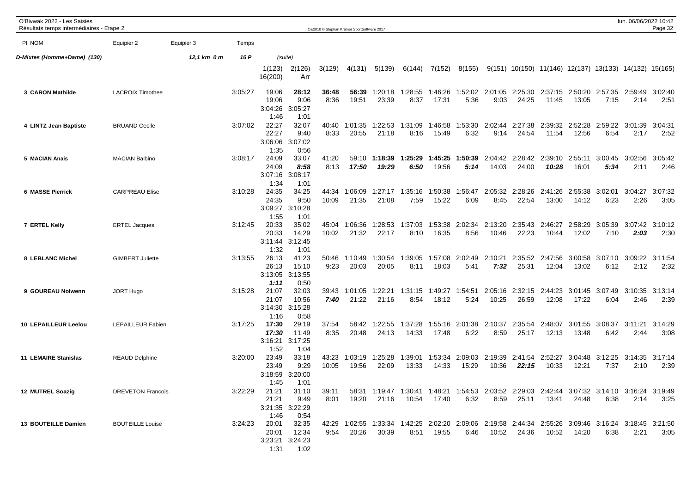| O'Bivwak 2022 - Les Saisies<br>Résultats temps intermédiaires - Etape 2 |                          |             |         |                                   |                                                 |                | OE2010 © Stephan Krämer SportSoftware 2017 |                                                                                                                |                  |                  |                          |                  |                  |                                                                      |                  |                                         | lun. 06/06/2022 10:42 | Page 32         |
|-------------------------------------------------------------------------|--------------------------|-------------|---------|-----------------------------------|-------------------------------------------------|----------------|--------------------------------------------|----------------------------------------------------------------------------------------------------------------|------------------|------------------|--------------------------|------------------|------------------|----------------------------------------------------------------------|------------------|-----------------------------------------|-----------------------|-----------------|
| PI NOM                                                                  | Equipier 2               | Equipier 3  | Temps   |                                   |                                                 |                |                                            |                                                                                                                |                  |                  |                          |                  |                  |                                                                      |                  |                                         |                       |                 |
| D-Mixtes (Homme+Dame) (130)                                             |                          | 12,1 km 0 m | 16 P    | (suite)                           |                                                 |                |                                            |                                                                                                                |                  |                  |                          |                  |                  |                                                                      |                  |                                         |                       |                 |
|                                                                         |                          |             |         | 1(123)<br>16(200)                 | 2(126)<br>Arr                                   | 3(129)         | 4(131)                                     | 5(139)                                                                                                         | 6(144)           | 7(152)           | 8(155)                   |                  |                  | $9(151)$ $10(150)$ $11(146)$ $12(137)$ $13(133)$ $14(132)$ $15(165)$ |                  |                                         |                       |                 |
| 3 CARON Mathilde                                                        | <b>LACROIX Timothee</b>  |             | 3:05:27 | 19:06<br>19:06<br>3:04:26<br>1:46 | 28:12<br>9:06<br>3:05:27<br>1:01                | 36:48<br>8:36  | 56:39<br>19:51                             | 1:20:18<br>23:39                                                                                               | 1:28:55<br>8:37  | 1:46:26<br>17:31 | 1:52:02<br>5:36          | 2:01:05<br>9:03  | 2:25:30<br>24:25 | 11:45                                                                | 13:05            | 2:37:15 2:50:20 2:57:35 2:59:49<br>7:15 | 2:14                  | 3:02:40<br>2:51 |
| 4 LINTZ Jean Baptiste                                                   | <b>BRUAND Cecile</b>     |             | 3:07:02 | 22:27<br>22:27<br>3:06:06<br>1:35 | 32:07<br>9:40<br>3:07:02<br>0:56                | 40:40<br>8:33  | 1:01:35<br>20:55                           | 1:22:53<br>21:18                                                                                               | 1:31:09<br>8:16  | 1:46:58<br>15:49 | 1:53:30<br>6:32          | 2:02:44<br>9:14  | 2:27:38<br>24:54 | 2:39:32<br>11:54                                                     | 2:52:28<br>12:56 | 2:59:22<br>6:54                         | 3:01:39<br>2:17       | 3:04:31<br>2:52 |
| 5 MACIAN Anais                                                          | <b>MACIAN Balbino</b>    |             | 3:08:17 | 24:09<br>24:09<br>3:07:16<br>1:34 | 33:07<br>8:58<br>3:08:17<br>1:01                | 41:20<br>8:13  | 59:10<br>17:50                             | 1:18:39<br>19:29                                                                                               | 1:25:29<br>6:50  | 1:45:25<br>19:56 | 1:50:39<br>5:14          | 2:04:42<br>14:03 | 2:28:42<br>24:00 | 2:39:10<br>10:28                                                     | 2:55:11<br>16:01 | 3:00:45<br>5:34                         | 3:02:56<br>2:11       | 3:05:42<br>2:46 |
| <b>6 MASSE Pierrick</b>                                                 | <b>CARPREAU Elise</b>    |             | 3:10:28 | 24:35<br>24:35<br>3:09:27<br>1:55 | 34:25<br>9:50<br>3:10:28<br>1:01                | 44:34<br>10:09 | 1:06:09<br>21:35                           | 1:27:17<br>21:08                                                                                               | 1:35:16<br>7:59  | 1:50:38<br>15:22 | 1:56:47<br>6:09          | 2:05:32<br>8:45  | 2:28:26<br>22:54 | 2:41:26<br>13:00                                                     | 2:55:38<br>14:12 | 3:02:01<br>6:23                         | 3:04:27<br>2:26       | 3:07:32<br>3:05 |
| 7 ERTEL Kelly                                                           | <b>ERTEL Jacques</b>     |             | 3:12:45 | 20:33<br>20:33<br>3:11:44<br>1:32 | 35:02<br>14:29<br>3:12:45<br>1:01               | 45:04<br>10:02 | 1:06:36<br>21:32                           | 1:28:53<br>22:17                                                                                               | 1:37:03<br>8:10  | 1:53:38<br>16:35 | 2:02:34<br>8:56          | 2:13:20<br>10:46 | 2:35:43<br>22:23 | 2:46:27<br>10:44                                                     | 2:58:29<br>12:02 | 3:05:39<br>7:10                         | 3:07:42<br>2:03       | 3:10:12<br>2:30 |
| 8 LEBLANC Michel                                                        | <b>GIMBERT Juliette</b>  |             | 3:13:55 | 26:13<br>26:13<br>3:13:05<br>1:11 | 41:23<br>15:10<br>3:13:55<br>0:50               | 50:46<br>9:23  | 1:10:49<br>20:03                           | 1:30:54<br>20:05                                                                                               | 1:39:05<br>8:11  | 1:57:08<br>18:03 | 2:02:49<br>5:41          | 2:10:21<br>7:32  | 25:31            | 2:35:52 2:47:56<br>12:04                                             | 13:02            | 3:00:58 3:07:10 3:09:22<br>6:12         | 2:12                  | 3:11:54<br>2:32 |
| 9 GOUREAU Nolwenn                                                       | <b>JORT Hugo</b>         |             | 3:15:28 | 21:07<br>21:07<br>1:16            | 32:03<br>10:56<br>3:14:30 3:15:28<br>0:58       | 39:43<br>7:40  | 1:01:05<br>21:22                           | 1:22:21<br>21:16                                                                                               | 1:31:15<br>8:54  | 1:49:27<br>18:12 | 1:54:51<br>5:24          | 2:05:16<br>10:25 | 2:32:15<br>26:59 | 2:44:23<br>12:08                                                     | 3:01:45<br>17:22 | 3:07:49<br>6:04                         | 3:10:35<br>2:46       | 3:13:14<br>2:39 |
| <b>10 LEPAILLEUR Leelou</b>                                             | LEPAILLEUR Fabien        |             | 3:17:25 | 17:30<br>17:30<br>3:16:21<br>1:52 | 29:19<br>11:49<br>3:17:25<br>1:04               | 37:54<br>8:35  | 58:42<br>20:48                             | 1:22:55<br>24:13                                                                                               | 1:37:28<br>14:33 | 1:55:16<br>17:48 | 2:01:38<br>6:22          | 2:10:37<br>8:59  | 2:35:54<br>25:17 | 2:48:07<br>12:13                                                     | 13:48            | 3:01:55 3:08:37<br>6:42                 | 3:11:21<br>2:44       | 3:14:29<br>3:08 |
| <b>11 LEMAIRE Stanislas</b>                                             | <b>REAUD Delphine</b>    |             | 3:20:00 | 23:49<br>23:49<br>3:18:59<br>1:45 | 33:18<br>9:29<br>3:20:00<br>1:01                | 43:23<br>10:05 | 1:03:19<br>19:56                           | 1:25:28<br>22:09                                                                                               | 1:39:01<br>13:33 | 14:33            | 1:53:34 2:09:03<br>15:29 | 2:19:39<br>10:36 | 2:41:54<br>22:15 | 2:52:27<br>10:33                                                     | 12:21            | 3:04:48 3:12:25 3:14:35 3:17:14<br>7:37 | 2:10                  | 2:39            |
| 12 MUTREL Soazig                                                        | <b>DREVETON Francois</b> |             | 3:22:29 | 21:21<br>3:21:35 3:22:29<br>1:46  | 21:21 31:10<br>9:49<br>0:54                     | 39:11<br>8:01  |                                            | 58:31 1:19:47 1:30:41 1:48:21 1:54:53 2:03:52 2:29:03 2:42:44 3:07:32 3:14:10 3:16:24 3:19:49<br>19:20 21:16   |                  |                  | 6:32                     |                  |                  | 8:59 25:11 13:41 24:48                                               |                  | 6:38                                    | 2:14                  | 3:25            |
| <b>13 BOUTEILLE Damien</b>                                              | <b>BOUTEILLE Louise</b>  |             | 3:24:23 | 20:01<br>1:31                     | 20:01 32:35<br>12:34<br>3:23:21 3:24:23<br>1:02 | 9:54           | 20:26                                      | 42:29 1:02:55 1:33:34 1:42:25 2:02:20 2:09:06 2:19:58 2:44:34 2:55:26 3:09:46 3:16:24 3:18:45 3:21:50<br>30:39 |                  | 8:51 19:55       |                          | 6:46 10:52 24:36 |                  |                                                                      |                  | 6:38                                    | 2:21                  | 3:05            |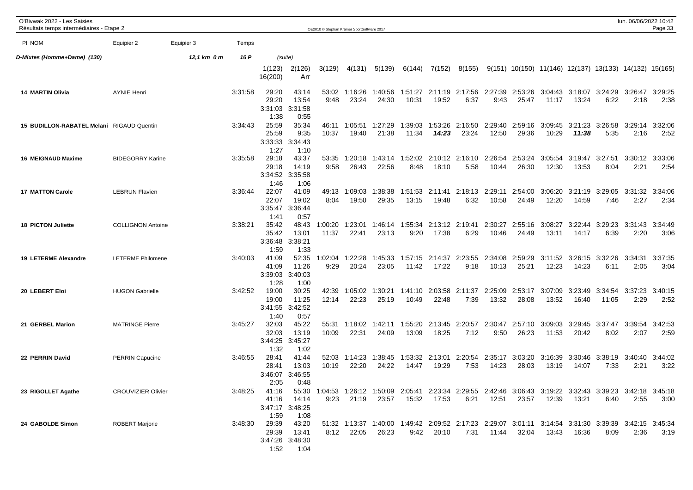| O'Bivwak 2022 - Les Saisies<br>Résultats temps intermédiaires - Etape 2 |                           |             |         |                                   |                                           | OE2010 © Stephan Krämer SportSoftware 2017 |                  |                                                                                                                        |                  |                           |                                 |                  |                                                          |                  |                  |                                         | lun. 06/06/2022 10:42   | Page 33         |
|-------------------------------------------------------------------------|---------------------------|-------------|---------|-----------------------------------|-------------------------------------------|--------------------------------------------|------------------|------------------------------------------------------------------------------------------------------------------------|------------------|---------------------------|---------------------------------|------------------|----------------------------------------------------------|------------------|------------------|-----------------------------------------|-------------------------|-----------------|
| PI NOM                                                                  | Equipier 2                | Equipier 3  | Temps   |                                   |                                           |                                            |                  |                                                                                                                        |                  |                           |                                 |                  |                                                          |                  |                  |                                         |                         |                 |
| D-Mixtes (Homme+Dame)  (130)                                            |                           | 12,1 km 0 m | 16 P    |                                   | (suite)                                   |                                            |                  |                                                                                                                        |                  |                           |                                 |                  |                                                          |                  |                  |                                         |                         |                 |
|                                                                         |                           |             |         | 1(123)<br>16(200)                 | 2(126)<br>Arr                             | 3(129)                                     | 4(131)           | 5(139)                                                                                                                 | 6(144)           | 7(152)                    | 8(155)                          |                  | $9(151)$ 10(150) 11(146) 12(137) 13(133) 14(132) 15(165) |                  |                  |                                         |                         |                 |
| <b>14 MARTIN Olivia</b>                                                 | <b>AYNIE Henri</b>        |             | 3:31:58 | 29:20<br>29:20<br>3:31:03<br>1:38 | 43:14<br>13:54<br>3:31:58<br>0:55         | 53:02<br>9:48                              | 1:16:26<br>23:24 | 1:40:56<br>24:30                                                                                                       | 1:51:27<br>10:31 | 19:52                     | 2:11:19 2:17:56 2:27:39<br>6:37 | 9:43             | 2:53:26<br>25:47                                         | 11:17            | 13:24            | 3:04:43 3:18:07 3:24:29 3:26:47<br>6:22 | 2:18                    | 3:29:25<br>2:38 |
| 15 BUDILLON-RABATEL Melani RIGAUD Quentin                               |                           |             | 3:34:43 | 25:59<br>25:59<br>3:33:33<br>1:27 | 35:34<br>9:35<br>3:34:43<br>1:10          | 46:11<br>10:37                             | 1:05:51<br>19:40 | 1:27:29<br>21:38                                                                                                       | 1:39:03<br>11:34 | 1:53:26<br>14:23          | 2:16:50<br>23:24                | 2:29:40<br>12:50 | 2:59:16<br>29:36                                         | 3:09:45<br>10:29 | 3:21:23<br>11:38 | 3:26:58<br>5:35                         | 3:29:14<br>2:16         | 3:32:06<br>2:52 |
| 16 MEIGNAUD Maxime                                                      | <b>BIDEGORRY Karine</b>   |             | 3:35:58 | 29:18<br>29:18<br>1:46            | 43:37<br>14:19<br>3:34:52 3:35:58<br>1:06 | 53:35<br>9:58                              | 1:20:18<br>26:43 | 1:43:14<br>22:56                                                                                                       | 1:52:02<br>8:48  | 2:10:12<br>18:10          | 2:16:10<br>5:58                 | 2:26:54<br>10:44 | 2:53:24<br>26:30                                         | 3:05:54<br>12:30 | 3:19:47<br>13:53 | 3:27:51<br>8:04                         | 3:30:12<br>2:21         | 3:33:06<br>2:54 |
| <b>17 MATTON Carole</b>                                                 | <b>LEBRUN Flavien</b>     |             | 3:36:44 | 22:07<br>22:07<br>3:35:47<br>1:41 | 41:09<br>19:02<br>3:36:44<br>0:57         | 49:13<br>8:04                              | 1:09:03<br>19:50 | 1:38:38<br>29:35                                                                                                       | 13:15            | 1:51:53  2:11:41<br>19:48 | 2:18:13<br>6:32                 | 2:29:11<br>10:58 | 2:54:00<br>24:49                                         | 3:06:20<br>12:20 | 3:21:19<br>14:59 | 3:29:05<br>7:46                         | 3:31:32 3:34:06<br>2:27 | 2:34            |
| 18 PICTON Juliette                                                      | <b>COLLIGNON Antoine</b>  |             | 3:38:21 | 35:42<br>35:42<br>3:36:48<br>1:59 | 48:43<br>13:01<br>3:38:21<br>1:33         | :00:20<br>11:37                            | 1:23:01<br>22:41 | 1:46:14<br>23:13                                                                                                       | 1:55:34<br>9:20  | 2:13:12<br>17:38          | 2:19:41<br>6:29                 | 2:30:27<br>10:46 | 2:55:16<br>24:49                                         | 3:08:27<br>13:11 | 3:22:44<br>14:17 | 3:29:23<br>6:39                         | 3:31:43<br>2:20         | 3:34:49<br>3:06 |
| 19 LETERME Alexandre                                                    | <b>LETERME Philomene</b>  |             | 3:40:03 | 41:09<br>41:09<br>3:39:03<br>1:28 | 52:35<br>11:26<br>3:40:03<br>1:00         | 1:02:04<br>9:29                            | 1:22:28<br>20:24 | 1:45:33<br>23:05                                                                                                       | 1:57:15<br>11:42 | 2:14:37<br>17:22          | 2:23:55<br>9:18                 | 2:34:08<br>10:13 | 2:59:29<br>25:21                                         | 3:11:52<br>12:23 | 3:26:15<br>14:23 | 3:32:26<br>6:11                         | 3:34:31<br>2:05         | 3:37:35<br>3:04 |
| 20 LEBERT Eloi                                                          | <b>HUGON Gabrielle</b>    |             | 3:42:52 | 19:00<br>19:00<br>3:41:55<br>1:40 | 30:25<br>11:25<br>3:42:52<br>0:57         | 42:39<br>12:14                             | 1:05:02<br>22:23 | 1:30:21<br>25:19                                                                                                       | 1:41:10<br>10:49 | 2:03:58<br>22:48          | 2:11:37<br>7:39                 | 2:25:09<br>13:32 | 2:53:17<br>28:08                                         | 3:07:09<br>13:52 | 3:23:49<br>16:40 | 3:34:54<br>11:05                        | 3:37:23<br>2:29         | 3:40:15<br>2:52 |
| 21 GERBEL Marion                                                        | <b>MATRINGE Pierre</b>    |             | 3:45:27 | 32:03<br>32:03<br>3:44:25<br>1:32 | 45:22<br>13:19<br>3:45:27<br>1:02         | 55:31<br>10:09                             | 1:18:02<br>22:31 | 1:42:11<br>24:09                                                                                                       | 1:55:20<br>13:09 | 2:13:45<br>18:25          | 2:20:57<br>7:12                 | 2:30:47<br>9:50  | 2:57:10<br>26:23                                         | 3:09:03<br>11:53 | 3:29:45<br>20:42 | 3:37:47<br>8:02                         | 3:39:54<br>2:07         | 3:42:53<br>2:59 |
| 22 PERRIN David                                                         | <b>PERRIN Capucine</b>    |             | 3:46:55 | 28:41<br>28:41<br>3:46:07<br>2:05 | 41:44<br>13:03<br>3:46:55<br>0:48         | 52:03<br>10:19                             | 1:14:23<br>22:20 | 1:38:45<br>24:22                                                                                                       | 1:53:32<br>14:47 | 2:13:01<br>19:29          | 2:20:54<br>7:53                 | 2:35:17<br>14:23 | 3:03:20<br>28:03                                         | 3:16:39<br>13:19 | 3:30:46<br>14:07 | 3:38:19 3:40:40<br>7:33                 | 2:21                    | 3:44:02<br>3:22 |
| 23 RIGOLLET Agathe                                                      | <b>CROUVIZIER Olivier</b> |             | 3:48:25 | 41:16<br>1:59                     | 41:16 14:14<br>3:47:17 3:48:25<br>1:08    | 9:23                                       | 21:19            | 55:30 1:04:53 1:26:12 1:50:09 2:05:41 2:23:34 2:29:55 2:42:46 3:06:43 3:19:22 3:32:43 3:39:23 3:42:18 3:45:18<br>23:57 |                  |                           | 6:21                            |                  | 12:51 23:57                                              | 12:39            | 13:21            | 6:40                                    | 2:55                    | 3:00            |
| 24 GABOLDE Simon                                                        | <b>ROBERT Marjorie</b>    |             | 3:48:30 | 29:39<br>29:39<br>1:52            | 43:20<br>13:41<br>3:47:26 3:48:30<br>1:04 | 8:12                                       | 22:05            | 51:32 1:13:37 1:40:00 1:49:42 2:09:52 2:17:23 2:29:07 3:01:11 3:14:54 3:31:30 3:39:39 3:42:15 3:45:34<br>26:23         | 9:42             | 20:10                     | 7:31                            | 11:44            | 32:04                                                    | 13:43            | 16:36            | 8:09                                    | 2:36                    | 3:19            |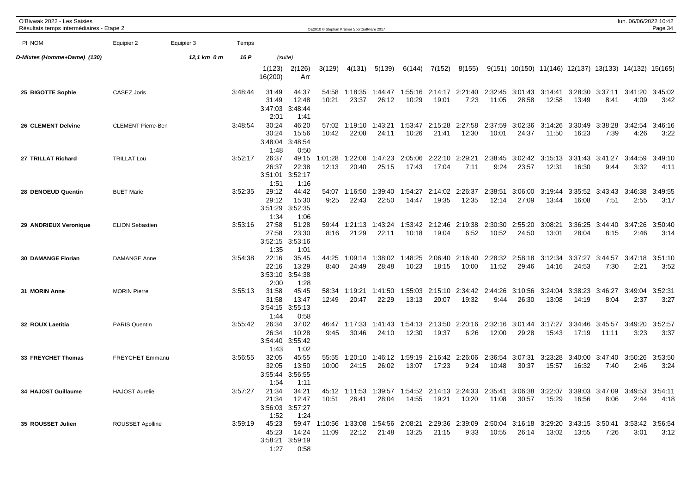| O'Bivwak 2022 - Les Saisies<br>Résultats temps intermédiaires - Etape 2 |                           |             |         |                                   |                                                 |                  | OE2010 © Stephan Krämer SportSoftware 2017 |                                                                                                                              |                  |                     |                          |                  |                          |                                                          |                  |                         | lun. 06/06/2022 10:42 | Page 34         |
|-------------------------------------------------------------------------|---------------------------|-------------|---------|-----------------------------------|-------------------------------------------------|------------------|--------------------------------------------|------------------------------------------------------------------------------------------------------------------------------|------------------|---------------------|--------------------------|------------------|--------------------------|----------------------------------------------------------|------------------|-------------------------|-----------------------|-----------------|
| PI NOM                                                                  | Equipier 2                | Equipier 3  | Temps   |                                   |                                                 |                  |                                            |                                                                                                                              |                  |                     |                          |                  |                          |                                                          |                  |                         |                       |                 |
| D-Mixtes (Homme+Dame) (130)                                             |                           | 12,1 km 0 m | 16 P    |                                   | (suite)                                         |                  |                                            |                                                                                                                              |                  |                     |                          |                  |                          |                                                          |                  |                         |                       |                 |
|                                                                         |                           |             |         | 1(123)<br>16(200)                 | 2(126)<br>Arr                                   | 3(129)           | 4(131)                                     | 5(139)                                                                                                                       | 6(144)           | 7(152)              | 8(155)                   |                  |                          | $9(151)$ 10(150) 11(146) 12(137) 13(133) 14(132) 15(165) |                  |                         |                       |                 |
| 25 BIGOTTE Sophie                                                       | CASEZ Joris               |             | 3:48:44 | 31:49<br>31:49<br>3:47:03<br>2:01 | 44:37<br>12:48<br>3:48:44<br>1:41               | 54:58<br>10:21   | 1:18:35<br>23:37                           | 1:44:47  1:55:16<br>26:12                                                                                                    | 10:29            | 19:01               | 2:14:17 2:21:40<br>7:23  | 2:32:45<br>11:05 | 3:01:43 3:14:41<br>28:58 | 12:58                                                    | 13:49            | 3:28:30 3:37:11<br>8:41 | 3:41:20<br>4:09       | 3:45:02<br>3:42 |
| 26 CLEMENT Delvine                                                      | <b>CLEMENT Pierre-Ben</b> |             | 3:48:54 | 30:24<br>30:24<br>3:48:04<br>1:48 | 46:20<br>15:56<br>3:48:54<br>0:50               | 57:02<br>10:42   | 1:19:10<br>22:08                           | 1:43:21<br>24:11                                                                                                             | 1:53:47<br>10:26 | 21:41               | 2:15:28 2:27:58<br>12:30 | 2:37:59<br>10:01 | 3:02:36<br>24:37         | 3:14:26<br>11:50                                         | 3:30:49<br>16:23 | 3:38:28<br>7:39         | 3:42:54<br>4:26       | 3:46:16<br>3:22 |
| 27 TRILLAT Richard                                                      | <b>TRILLAT Lou</b>        |             | 3:52:17 | 26:37<br>26:37<br>3:51:01<br>1:51 | 49:15<br>22:38<br>3:52:17<br>1:16               | 1:01:28<br>12:13 | 1:22:08<br>20:40                           | 1:47:23<br>25:15                                                                                                             | 2:05:06<br>17:43 | 2:22:10<br>17:04    | 2:29:21<br>7:11          | 2:38:45<br>9:24  | 3:02:42<br>23:57         | 3:15:13<br>12:31                                         | 3:31:43<br>16:30 | 3:41:27<br>9:44         | 3:44:59<br>3:32       | 3:49:10<br>4:11 |
| 28 DENOEUD Quentin                                                      | <b>BUET Marie</b>         |             | 3:52:35 | 29:12<br>29:12<br>3:51:29<br>1:34 | 44:42<br>15:30<br>3:52:35<br>1:06               | 54:07<br>9:25    | 1:16:50<br>22:43                           | 1:39:40<br>22:50                                                                                                             | 1:54:27<br>14:47 | 19:35               | 2:14:02 2:26:37<br>12:35 | 2:38:51<br>12:14 | 3:06:00<br>27:09         | 3:19:44<br>13:44                                         | 3:35:52<br>16:08 | 3:43:43<br>7:51         | 3:46:38<br>2:55       | 3:49:55<br>3:17 |
| 29 ANDRIEUX Veronique                                                   | <b>ELION Sebastien</b>    |             | 3:53:16 | 27:58<br>27:58<br>3:52:15<br>1:35 | 51:28<br>23:30<br>3:53:16<br>1:01               | 59:44<br>8:16    | 1:21:13<br>21:29                           | 1:43:24<br>22:11                                                                                                             | 1:53:42<br>10:18 | 2:12:46<br>19:04    | 2:19:38<br>6:52          | 2:30:30<br>10:52 | 2:55:20<br>24:50         | 3:08:21<br>13:01                                         | 3:36:25<br>28:04 | 3:44:40<br>8:15         | 3:47:26<br>2:46       | 3:50:40<br>3:14 |
| <b>30 DAMANGE Florian</b>                                               | <b>DAMANGE Anne</b>       |             | 3:54:38 | 22:16<br>22:16<br>3:53:10<br>2:00 | 35:45<br>13:29<br>3:54:38<br>1:28               | 44:25<br>8:40    | 1:09:14<br>24:49                           | 1:38:02<br>28:48                                                                                                             | 1:48:25<br>10:23 | 2:06:40<br>18:15    | 2:16:40<br>10:00         | 2:28:32<br>11:52 | 2:58:18<br>29:46         | 3:12:34<br>14:16                                         | 3:37:27<br>24:53 | 3:44:57<br>7:30         | 3:47:18<br>2:21       | 3:51:10<br>3:52 |
| 31 MORIN Anne                                                           | <b>MORIN Pierre</b>       |             | 3:55:13 | 31:58<br>31:58<br>1:44            | 45:45<br>13:47<br>3:54:15 3:55:13<br>0:58       | 58:34<br>12:49   | 1:19:21<br>20:47                           | 1:41:50<br>22:29                                                                                                             | 1:55:03<br>13:13 | 2:15:10<br>20:07    | 2:34:42 2:44:26<br>19:32 | 9:44             | 3:10:56<br>26:30         | 3:24:04<br>13:08                                         | 3:38:23<br>14:19 | 3:46:27<br>8:04         | 3:49:04<br>2:37       | 3:52:31<br>3:27 |
| 32 ROUX Laetitia                                                        | <b>PARIS Quentin</b>      |             | 3:55:42 | 26:34<br>26:34<br>3:54:40<br>1:43 | 37:02<br>10:28<br>3:55:42<br>1:02               | 46:47<br>9:45    | 1:17:33<br>30:46                           | 1:41:43<br>24:10                                                                                                             | 1:54:13<br>12:30 | 2:13:50<br>19:37    | 2:20:16<br>6:26          | 2:32:16<br>12:00 | 3:01:44<br>29:28         | 3:17:27<br>15:43                                         | 3:34:46<br>17:19 | 3:45:57<br>11:11        | 3:49:20<br>3:23       | 3:52:57<br>3:37 |
| 33 FREYCHET Thomas                                                      | FREYCHET Emmanu           |             | 3:56:55 | 32:05<br>32:05<br>3:55:44<br>1:54 | 45:55<br>13:50<br>3:56:55<br>1:11               | 55:55<br>10:00   | 1:20:10<br>24:15                           | 1:46:12<br>26:02                                                                                                             | 1:59:19<br>13:07 | 17:23               | 2:16:42 2:26:06<br>9:24  | 2:36:54<br>10:48 | 3:07:31<br>30:37         | 3:23:28<br>15:57                                         | 3:40:00<br>16:32 | 3:47:40 3:50:26<br>7:40 | 2:46                  | 3:53:50<br>3:24 |
| 34 HAJOST Guillaume                                                     | <b>HAJOST Aurelie</b>     |             | 3:57:27 | 21:34<br>1:52                     | 34:21<br>21:34 12:47<br>3:56:03 3:57:27<br>1:24 | 10:51            | 26:41                                      | 45:12 1:11:53 1:39:57 1:54:52 2:14:13 2:24:33 2:35:41 3:06:38 3:22:07 3:39:03 3:47:09 3:49:53 3:54:11<br>28:04               |                  | 14:55  19:21  10:20 |                          |                  | 11:08 30:57              | 15:29                                                    | 16:56            | 8:06                    | 2:44                  | 4:18            |
| 35 ROUSSET Julien                                                       | ROUSSET Apolline          |             | 3:59:19 | 45:23<br>45:23<br>1:27            | 14:24<br>3:58:21 3:59:19<br>0:58                | 11:09            |                                            | 59:47 1:10:56 1:33:08 1:54:56 2:08:21 2:29:36 2:39:09 2:50:04 3:16:18 3:29:20 3:43:15 3:50:41 3:53:42 3:56:54<br>22:12 21:48 |                  | 13:25 21:15         | 9:33                     | 10:55            | 26:14                    | 13:02                                                    | 13:55            | 7:26                    | 3:01                  | 3:12            |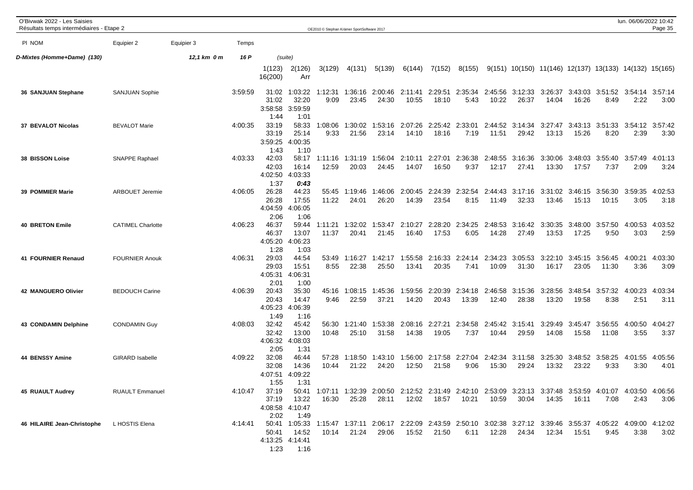| O'Bivwak 2022 - Les Saisies<br>Résultats temps intermédiaires - Etape 2 |                          |             |         |                                   |                                        | OE2010 © Stephan Krämer SportSoftware 2017 |                  |                                                                                                                                |                  |                  |                                 |                  |                  |                                                                      |                  |                         | lun. 06/06/2022 10:42                   | Page 35         |
|-------------------------------------------------------------------------|--------------------------|-------------|---------|-----------------------------------|----------------------------------------|--------------------------------------------|------------------|--------------------------------------------------------------------------------------------------------------------------------|------------------|------------------|---------------------------------|------------------|------------------|----------------------------------------------------------------------|------------------|-------------------------|-----------------------------------------|-----------------|
| PI NOM                                                                  | Equipier 2               | Equipier 3  | Temps   |                                   |                                        |                                            |                  |                                                                                                                                |                  |                  |                                 |                  |                  |                                                                      |                  |                         |                                         |                 |
| D-Mixtes (Homme+Dame) (130)                                             |                          | 12,1 km 0 m | 16 P    |                                   | (suite)                                |                                            |                  |                                                                                                                                |                  |                  |                                 |                  |                  |                                                                      |                  |                         |                                         |                 |
|                                                                         |                          |             |         | 1(123)<br>16(200)                 | 2(126)<br>Arr                          | 3(129)                                     | 4(131)           | 5(139)                                                                                                                         | 6(144)           | 7(152)           | 8(155)                          |                  |                  | $9(151)$ $10(150)$ $11(146)$ $12(137)$ $13(133)$ $14(132)$ $15(165)$ |                  |                         |                                         |                 |
| 36 SANJUAN Stephane                                                     | <b>SANJUAN Sophie</b>    |             | 3:59:59 | 31:02<br>31:02<br>3:58:58<br>1:44 | 1:03:22<br>32:20<br>3:59:59<br>1:01    | 1:12:31<br>9:09                            | 1:36:16<br>23:45 | 2:00:46 2:11:41<br>24:30                                                                                                       | 10:55            | 18:10            | 2:29:51 2:35:34<br>5:43         | 2:45:56<br>10:22 | 3:12:33<br>26:37 | 3:26:37<br>14:04                                                     | 16:26            | 8:49                    | 3:43:03 3:51:52 3:54:14 3:57:14<br>2:22 | 3:00            |
| 37 BEVALOT Nicolas                                                      | <b>BEVALOT Marie</b>     |             | 4:00:35 | 33:19<br>33:19<br>3:59:25<br>1:43 | 58:33<br>25:14<br>4:00:35<br>1:10      | 1:08:06<br>9:33                            | 1:30:02<br>21:56 | 1:53:16<br>23:14                                                                                                               | 2:07:26<br>14:10 | 2:25:42<br>18:16 | 2:33:01<br>7:19                 | 2:44:52<br>11:51 | 3:14:34<br>29:42 | 3:27:47<br>13:13                                                     | 3:43:13<br>15:26 | 3:51:33<br>8:20         | 3:54:12<br>2:39                         | 3:57:42<br>3:30 |
| 38 BISSON Loise                                                         | <b>SNAPPE Raphael</b>    |             | 4:03:33 | 42:03<br>42:03<br>4:02:50<br>1:37 | 58:17<br>16:14<br>4:03:33<br>0:43      | 1:11:16<br>12:59                           | 1:31:19<br>20:03 | 1:56:04<br>24:45                                                                                                               | 2:10:11<br>14:07 | 2:27:01<br>16:50 | 2:36:38<br>9:37                 | 2:48:55<br>12:17 | 3:16:36<br>27:41 | 3:30:06<br>13:30                                                     | 3:48:03<br>17:57 | 3:55:40<br>7:37         | 3:57:49<br>2:09                         | 4:01:13<br>3:24 |
| <b>39 POMMIER Marie</b>                                                 | <b>ARBOUET Jeremie</b>   |             | 4:06:05 | 26:28<br>26:28<br>4:04:59<br>2:06 | 44:23<br>17:55<br>4:06:05<br>1:06      | 55:45<br>11:22                             | 1:19:46<br>24:01 | 1:46:06<br>26:20                                                                                                               | 2:00:45<br>14:39 | 2:24:39<br>23:54 | 2:32:54<br>8:15                 | 2:44:43<br>11:49 | 3:17:16<br>32:33 | 3:31:02<br>13:46                                                     | 3:46:15<br>15:13 | 3:56:30<br>10:15        | 3:59:35<br>3:05                         | 4:02:53<br>3:18 |
| <b>40 BRETON Emile</b>                                                  | <b>CATIMEL Charlotte</b> |             | 4:06:23 | 46:37<br>46:37<br>4:05:20<br>1:28 | 59:44<br>13:07<br>4:06:23<br>1:03      | 1:11:21<br>11:37                           | 1:32:02<br>20:41 | 1:53:47<br>21:45                                                                                                               | 2:10:27<br>16:40 | 2:28:20<br>17:53 | 2:34:25<br>6:05                 | 2:48:53<br>14:28 | 3:16:42<br>27:49 | 3:30:35<br>13:53                                                     | 3:48:00<br>17:25 | 3:57:50<br>9:50         | 4:00:53<br>3:03                         | 4:03:52<br>2:59 |
| 41 FOURNIER Renaud                                                      | <b>FOURNIER Anouk</b>    |             | 4:06:31 | 29:03<br>29:03<br>4:05:31<br>2:01 | 44:54<br>15:51<br>4:06:31<br>1:00      | 53:49<br>8:55                              | 1:16:27<br>22:38 | 1:42:17<br>25:50                                                                                                               | 1:55:58<br>13:41 | 2:16:33<br>20:35 | 2:24:14<br>7:41                 | 2:34:23<br>10:09 | 3:05:53<br>31:30 | 3:22:10<br>16:17                                                     | 3:45:15<br>23:05 | 3:56:45<br>11:30        | 4:00:21<br>3:36                         | 4:03:30<br>3:09 |
| <b>42 MANGUERO Olivier</b>                                              | <b>BEDOUCH Carine</b>    |             | 4:06:39 | 20:43<br>20:43<br>4:05:23<br>1:49 | 35:30<br>14:47<br>4:06:39<br>1:16      | 45:16<br>9:46                              | 1:08:15<br>22:59 | 1:45:36<br>37:21                                                                                                               | 1:59:56<br>14:20 | 2:20:39<br>20:43 | 2:34:18<br>13:39                | 2:46:58<br>12:40 | 3:15:36<br>28:38 | 3:28:56<br>13:20                                                     | 3:48:54<br>19:58 | 3:57:32<br>8:38         | 4:00:23<br>2:51                         | 4:03:34<br>3:11 |
| <b>43 CONDAMIN Delphine</b>                                             | <b>CONDAMIN Guy</b>      |             | 4:08:03 | 32:42<br>32:42<br>4:06:32<br>2:05 | 45:42<br>13:00<br>4:08:03<br>1:31      | 56:30<br>10:48                             | 1:21:40<br>25:10 | 1:53:38<br>31:58                                                                                                               | 2:08:16<br>14:38 | 2:27:21<br>19:05 | 2:34:58<br>7:37                 | 2:45:42<br>10:44 | 3:15:41<br>29:59 | 3:29:49<br>14:08                                                     | 3:45:47<br>15:58 | 3:56:55<br>11:08        | 4:00:50<br>3:55                         | 4:04:27<br>3:37 |
| 44 BENSSY Amine                                                         | <b>GIRARD Isabelle</b>   |             | 4:09:22 | 32:08<br>32:08<br>4:07:51<br>1:55 | 46:44<br>14:36<br>4:09:22<br>1:31      | 57:28<br>10:44                             | 1:18:50<br>21:22 | 1:43:10<br>24:20                                                                                                               | 12:50            | 21:58            | 1:56:00 2:17:58 2:27:04<br>9:06 | 2:42:34<br>15:30 | 3:11:58<br>29:24 | 3:25:30<br>13:32                                                     | 23:22            | 3:48:52 3:58:25<br>9:33 | 4:01:55<br>3:30                         | 4:05:56<br>4:01 |
| <b>45 RUAULT Audrey</b>                                                 | <b>RUAULT Emmanuel</b>   |             | 4:10:47 | 37:19<br>2:02                     | 37:19 13:22<br>4:08:58 4:10:47<br>1:49 | 16:30                                      | 25:28            | 50:41 1:07:11 1:32:39 2:00:50 2:12:52 2:31:49 2:42:10 2:53:09 3:23:13 3:37:48 3:53:59 4:01:07 4:03:50 4:06:56<br>28:11         | 12:02            | 18:57            | 10:21                           | 10:59            | 30:04            | 14:35                                                                | 16:11            | 7:08                    | 2:43                                    | 3:06            |
| 46 HILAIRE Jean-Christophe L HOSTIS Elena                               |                          |             | 4:14:41 | 50:41<br>1:23                     | 14:52<br>4:13:25 4:14:41<br>1:16       | 10:14                                      | 21:24            | 50:41 1:05:33 1:15:47 1:37:11 2:06:17 2:22:09 2:43:59 2:50:10 3:02:38 3:27:12 3:39:46 3:55:37 4:05:22 4:09:00 4:12:02<br>29:06 | 15:52            | 21:50            | 6:11                            | 12:28            | 24:34            | 12:34                                                                | 15:51            | 9:45                    | 3:38                                    | 3:02            |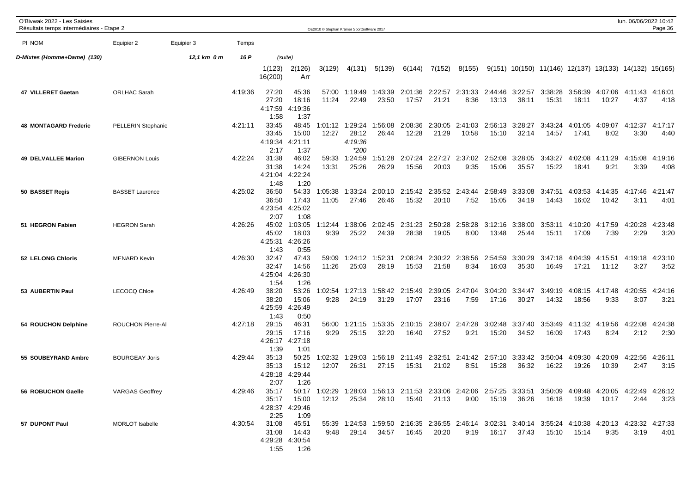| O'Bivwak 2022 - Les Saisies<br>Résultats temps intermédiaires - Etape 2 |                        |             |         |                                   |                                           |                  | OE2010 C Stephan Krämer SportSoftware 2017 |                  |                  |                  |                                 |                    |                  |                                  |                  |                  | lun. 06/06/2022 10:42                                                                                                 | Page 36         |
|-------------------------------------------------------------------------|------------------------|-------------|---------|-----------------------------------|-------------------------------------------|------------------|--------------------------------------------|------------------|------------------|------------------|---------------------------------|--------------------|------------------|----------------------------------|------------------|------------------|-----------------------------------------------------------------------------------------------------------------------|-----------------|
| PI NOM                                                                  | Equipier 2             | Equipier 3  | Temps   |                                   |                                           |                  |                                            |                  |                  |                  |                                 |                    |                  |                                  |                  |                  |                                                                                                                       |                 |
| D-Mixtes (Homme+Dame) (130)                                             |                        | 12,1 km 0 m | 16 P    |                                   | (suite)                                   |                  |                                            |                  |                  |                  |                                 |                    |                  |                                  |                  |                  |                                                                                                                       |                 |
|                                                                         |                        |             |         | 1(123)<br>16(200)                 | 2(126)<br>Arr                             | 3(129)           | 4(131)                                     | 5(139)           | 6(144)           | 7(152)           | 8(155)                          |                    |                  |                                  |                  |                  | $9(151)$ 10(150) 11(146) 12(137) 13(133) 14(132) 15(165)                                                              |                 |
| 47 VILLERET Gaetan                                                      | <b>ORLHAC Sarah</b>    |             | 4:19:36 | 27:20<br>27:20<br>4:17:59<br>1:58 | 45:36<br>18:16<br>4:19:36<br>1:37         | 57:00<br>11:24   | 1:19:49<br>22:49                           | 1:43:39<br>23:50 | 17:57            | 21:21            | 2:01:36 2:22:57 2:31:33<br>8:36 | 2:44:46<br>13:13   | 3:22:57<br>38:11 | 3:38:28<br>15:31                 | 3:56:39<br>18:11 | 10:27            | 4:07:06 4:11:43<br>4:37                                                                                               | 4:16:01<br>4:18 |
| <b>48 MONTAGARD Frederic</b>                                            | PELLERIN Stephanie     |             | 4:21:11 | 33:45<br>33:45<br>4:19:34<br>2:17 | 48:45<br>15:00<br>4:21:11<br>1:37         | 1:01:12<br>12:27 | 1:29:24<br>28:12<br>4:19:36<br>$*200$      | 1:56:08<br>26:44 | 2:08:36<br>12:28 | 2:30:05<br>21:29 | 2:41:03<br>10:58                | 2:56:13<br>15:10   | 3:28:27<br>32:14 | 3:43:24<br>14:57                 | 4:01:05<br>17:41 | 4:09:07<br>8:02  | 4:12:37<br>3:30                                                                                                       | 4:17:17<br>4:40 |
| <b>49 DELVALLEE Marion</b>                                              | <b>GIBERNON Louis</b>  |             | 4:22:24 | 31:38<br>31:38<br>4:21:04<br>1:48 | 46:02<br>14:24<br>4:22:24<br>1:20         | 59:33<br>13:31   | 1:24:59<br>25:26                           | 1:51:28<br>26:29 | 2:07:24<br>15:56 | 2:27:27<br>20:03 | 2:37:02<br>9:35                 | 2:52:08<br>15:06   | 3:28:05<br>35:57 | 3:43:27<br>15:22                 | 4:02:08<br>18:41 | 4:11:29<br>9:21  | 4:15:08<br>3:39                                                                                                       | 4:19:16<br>4:08 |
| 50 BASSET Regis                                                         | <b>BASSET Laurence</b> |             | 4:25:02 | 36:50<br>36:50<br>4:23:54<br>2:07 | 54:33<br>17:43<br>4:25:02<br>1:08         | 1:05:38<br>11:05 | 1:33:24<br>27:46                           | 2:00:10<br>26:46 | 2:15:42<br>15:32 | 2:35:52<br>20:10 | 2:43:44<br>7:52                 | 2:58:49<br>15:05   | 3:33:08<br>34:19 | 3:47:51<br>14:43                 | 4:03:53<br>16:02 | 4:14:35<br>10:42 | 4:17:46<br>3:11                                                                                                       | 4:21:47<br>4:01 |
| 51 HEGRON Fabien                                                        | <b>HEGRON Sarah</b>    |             | 4:26:26 | 45:02<br>45:02<br>4:25:31<br>1:43 | 1:03:05<br>18:03<br>4:26:26<br>0:55       | 1:12:44<br>9:39  | 1:38:06<br>25:22                           | 2:02:45<br>24:39 | 2:31:23<br>28:38 | 2:50:28<br>19:05 | 2:58:28<br>8:00                 | 3:12:16<br>13:48   | 3:38:00<br>25:44 | 3:53:11<br>15:11                 | 4:10:20<br>17:09 | 4:17:59<br>7:39  | 4:20:28<br>2:29                                                                                                       | 4:23:48<br>3:20 |
| 52 LELONG Chloris                                                       | <b>MENARD Kevin</b>    |             | 4:26:30 | 32:47<br>32:47<br>4:25:04<br>1:54 | 47:43<br>14:56<br>4:26:30<br>1:26         | 59:09<br>11:26   | 1:24:12<br>25:03                           | 1:52:31<br>28:19 | 2:08:24<br>15:53 | 2:30:22<br>21:58 | 2:38:56<br>8:34                 | 2:54:59<br>16:03   | 3:30:29<br>35:30 | 3:47:18<br>16:49                 | 4:04:39<br>17:21 | 4:15:51<br>11:12 | 4:19:18<br>3:27                                                                                                       | 4:23:10<br>3:52 |
| 53 AUBERTIN Paul                                                        | <b>LECOCQ Chloe</b>    |             | 4:26:49 | 38:20<br>38:20<br>4:25:59<br>1:43 | 53:26<br>15:06<br>4:26:49<br>0:50         | 1:02:54<br>9:28  | 1:27:13<br>24:19                           | 1:58:42<br>31:29 | 2:15:49<br>17:07 | 2:39:05<br>23:16 | 2:47:04<br>7:59                 | 3:04:20<br>17:16   | 3:34:47<br>30:27 | 3:49:19<br>14:32                 | 4:08:15<br>18:56 | 4:17:48<br>9:33  | 4:20:55<br>3:07                                                                                                       | 4:24:16<br>3:21 |
| 54 ROUCHON Delphine                                                     | ROUCHON Pierre-Al      |             | 4:27:18 | 29:15<br>29:15<br>4:26:17<br>1:39 | 46:31<br>17:16<br>4:27:18<br>1:01         | 56:00<br>9:29    | 1:21:15<br>25:15                           | 1:53:35<br>32:20 | 2:10:15<br>16:40 | 2:38:07<br>27:52 | 2:47:28<br>9:21                 | 3:02:48<br>15:20   | 3:37:40<br>34:52 | 3:53:49<br>16:09                 | 4:11:32<br>17:43 | 4:19:56<br>8:24  | 4:22:08<br>2:12                                                                                                       | 4:24:38<br>2:30 |
| 55 SOUBEYRAND Ambre                                                     | <b>BOURGEAY Joris</b>  |             | 4:29:44 | 35:13<br>35:13<br>4:28:18<br>2:07 | 50:25<br>15:12<br>4:29:44<br>1:26         | 1:02:32<br>12:07 | 1:29:03<br>26:31                           | 1:56:18<br>27:15 | 2:11:49<br>15:31 | 2:32:51<br>21:02 | 2:41:42 2:57:10<br>8:51         | 15:28              | 36:32            | 3:33:42 3:50:04 4:09:30<br>16:22 | 19:26            | 4:20:09<br>10:39 | 4:22:56<br>2:47                                                                                                       | 4:26:11<br>3:15 |
| 56 ROBUCHON Gaelle                                                      | <b>VARGAS Geoffrey</b> |             | 4:29:46 | 35:17<br>2:25                     | 35:17 15:00<br>4:28:37 4:29:46<br>1:09    | 12:12            | 25:34                                      | 28:10            | 15:40            | 21:13            |                                 | 9:00  15:19  36:26 |                  | 16:18                            | 19:39            | 10:17            | 50:17 1:02:29 1:28:03 1:56:13 2:11:53 2:33:06 2:42:06 2:57:25 3:33:51 3:50:09 4:09:48 4:20:05 4:22:49 4:26:12<br>2:44 | 3:23            |
| 57 DUPONT Paul                                                          | MORLOT Isabelle        |             | 4:30:54 | 31:08<br>31:08<br>1:55            | 45:51<br>14:43<br>4:29:28 4:30:54<br>1:26 | 9:48             | 29:14                                      | 34:57            | 16:45            | 20:20            |                                 | 9:19  16:17  37:43 |                  | 15:10                            | 15:14            | 9:35             | 55:39 1:24:53 1:59:50 2:16:35 2:36:55 2:46:14 3:02:31 3:40:14 3:55:24 4:10:38 4:20:13 4:23:32 4:27:33<br>3:19         | 4:01            |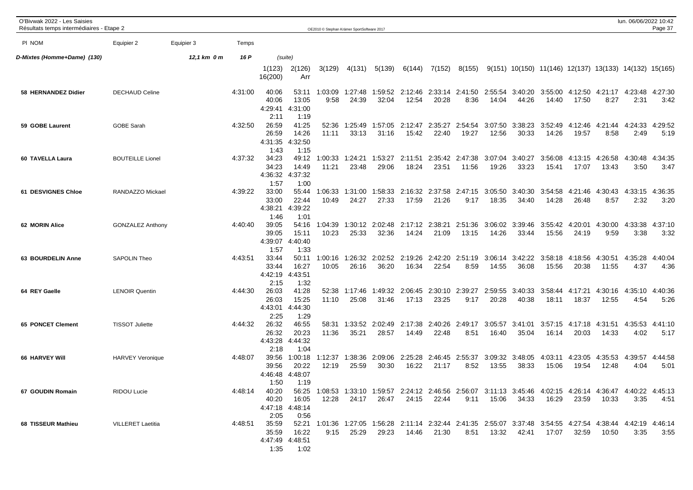| O'Bivwak 2022 - Les Saisies<br>Résultats temps intermédiaires - Etape 2 |                          |             |         |                                   |                                        |                  | OE2010 C Stephan Krämer SportSoftware 2017 |                                                                                                                              |                  |                  |                                 |                  |                  |                                                                      |                  |                                 | lun. 06/06/2022 10:42 | Page 37         |
|-------------------------------------------------------------------------|--------------------------|-------------|---------|-----------------------------------|----------------------------------------|------------------|--------------------------------------------|------------------------------------------------------------------------------------------------------------------------------|------------------|------------------|---------------------------------|------------------|------------------|----------------------------------------------------------------------|------------------|---------------------------------|-----------------------|-----------------|
| PI NOM                                                                  | Equipier 2               | Equipier 3  | Temps   |                                   |                                        |                  |                                            |                                                                                                                              |                  |                  |                                 |                  |                  |                                                                      |                  |                                 |                       |                 |
| D-Mixtes (Homme+Dame) (130)                                             |                          | 12,1 km 0 m | 16 P    |                                   | (suite)                                |                  |                                            |                                                                                                                              |                  |                  |                                 |                  |                  |                                                                      |                  |                                 |                       |                 |
|                                                                         |                          |             |         | 1(123)<br>16(200)                 | 2(126)<br>Arr                          | 3(129)           | 4(131)                                     | 5(139)                                                                                                                       | 6(144)           | 7(152)           | 8(155)                          |                  |                  | $9(151)$ $10(150)$ $11(146)$ $12(137)$ $13(133)$ $14(132)$ $15(165)$ |                  |                                 |                       |                 |
| 58 HERNANDEZ Didier                                                     | <b>DECHAUD Celine</b>    |             | 4:31:00 | 40:06<br>40:06<br>4:29:41<br>2:11 | 53:11<br>13:05<br>4:31:00<br>1:19      | 1:03:09<br>9:58  | 1:27:48<br>24:39                           | 1:59:52<br>32:04                                                                                                             | 12:54            | 20:28            | 2:12:46 2:33:14 2:41:50<br>8:36 | 2:55:54<br>14:04 | 3:40:20<br>44:26 | 3:55:00<br>14:40                                                     | 17:50            | 4:12:50 4:21:17 4:23:48<br>8:27 | 2:31                  | 4:27:30<br>3:42 |
| 59 GOBE Laurent                                                         | GOBE Sarah               |             | 4:32:50 | 26:59<br>26:59<br>4:31:35<br>1:43 | 41:25<br>14:26<br>4:32:50<br>1:15      | 52:36<br>11:11   | 1:25:49<br>33:13                           | 1:57:05<br>31:16                                                                                                             | 2:12:47<br>15:42 | 2:35:27<br>22:40 | 2:54:54<br>19:27                | 3:07:50<br>12:56 | 3:38:23<br>30:33 | 3:52:49<br>14:26                                                     | 4:12:46<br>19:57 | 4:21:44<br>8:58                 | 4:24:33<br>2:49       | 4:29:52<br>5:19 |
| 60 TAVELLA Laura                                                        | <b>BOUTEILLE Lionel</b>  |             | 4:37:32 | 34:23<br>34:23<br>4:36:32<br>1:57 | 49:12<br>14:49<br>4:37:32<br>1:00      | 1:00:33<br>11:21 | 1:24:21<br>23:48                           | 1:53:27<br>29:06                                                                                                             | 2:11:51<br>18:24 | 23:51            | 2:35:42 2:47:38<br>11:56        | 3:07:04<br>19:26 | 3:40:27<br>33:23 | 3:56:08<br>15:41                                                     | 4:13:15<br>17:07 | 4:26:58<br>13:43                | 4:30:48<br>3:50       | 4:34:35<br>3:47 |
| 61 DESVIGNES Chloe                                                      | RANDAZZO Mickael         |             | 4:39:22 | 33:00<br>33:00<br>4:38:21<br>1:46 | 55:44<br>22:44<br>4:39:22<br>1:01      | 1:06:33<br>10:49 | 1:31:00<br>24:27                           | 1:58:33<br>27:33                                                                                                             | 2:16:32<br>17:59 | 2:37:58<br>21:26 | 2:47:15<br>9:17                 | 3:05:50<br>18:35 | 3:40:30<br>34:40 | 3:54:58<br>14:28                                                     | 4:21:46<br>26:48 | 4:30:43<br>8:57                 | 4:33:15<br>2:32       | 4:36:35<br>3:20 |
| 62 MORIN Alice                                                          | <b>GONZALEZ Anthony</b>  |             | 4:40:40 | 39:05<br>39:05<br>4:39:07<br>1:57 | 54:16<br>15:11<br>4:40:40<br>1:33      | 1:04:39<br>10:23 | 1:30:12<br>25:33                           | 2:02:48<br>32:36                                                                                                             | 2:17:12<br>14:24 | 2:38:21<br>21:09 | 2:51:36<br>13:15                | 3:06:02<br>14:26 | 3:39:46<br>33:44 | 3:55:42<br>15:56                                                     | 4:20:01<br>24:19 | 4:30:00<br>9:59                 | 4:33:38<br>3:38       | 4:37:10<br>3:32 |
| 63 BOURDELIN Anne                                                       | SAPOLIN Theo             |             | 4:43:51 | 33:44<br>33:44<br>4:42:19<br>2:15 | 50:11<br>16:27<br>4:43:51<br>1:32      | 1:00:16<br>10:05 | 1:26:32<br>26:16                           | 2:02:52<br>36:20                                                                                                             | 2:19:26<br>16:34 | 2:42:20<br>22:54 | 2:51:19<br>8:59                 | 3:06:14<br>14:55 | 3:42:22<br>36:08 | 3:58:18<br>15:56                                                     | 4:18:56<br>20:38 | 4:30:51<br>11:55                | 4:35:28<br>4:37       | 4:40:04<br>4:36 |
| 64 REY Gaelle                                                           | <b>LENOIR Quentin</b>    |             | 4:44:30 | 26:03<br>26:03<br>4:43:01<br>2:25 | 41:28<br>15:25<br>4:44:30<br>1:29      | 52:38<br>11:10   | 1:17:46<br>25:08                           | 1:49:32<br>31:46                                                                                                             | 2:06:45<br>17:13 | 2:30:10<br>23:25 | 2:39:27<br>9:17                 | 2:59:55<br>20:28 | 3:40:33<br>40:38 | 3:58:44<br>18:11                                                     | 4:17:21<br>18:37 | 4:30:16<br>12:55                | 4:35:10<br>4:54       | 4:40:36<br>5:26 |
| <b>65 PONCET Clement</b>                                                | <b>TISSOT Juliette</b>   |             | 4:44:32 | 26:32<br>26:32<br>4:43:28<br>2:18 | 46:55<br>20:23<br>4:44:32<br>1:04      | 58:31<br>11:36   | 1:33:52<br>35:21                           | 2:02:49<br>28:57                                                                                                             | 2:17:38<br>14:49 | 2:40:26<br>22:48 | 2:49:17<br>8:51                 | 3:05:57<br>16:40 | 3:41:01<br>35:04 | 3:57:15<br>16:14                                                     | 4:17:18<br>20:03 | 4:31:51<br>14:33                | 4:35:53<br>4:02       | 4:41:10<br>5:17 |
| 66 HARVEY Will                                                          | <b>HARVEY Veronique</b>  |             | 4:48:07 | 39:56<br>39:56<br>4:46:48<br>1:50 | 1:00:18<br>20:22<br>4:48:07<br>1:19    | 1:12:37<br>12:19 | 1:38:36<br>25:59                           | 2:09:06<br>30:30                                                                                                             | 2:25:28<br>16:22 | 2:46:45<br>21:17 | 2:55:37<br>8:52                 | 3:09:32<br>13:55 | 3:48:05<br>38:33 | 4:03:11<br>15:06                                                     | 4:23:05<br>19:54 | 4:35:53<br>12:48                | 4:39:57<br>4:04       | 4:44:58<br>5:01 |
| 67 GOUDIN Romain                                                        | RIDOU Lucie              |             | 4:48:14 | 40:20<br>2:05                     | 40:20 16:05<br>4:47:18 4:48:14<br>0:56 | 12:28            |                                            | 56:25 1:08:53 1:33:10 1:59:57 2:24:12 2:46:56 2:56:07 3:11:13 3:45:46 4:02:15 4:26:14 4:36:47 4:40:22 4:45:13<br>24:17 26:47 |                  | 24:15 22:44      | 9:11                            |                  | 15:06 34:33      | 16:29                                                                | 23:59            | 10:33                           | 3:35                  | 4:51            |
| 68 TISSEUR Mathieu                                                      | <b>VILLERET Laetitia</b> |             | 4:48:51 | 35:59<br>35:59<br>1:35            | 16:22<br>4:47:49 4:48:51<br>1:02       | 9:15             | 25:29                                      | 52:21 1:01:36 1:27:05 1:56:28 2:11:14 2:32:44 2:41:35 2:55:07 3:37:48 3:54:55 4:27:54 4:38:44 4:42:19 4:46:14<br>29:23       |                  | 14:46 21:30      | 8:51                            |                  | 13:32   42:41    | 17:07                                                                | 32:59            | 10:50                           | 3:35                  | 3:55            |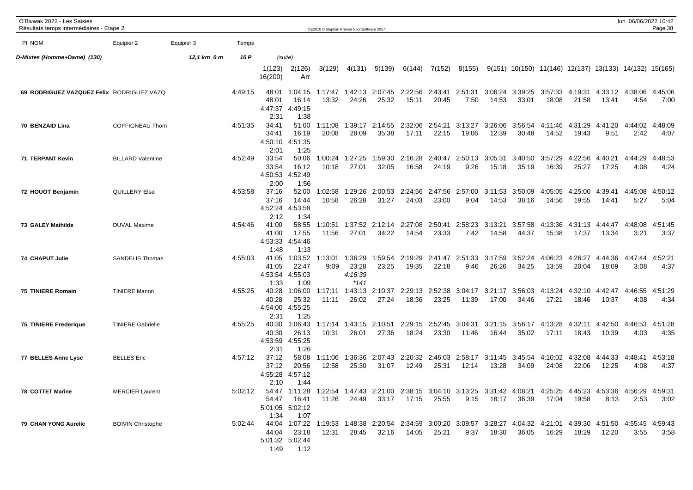| O'Bivwak 2022 - Les Saisies<br>Résultats temps intermédiaires - Etape 2 |                          |             |         |                                   |                                             |                  | OE2010 C Stephan Krämer SportSoftware 2017 |                                          |                     |                  |                          |                  |                  |                                                                                                                                |                  |                          | lun. 06/06/2022 10:42 | Page 38         |
|-------------------------------------------------------------------------|--------------------------|-------------|---------|-----------------------------------|---------------------------------------------|------------------|--------------------------------------------|------------------------------------------|---------------------|------------------|--------------------------|------------------|------------------|--------------------------------------------------------------------------------------------------------------------------------|------------------|--------------------------|-----------------------|-----------------|
| PI NOM                                                                  | Equipier 2               | Equipier 3  | Temps   |                                   |                                             |                  |                                            |                                          |                     |                  |                          |                  |                  |                                                                                                                                |                  |                          |                       |                 |
| D-Mixtes (Homme+Dame) (130)                                             |                          | 12,1 km 0 m | 16 P    |                                   | (suite)                                     |                  |                                            |                                          |                     |                  |                          |                  |                  |                                                                                                                                |                  |                          |                       |                 |
|                                                                         |                          |             |         | 1(123)<br>16(200)                 | 2(126)<br>Arr                               | 3(129)           | 4(131)                                     | 5(139)                                   | 6(144)              | 7(152)           | 8(155)                   |                  |                  | $9(151)$ 10(150) 11(146) 12(137) 13(133) 14(132) 15(165)                                                                       |                  |                          |                       |                 |
| 69 RODRIGUEZ VAZQUEZ Felix RODRIGUEZ VAZQ                               |                          |             | 4:49:15 | 48:01<br>48:01<br>4:47:37<br>2:31 | 1:04:15<br>16:14<br>4:49:15<br>1:38         | 1:17:47<br>13:32 | 24:26                                      | 1:42:13 2:07:45 2:22:56 2:43:41<br>25:32 | 15:11               | 20:45            | 2:51:31<br>7:50          | 3:06:24<br>14:53 | 3:39:25<br>33:01 | 3:57:33<br>18:08                                                                                                               | 4:19:31<br>21:58 | 4:33:12<br>13:41         | 4:38:06<br>4:54       | 4:45:06<br>7:00 |
| 70 BENZAID Lina                                                         | <b>COFFIGNEAU Thom</b>   |             | 4:51:35 | 34:41<br>34:41<br>4:50:10<br>2:01 | 51:00<br>16:19<br>4:51:35<br>1:25           | 1:11:08<br>20:08 | 1:39:17<br>28:09                           | 2:14:55<br>35:38                         | 2:32:06<br>17:11    | 2:54:21<br>22:15 | 3:13:27<br>19:06         | 3:26:06<br>12:39 | 3:56:54<br>30:48 | 4:11:46<br>14:52                                                                                                               | 4:31:29<br>19:43 | 4:41:20<br>9:51          | 4:44:02<br>2:42       | 4:48:09<br>4:07 |
| 71 TERPANT Kevin                                                        | <b>BILLARD Valentine</b> |             | 4:52:49 | 33:54<br>33:54<br>4:50:53<br>2:00 | 50:06<br>16:12<br>4:52:49<br>1:56           | 1:00:24<br>10:18 | 1:27:25<br>27:01                           | 1:59:30<br>32:05                         | 2:16:28<br>16:58    | 2:40:47<br>24:19 | 2:50:13<br>9:26          | 3:05:31<br>15:18 | 3:40:50<br>35:19 | 3:57:29<br>16:39                                                                                                               | 4:22:56<br>25:27 | 4:40:21<br>17:25         | 4:44:29<br>4:08       | 4:48:53<br>4:24 |
| 72 HOUOT Benjamin                                                       | QUILLERY Elsa            |             | 4:53:58 | 37:16<br>37:16<br>4:52:24<br>2:12 | 52:00<br>14:44<br>4:53:58<br>1:34           | 1:02:58<br>10:58 | 1:29:26<br>26:28                           | 2:00:53<br>31:27                         | 2:24:56<br>24:03    | 23:00            | 2:47:56 2:57:00<br>9:04  | 3:11:53<br>14:53 | 3:50:09<br>38:16 | 4:05:05<br>14:56                                                                                                               | 4:25:00<br>19:55 | 4:39:41<br>14:41         | 4:45:08<br>5:27       | 4:50:12<br>5:04 |
| 73 GALEY Mathilde                                                       | <b>DUVAL Maxime</b>      |             | 4:54:46 | 41:00<br>41:00<br>4:53:33<br>1:48 | 58:55<br>17:55<br>4:54:46<br>1:13           | 1:10:51<br>11:56 | 1:37:52<br>27:01                           | 2:12:14<br>34:22                         | 2:27:08<br>14:54    | 2:50:41<br>23:33 | 2:58:23<br>7:42          | 3:13:21<br>14:58 | 3:57:58<br>44:37 | 4:13:36<br>15:38                                                                                                               | 4:31:13<br>17:37 | 4:44:47<br>13:34         | 4:48:08<br>3:21       | 4:51:45<br>3:37 |
| 74 CHAPUT Julie                                                         | <b>SANDELIS Thomas</b>   |             | 4:55:03 | 41:05<br>41:05<br>4:53:54<br>1:33 | 1:03:52<br>22:47<br>4:55:03<br>1:09         | 1:13:01<br>9:09  | 1:36:29<br>23:28<br>4:16:39<br>$*141$      | 1:59:54<br>23:25                         | 2:19:29<br>19:35    | 2:41:47<br>22:18 | 2:51:33<br>9:46          | 3:17:59<br>26:26 | 3:52:24<br>34:25 | 4:06:23<br>13:59                                                                                                               | 4:26:27<br>20:04 | 4:44:36 4:47:44<br>18:09 | 3:08                  | 4:52:21<br>4:37 |
| 75 TINIERE Romain                                                       | <b>TINIERE Manon</b>     |             | 4:55:25 | 40:28<br>40:28<br>2:31            | 1:06:00<br>25:32<br>4:54:00 4:55:25<br>1:25 | 1:17:11<br>11:11 | 1:43:13<br>26:02                           | 2:10:37<br>27:24                         | 2:29:13<br>18:36    | 2:52:38<br>23:25 | 3:04:17<br>11:39         | 3:21:17<br>17:00 | 3:56:03<br>34:46 | 4:13:24<br>17:21                                                                                                               | 4:32:10<br>18:46 | 4:42:47<br>10:37         | 4:46:55<br>4:08       | 4:51:29<br>4:34 |
| 75 TINIERE Frederique                                                   | <b>TINIERE Gabrielle</b> |             | 4:55:25 | 40:30<br>40:30<br>4:53:59<br>2:31 | 1:06:43<br>26:13<br>4:55:25<br>1:26         | 1:17:14<br>10:31 | 1:43:15<br>26:01                           | 2:10:51<br>27:36                         | 2:29:15<br>18:24    | 2:52:45<br>23:30 | 3:04:31<br>11:46         | 3:21:15<br>16:44 | 3:56:17<br>35:02 | 4:13:28<br>17:11                                                                                                               | 4:32:11<br>18:43 | 4:42:50<br>10:39         | 4:46:53<br>4:03       | 4:51:28<br>4:35 |
| 77 BELLES Anne Lyse                                                     | <b>BELLES</b> Eric       |             | 4:57:12 | 37:12<br>37:12<br>4:55:28<br>2:10 | 58:08<br>20:56<br>4:57:12<br>1:44           | 1:11:06<br>12:58 | 1:36:36<br>25:30                           | 2:07:43<br>31:07                         | 2:20:32<br>12:49    | 25:31            | 2:46:03 2:58:17<br>12:14 | 3:11:45<br>13:28 | 3:45:54<br>34:09 | 4:10:02<br>24:08                                                                                                               | 4:32:08<br>22:06 | 4:44:33<br>12:25         | 4:48:41<br>4:08       | 4:53:18<br>4:37 |
| <b>78 COTTET Marine</b>                                                 | <b>MERCIER Laurent</b>   |             | 5:02:12 | 1:34                              | 54:47 16:41<br>5:01:05 5:02:12<br>1:07      | 11:26            | 24:49                                      |                                          | 33:17  17:15  25:55 |                  | 9:15                     | 18:17 36:39      |                  | 54:47 1:11:28 1:22:54 1:47:43 2:21:00 2:38:15 3:04:10 3:13:25 3:31:42 4:08:21 4:25:25 4:45:23 4:53:36 4:56:29 4:59:31<br>17:04 | 19:58            | 8:13                     | 2:53                  | 3:02            |
| 79 CHAN YONG Aurelie                                                    | <b>BOIVIN Christophe</b> |             | 5:02:44 | 44:04                             | 23:18<br>5:01:32 5:02:44<br>1:49 1:12       | 12:31            | 28:45                                      | 32:16                                    | 14:05               | 25:21            | 9:37                     | 18:30            | 36:05            | 44:04 1:07:22 1:19:53 1:48:38 2:20:54 2:34:59 3:00:20 3:09:57 3:28:27 4:04:32 4:21:01 4:39:30 4:51:50 4:55:45 4:59:43<br>16:29 | 18:29            | 12:20                    | 3:55                  | 3:58            |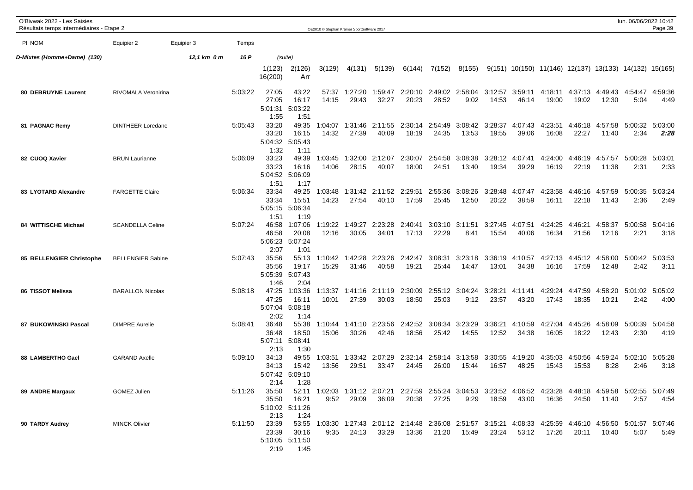| O'Bivwak 2022 - Les Saisies<br>Résultats temps intermédiaires - Etape 2 |                          |             |         |                                   |                                           | OE2010 © Stephan Krämer SportSoftware 2017 |                  |                                                                                                                        |                  |                  |                          |                  |                  |                  |                  |                          | lun. 06/06/2022 10:42                                    | Page 39         |
|-------------------------------------------------------------------------|--------------------------|-------------|---------|-----------------------------------|-------------------------------------------|--------------------------------------------|------------------|------------------------------------------------------------------------------------------------------------------------|------------------|------------------|--------------------------|------------------|------------------|------------------|------------------|--------------------------|----------------------------------------------------------|-----------------|
| PI NOM                                                                  | Equipier 2               | Equipier 3  | Temps   |                                   |                                           |                                            |                  |                                                                                                                        |                  |                  |                          |                  |                  |                  |                  |                          |                                                          |                 |
| D-Mixtes (Homme+Dame) (130)                                             |                          | 12,1 km 0 m | 16 P    |                                   | (suite)                                   |                                            |                  |                                                                                                                        |                  |                  |                          |                  |                  |                  |                  |                          |                                                          |                 |
|                                                                         |                          |             |         | 1(123)<br>16(200)                 | 2(126)<br>Arr                             | 3(129)                                     | 4(131)           | 5(139)                                                                                                                 | 6(144)           | 7(152)           | 8(155)                   |                  |                  |                  |                  |                          | $9(151)$ 10(150) 11(146) 12(137) 13(133) 14(132) 15(165) |                 |
| 80 DEBRUYNE Laurent                                                     | RIVOMALA Veronirina      |             | 5:03:22 | 27:05<br>27:05<br>5:01:31<br>1:55 | 43:22<br>16:17<br>5:03:22<br>1:51         | 57:37<br>14:15                             | 1:27:20<br>29:43 | 1:59:47<br>32:27                                                                                                       | 2:20:10<br>20:23 | 28:52            | 2:49:02 2:58:04<br>9:02  | 3:12:57<br>14:53 | 46:14            | 19:00            | 19:02            | 12:30                    | 3:59:11 4:18:11 4:37:13 4:49:43 4:54:47<br>5:04          | 4:59:36<br>4:49 |
| 81 PAGNAC Remy                                                          | <b>DINTHEER Loredane</b> |             | 5:05:43 | 33:20<br>33:20<br>1:32            | 49:35<br>16:15<br>5:04:32 5:05:43<br>1:11 | 1:04:07<br>14:32                           | 1:31:46<br>27:39 | 2:11:55<br>40:09                                                                                                       | 2:30:14<br>18:19 | 2:54:49<br>24:35 | 3:08:42<br>13:53         | 3:28:37<br>19:55 | 4:07:43<br>39:06 | 4:23:51<br>16:08 | 4:46:18<br>22:27 | 4:57:58<br>11:40         | 5:00:32<br>2:34                                          | 5:03:00<br>2:28 |
| 82 CUOQ Xavier                                                          | <b>BRUN Laurianne</b>    |             | 5:06:09 | 33:23<br>33:23<br>1:51            | 49:39<br>16:16<br>5:04:52 5:06:09<br>1:17 | 1:03:45<br>14:06                           | 1:32:00<br>28:15 | 2:12:07<br>40:07                                                                                                       | 2:30:07<br>18:00 | 2:54:58<br>24:51 | 3:08:38<br>13:40         | 3:28:12<br>19:34 | 4:07:41<br>39:29 | 4:24:00<br>16:19 | 4:46:19<br>22:19 | 4:57:57<br>11:38         | 5:00:28<br>2:31                                          | 5:03:01<br>2:33 |
| 83 LYOTARD Alexandre                                                    | <b>FARGETTE Claire</b>   |             | 5:06:34 | 33:34<br>33:34<br>5:05:15<br>1:51 | 49:25<br>15:51<br>5:06:34<br>1:19         | 1:03:48<br>14:23                           | 27:54            | 1:31:42 2:11:52<br>40:10                                                                                               | 2:29:51<br>17:59 | 2:55:36<br>25:45 | 3:08:26<br>12:50         | 3:28:48<br>20:22 | 4:07:47<br>38:59 | 4:23:58<br>16:11 | 4:46:16<br>22:18 | 4:57:59 5:00:35<br>11:43 | 2:36                                                     | 5:03:24<br>2:49 |
| 84 WITTISCHE Michael                                                    | <b>SCANDELLA Celine</b>  |             | 5:07:24 | 46:58<br>46:58<br>5:06:23<br>2:07 | 1:07:06<br>20:08<br>5:07:24<br>1:01       | 1:19:22<br>12:16                           | 1:49:27<br>30:05 | 2:23:28<br>34:01                                                                                                       | 2:40:41<br>17:13 | 3:03:10<br>22:29 | 3:11:51<br>8:41          | 3:27:45<br>15:54 | 4:07:51<br>40:06 | 4:24:25<br>16:34 | 4:46:21<br>21:56 | 4:58:37<br>12:16         | 5:00:58<br>2:21                                          | 5:04:16<br>3:18 |
| 85 BELLENGIER Christophe                                                | <b>BELLENGIER Sabine</b> |             | 5:07:43 | 35:56<br>35:56<br>5:05:39<br>1:46 | 55:13<br>19:17<br>5:07:43<br>2:04         | 1:10:42<br>15:29                           | 1:42:28<br>31:46 | 2:23:26<br>40:58                                                                                                       | 2:42:47<br>19:21 | 3:08:31<br>25:44 | 3:23:18<br>14:47         | 3:36:19<br>13:01 | 4:10:57<br>34:38 | 4:27:13<br>16:16 | 17:59            | 12:48                    | 2:42                                                     | 5:03:53<br>3:11 |
| 86 TISSOT Melissa                                                       | <b>BARALLON Nicolas</b>  |             | 5:08:18 | 47:25<br>47:25<br>5:07:04<br>2:02 | 1:03:36<br>16:11<br>5:08:18<br>1:14       | 1:13:37<br>10:01                           | 1:41:16<br>27:39 | 2:11:19<br>30:03                                                                                                       | 2:30:09<br>18:50 | 25:03            | 2:55:12 3:04:24<br>9:12  | 3:28:21<br>23:57 | 4:11:41<br>43:20 | 4:29:24<br>17:43 | 4:47:59<br>18:35 | 4:58:20<br>10:21         | 5:01:02<br>2:42                                          | 5:05:02<br>4:00 |
| 87 BUKOWINSKI Pascal                                                    | <b>DIMPRE Aurelie</b>    |             | 5:08:41 | 36:48<br>36:48<br>5:07:11<br>2:13 | 55:38<br>18:50<br>5:08:41<br>1:30         | 1:10:44<br>15:06                           | 1:41:10<br>30:26 | 2:23:56<br>42:46                                                                                                       | 2:42:52<br>18:56 | 3:08:34<br>25:42 | 3:23:29<br>14:55         | 3:36:21<br>12:52 | 4:10:59<br>34:38 | 4:27:04<br>16:05 | 4:45:26<br>18:22 | 4:58:09<br>12:43         | 5:00:39<br>2:30                                          | 5:04:58<br>4:19 |
| 88 LAMBERTHO Gael                                                       | <b>GARAND Axelle</b>     |             | 5:09:10 | 34:13<br>34:13<br>2:14            | 49:55<br>15:42<br>5:07:42 5:09:10<br>1:28 | 1:03:51<br>13:56                           | 29:51            | 1:33:42 2:07:29<br>33:47                                                                                               | 2:32:14<br>24:45 | 26:00            | 2:58:14 3:13:58<br>15:44 | 3:30:55<br>16:57 | 4:19:20<br>48:25 | 4:35:03<br>15:43 | 4:50:56<br>15:53 | 4:59:24 5:02:10<br>8:28  | 2:46                                                     | 5:05:28<br>3:18 |
| 89 ANDRE Margaux                                                        | GOMEZ Julien             |             | 5:11:26 | 35:50<br>35:50<br>2:13            | 16:21<br>5:10:02 5:11:26<br>1:24          | 9:52                                       | 29:09            | 52:11 1:02:03 1:31:12 2:07:21 2:27:59 2:55:24 3:04:53 3:23:52 4:06:52 4:23:28 4:48:18 4:59:58 5:02:55 5:07:49<br>36:09 |                  | 20:38 27:25      | 9:29                     | 18:59            | 43:00            | 16:36            |                  | 24:50 11:40              | 2:57                                                     | 4:54            |
| 90 TARDY Audrey                                                         | <b>MINCK Olivier</b>     |             | 5:11:50 | 23:39<br>23:39<br>2:19            | 30:16<br>5:10:05 5:11:50<br>1:45          | 9:35                                       | 24:13            | 53:55 1:03:30 1:27:43 2:01:12 2:14:48 2:36:08 2:51:57 3:15:21 4:08:33 4:25:59 4:46:10 4:56:50 5:01:57 5:07:46<br>33:29 |                  | 13:36 21:20      | 15:49                    | 23:24            | 53:12            | 17:26            | 20:11            | 10:40                    | 5:07                                                     | 5:49            |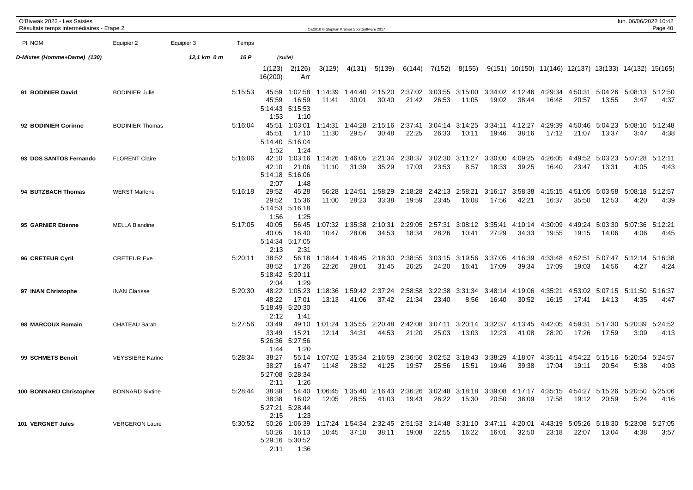| O'Bivwak 2022 - Les Saisies<br>Résultats temps intermédiaires - Etape 2 |                         |             |         |                                                                                                                                                          |                                             | OE2010 © Stephan Krämer SportSoftware 2017 |                  |                                                                                                                              |                     |                          |                                  |                  |                          |                                                          |                     |                                  | lun. 06/06/2022 10:42           | Page 40         |
|-------------------------------------------------------------------------|-------------------------|-------------|---------|----------------------------------------------------------------------------------------------------------------------------------------------------------|---------------------------------------------|--------------------------------------------|------------------|------------------------------------------------------------------------------------------------------------------------------|---------------------|--------------------------|----------------------------------|------------------|--------------------------|----------------------------------------------------------|---------------------|----------------------------------|---------------------------------|-----------------|
| PI NOM                                                                  | Equipier 2              | Equipier 3  | Temps   |                                                                                                                                                          |                                             |                                            |                  |                                                                                                                              |                     |                          |                                  |                  |                          |                                                          |                     |                                  |                                 |                 |
| D-Mixtes (Homme+Dame) (130)                                             |                         | 12,1 km 0 m | 16 P    |                                                                                                                                                          | (suite)                                     |                                            |                  |                                                                                                                              |                     |                          |                                  |                  |                          |                                                          |                     |                                  |                                 |                 |
|                                                                         |                         |             |         | 1(123)<br>16(200)                                                                                                                                        | 2(126)<br>Arr                               | 3(129)                                     | 4(131)           | 5(139)                                                                                                                       | 6(144)              | 7(152)                   | 8(155)                           |                  |                          | $9(151)$ 10(150) 11(146) 12(137) 13(133) 14(132) 15(165) |                     |                                  |                                 |                 |
| 91 BODINIER David                                                       | <b>BODINIER Julie</b>   |             | 5:15:53 | 45:59<br>45:59<br>5:14:43<br>1:53                                                                                                                        | 1:02:58<br>16:59<br>5:15:53<br>1:10         | 1:14:39<br>11:41                           | 1:44:40<br>30:01 | 2:15:20<br>30:40                                                                                                             | 21:42               | 26:53                    | 2:37:02 3:03:55 3:15:00<br>11:05 | 19:02            | 3:34:02 4:12:46<br>38:44 | 4:29:34<br>16:48                                         | 4:50:31<br>20:57    | 13:55                            | 5:04:26 5:08:13 5:12:50<br>3:47 | 4:37            |
| 92 BODINIER Corinne                                                     | <b>BODINIER Thomas</b>  |             | 5:16:04 | 45:51<br>45:51<br>1:52                                                                                                                                   | 1:03:01<br>17:10<br>5:14:40 5:16:04<br>1:24 | 1:14:31<br>11:30                           | 1:44:28<br>29:57 | 2:15:16<br>30:48                                                                                                             | 2:37:41<br>22:25    | 3:04:14<br>26:33         | 3:14:25<br>10:11                 | 3:34:11<br>19:46 | 4:12:27<br>38:16         | 4:29:39<br>17:12                                         | 4:50:46<br>21:07    | 5:04:23<br>13:37                 | 5:08:10<br>3:47                 | 5:12:48<br>4:38 |
| 93 DOS SANTOS Fernando                                                  | <b>FLORENT Claire</b>   |             | 5:16:06 | 42:10<br>42:10<br>2:07                                                                                                                                   | 1:03:16<br>21:06<br>5:14:18 5:16:06<br>1:48 | 1:14:26<br>11:10                           | 1:46:05<br>31:39 | 2:21:34<br>35:29                                                                                                             | 2:38:37<br>17:03    | 3:02:30<br>23:53         | 3:11:27<br>8:57                  | 3:30:00<br>18:33 | 4:09:25<br>39:25         | 4:26:05<br>16:40                                         | 4:49:52<br>23:47    | 5:03:23<br>13:31                 | 5:07:28<br>4:05                 | 5:12:11<br>4:43 |
| 94 BUTZBACH Thomas                                                      | <b>WERST Marlene</b>    |             | 5:16:18 | 29:52<br>29:52<br>5:14:53<br>1:56                                                                                                                        | 45:28<br>15:36<br>5:16:18<br>1:25           | 56:28<br>11:00                             | 1:24:51<br>28:23 | 1:58:29<br>33:38                                                                                                             | 2:18:28<br>19:59    | 2:42:13 2:58:21<br>23:45 | 16:08                            | 3:16:17<br>17:56 | 3:58:38<br>42:21         | 4:15:15<br>16:37                                         | 4:51:05<br>35:50    | 5:03:58<br>12:53                 | 5:08:18 5:12:57<br>4:20         | 4:39            |
| 95 GARNIER Etienne                                                      | <b>MELLA Blandine</b>   |             | 5:17:05 | 40:05<br>40:05<br>5:14:34<br>2:13                                                                                                                        | 56:45<br>16:40<br>5:17:05<br>2:31           | 1:07:32<br>10:47                           | 1:35:38<br>28:06 | 2:10:31<br>34:53                                                                                                             | 2:29:05<br>18:34    | 2:57:31<br>28:26         | 3:08:12<br>10:41                 | 3:35:41<br>27:29 | 4:10:14<br>34:33         | 4:30:09<br>19:55                                         | 4:49:24<br>19:15    | 5:03:30<br>14:06                 | 5:07:36<br>4:06                 | 5:12:21<br>4:45 |
| 96 CRETEUR Cyril                                                        | <b>CRETEUR Eve</b>      |             | 5:20:11 | 38:52<br>38:52<br>2:04                                                                                                                                   | 56:18<br>17:26<br>5:18:42 5:20:11<br>1:29   | 1:18:44<br>22:26                           | 1:46:45<br>28:01 | 2:18:30 2:38:55<br>31:45                                                                                                     | 20:25               | 3:03:15<br>24:20         | 3:19:56<br>16:41                 | 3:37:05<br>17:09 | 4:16:39<br>39:34         | 4:33:48<br>17:09                                         | 4:52:51<br>19:03    | 5:07:47<br>14:56                 | 5:12:14<br>4:27                 | 5:16:38<br>4:24 |
| 97 INAN Christophe                                                      | <b>INAN Clarisse</b>    |             | 5:20:30 | 48:22<br>48:22<br>2:12                                                                                                                                   | 1:05:23<br>17:01<br>5:18:49 5:20:30<br>1:41 | 1:18:36<br>13:13                           | 1:59:42<br>41:06 | 2:37:24<br>37:42                                                                                                             | 2:58:58<br>21:34    | 3:22:38<br>23:40         | 3:31:34<br>8:56                  | 3:48:14<br>16:40 | 4:19:06<br>30:52         | 4:35:21<br>16:15                                         | 17:41               | 4:53:02 5:07:15 5:11:50<br>14:13 | 4:35                            | 5:16:37<br>4:47 |
| 98 MARCOUX Romain                                                       | <b>CHATEAU Sarah</b>    |             | 5:27:56 | 33:49<br>33:49<br>5:26:36<br>1:44                                                                                                                        | 49:10<br>15:21<br>5:27:56<br>1:20           | 1:01:24<br>12:14                           | 1:35:55<br>34:31 | 2:20:48<br>44:53                                                                                                             | 2:42:08<br>21:20    | 3:07:11<br>25:03         | 3:20:14<br>13:03                 | 3:32:37<br>12:23 | 4:13:45<br>41:08         | 4:42:05<br>28:20                                         | 4:59:31<br>17:26    | 5:17:30<br>17:59                 | 5:20:39<br>3:09                 | 5:24:52<br>4:13 |
| 99 SCHMETS Benoit                                                       | <b>VEYSSIERE Karine</b> |             | 5:28:34 | 38:27<br>38:27<br>5:27:08<br>2:11                                                                                                                        | 55:14<br>16:47<br>5:28:34<br>1:26           | 1:07:02<br>11:48                           | 1:35:34<br>28:32 | 2:16:59<br>41:25                                                                                                             | 2:36:56<br>19:57    | 25:56                    | 3:02:52 3:18:43<br>15:51         | 3:38:29<br>19:46 | 4:18:07<br>39:38         | 4:35:11<br>17:04                                         | 19:11               | 4:54:22 5:15:16 5:20:54<br>20:54 | 5:38                            | 5:24:57<br>4:03 |
| 100 BONNARD Christopher                                                 | <b>BONNARD Sixtine</b>  |             | 5:28:44 | 2:15                                                                                                                                                     | 38:38 16:02<br>5:27:21 5:28:44<br>1:23      | 12:05                                      | 28:55            | 38:38 54:40 1:06:45 1:35:40 2:16:43 2:36:26 3:02:48 3:18:18 3:39:08 4:17:17 4:35:15 4:54:27 5:15:26 5:20:50 5:25:06<br>41:03 | 19:43  26:22  15:30 |                          |                                  |                  | 20:50 38:09              |                                                          | 17:58  19:12  20:59 |                                  |                                 | $5:24$ $4:16$   |
| 101 VERGNET Jules                                                       | <b>VERGERON Laure</b>   |             |         | 5:30:52 5:05:26 5:18:30 5:23:08 5:27:05 1:07:24 1:54:34 2:32:45 2:51:53 3:14:48 3:31:10 3:47:11 4:20:01 4:43:19 5:05:26 5:18:30 5:23:08 5:27:05<br>50:26 | 16:13<br>5:29:16 5:30:52<br>2:11 1:36       | 10:45                                      |                  | 37:10 38:11                                                                                                                  |                     |                          | 19:08  22:55  16:22              | 16:01            | 32:50                    | 23:18                                                    | 22:07               | 13:04                            | 4:38                            | 3:57            |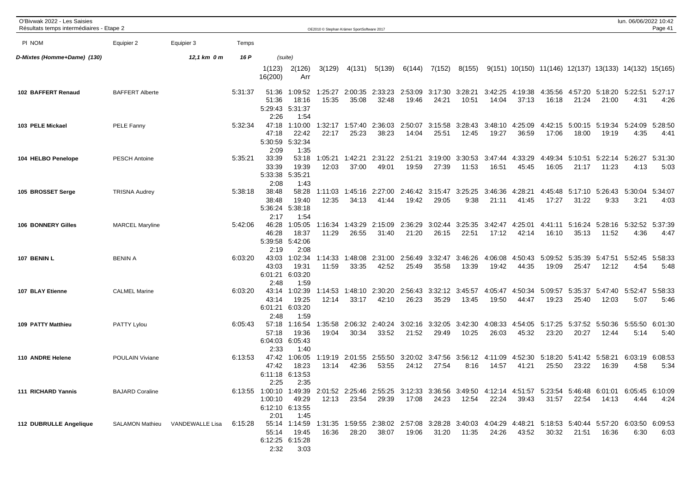| O'Bivwak 2022 - Les Saisies<br>Résultats temps intermédiaires - Etape 2 |                        |                                 |         |                                    |                                     |                  | OE2010 © Stephan Krämer SportSoftware 2017 |                                                                                                                                          |                  |                  |                         |                  |                  |                                                          |                          |                                          | lun. 06/06/2022 10:42 | Page 41         |
|-------------------------------------------------------------------------|------------------------|---------------------------------|---------|------------------------------------|-------------------------------------|------------------|--------------------------------------------|------------------------------------------------------------------------------------------------------------------------------------------|------------------|------------------|-------------------------|------------------|------------------|----------------------------------------------------------|--------------------------|------------------------------------------|-----------------------|-----------------|
| PI NOM                                                                  | Equipier 2             | Equipier 3                      | Temps   |                                    |                                     |                  |                                            |                                                                                                                                          |                  |                  |                         |                  |                  |                                                          |                          |                                          |                       |                 |
| D-Mixtes (Homme+Dame) (130)                                             |                        | 12,1 km 0 m                     | 16 P    |                                    | (suite)                             |                  |                                            |                                                                                                                                          |                  |                  |                         |                  |                  |                                                          |                          |                                          |                       |                 |
|                                                                         |                        |                                 |         | 1(123)<br>16(200)                  | 2(126)<br>Arr                       | 3(129)           | 4(131)                                     | 5(139)                                                                                                                                   | 6(144)           | 7(152)           | 8(155)                  |                  |                  | $9(151)$ 10(150) 11(146) 12(137) 13(133) 14(132) 15(165) |                          |                                          |                       |                 |
| 102 BAFFERT Renaud                                                      | <b>BAFFERT Alberte</b> |                                 | 5:31:37 | 51:36<br>51:36<br>5:29:43<br>2:26  | 1:09:52<br>18:16<br>5:31:37<br>1:54 | 1:25:27<br>15:35 | 2:00:35<br>35:08                           | 2:33:23<br>32:48                                                                                                                         | 2:53:09<br>19:46 | 3:17:30<br>24:21 | 3:28:21<br>10:51        | 3:42:25<br>14:04 | 4:19:38<br>37:13 | 4:35:56<br>16:18                                         | 21:24                    | 4:57:20 5:18:20 5:22:51 5:27:17<br>21:00 | 4:31                  | 4:26            |
| 103 PELE Mickael                                                        | <b>PELE Fanny</b>      |                                 | 5:32:34 | 47:18<br>47:18<br>5:30:59<br>2:09  | 1:10:00<br>22:42<br>5:32:34<br>1:35 | :32:17<br>22:17  | 1:57:40<br>25:23                           | 2:36:03<br>38:23                                                                                                                         | 2:50:07<br>14:04 | 3:15:58<br>25:51 | 3:28:43<br>12:45        | 3:48:10<br>19:27 | 4:25:09<br>36:59 | 4:42:15<br>17:06                                         | 5:00:15<br>18:00         | 5:19:34<br>19:19                         | 5:24:09<br>4:35       | 5:28:50<br>4:41 |
| 104 HELBO Penelope                                                      | <b>PESCH Antoine</b>   |                                 | 5:35:21 | 33:39<br>33:39<br>5:33:38<br>2:08  | 53:18<br>19:39<br>5:35:21<br>1:43   | 1:05:21<br>12:03 | 1:42:21<br>37:00                           | 2:31:22<br>49:01                                                                                                                         | 2:51:21<br>19:59 | 3:19:00<br>27:39 | 3:30:53<br>11:53        | 3:47:44<br>16:51 | 4:33:29<br>45:45 | 4:49:34<br>16:05                                         | 21:17                    | 5:10:51 5:22:14<br>11:23                 | 5:26:27<br>4:13       | 5:31:30<br>5:03 |
| 105 BROSSET Serge                                                       | <b>TRISNA Audrey</b>   |                                 | 5:38:18 | 38:48<br>38:48<br>5:36:24<br>2:17  | 58:28<br>19:40<br>5:38:18<br>1:54   | 1:11:03<br>12:35 | 1:45:16<br>34:13                           | 2:27:00<br>41:44                                                                                                                         | 2:46:42<br>19:42 | 3:15:47<br>29:05 | 3:25:25<br>9:38         | 3:46:36<br>21:11 | 4:28:21<br>41:45 | 4:45:48<br>17:27                                         | 31:22                    | 5:17:10 5:26:43<br>9:33                  | 5:30:04<br>3:21       | 5:34:07<br>4:03 |
| <b>106 BONNERY Gilles</b>                                               | <b>MARCEL Maryline</b> |                                 | 5:42:06 | 46:28<br>46:28<br>5:39:58<br>2:19  | 1:05:05<br>18:37<br>5:42:06<br>2:08 | 1:16:34<br>11:29 | 1:43:29<br>26:55                           | 2:15:09<br>31:40                                                                                                                         | 2:36:29<br>21:20 | 3:02:44<br>26:15 | 3:25:35<br>22:51        | 3:42:47<br>17:12 | 4:25:01<br>42:14 | 4:41:11<br>16:10                                         | 5:16:24<br>35:13         | 5:28:16<br>11:52                         | 5:32:52<br>4:36       | 5:37:39<br>4:47 |
| 107 BENIN L                                                             | <b>BENIN A</b>         |                                 | 6:03:20 | 43:03<br>43:03<br>6:01:21<br>2:48  | 1:02:34<br>19:31<br>6:03:20<br>1:59 | 1:14:33<br>11:59 | 1:48:08<br>33:35                           | 2:31:00<br>42:52                                                                                                                         | 2:56:49<br>25:49 | 3:32:47<br>35:58 | 3:46:26<br>13:39        | 4:06:08<br>19:42 | 4:50:43<br>44:35 | 5:09:52<br>19:09                                         | 5:35:39<br>25:47         | 5:47:51<br>12:12                         | 5:52:45<br>4:54       | 5:58:33<br>5:48 |
| 107 BLAY Etienne                                                        | <b>CALMEL Marine</b>   |                                 | 6:03:20 | 43:14<br>43:14<br>6:01:21<br>2:48  | 1:02:39<br>19:25<br>6:03:20<br>1:59 | 1:14:53<br>12:14 | 1:48:10<br>33:17                           | 2:30:20<br>42:10                                                                                                                         | 2:56:43<br>26:23 | 3:32:12<br>35:29 | 3:45:57<br>13:45        | 4:05:47<br>19:50 | 4:50:34<br>44:47 | 5:09:57<br>19:23                                         | 5:35:37<br>25:40         | 5:47:40<br>12:03                         | 5:52:47<br>5:07       | 5:58:33<br>5:46 |
| 109 PATTY Matthieu                                                      | PATTY Lylou            |                                 | 6:05:43 | 57:18<br>57:18<br>6:04:03<br>2:33  | 1:16:54<br>19:36<br>6:05:43<br>1:40 | 1:35:58<br>19:04 | 2:06:32<br>30:34                           | 2:40:24<br>33:52                                                                                                                         | 3:02:16<br>21:52 | 3:32:05<br>29:49 | 3:42:30<br>10:25        | 4:08:33<br>26:03 | 4:54:05<br>45:32 | 5:17:25<br>23:20                                         | 5:37:52<br>20:27         | 5:50:36<br>12:44                         | 5:55:50<br>5:14       | 6:01:30<br>5:40 |
| 110 ANDRE Helene                                                        | POULAIN Viviane        |                                 | 6:13:53 | 47:42<br>47:42<br>6:11:18<br>2:25  | 1:06:05<br>18:23<br>6:13:53<br>2:35 | 1:19:19<br>13:14 | 2:01:55<br>42:36                           | 2:55:50<br>53:55                                                                                                                         | 3:20:02<br>24:12 | 3:47:56<br>27:54 | 3:56:12 4:11:09<br>8:16 | 14:57            | 4:52:30<br>41:21 | 5:18:20<br>25:50                                         | 5:41:42 5:58:21<br>23:22 | 16:39                                    | 6:03:19<br>4:58       | 6:08:53<br>5:34 |
| 111 RICHARD Yannis                                                      | <b>BAJARD Coraline</b> |                                 |         | 1:00:10<br>6:12:10 6:13:55<br>2:01 | 49:29<br>1:45                       | 12:13            | 23:54                                      | 6:13:55 1:00:10 1:49:39 2:01:52 2:25:46 2:55:25 3:12:33 3:36:56 3:49:50 4:12:14 4:51:57 5:23:54 5:46:48 6:01:01 6:05:45 6:10:09<br>29:39 |                  | 17:08 24:23      | 12:54                   | 22:24            | 39:43            | 31:57                                                    | 22:54                    | 14:13                                    | 4:44                  | 4:24            |
| 112 DUBRULLE Angelique                                                  |                        | SALAMON Mathieu VANDEWALLE Lisa | 6:15:28 | 55:14<br>2:32                      | 19:45<br>6:12:25 6:15:28<br>3:03    | 16:36            | 28:20                                      | 55:14 1:14:59 1:31:35 1:59:55 2:38:02 2:57:08 3:28:28 3:40:03 4:04:29 4:48:21 5:18:53 5:40:44 5:57:20 6:03:50 6:09:53<br>38:07           |                  | 19:06 31:20      | 11:35                   | 24:26            | 43:52            | 30:32                                                    | 21:51                    | 16:36                                    | 6:30                  | 6:03            |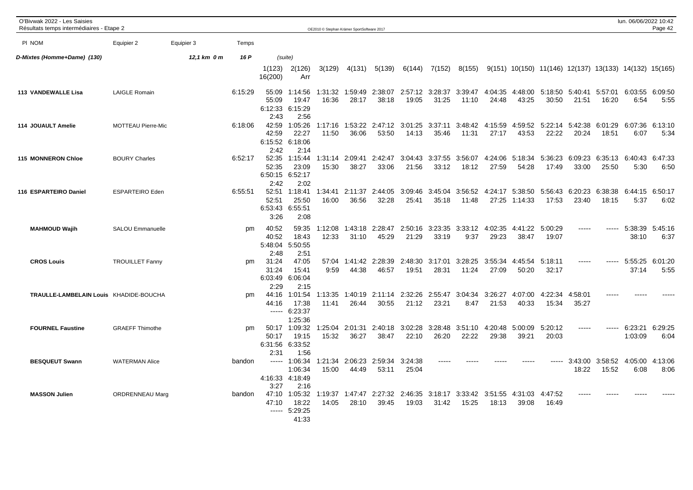| O'Bivwak 2022 - Les Saisies<br>Résultats temps intermédiaires - Etape 2 |                           |             |         |                                           |                                                   | OE2010 © Stephan Krämer SportSoftware 2017 |                  |                          |                  |                  |                          |                  |                    |                                                          |                  |                  | lun. 06/06/2022 10:42   | Page 42         |
|-------------------------------------------------------------------------|---------------------------|-------------|---------|-------------------------------------------|---------------------------------------------------|--------------------------------------------|------------------|--------------------------|------------------|------------------|--------------------------|------------------|--------------------|----------------------------------------------------------|------------------|------------------|-------------------------|-----------------|
| PI NOM                                                                  | Equipier 2                | Equipier 3  | Temps   |                                           |                                                   |                                            |                  |                          |                  |                  |                          |                  |                    |                                                          |                  |                  |                         |                 |
| D-Mixtes (Homme+Dame) (130)                                             |                           | 12,1 km 0 m | 16 P    | (suite)                                   |                                                   |                                            |                  |                          |                  |                  |                          |                  |                    |                                                          |                  |                  |                         |                 |
|                                                                         |                           |             |         | 1(123)<br>16(200)                         | 2(126)<br>Arr                                     | 3(129)                                     | 4(131)           | 5(139)                   | 6(144)           | 7(152)           | 8(155)                   |                  |                    | $9(151)$ 10(150) 11(146) 12(137) 13(133) 14(132) 15(165) |                  |                  |                         |                 |
| 113 VANDEWALLE Lisa                                                     | <b>LAIGLE Romain</b>      |             | 6:15:29 | 55:09<br>55:09<br>6:12:33<br>2:43         | 1:14:56<br>19:47<br>6:15:29<br>2:56               | 1:31:32<br>16:36                           | 1:59:49<br>28:17 | 2:38:07<br>38:18         | 2:57:12<br>19:05 | 3:28:37<br>31:25 | 3:39:47<br>11:10         | 4:04:35<br>24:48 | 4:48:00<br>43:25   | 5:18:50<br>30:50                                         | 5:40:41<br>21:51 | 5:57:01<br>16:20 | 6:03:55<br>6:54         | 6:09:50<br>5:55 |
| 114 JOUAULT Amelie                                                      | <b>MOTTEAU Pierre-Mic</b> |             | 6:18:06 | 42:59<br>42:59<br>2:42                    | 1:05:26<br>22:27<br>6:15:52 6:18:06<br>2:14       | 1:17:16<br>11:50                           | 1:53:22<br>36:06 | 2:47:12<br>53:50         | 3:01:25<br>14:13 | 3:37:11<br>35:46 | 3:48:42<br>11:31         | 4:15:59<br>27:17 | 4:59:52<br>43:53   | 5:22:14<br>22:22                                         | 5:42:38<br>20:24 | 6:01:29<br>18:51 | 6:07:36 6:13:10<br>6:07 | 5:34            |
| 115 MONNERON Chloe                                                      | <b>BOURY Charles</b>      |             | 6:52:17 | 52:35<br>52:35<br>2:42                    | 1:15:44<br>23:09<br>6:50:15 6:52:17<br>2:02       | 1:31:14<br>15:30                           | 2:09:41<br>38:27 | 2:42:47<br>33:06         | 3:04:43<br>21:56 | 3:37:55<br>33:12 | 3:56:07<br>18:12         | 4:24:06<br>27:59 | 5:18:34<br>54:28   | 5:36:23<br>17:49                                         | 6:09:23<br>33:00 | 6:35:13<br>25:50 | 6:40:43<br>5:30         | 6:47:33<br>6:50 |
| 116 ESPARTEIRO Daniel                                                   | <b>ESPARTEIRO Eden</b>    |             | 6:55:51 | 52:51<br>52:51<br>6:53:43 6:55:51<br>3:26 | 1:18:41<br>25:50<br>2:08                          | 1:34:41<br>16:00                           | 2:11:37<br>36:56 | 2:44:05<br>32:28         | 3:09:46<br>25:41 | 3:45:04<br>35:18 | 3:56:52<br>11:48         | 4:24:17<br>27:25 | 5:38:50<br>1:14:33 | 5:56:43<br>17:53                                         | 6:20:23<br>23:40 | 6:38:38<br>18:15 | 6:44:15<br>5:37         | 6:50:17<br>6:02 |
| <b>MAHMOUD Wajih</b>                                                    | SALOU Emmanuelle          |             | pm      | 40:52<br>40:52<br>5:48:04<br>2:48         | 59:35<br>18:43<br>5:50:55<br>2:51                 | 1:12:08<br>12:33                           | 1:43:18<br>31:10 | 2:28:47<br>45:29         | 2:50:16<br>21:29 | 3:23:35<br>33:19 | 3:33:12<br>9:37          | 4:02:35<br>29:23 | 4:41:22<br>38:47   | 5:00:29<br>19:07                                         | -----            | ------           | 5:38:39<br>38:10        | 5:45:16<br>6:37 |
| <b>CROS Louis</b>                                                       | <b>TROUILLET Fanny</b>    |             | pm      | 31:24<br>31:24<br>2:29                    | 47:05<br>15:41<br>6:03:49 6:06:04<br>2:15         | 57:04<br>9:59                              | 44:38            | 1:41:42 2:28:39<br>46:57 | 2:48:30<br>19:51 | 3:17:01<br>28:31 | 3:28:25<br>11:24         | 3:55:34<br>27:09 | 4:45:54<br>50:20   | 5:18:11<br>32:17                                         | -----            | ------           | 5:55:25<br>37:14        | 6:01:20<br>5:55 |
| TRAULLE-LAMBELAIN Louis KHADIDE-BOUCHA                                  |                           |             | pm      | 44:16<br>44:16                            | 1:01:54<br>17:38<br>$--- 6:23:37$<br>1:25:36      | 1:13:35<br>11:41                           | 1:40:19<br>26:44 | 2:11:14 2:32:26<br>30:55 | 21:12            | 2:55:47<br>23:21 | 3:04:34<br>8:47          | 3:26:27<br>21:53 | 4:07:00<br>40:33   | 4:22:34<br>15:34                                         | 4:58:01<br>35:27 | $\frac{1}{2}$    | $---$                   |                 |
| <b>FOURNEL Faustine</b>                                                 | <b>GRAEFF Thimothe</b>    |             | pm      | 50:17<br>2:31                             | 50:17 1:09:32<br>19:15<br>6:31:56 6:33:52<br>1:56 | 1:25:04<br>15:32                           | 2:01:31<br>36:27 | 2:40:18<br>38:47         | 3:02:28<br>22:10 | 26:20            | 3:28:48 3:51:10<br>22:22 | 4:20:48<br>29:38 | 5:00:09<br>39:21   | 5:20:12<br>20:03                                         | -----            | $- - - - -$      | 6:23:21<br>1:03:09      | 6:29:25<br>6:04 |
| <b>BESQUEUT Swann</b>                                                   | <b>WATERMAN Alice</b>     |             | bandon  | $----$<br>3:27                            | 1:06:34<br>1:06:34<br>4:16:33 4:18:49<br>2:16     | 1:21:34<br>15:00                           | 2:06:23<br>44:49 | 2:59:34<br>53:11         | 3:24:38<br>25:04 |                  |                          |                  |                    | -----                                                    | 3:43:00<br>18:22 | 3:58:52<br>15:52 | 4:05:00<br>6:08         | 4:13:06<br>8:06 |
| <b>MASSON Julien</b>                                                    | <b>ORDRENNEAU Marg</b>    |             | bandon  | 47:10<br>47:10                            | 1:05:32<br>18:22<br>$--- 5:29:25$<br>41:33        | 1:19:37<br>14:05                           | 1:47:47<br>28:10 | 2:27:32<br>39:45         | 2:46:35<br>19:03 | 3:18:17<br>31:42 | 3:33:42<br>15:25         | 3:51:55<br>18:13 | 4:31:03<br>39:08   | 4:47:52<br>16:49                                         |                  |                  |                         |                 |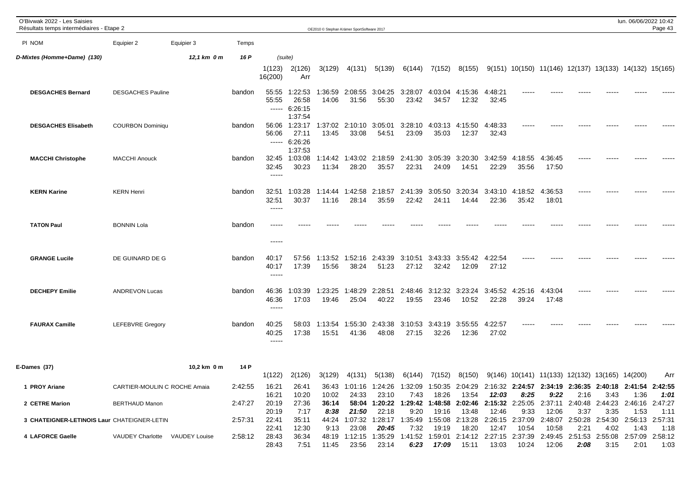| O'Bivwak 2022 - Les Saisies<br>Résultats temps intermédiaires - Etape 2 |                                |             |         |                                 |                                              | OE2010 © Stephan Krämer SportSoftware 2017 |                  |                                        |                  |                          |                  |                  |                                                                                                                |                                  |       |      | lun. 06/06/2022 10:42   | Page 43 |
|-------------------------------------------------------------------------|--------------------------------|-------------|---------|---------------------------------|----------------------------------------------|--------------------------------------------|------------------|----------------------------------------|------------------|--------------------------|------------------|------------------|----------------------------------------------------------------------------------------------------------------|----------------------------------|-------|------|-------------------------|---------|
| PI NOM                                                                  | Equipier 2                     | Equipier 3  | Temps   |                                 |                                              |                                            |                  |                                        |                  |                          |                  |                  |                                                                                                                |                                  |       |      |                         |         |
| D-Mixtes (Homme+Dame) (130)                                             |                                | 12.1 km 0 m | 16 P    |                                 | (suite)                                      |                                            |                  |                                        |                  |                          |                  |                  |                                                                                                                |                                  |       |      |                         |         |
|                                                                         |                                |             |         | 1(123)<br>16(200)               | 2(126)<br>Arr                                | 3(129)                                     | 4(131)           | 5(139)                                 | 6(144)           | 7(152)                   | 8(155)           |                  | $9(151)$ 10(150) 11(146) 12(137) 13(133) 14(132) 15(165)                                                       |                                  |       |      |                         |         |
| <b>DESGACHES Bernard</b>                                                | <b>DESGACHES Pauline</b>       |             | bandon  | 55:55<br>55:55<br>------        | 1:22:53<br>26:58<br>6:26:15<br>1:37:54       | 1:36:59<br>14:06                           | 2:08:55<br>31:56 | 3:04:25 3:28:07<br>55:30               | 23:42            | 4:03:04<br>34:57         | 4:15:36<br>12:32 | 4:48:21<br>32:45 |                                                                                                                |                                  |       |      |                         |         |
| <b>DESGACHES Elisabeth</b>                                              | <b>COURBON Dominiqu</b>        |             | bandon  | 56:06<br>56:06                  | 1:23:17<br>27:11<br>$--- 6:26:26$<br>1:37:53 | 1:37:02<br>13:45                           | 2:10:10<br>33:08 | 3:05:01<br>54:51                       | 3:28:10<br>23:09 | 4:03:13<br>35:03         | 4:15:50<br>12:37 | 4:48:33<br>32:43 |                                                                                                                |                                  |       |      |                         |         |
| <b>MACCHI Christophe</b>                                                | <b>MACCHI Anouck</b>           |             | bandon  | 32:45<br>32:45<br>$- - - - -$   | 1:03:08<br>30:23                             | 1:14:42<br>11:34                           | 1:43:02<br>28:20 | 2:18:59<br>35:57                       | 2:41:30<br>22:31 | 3:05:39<br>24:09         | 3:20:30<br>14:51 | 3:42:59<br>22:29 | 4:18:55<br>35:56                                                                                               | 4:36:45<br>17:50                 |       |      |                         |         |
| <b>KERN Karine</b>                                                      | <b>KERN Henri</b>              |             | bandon  | 32:51<br>32:51<br>-----         | 1:03:28<br>30:37                             | 1:14:44<br>11:16                           | 1:42:58<br>28:14 | 2:18:57<br>35:59                       | 2:41:39<br>22:42 | 3:05:50<br>24:11         | 3:20:34<br>14:44 | 3:43:10<br>22:36 | 4:18:52<br>35:42                                                                                               | 4:36:53<br>18:01                 | ----- |      |                         |         |
| <b>TATON Paul</b>                                                       | <b>BONNIN Lola</b>             |             | bandon  | $- - - - -$                     |                                              |                                            |                  |                                        |                  |                          |                  |                  |                                                                                                                |                                  |       |      |                         |         |
| <b>GRANGE Lucile</b>                                                    | DE GUINARD DE G                |             | bandon  | 40:17<br>40:17<br>$- - - - -$   | 57:56<br>17:39                               | 1:13:52<br>15:56                           | 1:52:16<br>38:24 | 2:43:39<br>51:23                       | 3:10:51<br>27:12 | 3:43:33<br>32:42         | 3:55:42<br>12:09 | 4:22:54<br>27:12 | -----                                                                                                          |                                  |       |      |                         |         |
| <b>DECHEPY Emilie</b>                                                   | <b>ANDREVON Lucas</b>          |             | bandon  | 46:36<br>46:36<br>$\frac{1}{2}$ | 1:03:39<br>17:03                             | :23:25<br>19:46                            | 1:48:29<br>25:04 | 2:28:51<br>40:22                       | 2:48:46<br>19:55 | 3:12:32 3:23:24<br>23:46 | 10:52            | 3:45:52<br>22:28 | 4:25:16<br>39:24                                                                                               | 4:43:04<br>17:48                 |       |      |                         |         |
| <b>FAURAX Camille</b>                                                   | <b>LEFEBVRE Gregory</b>        |             | bandon  | 40:25<br>40:25<br>$- - - - -$   | 58:03<br>17:38                               | 1:13:54<br>15:51                           | 1:55:30<br>41:36 | 2:43:38<br>48:08                       | 3:10:53<br>27:15 | 3:43:19<br>32:26         | 3:55:55<br>12:36 | 4:22:57<br>27:02 |                                                                                                                |                                  |       |      |                         |         |
| E-Dames (37)                                                            |                                | 10,2 km 0 m | 14 P    | 1(122)                          | 2(126)                                       | 3(129)                                     | 4(131)           | 5(138)                                 | 6(144)           | 7(152)                   | 8(150)           |                  | $9(146)$ 10(141) 11(133) 12(132) 13(165) 14(200)                                                               |                                  |       |      |                         | Arr     |
| 1 PROY Ariane                                                           | CARTIER-MOULIN C ROCHE Amaia   |             | 2:42:55 | 16:21<br>16:21                  | 26:41<br>10:20                               | 10:02                                      | 24:33            | 23:10                                  | 7:43             | 18:26                    | 13:54            | 12:03            | 36:43 1:01:16 1:24:26 1:32:09 1:50:35 2:04:29 2:16:32 2:24:57 2:34:19 2:36:35 2:40:18 2:41:54 2:42:55<br>8:25  | 9:22                             | 2:16  | 3:43 | 1:36                    | 1:01    |
| 2 CETRE Marion                                                          | <b>BERTHAUD Manon</b>          |             | 2:47:27 | 20:19<br>20:19                  | 27:36<br>7:17                                | 36:14<br>8:38                              | 58:04<br>21:50   | 1:20:22<br>22:18                       | 1:29:42<br>9:20  | 1:48:58<br>19:16         | 13:48            | 12:46            | 2:02:46 2:15:32 2:25:05 2:37:11 2:40:48 2:44:23 2:46:16 2:47:27<br>9:33                                        | 12:06                            | 3:37  | 3:35 | 1:53                    | 1:11    |
| 3 CHATEIGNER-LETINOIS Laur CHATEIGNER-LETIN                             |                                |             | 2:57:31 | 22:41<br>22:41                  | 35:11<br>12:30                               | 9:13                                       | 23:08            | 44:24 1:07:32 1:28:17 1:35:49<br>20:45 | 7:32             | 19:19                    | 18:20            | 12:47            | 1:55:08 2:13:28 2:26:15 2:37:09<br>10:54                                                                       | 2:48:07 2:50:28 2:54:30<br>10:58 | 2:21  | 4:02 | 2:56:13 2:57:31<br>1:43 | 1:18    |
| 4 LAFORCE Gaelle                                                        | VAUDEY Charlotte VAUDEY Louise |             | 2:58:12 | 28:43<br>28:43                  | 36:34<br>7:51                                | 11:45                                      | 23:56            | 23:14                                  | 6:23             | 17:09                    | 15:11            | 13:03            | 48:19 1:12:15 1:35:29 1:41:52 1:59:01 2:14:12 2:27:15 2:37:39 2:49:45 2:51:53 2:55:08 2:57:09 2:58:12<br>10:24 | 12:06                            | 2:08  | 3:15 | 2:01                    | 1:03    |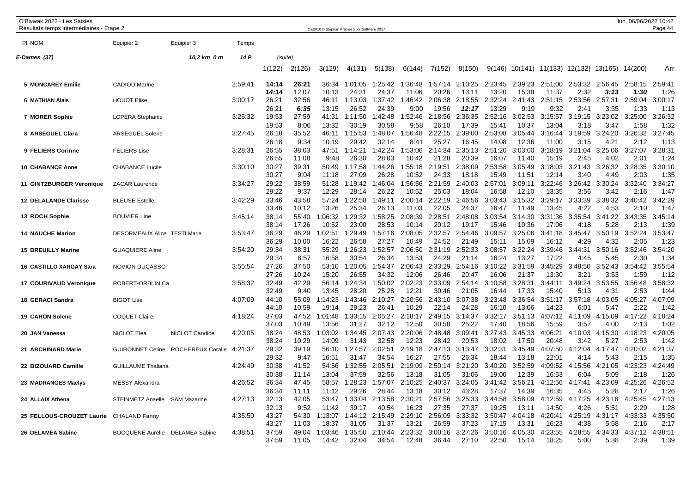| O'Bivwak 2022 - Les Saisies<br>Résultats temps intermédiaires - Etape 2 |                                 |                     |         |                |                | OE2010 © Stephan Krämer SportSoftware 2017 |                       |                  |                  |                  |                  |                  |                  |                                          |                                 |                 | lun. 06/06/2022 10:42            | Page 44         |
|-------------------------------------------------------------------------|---------------------------------|---------------------|---------|----------------|----------------|--------------------------------------------|-----------------------|------------------|------------------|------------------|------------------|------------------|------------------|------------------------------------------|---------------------------------|-----------------|----------------------------------|-----------------|
| PI NOM                                                                  | Equipier 2                      | Equipier 3          | Temps   |                |                |                                            |                       |                  |                  |                  |                  |                  |                  |                                          |                                 |                 |                                  |                 |
| E-Dames (37)                                                            |                                 | 10,2 km 0 m         | 14 P    | (suite)        |                |                                            |                       |                  |                  |                  |                  |                  |                  |                                          |                                 |                 |                                  |                 |
|                                                                         |                                 |                     |         | 1(122)         | 2(126)         | 3(129)                                     | 4(131)                | 5(138)           | 6(144)           | 7(152)           | 8(150)           |                  |                  | $9(146)$ 10(141) 11(133) 12(132) 13(165) |                                 |                 | 14(200)                          | Arr             |
| <b>5 MONCAREY Emilie</b>                                                | <b>CADIOU Marine</b>            |                     | 2:59:41 | 14:14<br>14:14 | 26:21<br>12:07 | 36:34<br>10:13                             | 1:01:05<br>24:31      | 1:25:42<br>24:37 | 1:36:48<br>11:06 | 1:57:14<br>20:26 | 2:10:25<br>13:11 | 2:23:45<br>13:20 | 2:39:23<br>15:38 | 11:37                                    | 2:51:00 2:53:32 2:56:45<br>2:32 | 3:13            | 2:58:15<br>1:30                  | 2:59:41<br>1:26 |
| 6 MATHIAN Alais                                                         | <b>HOUOT Elise</b>              |                     | 3:00:17 | 26:21<br>26:21 | 32:56<br>6:35  | 46:11<br>13:15                             | 1:13:03<br>26:52      | 1:37:42<br>24:39 | 1:46:42<br>9:00  | 2:06:38<br>19:56 | 2:18:55<br>12:17 | 2:32:24<br>13:29 | 2:41:43<br>9:19  | 2:51:15<br>9:32                          | 2:53:56<br>2:41                 | 2:57:31<br>3:35 | 2:59:04<br>1:33                  | 3:00:17<br>1:13 |
| 7 MORER Sophie                                                          | LOPERA Stephanie                |                     | 3:26:32 | 19:53<br>19:53 | 27:59<br>8:06  | 41:31<br>13:32                             | 1:11:50<br>30:19      | 1:42:48<br>30:58 | 1:52:46<br>9:58  | 2:18:56<br>26:10 | 2:36:35<br>17:39 | 2:52:16<br>15:41 | 3:02:53<br>10:37 | 3:15:57<br>13:04                         | 3:19:15<br>3:18                 | 3:23:02<br>3:47 | 3:25:00<br>1:58                  | 3:26:32<br>1:32 |
| 8 ARSEGUEL Clara                                                        | <b>ARSEGUEL Solene</b>          |                     | 3:27:45 | 26:18<br>26:18 | 35:52<br>9:34  | 46:11<br>10:19                             | 1:15:53<br>29:42      | 1:48:07<br>32:14 | 1:56:48<br>8:41  | 2:22:15<br>25:27 | 2:39:00<br>16:45 | 2:53:08<br>14:08 | 3:05:44<br>12:36 | 3:16:44<br>11:00                         | 3:19:59<br>3:15                 | 3:24:20<br>4:21 | 3:26:32<br>2:12                  | 3:27:45<br>1:13 |
| 9 FELIERS Corinne                                                       | <b>FELIERS Lise</b>             |                     | 3:28:31 | 26:55<br>26:55 | 38:03<br>11:08 | 47:51<br>9:48                              | 1:14:21<br>26:30      | 1:42:24<br>28:03 | 1:53:06<br>10:42 | 2:14:34<br>21:28 | 2:35:13<br>20:39 | 2:51:20<br>16:07 | 3:03:00<br>11:40 | 3:18:19<br>15:19                         | 3:21:04<br>2:45                 | 3:25:06<br>4:02 | 3:27:07<br>2:01                  | 3:28:31<br>1:24 |
| <b>10 CHABANCE Anne</b>                                                 | <b>CHABANCE Lucile</b>          |                     | 3:30:10 | 30:27<br>30:27 | 39:31<br>9:04  | 50:49<br>11:18                             | 1:17:58<br>27:09      | 1:44:26<br>26:28 | 1:55:18<br>10:52 | 2:19:51<br>24:33 | 2:38:09<br>18:18 | 2:53:58<br>15:49 | 3:05:49<br>11:51 | 3:18:03<br>12:14                         | 3:21:43<br>3:40                 | 3:26:32<br>4:49 | 3:28:35<br>2:03                  | 3:30:10<br>1:35 |
| 11 GINTZBURGER Veronique                                                | <b>ZACAR Laurence</b>           |                     | 3:34:27 | 29:22<br>29:22 | 38:59<br>9:37  | 51:28<br>12:29                             | 1:19:42<br>28:14      | 1:46:04<br>26:22 | 1:56:56<br>10:52 | 2:21:59<br>25:03 | 2:40:03<br>18:04 | 2:57:01<br>16:58 | 3:09:11<br>12:10 | 3:22:46<br>13:35                         | 3:26:42<br>3:56                 | 3:30:24<br>3:42 | 3:32:40<br>2:16                  | 3:34:27<br>1:47 |
| <b>12 DELALANDE Clarisse</b>                                            | <b>BLEUSE Estelle</b>           |                     | 3:42:29 | 33:46<br>33:46 | 43:58<br>10:12 | 57:24<br>13:26                             | :22:58<br>-1<br>25:34 | 1:49:11<br>26:13 | 2:00:14<br>11:03 | 2:22:19<br>22:05 | 2:46:56<br>24:37 | 3:03:43<br>16:47 | 3:15:32<br>11:49 | 3:29:17<br>13:45                         | 3:33:39<br>4:22                 | 3:38:32<br>4:53 | 3:40:42<br>2:10                  | 3:42:29<br>1:47 |
| 13 ROCH Sophie                                                          | <b>BOUVIER Line</b>             |                     | 3:45:14 | 38:14<br>38:14 | 55:40<br>17:26 | 1:06:32<br>10:52                           | :29:32<br>-1<br>23:00 | 1:58:25<br>28:53 | 2:08:39<br>10:14 | 2:28:51<br>20:12 | 2:48:08<br>19:17 | 3:03:54<br>15:46 | 3:14:30<br>10:36 | 3:31:36<br>17:06                         | 3:35:54<br>4:18                 | 3:41:22<br>5:28 | 3:43:35<br>2:13                  | 3:45:14<br>1:39 |
| <b>14 NAUCHE Marion</b>                                                 | DESORMEAUX Alice TESTI Marie    |                     | 3:53:47 | 36:29<br>36:29 | 46:29<br>10:00 | 1:02:51<br>16:22                           | 1:29:49<br>26:58      | 1:57:16<br>27:27 | 2:08:05<br>10:49 | 2:32:57<br>24:52 | 2:54:46<br>21:49 | 3:09:57<br>15:11 | 3:25:06<br>15:09 | 3:41:18<br>16:12                         | 3:45:47<br>4:29                 | 3:50:19<br>4:32 | 3:52:24<br>2:05                  | 3:53:47<br>1:23 |
| <b>15 BREUILLY Marine</b>                                               | <b>GUAQUIERE Aline</b>          |                     | 3:54:20 | 29:34<br>29:34 | 38:31<br>8:57  | 55:29<br>16:58                             | 1:26:23<br>30:54      | 1:52:57<br>26:34 | 2:06:50<br>13:53 | 2:31:19<br>24:29 | 2:52:33<br>21:14 | 3:08:57<br>16:24 | 3:22:24<br>13:27 | 3:39:46<br>17:22                         | 3:44:31<br>4:45                 | 3:50:16<br>5:45 | 3:52:46<br>2:30                  | 3:54:20<br>1:34 |
| 16 CASTILLO XARGAY Sara                                                 | <b>NOVION DUCASSO</b>           |                     | 3:55:54 | 27:26<br>27:26 | 37:50<br>10:24 | 53:10<br>15:20                             | 1:20:05<br>26:55      | 1:54:37<br>34:32 | 2:06:43<br>12:06 | 2:33:29<br>26:46 | 2:54:16<br>20:47 | 3:10:22<br>16:06 | 3:31:59<br>21:37 | 3:45:29<br>13:30                         | 3:48:50<br>3:21                 | 3:52:43<br>3:53 | 3:54:42<br>1:59                  | 3:55:54<br>1:12 |
| <b>17 COURIVAUD Veronique</b>                                           | ROBERT-ORBLIN Ca                |                     | 3:58:32 | 32:49<br>32:49 | 42:29<br>9:40  | 56:14<br>13:45                             | 1:24:34<br>28:20      | 1:50:02<br>25:28 | 2:02:23<br>12:21 | 2:33:09<br>30:46 | 2:54:14<br>21:05 | 3:10:58<br>16:44 | 3:28:31<br>17:33 | 3:44:11<br>15:40                         | 3:49:24<br>5:13                 | 3:53:55<br>4:3' | 3:56:48<br>2:53                  | 3:58:32<br>1:44 |
| 18 GERACI Sandra                                                        | <b>BIGOT Lise</b>               |                     | 4:07:09 | 44:10<br>44:10 | 55:09<br>10:59 | 1:14:23<br>19:14                           | :43:46<br>29:23       | 2:10:27<br>26:41 | 2:20:56<br>10:29 | 2:43:10<br>22:14 | 3:07:38<br>24:28 | 3:23:48<br>16:10 | 3:36:54<br>13:06 | 3:51:17<br>14:23                         | 3:57:18<br>6:01                 | 4:03:05<br>5:47 | 4:05:27<br>2:22                  | 4:07:09<br>1:42 |
| <b>19 CARON Solene</b>                                                  | <b>COQUET Claire</b>            |                     | 4:18:24 | 37:03<br>37:03 | 47:52<br>10:49 | 1:01:48<br>13:56                           | :33:15<br>-1<br>31:27 | 2:05:27<br>32:12 | 2:18:17<br>12:50 | 2:49:15<br>30:58 | 3:14:37<br>25:22 | 3:32:17<br>17:40 | 3:51:13<br>18:56 | 4:07:12<br>15:59                         | 4:11:09<br>3:57                 | 4:15:09<br>4:00 | 4:17:22<br>2:13                  | 4:18:24<br>1:02 |
| 20 JAN Vanessa                                                          | NICLOT Elea                     | NICLOT Candice      | 4:20:05 | 38:24<br>38:24 | 48:53<br>10:29 | 1:03:02<br>14:09                           | :34:45<br>-1<br>31:43 | 2:07:43<br>32:58 | 2:20:06<br>12:23 | 2:48:48<br>28:42 | 3:09:41<br>20:53 | 3:27:43<br>18:02 | 3:45:33<br>17:50 | 4:06:21<br>20:48                         | 4:10:03<br>3:42                 | 4:15:30<br>5:27 | 4:18:23<br>2:53                  | 4:20:05<br>1:42 |
| 21 ARCHINARD Marie                                                      | <b>GUIRONNET Celine</b>         | ROCHEREUX Coralie   | 4:21:37 | 29:32<br>29:32 | 39:19<br>9:47  | 56:10<br>16:51                             | 1:27:57<br>31:47      | 2:02:51<br>34:54 | 2:19:18<br>16:27 | 2:47:13<br>27:55 | 3:13:47<br>26:34 | 3:32:31<br>18:44 | 3:45:49<br>13:18 | 4:07:50<br>22:01                         | 4:12:04<br>4:14                 | 4:17:47<br>5:43 | 4:20:02<br>2:15                  | 4:21:37<br>1:35 |
| 22 BIZOUARD Camille                                                     | <b>GUILLAUME Thaliana</b>       |                     | 4:24:49 | 30:38<br>30:38 | 41:52<br>11:14 | 54:56<br>13:04                             | 1:32:55<br>37:59      | 2:05:51<br>32:56 | 2:19:09<br>13:18 | 2:50:14<br>31:05 | 3:21:20<br>31:06 | 3:40:20<br>19:00 | 3:52:59<br>12:39 | 4:09:52<br>16:53                         | 4:15:56<br>6:04                 | 4:21:05<br>5:09 | 4:23:23<br>2:18                  | 4:24:49<br>1:26 |
| 23 MADRANGES Maelys                                                     | <b>MESSY Alexandra</b>          |                     | 4:26:52 | 36:34<br>36:34 | 47:45<br>11:11 | 58:57<br>11:12                             | 1:28:23<br>29:26      | 1:57:07<br>28:44 | 2:10:25<br>13:18 | 2:40:37<br>30:12 | 3:24:05<br>43:28 | 3:41:42<br>17:37 | 3:56:21<br>14:39 | 4:12:56<br>16:35                         | 4:17:41<br>4:45                 | 4:23:09<br>5:28 | 4:25:26<br>2:17                  | 4:26:52<br>1:26 |
| 24 ALLAIX Athena                                                        | STEINMETZ Anaelle               | <b>SAM Mazarine</b> | 4:27:13 | 32:13<br>32:13 | 42:05<br>9:52  | 53:47<br>11:42                             | :33:04<br>-1<br>39:17 | 2:13:58<br>40:54 | 2:30:21<br>16:23 | 2:57:56<br>27:35 | 3:25:33<br>27:37 | 3:44:58<br>19:25 | 3:58:09<br>13:11 | 4:12:59<br>14:50                         | 4:17:25<br>4:26                 | 4:23:16<br>5:5' | :25:45<br>$\overline{4}$<br>2:29 | 4:27:13<br>1:28 |
| 25 FELLOUS-CROUZET Laurie                                               | <b>CHALAND Fanny</b>            |                     | 4:35:50 | 43:27<br>43:27 | 54:30<br>11:03 | 1:13:07<br>18:37                           | 1:44:12<br>31:05      | 2:15:49<br>31:37 | 2:29:10<br>13:21 | 2:56:09<br>26:59 | 3:33:32<br>37:23 | 3:50:47<br>17:15 | 4:04:18<br>13:31 | 4:20:41<br>16:23                         | 4:25:19<br>4:38                 | 4:31:17<br>5:58 | 4:33:33<br>2:16                  | 4:35:50<br>2:17 |
| 26 DELAMEA Sabine                                                       | BOCQUENE Aurelie DELAMEA Sabine |                     | 4:38:51 | 37:59<br>37:59 | 49:04<br>11:05 | 1:03:46<br>14:42                           | 1:35:50<br>32:04      | 2:10:44<br>34:54 | 2:23:32<br>12:48 | 3:00:16<br>36:44 | 3:27:26<br>27:10 | 3:50:16<br>22:50 | 4:05:30<br>15:14 | 4:23:55<br>18:25                         | 4:28:55<br>5:00                 | 4:34:33<br>5:38 | 4:37:12<br>2:39                  | 4:38:51<br>1:39 |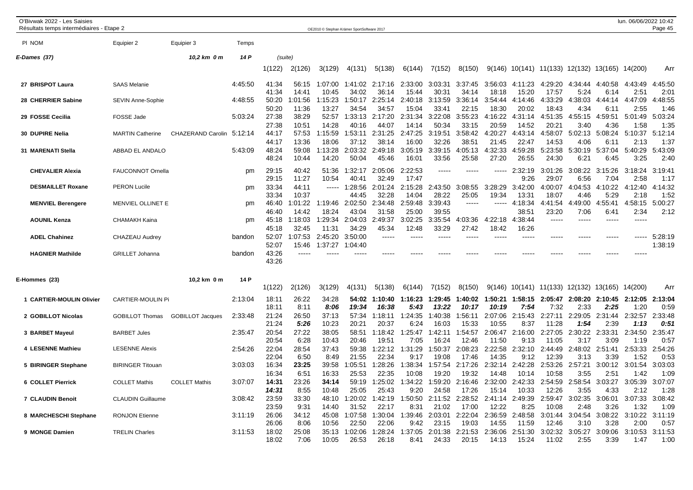| O'Bivwak 2022 - Les Saisies<br>Résultats temps intermédiaires - Etape 2 |                          |                         |         |                         |                  | OE2010 © Stephan Krämer SportSoftware 2017 |                    |                       |                  |                  |                  |                  |                  |                         |                     |                 | lun. 06/06/2022 10:42 | Page 45             |
|-------------------------------------------------------------------------|--------------------------|-------------------------|---------|-------------------------|------------------|--------------------------------------------|--------------------|-----------------------|------------------|------------------|------------------|------------------|------------------|-------------------------|---------------------|-----------------|-----------------------|---------------------|
| PI NOM                                                                  | Equipier 2               | Equipier 3              | Temps   |                         |                  |                                            |                    |                       |                  |                  |                  |                  |                  |                         |                     |                 |                       |                     |
| E-Dames (37)                                                            |                          | 10,2 km 0 m             | 14 P    | (suite)                 |                  |                                            |                    |                       |                  |                  |                  |                  |                  |                         |                     |                 |                       |                     |
|                                                                         |                          |                         |         | 1(122)                  | 2(126)           | 3(129)                                     | 4(131)             | 5(138)                | 6(144)           | 7(152)           | 8(150)           | 9(146)           |                  | 10(141) 11(133) 12(132) |                     | 13(165) 14(200) |                       | Arr                 |
| 27 BRISPOT Laura                                                        | <b>SAAS Melanie</b>      |                         | 4:45:50 | 41:34<br>41:34          | 56:15<br>14:41   | 1:07:00<br>10:45                           | 1:41:02<br>34:02   | 2:17:16<br>36:14      | 2:33:00<br>15:44 | 3:03:31<br>30:31 | 3:37:45<br>34:14 | 3:56:03<br>18:18 | 4:11:23<br>15:20 | 4:29:20<br>17:57        | 4:34:44<br>5:24     | 4:40:58<br>6:14 | 4:43:49<br>2:51       | 4:45:50<br>2:01     |
| 28 CHERRIER Sabine                                                      | <b>SEVIN Anne-Sophie</b> |                         | 4:48:55 | 50:20<br>50:20          | 1:01:56<br>11:36 | 1:15:23<br>13:27                           | 1:50:17<br>34:54   | 2:25:14<br>34:57      | 2:40:18<br>15:04 | 3:13:59<br>33:41 | 3:36:14<br>22:15 | 3:54:44<br>18:30 | 4:14:46<br>20:02 | 4:33:29<br>18:43        | 4:38:03<br>4:34     | 4:44:14<br>6:11 | 4:47:09<br>2:55       | :48:55<br>4<br>1:46 |
| 29 FOSSE Cecilia                                                        | FOSSE Jade               |                         | 5:03:24 | 27:38<br>27:38          | 38:29<br>10:51   | 52:57<br>14:28                             | 1:33:13<br>40:16   | 2:17:20<br>44:07      | 2:31:34<br>14:14 | 3:22:08<br>50:34 | 3:55:23<br>33:15 | 4:16:22<br>20:59 | 4:31:14<br>14:52 | 4:51:35<br>$20:2^7$     | 4:55:15<br>3:40     | 4:59:51<br>4:36 | 5:01:49<br>1:58       | 5:03:24<br>1:35     |
| 30 DUPIRE Nelia                                                         | <b>MARTIN Catherine</b>  | CHAZERAND Carolin       | 5:12:14 | 44:17<br>44:17          | 57:53<br>13:36   | 1:15:59<br>18:06                           | 1:53:11<br>37:12   | 2:31:25<br>38:14      | 2:47:25<br>16:00 | 3:19:51<br>32:26 | 3:58:42<br>38:51 | 4:20:27<br>21:45 | 4:43:14<br>22:47 | 4:58:07<br>14:53        | 5:02:13<br>4:06     | 5:08:24<br>6:11 | 5:10:37<br>2:13       | 5:12:14<br>1:37     |
| 31 MARENATI Stella                                                      | ABBAD EL ANDALO          |                         | 5:43:09 | 48:24<br>48:24          | 59:08<br>10:44   | 1:13:28<br>14:20                           | 2:03:32<br>50:04   | 2:49:18<br>45:46      | 3:05:19<br>16:01 | 3:39:15<br>33:56 | 4:05:13<br>25:58 | 4:32:33<br>27:20 | 4:59:28<br>26:55 | 5:23:58<br>24:30        | 5:30:19<br>6:21     | 5:37:04<br>6:45 | 5:40:29<br>3:25       | 5:43:09<br>2:40     |
| <b>CHEVALIER Alexia</b>                                                 | <b>FAUCONNOT Ornella</b> |                         | pm      | 29:15<br>29:15          | 40:42<br>11:27   | 51:36<br>10:54                             | 1:32:17<br>40:41   | 2:05:06<br>32:49      | 2:22:53<br>17:47 | -----            | -----            | $- - - - -$      | 2:32:19<br>9:26  | 3:01:26<br>29:07        | 3:08:22<br>6:56     | 3:15:26<br>7:04 | 3:18:24<br>2:58       | 3:19:41<br>1:17     |
| <b>DESMAILLET Roxane</b>                                                | <b>PERON Lucile</b>      |                         | pm      | 33:34<br>33:34          | 44:11<br>10:37   | $- - - - -$                                | 1:28:56<br>44:45   | 2:01:24<br>32:28      | 2:15:28<br>14:04 | 2:43:50<br>28:22 | 3:08:55<br>25:05 | 3:28:29<br>19:34 | 3:42:00<br>13:31 | 4:00:07<br>18:07        | :04:53<br>4<br>4:46 | 4:10:22<br>5:29 | 4:12:40<br>2:18       | 4:14:32<br>1:52     |
| <b>MENVIEL Berengere</b>                                                | MENVIEL OLLINET E        |                         | pm      | 46:40<br>46:40          | 1:01:22<br>14:42 | 1:19:46<br>18:24                           | 2:02:50<br>43:04   | 2:34:48<br>31:58      | 2:59:48<br>25:00 | 3:39:43<br>39:55 | $---$            |                  | 4:18:34<br>38:51 | 4:41:54<br>23:20        | :49:00<br>4<br>7:06 | 4:55:41<br>6:41 | 4:58:15<br>2:34       | 5:00:27<br>2:12     |
| <b>AOUNIL Kenza</b>                                                     | <b>CHAMAKH Kaina</b>     |                         | pm      | 45:18                   | 1:18:03<br>32:45 | 1:29:34<br>11:31                           | 2:04:03<br>34:29   | 2:49:37<br>45:34      | 3:02:25<br>12:48 | 3:35:54<br>33:29 | 4:03:36<br>27:42 | 4:22:18<br>18:42 | 4:38:44          |                         | -----               |                 | $- - - - -$           |                     |
| <b>ADEL Chahinez</b>                                                    | CHAZEAU Audrey           |                         | bandon  | 45:18<br>52:07<br>52:07 | 1:07:53<br>15:46 | 2:45:20<br>1:37:27                         | 3:50:00<br>1:04:40 | -----                 | -----            | -----            | -----            | $\frac{1}{2}$    | 16:26<br>-----   | -----                   | -----               |                 | -----                 | 5:28:19<br>1:38:19  |
| <b>HAGNIER Mathilde</b>                                                 | <b>GRILLET Johanna</b>   |                         | bandon  | 43:26<br>43:26          | -----            |                                            |                    |                       |                  |                  |                  |                  |                  |                         |                     |                 | ----                  |                     |
| E-Hommes (23)                                                           |                          | 10,2 km 0 m             | 14 P    | 1(122)                  | 2(126)           | 3(129)                                     | 4(131)             | 5(138)                | 6(144)           | 7(152)           | 8(150)           | 9(146)           |                  | 10(141) 11(133) 12(132) |                     | 13(165)         | 14(200)               | Arr                 |
| 1 CARTIER-MOULIN Olivier                                                | <b>CARTIER-MOULIN Pi</b> |                         | 2:13:04 | 18:11<br>18:11          | 26:22<br>8:11    | 34:28<br>8:06                              | 54:02<br>19:34     | 1:10:40<br>16:38      | 1:16:23<br>5:43  | 1:29:45<br>13:22 | 1:40:02<br>10:17 | 1:50:21<br>10:19 | 1:58:15<br>7:54  | 2:05:47<br>7:32         | 2:08:20<br>2:33     | 2:10:45<br>2:25 | 2:12:05<br>1:20       | 2:13:04<br>0:59     |
| 2 GOBILLOT Nicolas                                                      | <b>GOBILLOT Thomas</b>   | <b>GOBILLOT Jacques</b> | 2:33:48 | 21:24<br>21:24          | 26:50<br>5:26    | 37:13<br>10:23                             | 57:34<br>20:21     | 1:18:11<br>20:37      | 1:24:35<br>6:24  | 1:40:38<br>16:03 | 1:56:11<br>15:33 | 2:07:06<br>10:55 | 2:15:43<br>8:37  | 2:27:11<br>11:28        | 2:29:05<br>1:54     | 2:31:44<br>2:39 | 2:32:57<br>1:13       | 2:33:48<br>0:51     |
| 3 BARBET Mayeul                                                         | <b>BARBET Jules</b>      |                         | 2:35:47 | 20:54<br>20:54          | 27:22<br>6:28    | 38:05<br>10:43                             | 58:51<br>20:46     | 1:18:42<br>19:51      | 1:25:47<br>7:05  | 1:42:11<br>16:24 | 1:54:57<br>12:46 | 2:06:47<br>11:50 | 2:16:00<br>9:13  | 2:27:05<br>11:05        | 2:30:22<br>3:17     | 2:33:31<br>3:09 | 2:34:50<br>1:19       | 2:35:47<br>0:57     |
| 4 LESENNE Mathieu                                                       | <b>LESENNE Alexis</b>    |                         | 2:54:26 | 22:04<br>22:04          | 28:54<br>6:50    | 37:43<br>8:49                              | 59:38<br>21:55     | :22:12<br>22:34       | 1:31:29<br>9:17  | 1:50:37<br>19:08 | 2:08:23<br>17:46 | 2:22:58<br>14:35 | 2:32:10<br>9:12  | 2:44:49<br>12:39        | 2:48:02<br>3:13     | 2:51:41<br>3:39 | 2:53:33<br>1:52       | 2:54:26<br>0:53     |
| 5 BIRINGER Stephane                                                     | <b>BIRINGER Titouan</b>  |                         | 3:03:03 | 16:34<br>16:34          | 23:25<br>6:51    | 39:58<br>16:33                             | :05:51<br>25:53    | :28:26<br>-1<br>22:35 | 1:38:34<br>10:08 | 1:57:54<br>19:20 | 2:17:26<br>19:32 | 2:32:14<br>14:48 | 2:42:28<br>10:14 | 2:53:26<br>10:58        | 2:57:21<br>3:55     | 3:00:12<br>2:51 | 3:01:54<br>1:42       | 3:03:03<br>1:09     |
| 6 COLLET Pierrick                                                       | <b>COLLET Mathis</b>     | <b>COLLET Mathis</b>    | 3:07:07 | 14:31<br>14:31          | 23:26<br>8:55    | 34:14<br>10:48                             | 59:19<br>25:05     | :25:02<br>25:43       | 1:34:22<br>9:20  | 1:59:20<br>24:58 | 2:16:46<br>17:26 | 2:32:00<br>15:14 | 2:42:33<br>10:33 | 2:54:59<br>12:26        | 2:58:54<br>3:55     | 3:03:27<br>4:33 | 3:05:39<br>2:12       | 3:07:07<br>1:28     |
| <b>7 CLAUDIN Benoit</b>                                                 | <b>CLAUDIN Guillaume</b> |                         | 3:08:42 | 23:59<br>23:59          | 33:30<br>9:31    | 48:10<br>14:40                             | 1:20:02<br>31:52   | :42:19<br>22:17       | 1:50:50<br>8:31  | 2:11:52<br>21:02 | 2:28:52<br>17:00 | 2:41:14<br>12:22 | 2:49:39<br>8:25  | 2:59:47<br>10:08        | 3:02:35<br>2:48     | 3:06:01<br>3:26 | 3:07:33<br>1:32       | 3:08:42<br>1:09     |
| 8 MARCHESCHI Stephane                                                   | <b>RONJON Etienne</b>    |                         | 3:11:19 | 26:06<br>26:06          | 34:12<br>8:06    | 45:08<br>10:56                             | 1:07:58<br>22:50   | :30:04<br>22:06       | 1:39:46<br>9:42  | 2:03:01<br>23:15 | 2:22:04<br>19:03 | 2:36:59<br>14:55 | 2:48:58<br>11:59 | 3:01:44<br>12:46        | 3:04:54<br>3:10     | 3:08:22<br>3:28 | 3:10:22<br>2:00       | 3:11:19<br>0:57     |
| 9 MONGE Damien                                                          | <b>TRELIN Charles</b>    |                         | 3:11:53 | 18:02<br>18:02          | 25:08<br>7:06    | 35:13<br>10:05                             | 1:02:06<br>26:53   | :28:24<br>26:18       | 1:37:05<br>8:41  | 2:01:38<br>24:33 | 2:21:53<br>20:15 | 2:36:06<br>14:13 | 2:51:30<br>15:24 | 3:02:32<br>11:02        | 3:05:27<br>2:55     | 3:09:06<br>3:39 | 3:10:53<br>1:47       | 3:11:53<br>1:00     |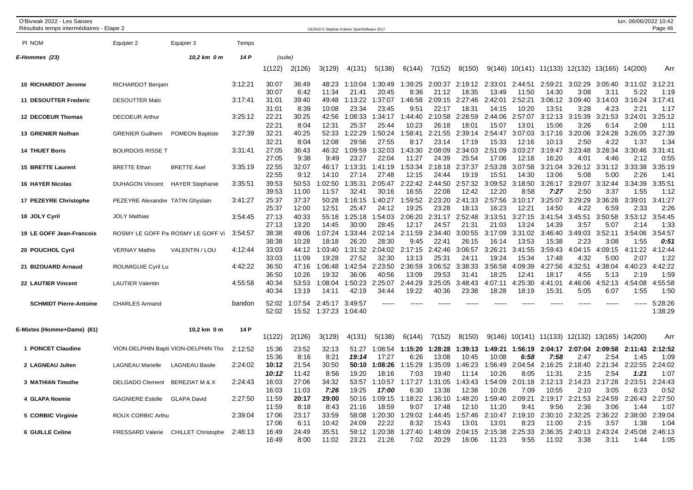| O'Bivwak 2022 - Les Saisies<br>Résultats temps intermédiaires - Etape 2 |                                  |                                     |         |                         |                         | OE2010 © Stephan Krämer SportSoftware 2017 |                           |                           |                           |                           |                           |                           |                           |                           |                                                |                         | lun. 06/06/2022 10:42   | Page 46                 |
|-------------------------------------------------------------------------|----------------------------------|-------------------------------------|---------|-------------------------|-------------------------|--------------------------------------------|---------------------------|---------------------------|---------------------------|---------------------------|---------------------------|---------------------------|---------------------------|---------------------------|------------------------------------------------|-------------------------|-------------------------|-------------------------|
| PI NOM                                                                  | Equipier 2                       | Equipier 3                          | Temps   |                         |                         |                                            |                           |                           |                           |                           |                           |                           |                           |                           |                                                |                         |                         |                         |
| E-Hommes (23)                                                           |                                  | 10,2 km 0 m                         | 14 P    | (suite)                 |                         |                                            |                           |                           |                           |                           |                           |                           |                           |                           |                                                |                         |                         |                         |
|                                                                         |                                  |                                     |         | 1(122)                  | 2(126)                  | 3(129)                                     | 4(131)                    | 5(138)                    | 6(144)                    | 7(152)                    | 8(150)                    |                           |                           |                           | 9(146) 10(141) 11(133) 12(132) 13(165) 14(200) |                         |                         | Arr                     |
| 10 RICHARDOT Jerome                                                     | RICHARDOT Benjam                 |                                     | 3:12:21 | 30:07<br>30:07          | 36:49<br>6:42           | 48:23<br>11:34                             | 1:10:04<br>21:41          | 1:30:49<br>20:45          | 1:39:25<br>8:36           | 2:00:37<br>21:12          | 2:19:12<br>18:35          | 2:33:01<br>13:49          | 2:44:51<br>11:50          | 2:59:21<br>14:30          | 3:02:29<br>3:08                                | 3:05:40<br>3:11         | 3:11:02<br>5:22         | 3:12:21<br>1:19         |
| 11 DESOUTTER Frederic                                                   | <b>DESOUTTER Malo</b>            |                                     | 3:17:41 | 31:01<br>31:01          | 39:40<br>8:39           | 49:48<br>10:08                             | 1:13:22<br>23:34          | 1:37:07<br>23:45          | 1:46:58<br>9:51           | 2:09:15<br>22:17          | 2:27:46<br>18:31          | 2:42:01<br>14:15          | 2:52:21<br>10:20          | 3:06:12<br>13:51          | 3:09:40<br>3:28                                | 3:14:03<br>4:23         | 3:16:24<br>2:21         | 3:17:41<br>1:17         |
| 12 DECOEUR Thomas                                                       | <b>DECOEUR Arthur</b>            |                                     | 3:25:12 | 22:21<br>22:21          | 30:25<br>8:04           | 42:56<br>12:31                             | 1:08:33<br>25:37          | 1:34:17<br>25:44          | 1:44:40<br>10:23          | 2:10:58<br>26:18          | 2:28:59<br>18:0'          | 2:44:06<br>15:07          | 2:57:07<br>13:01          | 3:12:13<br>15:06          | 3:15:39<br>3:26                                | 3:21:53<br>6:14         | 3:24:01<br>2:08         | 3:25:12<br>1:11         |
| 13 GRENIER Nolhan                                                       | <b>GRENIER Guilhem</b>           | <b>POMEON Baptiste</b>              | 3:27:39 | 32:21<br>32:21          | 40:25<br>8:04           | 52:33<br>12:08                             | 1:22:29<br>29:56          | 1:50:24<br>27:55          | 1:58:41<br>8:17           | 2:21:55<br>23:14          | 2:39:14<br>17:19          | 2:54:47<br>15:33          | 3:07:03<br>12:16          | 3:17:16<br>10:13          | 3:20:06<br>2:50                                | 3:24:28<br>4:22         | 3:26:05<br>1:37         | 3:27:39<br>1:34         |
| <b>14 THUET Boris</b>                                                   | <b>BOURDOIS RISSE T</b>          |                                     | 3:31:41 | 27:05<br>27:05          | 36:43<br>9:38           | 46:32<br>9:49                              | 1:09:59<br>23:27          | 1:32:03<br>22:04          | 1:43:30<br>11:27          | 2:08:09<br>24:39          | 2:34:03<br>25:54          | 2:51:09<br>17:06          | 3:03:27<br>12:18          | 3:19:47<br>16:20          | 3:23:48<br>4:01                                | 3:28:34<br>4:46         | 3:30:46<br>2:12         | 3:31:41<br>0:55         |
| <b>15 BRETTE Laurent</b>                                                | <b>BRETTE Ethan</b>              | <b>BRETTE Axel</b>                  | 3:35:19 | 22:55<br>22:55          | 32:07<br>9:12           | 46:17<br>14:10                             | 1:13:31<br>27:14          | 1:41:19<br>27:48          | 1:53:34<br>12:15          | 2:18:18<br>24:44          | 2:37:37<br>19:19          | 2:53:28<br>15:51          | 3:07:58<br>14:30          | 3:21:04<br>13:06          | 3:26:12<br>5:08                                | 3:31:12<br>5:00         | 3:33:38<br>2:26         | 3:35:19<br>1:41         |
| <b>16 HAYER Nicolas</b>                                                 | <b>DUHAGON Vincent</b>           | <b>HAYER Stephanie</b>              | 3:35:51 | 39:53<br>39:53          | 50:53<br>11:00          | 1:02:50<br>11:57                           | 1:35:31<br>32:41          | 2:05:47<br>30:16          | 2:22:42<br>16:55          | 2:44:50<br>22:08          | 2:57:32<br>12:42          | 3:09:52<br>12:20          | 3:18:50<br>8:58           | 3:26:17<br>7:27           | 3:29:07<br>2:50                                | 3:32:44<br>3:37         | 3:34:39<br>1:55         | 3:35:51<br>1:12         |
| 17 PEZEYRE Christophe                                                   | PEZEYRE Alexandre TATIN Ghyslain |                                     | 3:41:27 | 25:37<br>25:37          | 37:37<br>12:00          | 50:28<br>12:51                             | 1:16:15<br>25:47          | 1:40:27<br>24:12          | 1:59:52<br>19:25          | 2:23:20<br>23:28          | 2:41:33<br>18:13          | 2:57:56<br>16:23          | 3:10:17<br>12:21          | 3:25:07<br>14:50          | 3:29:29<br>4:22                                | 3:36:28<br>6:59         | 3:39:01<br>2:33         | 3:41:27<br>2:26         |
| 18 JOLY Cyril                                                           | <b>JOLY Mathias</b>              |                                     | 3:54:45 | 27:13<br>27:13          | 40:33<br>13:20          | 55:18<br>14:45                             | 1:25:18<br>30:00          | 1:54:03<br>28:45          | 2:06:20<br>12:17          | 2:31:17<br>24:57          | 2:52:48<br>21:31          | 3:13:51<br>21:03          | 3:27:15<br>13:24          | 3:41:54<br>14:39          | 3:45:51<br>3:57                                | 3:50:58<br>5:07         | 3:53:12<br>2:14         | 3:54:45<br>1:33         |
| 19 LE GOFF Jean-Francois                                                |                                  | ROSMY LE GOFF Pa ROSMY LE GOFF Vi   | 3:54:57 | 38:38                   | 49:06<br>10:28          | 1:07:24                                    | 1:33:44<br>26:20          | 2:02:14<br>28:30          | 2:11:59<br>9:45           | 2:34:40<br>22:41          | 3:00:55<br>26:15          | 3:17:09<br>16:14          | 3:31:02                   | 3:46:40                   | 3:49:03<br>2:23                                | 3:52:11<br>3:08         | 3:54:06<br>1:55         | 3:54:57<br>0:51         |
| 20 POUCHOL Cyril                                                        | <b>VERNAY Mathis</b>             | VALENTIN / LOU                      | 4:12:44 | 38:38<br>33:03          | 44:12                   | 18:18<br>1:03:40                           | 1:31:32                   | 2:04:02                   | 2:17:15                   | 2:42:46                   | 3:06:57                   | 3:26:21                   | 13:53<br>3:41:55          | 15:38<br>3:59:43          | 4:04:15                                        | 4:09:15                 | 4:11:22                 | 4:12:44                 |
| 21 BIZOUARD Arnaud                                                      | ROUMIGUIE Cyril Lu               |                                     | 4:42:22 | 33:03<br>36:50          | 11:09<br>47:16          | 19:28<br>1:06:48                           | 27:52<br>1:42:54          | 32:30<br>2:23:50          | 13:13<br>2:36:59          | 25:31<br>3:06:52          | 24:11<br>3:38:33          | 19:24<br>3:56:58          | 15:34<br>4:09:39          | 17:48<br>4:27:56          | 4:32<br>4:32:51                                | 5:00<br>4:38:04         | 2:07<br>4:40:23         | 1:22<br>:42:22<br>4     |
| 22 LAUTIER Vincent                                                      | <b>LAUTIER Valentin</b>          |                                     | 4:55:58 | 36:50<br>40:34<br>40:34 | 10:26<br>53:53<br>13:19 | 19:32<br>1:08:04<br>14:11                  | 36:06<br>1:50:23<br>42:19 | 40:56<br>2:25:07<br>34:44 | 13:09<br>2:44:29<br>19:22 | 29:53<br>3:25:05<br>40:36 | 31:41<br>3:48:43<br>23:38 | 18:25<br>4:07:11<br>18:28 | 12:41<br>4:25:30<br>18:19 | 18:17<br>4:41:01<br>15:31 | 4:55<br>4:46:06<br>5:05                        | 5:13<br>4:52:13<br>6:07 | 2:19<br>4:54:08<br>1:55 | 1:59<br>4:55:58<br>1:50 |
| <b>SCHMIDT Pierre-Antoine</b>                                           | <b>CHARLES Armand</b>            |                                     | bandon  | 52:02<br>52:02          | 1:07:54<br>15:52        | 2:45:17<br>1:37:23                         | 3:49:57<br>1:04:40        |                           |                           |                           |                           |                           |                           |                           |                                                |                         | -----                   | 5:28:26<br>1:38:29      |
| E-Mixtes (Homme+Dame)  (61)                                             |                                  | 10,2 km 0 m                         | 14 P    | 1(122)                  | 2(126)                  | 3(129)                                     | 4(131)                    | 5(138)                    | 6(144)                    | 7(152)                    | 8(150)                    | 9(146)                    | 10(141)                   | 11(133)                   | 12(132)                                        | 13(165)                 | 14(200)                 | Arr                     |
| 1 PONCET Claudine                                                       |                                  | VION-DELPHIN Bapti VION-DELPHIN Tho | 2:12:52 | 15:36                   | 23:52                   | 32:13                                      | 51:27                     | 1:08:54                   | 1:15:20                   | 1:28:28                   | 1:39:13                   | 1:49:21                   | 1:56:19                   | 2:04:17                   | 2:07:04                                        | 2:09:58                 | 2:11:43                 | 2:12:52                 |
| 2 LAGNEAU Julien                                                        | <b>LAGNEAU Marielle</b>          | <b>LAGNEAU Basile</b>               | 2:24:02 | 15:36<br>10:12          | 8:16<br>21:54           | 8:21<br>30:50                              | 19:14<br>50:10            | 17:27<br>1:08:26          | 6:26<br>1:15:29           | 13:08<br>1:35:09          | 10:45<br>1:46:23          | 10:08<br>1:56:49          | 6:58<br>2:04:54           | 7:58<br>2:16:25           | 2:47<br>2:18:40                                | 2:54<br>2:21:34         | 1:45<br>2:22:55         | 1:09<br>2:24:02         |
| 3 MATHIAN Timothe                                                       | <b>DELGADO Clement</b>           | <b>BEREZIAT M &amp; X</b>           | 2:24:43 | 10:12<br>16:03          | 11:42<br>27:06          | 8:56<br>34:32                              | 19:20<br>53:57            | 18:16<br>1:10:57          | 7:03<br>1:17:27           | 19:40<br>1:31:05          | 11:14<br>1:43:43          | 10:26<br>1:54:09          | 8:05<br>2:01:18           | 11:31<br>2:12:13          | 2:15<br>2:14:23                                | 2:54<br>2:17:28         | 1:21<br>2:23:51         | 1:07<br>2:24:43         |
| 4 GLAPA Noemie                                                          | <b>GAGNIERE Estelle</b>          | <b>GLAPA David</b>                  | 2:27:50 | 16:03<br>11:59          | 11:03<br>20:17          | 7:26<br>29:00                              | 19:25<br>50:16            | 17:00<br>1:09:15          | 6:30<br>1:18:22           | 13:38<br>1:36:10          | 12:38<br>1:48:20          | 10:26<br>1:59:40          | 7:09<br>2:09:21           | 10:55<br>2:19:17          | 2:10<br>2:21:53                                | 3:05<br>2:24:59         | 6:23<br>2:26:43         | 0:52<br>2:27:50         |
| 5 CORBIC Virginie                                                       | ROUX CORBIC Arthu                |                                     | 2:39:04 | 11:59<br>17:06          | 8:18<br>23:17           | 8:43<br>33:59                              | 21:16<br>58:08            | 18:59<br>1:20:30          | 9:07<br>1:29:02           | 17:48<br>1:44:45          | 12:10<br>1:57:46          | 11:20<br>2:10:47          | 9:41<br>2:19:10           | 9:56<br>2:30:10           | 2:36<br>2:32:25                                | 3:06<br>2:36:22         | 1:44<br>2:38:00         | 1:07<br>2:39:04         |
| 6 GUILLE Celine                                                         | <b>FRESSARD Valerie</b>          | <b>CHILLET Christophe</b>           | 2:46:13 | 17:06<br>16:49<br>16:49 | 6:11<br>24:49<br>8:00   | 10:42<br>35:51<br>11:02                    | 24:09<br>59:12<br>23:21   | 22:22<br>1:20:38<br>21:26 | 8:32<br>1:27:40<br>7:02   | 15:43<br>1:48:09<br>20:29 | 13:01<br>2:04:15<br>16:06 | 13:01<br>2:15:38<br>11:23 | 8:23<br>2:25:33<br>9:55   | 11:00<br>2:36:35<br>11:02 | 2:15<br>2:40:13<br>3:38                        | 3:57<br>2:43:24<br>3:11 | 1:38<br>2:45:08<br>1:44 | 1:04<br>2:46:13<br>1:05 |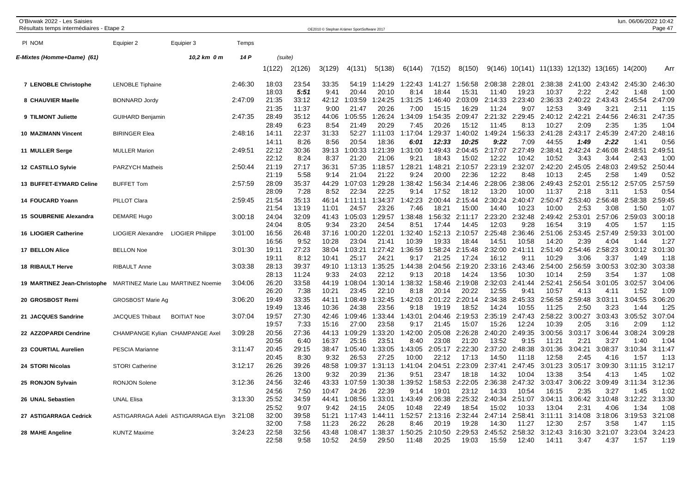| O'Bivwak 2022 - Les Saisies<br>Résultats temps intermédiaires - Etape 2 |                                        |                                    |         |                         |                        |                        | OE2010 © Stephan Krämer SportSoftware 2017 |                           |                         |                           |                           |                           |                          |                                  |                         |                         | lun. 06/06/2022 10:42   | Page 47                 |
|-------------------------------------------------------------------------|----------------------------------------|------------------------------------|---------|-------------------------|------------------------|------------------------|--------------------------------------------|---------------------------|-------------------------|---------------------------|---------------------------|---------------------------|--------------------------|----------------------------------|-------------------------|-------------------------|-------------------------|-------------------------|
| PI NOM                                                                  | Equipier 2                             | Equipier 3                         | Temps   |                         |                        |                        |                                            |                           |                         |                           |                           |                           |                          |                                  |                         |                         |                         |                         |
| E-Mixtes (Homme+Dame) (61)                                              |                                        | 10,2 km 0 m                        | 14 P    | (suite)                 |                        |                        |                                            |                           |                         |                           |                           |                           |                          |                                  |                         |                         |                         |                         |
|                                                                         |                                        |                                    |         | 1(122)                  | 2(126)                 | 3(129)                 | 4(131)                                     | 5(138)                    | 6(144)                  | 7(152)                    | 8(150)                    |                           |                          | $9(146)$ 10(141) 11(133) 12(132) |                         | 13(165)                 | 14(200)                 | Arr                     |
| 7 LENOBLE Christophe                                                    | <b>LENOBLE Tiphaine</b>                |                                    | 2:46:30 | 18:03<br>18:03          | 23:54<br>5:51          | 33:35<br>9:41          | 54:19<br>20:44                             | :14:29<br>-1<br>20:10     | 1:22:43<br>8:14         | 1:41:27<br>18:44          | 1:56:58<br>15:31          | 2:08:38<br>11:40          | 2:28:01<br>19:23         | 2:38:38<br>10:37                 | 2:41:00<br>2:22         | 2:43:42<br>2:42         | 2:45:30<br>1:48         | 2:46:30<br>1:00         |
| 8 CHAUVIER Maelle                                                       | <b>BONNARD Jordy</b>                   |                                    | 2:47:09 | 21:35<br>21:35          | 33:12<br>11:37         | 42:12<br>9:00          | 1:03:59<br>21:47                           | 1:24:25<br>20:26          | 1:31:25<br>7:00         | 1:46:40<br>15:15          | 2:03:09<br>16:29          | 2:14:33<br>11:24          | 2:23:40<br>9:07          | 2:36:33<br>12:53                 | 2:40:22<br>3:49         | 2:43:43<br>3:21         | 2:45:54<br>2:11         | 2:47:09<br>1:15         |
| 9 TILMONT Juliette                                                      | <b>GUIHARD Benjamin</b>                |                                    | 2:47:35 | 28:49<br>28:49          | 35:12<br>6:23          | 44:06<br>8:54          | 1:05:55<br>21:49                           | 1:26:24<br>20:29          | 1:34:09<br>7:45         | 1:54:35<br>20:26          | 2:09:47<br>15:12          | 2:21:32<br>11:45          | 2:29:45<br>8:13          | 2:40:12<br>10:27                 | 2:42:21<br>2:09         | 2:44:56<br>2:35         | 2:46:31<br>1:35         | 2:47:35<br>1:04         |
| <b>10 MAZIMANN Vincent</b>                                              | <b>BIRINGER Elea</b>                   |                                    | 2:48:16 | 14:11<br>14:11          | 22:37<br>8:26          | 31:33<br>8:56          | 52:27<br>20:54                             | 1:11:03<br>18:36          | 1:17:04<br>6:01         | 1:29:37<br>12:33          | 1:40:02<br>10:25          | 1:49:24<br>9:22           | 1:56:33<br>7:09          | 2:41:28<br>44:55                 | 2:43:17<br>1:49         | 2:45:39<br>2:22         | 2:47:20<br>1:41         | 2:48:16<br>0:56         |
| 11 MULLER Serge                                                         | <b>MULLER Marion</b>                   |                                    | 2:49:51 | 22:12<br>22:12          | 30:36<br>8:24          | 39:13<br>8:37          | :00:33<br>21:20                            | 1:21:39<br>21:06          | 1:31:00<br>9:21         | 1:49:43<br>18:43          | 2:04:45<br>15:02          | 2:17:07<br>12:22          | 2:27:49<br>10:42         | 2:38:41<br>10:52                 | 2:42:24<br>3:43         | 2:46:08<br>3:44         | 2:48:51<br>2:43         | 2:49:51<br>1:00         |
| 12 CASTILLO Sylvie                                                      | PARZYCH Matheis                        |                                    | 2:50:44 | 21:19<br>21:19          | 27:17<br>5:58          | 36:31<br>9:14          | 57:35<br>21:04                             | 1:18:57<br>21:22          | 1:28:21<br>9:24         | 1:48:21<br>20:00          | 2:10:57<br>22:36          | 2:23:19<br>12:22          | 2:32:07<br>8:48          | 2:42:20<br>10:13                 | 2:45:05<br>2:45         | 2:48:03<br>2:58         | 2:49:52<br>1:49         | 2:50:44<br>0:52         |
| 13 BUFFET-EYMARD Celine                                                 | <b>BUFFET Tom</b>                      |                                    | 2:57:59 | 28:09<br>28:09          | 35:37<br>7:28          | 44:29<br>8:52          | 1:07:03<br>22:34                           | 1:29:28<br>22:25          | 1:38:42<br>9:14         | 1:56:34<br>17:52          | 2:14:46<br>18:12          | 2:28:06<br>13:20          | 2:38:06<br>10:00         | 2:49:43<br>11:37                 | 2:52:01<br>2:18         | 2:55:12<br>3:11         | 2:57:05<br>1:53         | 2:57:59<br>0:54         |
| 14 FOUCARD Yoann                                                        | PILLOT Clara                           |                                    | 2:59:45 | 21:54<br>21:54          | 35:13<br>13:19         | 46:14<br>11:01         | 1:11:11<br>24:57                           | 1:34:37<br>23:26          | 1:42:23<br>7:46         | 2:00:44<br>18:21          | 2:15:44<br>15:00          | 2:30:24<br>14:40          | 2:40:47<br>10:23         | 2:50:47<br>10:00                 | 2:53:40<br>2:53         | 2:56:48<br>3:08         | 2:58:38<br>1:50         | 2:59:45<br>1:07         |
| 15 SOUBRENIE Alexandra                                                  | <b>DEMARE Hugo</b>                     |                                    | 3:00:18 | 24:04<br>24:04          | 32:09<br>8:05          | 41:43<br>9:34          | 1:05:03<br>23:20                           | 1:29:57<br>24:54          | 1:38:48<br>8:51         | 1:56:32<br>17:44          | 2:11:17<br>14:45          | 2:23:20<br>12:03          | 2:32:48<br>9:28          | 2:49:42<br>16:54                 | 2:53:01<br>3:19         | 2:57:06<br>4:05         | 2:59:03<br>1:57         | 3:00:18<br>1:15         |
| 16 LIOGIER Catherine                                                    | <b>LIOGIER Alexandre</b>               | <b>LIOGIER Philippe</b>            | 3:01:00 | 16:56<br>16:56          | 26:48<br>9:52          | 37:16<br>10:28         | 1:00:20<br>23:04                           | :22:01<br>21:41           | 1:32:40<br>10:39        | 1:52:13<br>19:33          | 2:10:57<br>18:44          | 2:25:48<br>14:51          | 2:36:46<br>10:58         | 2:51:06<br>14:20                 | 2:53:45<br>2:39         | 2:57:49<br>4:04         | 2:59:33<br>1:44         | 3:01:00<br>1:27         |
| 17 BELLON Alice                                                         | <b>BELLON Noe</b>                      |                                    | 3:01:30 | 19:11                   | 27:23                  | 38:04                  | 1:03:21                                    | 1:27:42                   | :36:59                  | 1:58:24                   | 2:15:48                   | 2:32:00                   | 2:41:11                  | 2:51:40                          | 2:54:46                 | 2:58:23                 | 3:00:12                 | 3:01:30                 |
| <b>18 RIBAULT Herve</b>                                                 | <b>RIBAULT Anne</b>                    |                                    | 3:03:38 | 19:11<br>28:13<br>28:13 | 8:12<br>39:37<br>11:24 | 10:41<br>49:10<br>9:33 | 25:17<br>1:13:13<br>24:03                  | 24:21<br>1:35:25<br>22:12 | 9:17<br>1:44:38<br>9:13 | 21:25<br>2:04:56<br>20:18 | 17:24<br>2:19:20<br>14:24 | 16:12<br>2:33:16<br>13:56 | 9:11<br>2:43:46<br>10:30 | 10:29<br>2:54:00<br>10:14        | 3:06<br>2:56:59<br>2:59 | 3:37<br>3:00:53<br>3:54 | 1:49<br>3:02:30<br>1:37 | 1:18<br>3:03:38<br>1:08 |
| 19 MARTINEZ Jean-Christophe                                             | MARTINEZ Marie Lau MARTINEZ Noemie     |                                    | 3:04:06 | 26:20<br>26:20          | 33:58<br>7:38          | 44:19<br>10:21         | 1:08:04<br>23:45                           | 1:30:14<br>22:10          | 1:38:32<br>8:18         | 1:58:46<br>20:14          | 2:19:08<br>20:22          | 2:32:03<br>12:55          | 2:41:44<br>9:41          | 2:52:41<br>10:57                 | 2:56:54<br>4:13         | 3:01:05<br>4:11         | 3:02:57<br>1:52         | 3:04:06<br>1:09         |
| 20 GROSBOST Remi                                                        | <b>GROSBOST Marie Ag</b>               |                                    | 3:06:20 | 19:49<br>19:49          | 33:35<br>13:46         | 44:11<br>10:36         | 1:08:49<br>24:38                           | :32:45<br>23:56           | 1:42:03<br>9:18         | 2:01:22<br>19:19          | 2:20:14<br>18:52          | 2:34:38<br>14:24          | 2:45:33<br>10:55         | 2:56:58<br>11:25                 | 2:59:48<br>2:50         | 3:03:11<br>3:23         | 3:04:55<br>1:44         | 3:06:20<br>1:25         |
| 21 JACQUES Sandrine                                                     | <b>JACQUES Thibaut</b>                 | <b>BOITIAT Noe</b>                 | 3:07:04 | 19:57<br>19:57          | 27:30<br>7:33          | 42:46<br>15:16         | 1:09:46<br>27:00                           | :33:44<br>23:58           | 1:43:01<br>9:17         | 2:04:46<br>21:45          | 2:19:53<br>15:07          | 2:35:19<br>15:26          | 2:47:43<br>12:24         | 2:58:22<br>10:39                 | 3:00:27<br>2:05         | 3:03:43<br>3:16         | 3:05:52<br>2:09         | 3:07:04<br>1:12         |
| 22 AZZOPARDI Cendrine                                                   | <b>CHAMPANGE Kylian CHAMPANGE Axel</b> |                                    | 3:09:28 | 20:56<br>20:56          | 27:36<br>6:40          | 44:13<br>16:37         | 1:09:29<br>25:16                           | :33:20<br>23:51           | 1:42:00<br>8:40         | 2:05:08<br>23:08          | 2:26:28<br>21:20          | 2:40:20<br>13:52          | 2:49:35<br>9:15          | 3:00:56<br>$11:2^{\circ}$        | 3:03:17<br>2:21         | 3:06:44<br>3:27         | 3:08:24<br>1:40         | 3:09:28<br>1:04         |
| 23 COURTIAL Aurelien                                                    | <b>PESCIA Marianne</b>                 |                                    | 3:11:47 | 20:45<br>20:45          | 29:15<br>8:30          | 38:47<br>9:32          | 1:05:40<br>26:53                           | :33:05<br>27:25           | 1:43:05<br>10:00        | 2:05:17<br>22:12          | 2:22:30<br>17:13          | 2:37:20<br>14:50          | 2:48:38<br>11:18         | 3:01:36<br>12:58                 | 3:04:21<br>2:45         | 3:08:37<br>4:16         | 3:10:34<br>1:57         | 3:11:47<br>1:13         |
| 24 STORI Nicolas                                                        | <b>STORI Catherine</b>                 |                                    | 3:12:17 | 26:26<br>26:26          | 39:26<br>13:00         | 48:58<br>9:32          | 1:09:37<br>20:39                           | 1:31:13<br>21:36          | 1:41:04<br>9:51         | 2:04:51<br>23:47          | 2:23:09<br>18:18          | 2:37:41<br>14:32          | 2:47:45<br>10:04         | 3:01:23<br>13:38                 | 3:05:17<br>3:54         | 3:09:30<br>4:13         | 3:11:15<br>1:45         | 3:12:17<br>1:02         |
| 25 RONJON Sylvain                                                       | <b>RONJON Solene</b>                   |                                    | 3:12:36 | 24:56<br>24:56          | 32:46<br>7:50          | 43:33<br>10:47         | 1:07:59<br>24:26                           | 1:30:38<br>22:39          | 1:39:52<br>9:14         | 1:58:53<br>19:01          | 2:22:05<br>23:12          | 2:36:38<br>14:33          | 2:47:32<br>10:54         | 3:03:47<br>16:15                 | 3:06:22<br>2:35         | 3:09:49<br>3:27         | 3:11:34<br>1:45         | 3:12:36<br>1:02         |
| 26 UNAL Sebastien                                                       | <b>UNAL Elisa</b>                      |                                    | 3:13:30 | 25:52<br>25:52          | 34:59<br>9:07          | 44:41<br>9:42          | 1:08:56<br>24:15                           | :33:01<br>24:05           | 1:43:49<br>10:48        | 2:06:38<br>22:49          | 2:25:32<br>18:54          | 2:40:34<br>15:02          | 2:51:07<br>10:33         | 3:04:11<br>13:04                 | 3:06:42<br>2:31         | 3:10:48<br>4:06         | 3:12:22<br>1:34         | 3:13:30<br>1:08         |
| 27 ASTIGARRAGA Cedrick                                                  |                                        | ASTIGARRAGA Adeli ASTIGARRAGA Elyn | 3:21:08 | 32:00<br>32:00          | 39:58<br>7:58          | 51:21<br>11:23         | 1:17:43<br>26:22                           | 1:44:11<br>26:28          | 1:52:57<br>8:46         | 2:13:16<br>20:19          | 2:32:44<br>19:28          | 2:47:14<br>14:30          | 2:58:41<br>11:27         | 3:11:11<br>12:30                 | 3:14:08<br>2:57         | 3:18:06<br>3:58         | 3:19:53<br>1:47         | 3:21:08<br>1:15         |
| 28 MAHE Angeline                                                        | <b>KUNTZ Maxime</b>                    |                                    | 3:24:23 | 22:58<br>22:58          | 32:56<br>9:58          | 43:48<br>10:52         | 1:08:47<br>24:59                           | 1:38:37<br>29:50          | 1:50:25<br>11:48        | 2:10:50<br>20:25          | 2:29:53<br>19:03          | 2:45:52<br>15:59          | 2:58:32<br>12:40         | 3:12:43<br>14:11                 | 3:16:30<br>3:47         | 3:21:07<br>4:37         | 3:23:04<br>1:57         | 3:24:23<br>1:19         |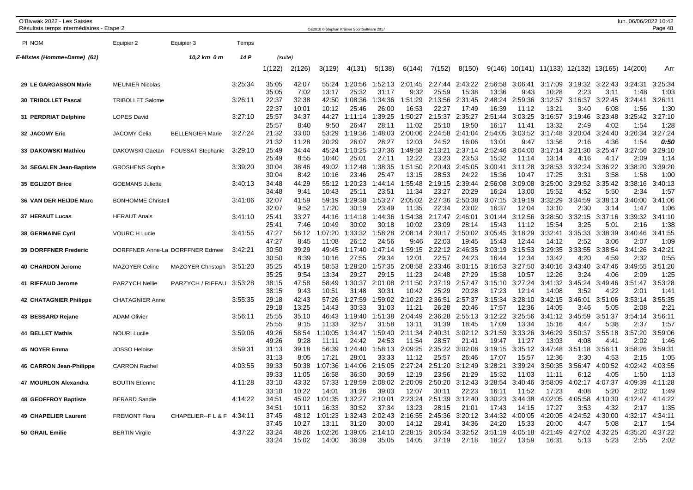| O'Bivwak 2022 - Les Saisies<br>Résultats temps intermédiaires - Etape 2 |                           |                                 |         |                         |                         | OE2010 © Stephan Krämer SportSoftware 2017 |                           |                           |                           |                           |                           |                           |                           |                           |                         |                         | lun. 06/06/2022 10:42       | Page 48                 |
|-------------------------------------------------------------------------|---------------------------|---------------------------------|---------|-------------------------|-------------------------|--------------------------------------------|---------------------------|---------------------------|---------------------------|---------------------------|---------------------------|---------------------------|---------------------------|---------------------------|-------------------------|-------------------------|-----------------------------|-------------------------|
| PI NOM                                                                  | Equipier 2                | Equipier 3                      | Temps   |                         |                         |                                            |                           |                           |                           |                           |                           |                           |                           |                           |                         |                         |                             |                         |
| E-Mixtes (Homme+Dame) (61)                                              |                           | 10,2 km 0 m                     | 14 P    | (suite)                 |                         |                                            |                           |                           |                           |                           |                           |                           |                           |                           |                         |                         |                             |                         |
|                                                                         |                           |                                 |         | 1(122)                  | 2(126)                  | 3(129)                                     | 4(131)                    | 5(138)                    | 6(144)                    | 7(152)                    | 8(150)                    | 9(146)                    |                           | 10(141) 11(133) 12(132)   |                         | 13(165) 14(200)         |                             | Arr                     |
| 29 LE GARGASSON Marie                                                   | <b>MEUNIER Nicolas</b>    |                                 | 3:25:34 | 35:05<br>35:05          | 42:07<br>7:02           | 55:24<br>13:17                             | 1:20:56<br>25:32          | 1:52:13<br>31:17          | 2:01:45<br>9:32           | 2:27:44<br>25:59          | 2:43:22<br>15:38          | 2:56:58<br>13:36          | 3:06:41<br>9:43           | 3:17:09<br>10:28          | 3:19:32<br>2:23         | 3:22:43<br>3:11         | 3:24:31<br>1:48             | 3:25:34<br>1:03         |
| 30 TRIBOLLET Pascal                                                     | TRIBOLLET Salome          |                                 | 3:26:11 | 22:37<br>22:37          | 32:38<br>10:01          | 42:50<br>10:12                             | 1:08:36<br>25:46          | 1:34:36<br>26:00          | 1:51:29<br>16:53          | 2:13:56<br>22:27          | 2:31:45<br>17:49          | 2:48:24<br>16:39          | 2:59:36<br>11:12          | 3:12:57<br>13:21          | 3:16:37<br>3:40         | 3:22:45<br>6:08         | 3:24:41<br>1:56             | 3:26:11<br>1:30         |
| 31 PERDRIAT Delphine                                                    | <b>LOPES David</b>        |                                 | 3:27:10 | 25:57<br>25:57          | 34:37<br>8:40           | 44:27<br>9:50                              | 1:11:14<br>26:47          | 1:39:25<br>28:11          | 1:50:27<br>11:02          | 2:15:37<br>25:10          | 2:35:27<br>19:50          | 2:51:44<br>16:17          | 3:03:25<br>11:41          | 3:16:57<br>13:32          | 3:19:46<br>2:49         | 3:23:48<br>4:02         | 3:25:42<br>1:54             | 3:27:10<br>1:28         |
| 32 JACOMY Eric                                                          | <b>JACOMY Celia</b>       | <b>BELLENGIER Marie</b>         | 3:27:24 | 21:32<br>21:32          | 33:00<br>11:28          | 53:29<br>20:29                             | 1:19:36<br>26:07          | 1:48:03<br>28:27          | 2:00:06<br>12:03          | 2:24:58<br>24:52          | 2:41:04<br>16:06          | 2:54:05<br>13:01          | 3:03:52<br>9:47           | 3:17:48<br>13:56          | 3:20:04<br>2:16         | 3:24:40<br>4:36         | 3:26:34<br>1:54             | 3:27:24<br>0:50         |
| 33 DAKOWSKI Mathieu                                                     | DAKOWSKI Gaetan           | <b>FOUSSAT Stephanie</b>        | 3:29:10 | 25:49<br>25:49          | 34:44<br>8:55           | 45:24<br>10:40                             | 1:10:25<br>25:01          | 1:37:36<br>27:11          | 1:49:58<br>12:22          | 2:13:21<br>23:23          | 2:37:14<br>23:53          | 2:52:46<br>15:32          | 3:04:00<br>11:14          | 3:17:14<br>13:14          | 3:21:30<br>4:16         | 3:25:47<br>4:17         | 3:27:56<br>2:09             | 3:29:10<br>1:14         |
| 34 SEGALEN Jean-Baptiste                                                | <b>GROSHENS Sophie</b>    |                                 | 3:39:20 | 30:04<br>30:04          | 38:46<br>8:42           | 49:02<br>10:16                             | 1:12:48<br>23:46          | 1:38:35<br>25:47          | 1:51:50<br>13:15          | 2:20:43<br>28:53          | 2:45:05<br>24:22          | 3:00:41<br>15:36          | 3:11:28<br>10:47          | 3:28:53<br>17:25          | 3:32:24<br>3:31         | 3:36:22<br>3:58         | 3:38:20<br>1:58             | 3:39:20<br>1:00         |
| 35 EGLIZOT Brice                                                        | <b>GOEMANS Juliette</b>   |                                 | 3:40:13 | 34:48<br>34:48          | 44:29<br>9:41           | 55:12<br>10:43                             | 1:20:23<br>25:11          | 1:44:14<br>23:51          | 1:55:48<br>11:34          | 2:19:15<br>23:27          | 2:39:44<br>20:29          | 2:56:08<br>16:24          | 3:09:08<br>13:00          | 3:25:00<br>15:52          | 3:29:52<br>4:52         | 3:35:42<br>5:50         | 3:38:16<br>2:34             | 3:40:13<br>1:57         |
| 36 VAN DER HEIJDE Marc                                                  | <b>BONHOMME Christell</b> |                                 | 3:41:06 | 32:07                   | 41:59                   | 59:19                                      | 1:29:38                   | 1:53:27                   | 2:05:02                   | 2:27:36                   | 2:50:38                   | 3:07:15                   | 3:19:19                   | 3:32:29                   | 3:34:59                 | 3:38:13                 | 3:40:00                     | 3:41:06                 |
| 37 HERAUT Lucas                                                         | <b>HERAUT Anais</b>       |                                 | 3:41:10 | 32:07<br>25:41          | 9:52<br>33:27           | 17:20<br>44:16                             | 30:19<br>1:14:18          | 23:49<br>1:44:36          | 11:35<br>1:54:38          | 22:34<br>2:17:47          | 23:02<br>2:46:01          | 16:37<br>3:01:44          | 12:04<br>3:12:56          | 13:10<br>3:28:50          | 2:30<br>3:32:15         | 3:14<br>3:37:16         | 1:47<br>3:39:32             | 1:06<br>3:41:10         |
| <b>38 GERMAINE Cyril</b>                                                | <b>VOURC H Lucie</b>      |                                 | 3:41:55 | 25:41<br>47:27          | 7:46<br>56:12           | 10:49<br>:07:20                            | 30:02<br>1:33:32          | 30:18<br>1:58:28          | 10:02<br>2:08:14          | 23:09<br>2:30:17          | 28:14<br>2:50:02          | 15:43<br>3:05:45          | 11:12<br>3:18:29          | 15:54<br>3:32:41          | 3:25<br>3:35:33         | 5:01<br>3:38:39         | 2:16<br>3:40:46             | 1:38<br>3:41:55         |
| 39 DORFFNER Frederic                                                    |                           | DORFFNER Anne-La DORFFNER Edmee | 3:42:21 | 47:27<br>30:50          | 8:45<br>39:29           | 11:08<br>49:45                             | 26:12<br>1:17:40          | 24:56<br>1:47:14          | 9:46<br>1:59:15           | 22:03<br>2:22:12          | 19:45<br>2:46:35          | 15:43<br>3:03:19          | 12:44<br>3:15:53          | 14:12<br>3:29:35          | 2:52<br>3:33:55         | 3:06<br>3:38:54         | 2:07<br>3:41:26             | 1:09<br>3:42:21         |
| <b>40 CHARDON Jerome</b>                                                | <b>MAZOYER Celine</b>     | MAZOYER Christoph               | 3:51:20 | 30:50<br>35:25          | 8:39<br>45:19           | 10:16<br>58:53                             | 27:55<br>1:28:20          | 29:34<br>1:57:35          | 12:01<br>2:08:58          | 22:57<br>2:33:46          | 24:23<br>3:01:15          | 16:44<br>3:16:53          | 12:34<br>3:27:50          | 13:42<br>3:40:16          | 4:20<br>3:43:40         | 4:59<br>3:47:46         | 2:32<br>3:49:55             | 0:55<br>3:51:20         |
| 41 RIFFAUD Jerome                                                       | <b>PARZYCH Nellie</b>     | PARZYCH / RIFFAU                | 3:53:28 | 35:25<br>38:15          | 9:54<br>47:58           | 13:34<br>58:49                             | 29:27<br>1:30:37<br>31:48 | 29:15<br>2:01:08          | 11:23<br>2:11:50          | 24:48<br>2:37:19<br>25:29 | 27:29<br>2:57:47          | 15:38<br>3:15:10          | 10:57<br>3:27:24          | 12:26<br>3:41:32          | 3:24<br>3:45:24         | 4:06<br>3:49:46         | 2:09<br>3:51:47             | 1:25<br>3:53:28<br>1:41 |
| <b>42 CHATAGNIER Philippe</b>                                           | <b>CHATAGNIER Anne</b>    |                                 | 3:55:35 | 38:15<br>29:18          | 9:43<br>42:43           | 10:51<br>57:26                             | 1:27:59                   | 30:31<br>1:59:02          | 10:42<br>2:10:23          | 2:36:51                   | 20:28<br>2:57:37          | 17:23<br>3:15:34          | 12:14<br>3:28:10          | 14:08<br>3:42:15          | 3:52<br>3:46:01         | 4:22<br>3:51:06         | 2:0 <sup>1</sup><br>3:53:14 | 3:55:35                 |
| 43 BESSARD Rejane                                                       | <b>ADAM Olivier</b>       |                                 | 3:56:11 | 29:18<br>25:55          | 13:25<br>35:10          | 14:43<br>46:43                             | 30:33<br>1:19:40          | 31:03<br>1:51:38          | 11:21<br>2:04:49          | 26:28<br>2:36:28          | 20:46<br>2:55:13          | 17:57<br>3:12:22          | 12:36<br>3:25:56          | 14:05<br>3:41:12          | 3:46<br>3:45:59         | 5:05<br>3:51:37         | 2:08<br>3:54:14             | 2:21<br>3:56:11         |
| <b>44 BELLET Mathis</b>                                                 | <b>NOURI Lucile</b>       |                                 | 3:59:06 | 25:55<br>49:26          | 9:15<br>58:54           | 11:33<br>1:10:05                           | 32:57<br>1:34:47          | 31:58<br>1:59:40          | 13:11<br>2:11:34          | 31:39<br>2:40:31          | 18:45<br>3:02:12          | 17:09<br>3:21:59          | 13:34<br>3:33:26          | 15:16<br>3:46:29          | 4:47<br>3:50:37         | 5:38<br>3:55:18         | 2:37<br>3:57:20             | 1:57<br>3:59:06         |
| 45 NOYER Emma                                                           | <b>JOSSO Heloise</b>      |                                 | 3:59:31 | 49:26<br>31:13          | 9:28<br>39:18           | 11:11<br>56:39                             | 24:42<br>1:24:40          | 24:53<br>1:58:13          | 11:54<br>2:09:25          | 28:57<br>2:35:22          | 21:41<br>3:02:08          | 19:47<br>3:19:15          | 11:27<br>3:35:12          | 13:03<br>3:47:48          | 4:08<br>3:51:18         | 4:41<br>3:56:11         | 2:02<br>3:58:26             | 1:46<br>3:59:31         |
| 46 CARRON Jean-Philippe                                                 | <b>CARRON Rachel</b>      |                                 | 4:03:55 | 31:13<br>39:33          | 8:05<br>50:38           | 17:21<br>1:07:36                           | 28:01<br>1:44:06          | 33:33<br>2:15:05          | 11:12<br>2:27:24          | 25:57<br>2:51:20          | 26:46<br>3:12:49          | 17:07<br>3:28:21          | 15:57<br>3:39:24          | 12:36<br>3:50:35          | 3:30<br>3:56:47         | 4:53<br>4:00:52         | 2:15<br>4:02:42             | 1:05<br>4:03:55         |
| 47 MOURLON Alexandra                                                    | <b>BOUTIN Etienne</b>     |                                 | 4:11:28 | 39:33<br>33:10          | 11:05<br>43:32          | 16:58<br>57:33                             | 36:30<br>1:28:59          | 30:59<br>2:08:02          | 12:19<br>2:20:09          | 23:56<br>2:50:20          | 21:29<br>3:12:43          | 15:32<br>3:28:54          | 11:03<br>3:40:46          | 11:11<br>3:58:09          | 6:12<br>4:02:17         | 4:05<br>4:07:37         | 1:50<br>4:09:39             | 1:13<br>4:11:28         |
| 48 GEOFFROY Baptiste                                                    | <b>BERARD Sandie</b>      |                                 | 4:14:22 | 33:10<br>34:51          | 10:22<br>45:02          | 14:01<br>1:01:35                           | 31:26<br>1:32:27          | 39:03<br>2:10:01          | 12:07<br>2:23:24          | 30:11<br>2:51:39          | 22:23<br>3:12:40          | 16:11<br>3:30:23          | 11:52<br>3:44:38          | 17:23<br>4:02:05          | 4:08<br>4:05:58         | 5:20<br>4:10:30         | 2:02<br>4:12:47             | 1:49<br>4:14:22         |
| <b>49 CHAPELIER Laurent</b>                                             | <b>FREMONT Flora</b>      | CHAPELIER--F L & F              | 4:34:11 | 34:51<br>37:45          | 10:11<br>48:12          | 16:33<br>1:01:23                           | 30:52<br>1:32:43          | 37:34<br>2:02:43          | 13:23<br>2:16:55          | 28:15<br>2:45:36          | 21:01<br>3:20:12          | 17:43<br>3:44:32          | 14:15<br>4:00:05          | 17:27<br>4:20:05          | 3:53<br>4:24:52         | 4:32<br>4:30:00         | 2:17<br>4:32:17             | 1:35<br>4:34:11         |
| 50 GRAIL Emilie                                                         | <b>BERTIN Virgile</b>     |                                 | 4:37:22 | 37:45<br>33:24<br>33:24 | 10:27<br>48:26<br>15:02 | 13:11<br>1:02:26<br>14:00                  | 31:20<br>1:39:05<br>36:39 | 30:00<br>2:14:10<br>35:05 | 14:12<br>2:28:15<br>14:05 | 28:41<br>3:05:34<br>37:19 | 34:36<br>3:32:52<br>27:18 | 24:20<br>3:51:19<br>18:27 | 15:33<br>4:05:18<br>13:59 | 20:00<br>4:21:49<br>16:31 | 4:47<br>4:27:02<br>5:13 | 5:08<br>4:32:25<br>5:23 | 2:17<br>4:35:20<br>2:55     | 1:54<br>4:37:22<br>2:02 |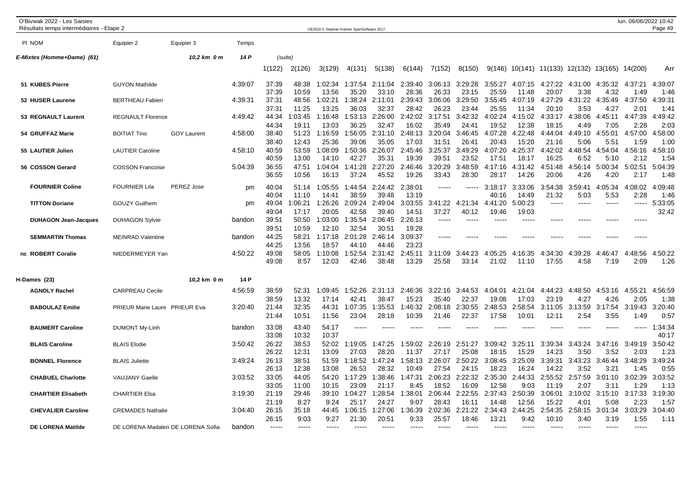| O'Bivwak 2022 - Les Saisies<br>Résultats temps intermédiaires - Etape 2 |                                   |                    |         |                |                  | OE2010 © Stephan Krämer SportSoftware 2017 |                       |                  |                  |                  |                  |                  |                  |                          |                         |                 | lun. 06/06/2022 10:42 | Page 49             |
|-------------------------------------------------------------------------|-----------------------------------|--------------------|---------|----------------|------------------|--------------------------------------------|-----------------------|------------------|------------------|------------------|------------------|------------------|------------------|--------------------------|-------------------------|-----------------|-----------------------|---------------------|
| PI NOM                                                                  | Equipier 2                        | Equipier 3         | Temps   |                |                  |                                            |                       |                  |                  |                  |                  |                  |                  |                          |                         |                 |                       |                     |
| E-Mixtes (Homme+Dame) (61)                                              |                                   | 10,2 km 0 m        | 14 P    | (suite)        |                  |                                            |                       |                  |                  |                  |                  |                  |                  |                          |                         |                 |                       |                     |
|                                                                         |                                   |                    |         | 1(122)         | 2(126)           | 3(129)                                     | 4(131)                | 5(138)           | 6(144)           | 7(152)           | 8(150)           |                  |                  | $9(146)$ 10(141) 11(133) | 12(132) 13(165) 14(200) |                 |                       | Arr                 |
| 51 KUBES Pierre                                                         | <b>GUYON Mathilde</b>             |                    | 4:39:07 | 37:39          | 48:38            | 1:02:34                                    | 1:37:54               | 2:11:04          | 2:39:40          | 3:06:13          | 3:29:28          | 3:55:27          | 4:07:15          | 4:27:22                  | 4:31:00                 | 4:35:32         | 4:37:21               | 4:39:07             |
| 52 HUSER Laurene                                                        | <b>BERTHEAU Fabien</b>            |                    | 4:39:31 | 37:39<br>37:31 | 10:59<br>48:56   | 13:56<br>1:02:21                           | 35:20<br>1:38:24      | 33:10<br>2:11:01 | 28:36<br>2:39:43 | 26:33<br>3:06:06 | 23:15<br>3:29:50 | 25:59<br>3:55:45 | 11:48<br>4:07:19 | 20:07<br>4:27:29         | 3:38<br>4:31:22         | 4:32<br>4:35:49 | 1:49<br>4:37:50       | 1:46<br>4:39:31     |
|                                                                         |                                   |                    |         | 37:31          | 11:25            | 13:25                                      | 36:03                 | 32:37            | 28:42            | 26:23            | 23:44            | 25:55            | 11:34            | 20:10                    | 3:53                    | 4:27            | 2:01                  | 1:41                |
| 53 REGNAULT Laurent                                                     | <b>REGNAULT Florence</b>          |                    | 4:49:42 | 44:34          | 1:03:45          | 1:16:48                                    | :53:13                | 2:26:00          | 2:42:02          | 3:17:51          | 3:42:32          | 4:02:24          | 4:15:02          | 4:33:17                  | 4:38:06                 | 4:45:11         | 4:47:39               | :49:42<br>4         |
| 54 GRUFFAZ Marie                                                        | <b>BOITIAT Tino</b>               | <b>GOY Laurent</b> | 4:58:00 | 44:34<br>38:40 | 19:11<br>51:23   | 13:03<br>1:16:59                           | 36:25<br>1:56:05      | 32:47<br>2:31:10 | 16:02<br>2:48:13 | 35:49<br>3:20:04 | 24:41<br>3:46:45 | 19:52<br>4:07:28 | 12:38<br>4:22:48 | 18:15<br>4:44:04         | 4:49<br>4:49:10         | 7:05<br>4:55:01 | 2:28<br>4:57:00       | 2:03<br>:58:00<br>4 |
| 55 LAUTIER Julien                                                       | <b>LAUTIER Caroline</b>           |                    | 4:58:10 | 38:40<br>40:59 | 12:43<br>53:59   | 25:36<br>1:08:09                           | 39:06<br>:50:36       | 35:05<br>2:26:07 | 17:03<br>2:45:46 | 31:51<br>3:25:37 | 26:41<br>3:49:29 | 20:43<br>4:07:20 | 15:20<br>4:25:37 | 21:16<br>4:42:02         | 5:06<br>4:48:54         | 5:51<br>4:54:04 | 1:59<br>4:56:16       | 1:00<br>:58:10<br>4 |
|                                                                         |                                   |                    |         | 40:59          | 13:00            | 14:10                                      | 42:27                 | 35:31            | 19:39            | 39:51            | 23:52            | 17:51            | 18:17            | 16:25                    | 6:52                    | 5:10            | 2:12                  | 1:54                |
| 56 COSSON Gerard                                                        | <b>COSSON Francoise</b>           |                    | 5:04:39 | 36:55<br>36:55 | 47:51<br>10:56   | 1:04:04<br>16:13                           | 1:41:28<br>37:24      | 2:27:20<br>45:52 | 2:46:46<br>19:26 | 3:20:29<br>33:43 | 3:48:59<br>28:30 | 4:17:16<br>28:17 | 4:31:42<br>14:26 | 4:51:48<br>20:06         | 4:56:14<br>4:26         | 5:00:34<br>4:20 | 5:02:51<br>2:17       | 5:04:39<br>1:48     |
| <b>FOURNIER Coline</b>                                                  | <b>FOURNIER Lila</b>              | PEREZ Jose         | pm      | 40:04          | 51:14            | 1:05:55                                    | 1:44:54               | 2:24:42          | 2:38:01          | -----            | -----            | 3:18:17          | 3:33:06          | 3:54:38                  | 3:59:41                 | 4:05:34         | 4:08:02               | 4:09:48             |
| <b>TITTON Doriane</b>                                                   | <b>GOUZY Guilhem</b>              |                    |         | 40:04<br>49:04 | 11:10<br>1:06:21 | 14:41<br>1:26:26                           | 38:59<br>2:09:24      | 39:48<br>2:49:04 | 13:19<br>3:03:55 | 3:41:22          | 4:21:34          | 40:16<br>4:41:20 | 14:49<br>5:00:23 | 21:32                    | 5:03                    | 5:53            | 2:28<br>-----         | 1:46<br>5:33:05     |
|                                                                         |                                   |                    | pm      | 49:04          | 17:17            | 20:05                                      | 42:58                 | 39:40            | 14:51            | 37:27            | 40:12            | 19:46            | 19:03            |                          |                         |                 |                       | 32:42               |
| <b>DUHAGON Jean-Jacques</b>                                             | <b>DUHAGON Sylvie</b>             |                    | bandon  | 39:51          | 50:50            | 1:03:00                                    | 1:35:54               | 2:06:45          | 2:26:13          | -----            |                  |                  |                  |                          |                         |                 |                       |                     |
|                                                                         |                                   |                    |         | 39:51          | 10:59            | 12:10                                      | 32:54                 | 30:51            | 19:28            |                  |                  |                  |                  |                          |                         |                 |                       |                     |
| <b>SEMMARTIN Thomas</b>                                                 | <b>MEINRAD Valentine</b>          |                    | bandon  | 44:25          | 58:21            | 1:17:18                                    | 2:01:28               | 2:46:14          | 3:09:37          | -----            |                  |                  |                  |                          |                         |                 | -----                 |                     |
| nc ROBERT Coralie                                                       | NIEDERMEYER Yan                   |                    | 4:50:22 | 44:25<br>49:08 | 13:56<br>58:05   | 18:57<br>1:10:08                           | 44:10<br>:52:54       | 44:46<br>2:31:42 | 23:23<br>2:45:11 | 3:11:09          | 3:44:23          | 4:05:25          | 4:16:35          | 4:34:30                  | 4:39:28                 | 4:46:47         | 48:56<br>4:           | 4:50:22             |
|                                                                         |                                   |                    |         | 49:08          | 8:57             | 12:03                                      | 42:46                 | 38:48            | 13:29            | 25:58            | 33:14            | 21:02            | 11:10            | 17:55                    | 4:58                    | 7:19            | 2:09                  | 1:26                |
| H-Dames (23)                                                            |                                   | 10,2 km 0 m        | 14 P    |                |                  |                                            |                       |                  |                  |                  |                  |                  |                  |                          |                         |                 |                       |                     |
| <b>AGNOLY Rachel</b>                                                    | <b>CARPREAU Cecile</b>            |                    | 4:56:59 | 38:59          | 52:31            | 1:09:45                                    | :52:26<br>-1<br>42:41 | 2:31:13<br>38:47 | 2:46:36          | 3:22:16          | 3:44:53<br>22:37 | 4:04:01          | 4:21:04          | 4:44:23                  | 4:48:50                 | 4:53:16         | 4:55:21               | 4:56:59             |
| <b>BABOULAZ Emilie</b>                                                  | PRIEUR Marie Laure PRIEUR Eva     |                    | 3:20:40 | 38:59<br>21:44 | 13:32<br>32:35   | 17:14<br>44:31                             | 1:07:35               | :35:53           | 15:23<br>1:46:32 | 35:40<br>2:08:18 | 2:30:55          | 19:08<br>2:48:53 | 17:03<br>2:58:54 | 23:19<br>3:11:05         | 4:27<br>3:13:59         | 4:26<br>3:17:54 | 2:05<br>3:19:43       | 1:38<br>3:20:40     |
|                                                                         |                                   |                    |         | 21:44          | 10:51            | 11:56                                      | 23:04                 | 28:18            | 10:39            | 21:46            | 22:37            | 17:58            | 10:01            | 12:11                    | 2:54                    | 3:55            | 1:49                  | 0:57                |
| <b>BAUMERT Caroline</b>                                                 | <b>DUMONT My-Linh</b>             |                    | bandon  | 33:08          | 43:40            | 54:17                                      | $---$                 | -----            |                  | -----            | ----             | $\frac{1}{2}$    | ----             | ----                     | $\frac{1}{2}$           | $--- - -$       | -----                 | 1:34:34             |
|                                                                         |                                   |                    |         | 33:08          | 10:32            | 10:37                                      |                       |                  |                  |                  |                  |                  |                  |                          |                         |                 |                       | 40:17               |
| <b>BLAIS Caroline</b>                                                   | <b>BLAIS Elodie</b>               |                    | 3:50:42 | 26:22<br>26:22 | 38:53<br>12:31   | 52:02<br>13:09                             | 1:19:05<br>27:03      | 1:47:25<br>28:20 | 1:59:02<br>11:37 | :26:19<br>27:17  | 2:51:27<br>25:08 | 3:09:42<br>18:15 | 3:25:11<br>15:29 | 3:39:34<br>14:23         | 3:43:24<br>3:50         | 3:47:16<br>3:52 | 3:49:19<br>2:03       | 3:50:42<br>1:23     |
| <b>BONNEL Florence</b>                                                  | <b>BLAIS Juliette</b>             |                    | 3:49:24 | 26:13          | 38:51            | 51:59                                      | 1:18:52               | 1:47:24          | 1:58:13          | 2:26:07          | 2:50:22          | 3:08:45          | 3:25:09          | 3:39:31                  | 3:43:23                 | 3:46:44         | 3:48:29               | 3:49:24             |
|                                                                         |                                   |                    |         | 26:13          | 12:38            | 13:08                                      | 26:53                 | 28:32            | 10:49            | 27:54            | 24:15            | 18:23            | 16:24            | 14:22                    | 3:52                    | 3:21            | 1:45                  | 0:55                |
| <b>CHABUEL Charlotte</b>                                                | <b>VAUJANY Gaelle</b>             |                    | 3:03:52 | 33:05          | 44:05            | 54:20                                      | 1:17:29               | :38:46           | 1:47:31          | 2:06:23          | 2:22:32          | 2:35:30          | 2:44:33          | 2:55:52                  | 2:57:59                 | 3:01:10         | 3:02:39               | 3:03:52             |
| <b>CHARTIER Elisabeth</b>                                               | <b>CHARTIER Elsa</b>              |                    | 3:19:30 | 33:05<br>21:19 | 11:00<br>29:46   | 10:15<br>39:10                             | 23:09<br>1:04:27      | 21:17<br>1:28:54 | 8:45<br>1:38:01  | 18:52<br>2:06:44 | 16:09<br>2:22:55 | 12:58<br>2:37:43 | 9:03<br>2:50:39  | 11:19<br>3:06:01         | 2:07<br>3:10:02         | 3:11<br>3:15:10 | 1:29<br>3:17:33       | 1:13<br>3:19:30     |
|                                                                         |                                   |                    |         | 21:19          | 8:27             | 9:24                                       | 25:17                 | 24:27            | 9:07             | 28:43            | 16:11            | 14:48            | 12:56            | 15:22                    | 4:01                    | 5:08            | 2:23                  | 1:57                |
| <b>CHEVALIER Caroline</b>                                               | <b>CREMADES Nathalie</b>          |                    | 3:04:40 | 26:15          | 35:18            | 44:45                                      | 1:06:15               | :27:06           | 1:36:39          | 2:02:36          | 2:21:22          | 2:34:43          | 2:44:25          | 2:54:35                  | 2:58:15                 | 3:01:34         | 3:03:29               | 3:04:40             |
| <b>DE LORENA Matilde</b>                                                | DE LORENA Madalen DE LORENA Sofia |                    | bandon  | 26:15          | 9:03             | 9:27                                       | 21:30                 | 20:51            | 9:33             | 25:57            | 18:46            | 13:21            | 9:42             | 10:10                    | 3:40                    | 3:19            | 1:55                  | 1:11                |
|                                                                         |                                   |                    |         |                |                  |                                            |                       |                  |                  |                  |                  |                  |                  |                          |                         |                 |                       |                     |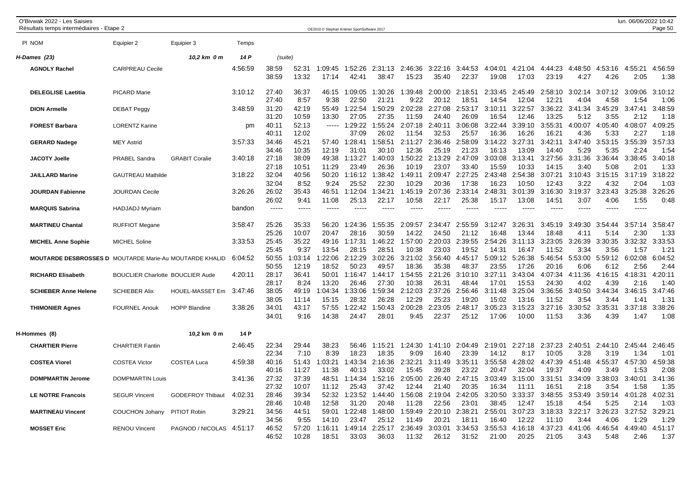| O'Bivwak 2022 - Les Saisies<br>Résultats temps intermédiaires - Etape 2 |                                         |                         |         |                         |                        |                           | OE2010 © Stephan Krämer SportSoftware 2017 |                           |                           |                           |                           |                           |                           |                           |                                  |                         | lun. 06/06/2022 10:42   | Page 50                 |
|-------------------------------------------------------------------------|-----------------------------------------|-------------------------|---------|-------------------------|------------------------|---------------------------|--------------------------------------------|---------------------------|---------------------------|---------------------------|---------------------------|---------------------------|---------------------------|---------------------------|----------------------------------|-------------------------|-------------------------|-------------------------|
| PI NOM                                                                  | Equipier 2                              | Equipier 3              | Temps   |                         |                        |                           |                                            |                           |                           |                           |                           |                           |                           |                           |                                  |                         |                         |                         |
| H-Dames (23)                                                            |                                         | 10,2 km 0 m             | 14 P    | (suite)                 |                        |                           |                                            |                           |                           |                           |                           |                           |                           |                           |                                  |                         |                         |                         |
| <b>AGNOLY Rachel</b>                                                    | <b>CARPREAU Cecile</b>                  |                         | 4:56:59 | 38:59<br>38:59          | 52:31<br>13:32         | 1:09:45<br>17:14          | 1:52:26<br>42:41                           | 2:31:13<br>38:47          | 2:46:36<br>15:23          | 3:22:16<br>35:40          | 3:44:53<br>22:37          | 4:04:01<br>19:08          | 4:21:04<br>17:03          | 4:44:23<br>23:19          | :48:50<br>$\overline{4}$<br>4:27 | 4:53:16<br>4:26         | 4:55:21<br>2:05         | 4:56:59<br>1:38         |
| <b>DELEGLISE Laetitia</b>                                               | <b>PICARD Marie</b>                     |                         | 3:10:12 | 27:40<br>27:40          | 36:37<br>8:57          | 46:15<br>9:38             | 1:09:05<br>22:50                           | 1:30:26<br>21:21          | 1:39:48<br>9:22           | 2:00:00<br>20:12          | 2:18:51<br>18:51          | 2:33:45<br>14:54          | 2:45:49<br>12:04          | 2:58:10<br>12:21          | 3:02:14<br>4:04                  | 3:07:12<br>4:58         | 3:09:06<br>1:54         | 3:10:12<br>1:06         |
| <b>DION Armelle</b>                                                     | <b>DEBAT Peggy</b>                      |                         | 3:48:59 | 31:20<br>31:20          | 42:19<br>10:59         | 55:49<br>13:30            | :22:54<br>27:05                            | 1:50:29<br>27:35          | 2:02:28<br>11:59          | 2:27:08<br>24:40          | 2:53:17<br>26:09          | 3:10:11<br>16:54          | 3:22:57<br>12:46          | 3:36:22<br>13:25          | 3:41:34<br>5:12                  | 3:45:29<br>3:55         | 3:47:41<br>2:12         | 3:48:59<br>1:18         |
| <b>FOREST Barbara</b>                                                   | <b>LORENTZ Karine</b>                   |                         | pm      | 40:11<br>40:11          | 52:13<br>12:02         | -----                     | 1:29:22<br>37:09                           | 1:55:24<br>26:02          | 2:07:18<br>11:54          | 2:40:11<br>32:53          | 3:06:08<br>25:57          | 3:22:44<br>16:36          | 3:39:10<br>16:26          | 3:55:31<br>16:21          | 4:00:07<br>4:36                  | 4:05:40<br>5:33         | 4:08:07<br>2:27         | 4:09:25<br>1:18         |
| <b>GERARD Nadege</b>                                                    | <b>MEY Astrid</b>                       |                         | 3:57:33 | 34:46<br>34:46          | 45:21<br>10:35         | 57:40<br>12:19            | 1:28:41<br>31:01                           | 1:58:51<br>30:10          | 2:11:27<br>12:36          | 2:36:46<br>25:19          | 2:58:09<br>21:23          | 3:14:22<br>16:13          | 3:27:31<br>13:09          | 3:42:11<br>14:40          | 3:47:40<br>5:29                  | 3:53:15<br>5:35         | 3:55:39<br>2:24         | 3:57:33<br>1:54         |
| <b>JACOTY Joelle</b>                                                    | <b>PRABEL Sandra</b>                    | <b>GRABIT Coralie</b>   | 3:40:18 | 27:18<br>27:18          | 38:09<br>10:51         | 49:38<br>11:29            | 1:13:27<br>23:49                           | 1:40:03<br>26:36          | 1:50:22<br>10:19          | 2:13:29<br>23:07          | 2:47:09<br>33:40          | 3:03:08<br>15:59          | 3:13:41<br>10:33          | 3:27:56<br>14:15          | 3:31:36<br>3:40                  | 3:36:44<br>5:08         | 3:38:45<br>2:01         | 3:40:18<br>1:33         |
| <b>JAILLARD Marine</b>                                                  | <b>GAUTREAU Mathilde</b>                |                         | 3:18:22 | 32:04<br>32:04          | 40:56<br>8:52          | 50:20<br>9:24             | 1:16:12<br>25:52                           | 1:38:42<br>22:30          | 1:49:11<br>10:29          | 2:09:47<br>20:36          | 2:27:25<br>17:38          | 2:43:48<br>16:23          | 2:54:38<br>10:50          | 3:07:21<br>12:43          | 3:10:43<br>3:22                  | 3:15:15<br>4:32         | 3:17:19<br>2:04         | 3:18:22<br>1:03         |
| <b>JOURDAN Fabienne</b>                                                 | <b>JOURDAN Cecile</b>                   |                         | 3:26:26 | 26:02<br>26:02          | 35:43<br>9:41          | 46:51<br>11:08            | 1:12:04<br>25:13                           | 1:34:21<br>22:17          | 1:45:19<br>10:58          | 2:07:36<br>22:17          | 2:33:14<br>25:38          | 2:48:31<br>15:17          | 3:01:39<br>13:08          | 3:16:30<br>14:51          | 3:19:37<br>3:07                  | 3:23:43<br>4:06         | 3:25:38<br>1:55         | 3:26:26<br>0:48         |
| <b>MARQUIS Sabrina</b>                                                  | <b>HADJADJ Myriam</b>                   |                         | bandon  | $---$                   | $---$                  |                           |                                            |                           |                           |                           |                           |                           |                           |                           |                                  |                         |                         |                         |
| <b>MARTINEU Chantal</b>                                                 | <b>RUFFIOT Megane</b>                   |                         | 3:58:47 | 25:26<br>25:26          | 35:33<br>10:07         | 56:20<br>20:47            | :24:36<br>-1<br>28:16                      | 1:55:35<br>30:59          | 2:09:57<br>14:22          | 2:34:47<br>24:50          | 2:55:59<br>21:12          | 3:12:47<br>16:48          | 3:26:31<br>13:44          | 3:45:19<br>18:48          | 3:49:30<br>4:11                  | 3:54:44<br>5:14         | 3:57:14<br>2:30         | 3:58:47<br>1:33         |
| <b>MICHEL Anne Sophie</b>                                               | <b>MICHEL Soline</b>                    |                         | 3:33:53 | 25:45<br>25:45          | 35:22<br>9:37          | 49:16<br>13:54            | 1:17:31<br>28:15                           | 1:46:22<br>28:51          | 1:57:00<br>10:38          | 2:20:03<br>23:03          | 2:39:55<br>19:52          | 2:54:26<br>14:31          | 3:11:13<br>16:47          | 3:23:05<br>11:52          | 3:26:39<br>3:34                  | 3:30:35<br>3:56         | 3:32:32<br>1:57         | 3:33:53<br>1:21         |
| <b>MOUTARDE DESBROSSES D MOUTARDE Marie-Au MOUTARDE KHALID</b>          |                                         |                         | 6:04:52 | 50:55<br>50:55          | :03:14<br>12:19        | :22:06<br>18:52           | 2:12:29<br>50:23                           | 3:02:26<br>49:57          | 3:21:02<br>18:36          | 3:56:40<br>35:38          | 4:45:17<br>48:37          | 5:09:12<br>23:55          | 5:26:38<br>17:26          | 5:46:54<br>20:16          | 5:53:00<br>6:06                  | 5:59:12<br>6:12         | 6:02:08<br>2:56         | 6:04:52<br>2:44         |
| <b>RICHARD Elisabeth</b>                                                | <b>BOUCLIER Charlotte BOUCLIER Aude</b> |                         | 4:20:11 | 28:17<br>28:17          | 36:41<br>8:24          | 50:01<br>13:20            | 1:16:47<br>26:46                           | 1:44:17<br>27:30          | 1:54:55<br>10:38          | 2:21:26<br>26:31          | 3:10:10<br>48:44          | 3:27:11<br>17:01          | 3:43:04<br>15:53          | 4:07:34<br>24:30          | 4:11:36<br>4:02                  | 4:16:15<br>4:39         | 4:18:31<br>2:16         | 4:20:11<br>1:40         |
| <b>SCHIEBER Anne Helene</b>                                             | <b>SCHIEBER Alix</b>                    | <b>HOUEL-MASSET Em</b>  | 3:47:46 | 38:05<br>38:05          | 49:19<br>11:14         | 1:04:34<br>15:15          | 1:33:06<br>28:32                           | 1:59:34<br>26:28          | 2:12:03<br>12:29          | 2:37:26<br>25:23          | 2:56:46<br>19:20          | 3:11:48<br>15:02          | 3:25:04<br>13:16          | 3:36:56<br>11:52          | 3:40:50<br>3:54                  | 3:44:34<br>3:44         | 3:46:15<br>1:41         | 3:47:46<br>1:31         |
| <b>THIMONIER Agnes</b>                                                  | <b>FOURNEL Anouk</b>                    | <b>HOPP Blandine</b>    | 3:38:26 | 34:01<br>34:01          | 43:17<br>9:16          | 57:55<br>14:38            | 1:22:42<br>24:47                           | 1:50:43<br>28:01          | 2:00:28<br>9:45           | 2:23:05<br>22:37          | 2:48:17<br>25:12          | 3:05:23<br>17:06          | 3:15:23<br>10:00          | 3:27:16<br>11:53          | 3:30:52<br>3:36                  | 3:35:31<br>4:39         | 3:37:18<br>1:47         | 3:38:26<br>1:08         |
| H-Hommes (8)                                                            |                                         | 10,2 km 0 m             | 14 P    |                         |                        |                           |                                            |                           |                           |                           |                           |                           |                           |                           |                                  |                         |                         |                         |
| <b>CHARTIER Pierre</b>                                                  | <b>CHARTIER Fantin</b>                  |                         | 2:46:45 | 22:34<br>22:34          | 29:44<br>7:10          | 38:23<br>8:39             | 56:46<br>18:23                             | 1:15:21<br>18:35          | 1:24:30<br>9:09           | 1:41:10<br>16:40          | 2:04:49<br>23:39          | 2:19:01<br>14:12          | 2:27:18<br>8:17           | 2:37:23<br>10:05          | 2:40:51<br>3:28                  | 2:44:10<br>3:19         | 2:45:44<br>1:34         | 2:46:45<br>1:01         |
| <b>COSTEA Viorel</b>                                                    | <b>COSTEA Victor</b>                    | <b>COSTEA Luca</b>      | 4:59:38 | 40:16<br>40:16          | 51:43<br>11:27         | 1:03:21<br>11:38          | 1:43:34<br>40:13                           | 2:16:36<br>33:02          | 2:32:21<br>15:45          | 3:11:49<br>39:28          | 3:35:11<br>23:22          | 3:55:58<br>20:47          | 4:28:02<br>32:04          | 4:47:39<br>19:37          | 4:51:48<br>4:09                  | 4:55:37<br>3:49         | 4:57:30<br>1:53         | 4:59:38<br>2:08         |
| <b>DOMPMARTIN Jerome</b>                                                | <b>DOMPMARTIN Louis</b>                 |                         | 3:41:36 | 27:32<br>27:32          | 37:39                  | 48:51                     | 1:14:34<br>25:43                           | 1:52:16<br>37:42          | 2:05:00                   | 2:26:40<br>21:40          | 2:47:15<br>20:35          | 3:03:49                   | 3:15:00                   | 3:31:51                   | 3:34:09<br>2:18                  | 3:38:03<br>3:54         | 3:40:01<br>1:58         | 3:41:36                 |
| <b>LE NOTRE Francois</b>                                                | <b>SEGUR Vincent</b>                    | <b>GODEFROY Thibaut</b> | 4:02:31 | 28:46                   | 10:07<br>39:34         | 11:12<br>52:32            | 1:23:52                                    | 1:44:40                   | 12:44<br>1:56:08          | 2:19:04                   | 2:42:05                   | 16:34<br>3:20:50          | 11:11<br>3:33:37          | 16:51<br>3:48:55          | 3:53:49                          | 3:59:14                 | 4:01:28                 | 1:35<br>4:02:31         |
| <b>MARTINEAU Vincent</b>                                                | <b>COUCHON Johany</b>                   | PITIOT Robin            | 3:29:21 | 28:46<br>34:56          | 10:48<br>44:51         | 12:58<br>59:01            | 31:20<br>1:22:48                           | 20:48<br>1:48:00          | 11:28<br>1:59:49          | 22:56<br>2:20:10          | 23:01<br>2:38:21          | 38:45<br>2:55:01          | 12:47<br>3:07:23          | 15:18<br>3:18:33          | 4:54<br>3:22:17                  | 5:25<br>3:26:23         | 2:14<br>3:27:52         | 1:03<br>3:29:21         |
| <b>MOSSET Eric</b>                                                      | <b>RENOU Vincent</b>                    | PAGNOD / NICOLAS        | 4:51:17 | 34:56<br>46:52<br>46:52 | 9:55<br>57:20<br>10:28 | 14:10<br>1:16:11<br>18:51 | 23:47<br>1:49:14<br>33:03                  | 25:12<br>2:25:17<br>36:03 | 11:49<br>2:36:49<br>11:32 | 20:21<br>3:03:01<br>26:12 | 18:11<br>3:34:53<br>31:52 | 16:40<br>3:55:53<br>21:00 | 12:22<br>4:16:18<br>20:25 | 11:10<br>4:37:23<br>21:05 | 3:44<br>4:41:06<br>3:43          | 4:06<br>4:46:54<br>5:48 | 1:29<br>4:49:40<br>2:46 | 1:29<br>4:51:17<br>1:37 |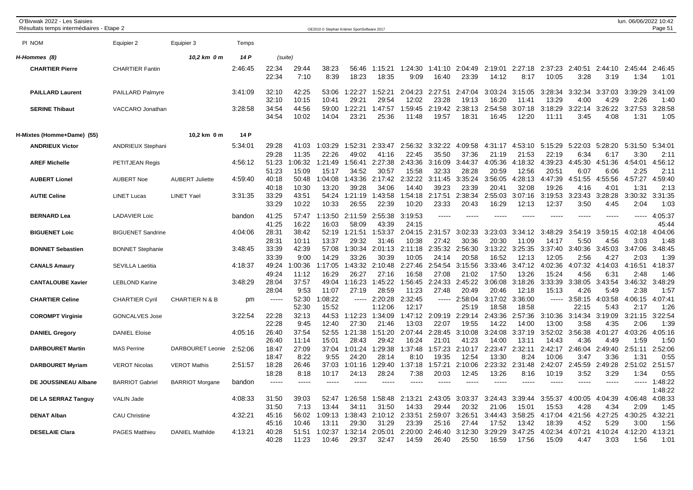| O'Bivwak 2022 - Les Saisies<br>Résultats temps intermédiaires - Etape 2 |                                                |                           |                    |                         |                           | OE2010 © Stephan Krämer SportSoftware 2017 |                             |                             |                             |                             |                             |                             |                             |                             |                            |                            | lun. 06/06/2022 10:42      | Page 51                    |
|-------------------------------------------------------------------------|------------------------------------------------|---------------------------|--------------------|-------------------------|---------------------------|--------------------------------------------|-----------------------------|-----------------------------|-----------------------------|-----------------------------|-----------------------------|-----------------------------|-----------------------------|-----------------------------|----------------------------|----------------------------|----------------------------|----------------------------|
| PI NOM                                                                  | Equipier 2                                     | Equipier 3                | Temps              |                         |                           |                                            |                             |                             |                             |                             |                             |                             |                             |                             |                            |                            |                            |                            |
| H-Hommes (8)                                                            |                                                | 10,2 km 0 m               | 14 P               | (suite)                 |                           |                                            |                             |                             |                             |                             |                             |                             |                             |                             |                            |                            |                            |                            |
| <b>CHARTIER Pierre</b>                                                  | <b>CHARTIER Fantin</b>                         |                           | 2:46:45            | 22:34<br>22:34          | 29:44<br>7:10             | 38:23<br>8:39                              | 56:46<br>18:23              | 1:15:21<br>18:35            | 1:24:30<br>9:09             | 1:41:10<br>16:40            | 2:04:49<br>23:39            | 2:19:01<br>14:12            | 2:27:18<br>8:17             | 2:37:23<br>10:05            | 2:40:51<br>3:28            | 2:44:10<br>3:19            | 2:45:44<br>1:34            | 2:46:45<br>1:01            |
| <b>PAILLARD Laurent</b>                                                 | PAILLARD Palmyre                               |                           | 3:41:09            | 32:10<br>32:10          | 42:25<br>10:15            | 53:06<br>10:41                             | 1:22:27<br>29:21            | 1:52:21<br>29:54            | 2:04:23<br>12:02            | 2:27:51<br>23:28            | 2:47:04<br>19:13            | 3:03:24<br>16:20            | 3:15:05<br>11:41            | 3:28:34<br>13:29            | 3:32:34<br>4:00            | 3:37:03<br>4:29            | 3:39:29<br>2:26            | 3:41:09<br>1:40            |
| <b>SERINE Thibaut</b>                                                   | VACCARO Jonathan                               |                           | 3:28:58            | 34:54<br>34:54          | 44:56<br>10:02            | 59:00<br>14:04                             | 1:22:21<br>23:21            | 1:47:57<br>25:36            | 1:59:45<br>11:48            | 2:19:42<br>19:57            | 2:38:13<br>18:31            | 2:54:58<br>16:45            | 3:07:18<br>12:20            | 3:18:29<br>11:11            | 3:22:14<br>3:45            | 3:26:22<br>4:08            | 3:27:53<br>1:31            | 3:28:58<br>1:05            |
| H-Mixtes (Homme+Dame) (55)                                              |                                                | 10,2 km 0 m               | 14 P               |                         |                           |                                            |                             |                             |                             |                             |                             |                             |                             |                             |                            |                            |                            |                            |
| <b>ANDRIEUX Victor</b>                                                  | <b>ANDRIEUX Stephani</b>                       |                           | 5:34:01            | 29:28<br>29:28          | 41:03<br>11:35            | 1:03:29<br>22:26                           | 1:52:31<br>49:02            | 2:33:47<br>41:16            | 2:56:32<br>22:45            | 3:32:22<br>35:50            | 4:09:58<br>37:36            | 4:31:17<br>21:19            | :53:10<br>4<br>21:53        | 5:15:29<br>22:19            | 5:22:03<br>6:34            | 5:28:20<br>6:17            | 5:31:50<br>3:30            | 5:34:01<br>2:11            |
| <b>AREF Michelle</b>                                                    | PETITJEAN Regis                                |                           | 4:56:12            | 51:23<br>51:23          | 1:06:32<br>15:09          | 1:21:49<br>15:17                           | 1:56:41<br>34:52            | 2:27:38<br>30:57            | 2:43:36<br>15:58            | 3:16:09<br>32:33            | 3:44:37<br>28:28            | 4:05:36<br>20:59            | 4:18:32<br>12:56            | 4:39:23<br>20:51            | 4:45:30<br>6:07            | 4:51:36<br>6:06            | 4:54:01<br>2:25            | 4:56:12<br>2:11            |
| <b>AUBERT Lionel</b>                                                    | <b>AUBERT Noe</b>                              | <b>AUBERT Juliette</b>    | 4:59:40            | 40:18<br>40:18          | 50:48<br>10:30            | 1:04:08<br>13:20                           | 1:43:36<br>39:28            | 2:17:42<br>34:06            | 2:32:22<br>14:40            | 3:11:45<br>39:23            | 3:35:24<br>23:39            | 3:56:05<br>20:41            | 4:28:13<br>32:08            | 4:47:39<br>19:26            | 4:51:55<br>4:16            | 4:55:56<br>4:01            | 4:57:27<br>1:31            | :59:40<br>4<br>2:13        |
| <b>AUTIE Celine</b>                                                     | <b>LINET Lucas</b>                             | <b>LINET Yael</b>         | 3:31:35            | 33:29<br>33:29          | 43:51<br>10:22            | 54:24<br>10:33                             | 1:21:19<br>26:55            | 1:43:58<br>22:39            | 1:54:18<br>10:20            | 2:17:51<br>23:33            | 2:38:34<br>20:43            | 2:55:03<br>16:29            | 3:07:16<br>12:13            | 3:19:53<br>12:37            | 3:23:43<br>3:50            | 3:28:28<br>4:45            | 3:30:32<br>2:04            | 3:31:35<br>1:03            |
| <b>BERNARD Lea</b>                                                      | <b>LADAVIER Loic</b>                           |                           | bandon             | 41:25<br>41:25          | 57:47<br>16:22            | 1:13:50<br>16:03                           | 2:11:59<br>58:09            | 2:55:38<br>43:39            | 3:19:53<br>24:15            | $---$                       | ----                        |                             |                             |                             |                            | -----                      | -----                      | :05:37<br>4<br>45:44       |
| <b>BIGUENET Loic</b>                                                    | <b>BIGUENET Sandrine</b>                       |                           | 4:04:06            | 28:31<br>28:31          | 38:42<br>10:11            | 52:19<br>13:37                             | 1:21:51<br>29:32            | 1:53:37<br>31:46            | 2:04:15<br>10:38            | 2:31:57<br>27:42            | 3:02:33<br>30:36            | 3:23:03<br>20:30            | 3:34:12<br>11:09            | 3:48:29<br>14:17            | 3:54:19<br>5:50            | 3:59:15<br>4:56            | 4:02:18<br>3:03            | 4:04:06<br>1:48            |
| <b>BONNET Sebastien</b>                                                 | <b>BONNET Stephanie</b>                        |                           | 3:48:45            | 33:39<br>33:39          | 42:39<br>9:00             | 57:08<br>14:29                             | 1:30:34<br>33:26            | 2:01:13<br>30:39            | 2:11:18<br>10:05            | 2:35:32<br>24:14            | 2:56:30<br>20:58            | 3:13:22<br>16:52            | 3:25:35<br>12:13            | 3:37:40<br>12:05            | 3:40:36<br>2:56            | 3:45:03<br>4:27            | 3:47:06<br>2:03            | 3:48:45<br>1:39            |
| <b>CANALS Amaury</b>                                                    | <b>SEVILLA Laetitia</b>                        |                           | 4:18:37<br>3:48:29 | 49:24<br>49:24<br>28:04 | 1:00:36<br>11:12<br>37:57 | 1:17:05<br>16:29<br>49:04                  | 1:43:32<br>26:27<br>1:16:23 | 2:10:48<br>27:16<br>1:45:22 | 2:27:46<br>16:58<br>1:56:45 | 2:54:54<br>27:08<br>2:24:33 | 3:15:56<br>21:02<br>2:45:22 | 3:33:46<br>17:50<br>3:06:08 | 3:47:12<br>13:26<br>3:18:26 | 4:02:36<br>15:24<br>3:33:39 | 4:07:32<br>4:56<br>3:38:05 | 4:14:03<br>6:31<br>3:43:54 | 4:16:51<br>2:48<br>3:46:32 | 4:18:37<br>1:46<br>3:48:29 |
| <b>CANTALOUBE Xavier</b><br><b>CHARTIER Celine</b>                      | <b>LEBLOND Karine</b><br><b>CHARTIER Cyril</b> | <b>CHARTIER N &amp; B</b> | pm                 | 28:04<br>$--- -$        | 9:53<br>52:30             | 11:07<br>:08:22                            | 27:19<br>$-----1$           | 28:59<br>2:20:28            | 11:23<br>2:32:45            | 27:48<br>-----              | 20:49<br>2:58:04            | 20:46<br>3:17:02            | 12:18<br>3:36:00            | 15:13<br>-----              | 4:26<br>3:58:15            | 5:49<br>4:03:58            | 2:38<br>4:06:15            | 1:57<br>4:07:41            |
| <b>COROMPT Virginie</b>                                                 | <b>GONCALVES Jose</b>                          |                           | 3:22:54            | 22:28                   | 52:30<br>32:13            | 15:52<br>44:53                             | 1:12:23                     | 1:12:06<br>1:34:09          | 12:17<br>1:47:12            | 2:09:19                     | 25:19<br>2:29:14            | 18:58<br>2:43:36            | 18:58<br>:57:36             | 3:10:36                     | 22:15<br>3:14:34           | 5:43<br>3:19:09            | 2:17<br>3:21:15            | 1:26<br>3:22:54            |
| <b>DANIEL Gregory</b>                                                   | <b>DANIEL Eloise</b>                           |                           | 4:05:16            | 22:28<br>26:40          | 9:45<br>37:54             | 12:40<br>52:55                             | 27:30<br>1:21:38            | 21:46<br>1:51:20            | 13:03<br>2:07:44            | 22:07<br>2:28:45            | 19:55<br>3:10:08            | 14:22<br>3:24:08            | 14:00<br>3:37:19            | 13:00<br>3:52:02            | 3:58<br>3:56:38            | 4:35<br>4:01:27            | 2:06<br>4:03:26            | 1:39<br>4:05:16            |
| <b>DARBOURET Martin</b>                                                 | <b>MAS Perrine</b>                             | DARBOURET Leonie          | 2:52:06            | 26:40<br>18:47          | 11:14<br>27:09            | 15:01<br>37:04                             | 28:43<br>1:01:24            | 29:42<br>1:29:38            | 16:24<br>1:37:48            | 21:01<br>1:57:23            | 41:23<br>2:10:17            | 14:00<br>2:23:47            | 13:11<br>2:32:11            | 14:43<br>2:42:17            | 4:36<br>2:46:04            | 4:49<br>2:49:40            | 1:59<br>2:51:11            | 1:50<br>2:52:06            |
| <b>DARBOURET Myriam</b>                                                 | <b>VEROT Nicolas</b>                           | <b>VEROT Mathis</b>       | 2:51:57            | 18:47<br>18:28          | 8:22<br>26:46             | 9:55<br>37:03                              | 24:20<br>1:01:16            | 28:14<br>1:29:40            | 8:10<br>:37:18              | 19:35<br>:57:21             | 12:54<br>2:10:06            | 13:30<br>:23:32<br>2        | 8:24<br>:31:48              | 10:06<br>2:42:07            | 3:47<br>2:45:59            | 3:36<br>:49:28             | 1:31<br>2:51:02            | 0:55<br>2:51:57            |
| DE JOUSSINEAU Albane                                                    | <b>BARRIOT Gabriel</b>                         | <b>BARRIOT Morgane</b>    | bandon             | 18:28<br>$---$          | 8:18<br>$- - - - -$       | 10:17<br>$\frac{1}{2}$                     | 24:13<br>----               | 28:24<br>$\frac{1}{2}$      | 7:38<br>-----               | 20:03<br>-----              | 12:45<br>----               | 13:26<br>$\frac{1}{2}$      | 8:16<br>$\frac{1}{2}$       | 10:19<br>-----              | 3:52<br>$\frac{1}{2}$      | 3:29<br>-----              | 1:34<br>-----              | 0:55<br>1:48:22            |
| DE LA SERRAZ Tanguy                                                     | <b>VALIN Jade</b>                              |                           | 4:08:33            | 31:50<br>31:50          | 39:03<br>7:13             | 52:47<br>13:44                             | 1:26:58<br>34:11            | 1:58:48<br>31:50            | 2:13:21<br>14:33            | 2:43:05<br>29:44            | 3:03:37<br>20:32            | 3:24:43<br>21:06            | 3:39:44<br>15:01            | 3:55:37<br>15:53            | 4:00:05<br>4:28            | 4:04:39<br>4:34            | 4:06:48<br>2:09            | 1:48:22<br>4:08:33<br>1:45 |
| <b>DENAT Alban</b>                                                      | <b>CAU Christine</b>                           |                           | 4:32:21            | 45:16<br>45:16          | 56:02<br>10:46            | 1:09:13<br>13:11                           | 1:38:43<br>29:30            | 2:10:12<br>31:29            | 2:33:51<br>23:39            | 2:59:07<br>25:16            | 3:26:51<br>27:44            | 3:44:43<br>17:52            | 3:58:25<br>13:42            | 4:17:04<br>18:39            | 4:21:56<br>4:52            | 4:27:25<br>5:29            | 4:30:25<br>3:00            | 4:32:21<br>1:56            |
| <b>DESELAIE Clara</b>                                                   | <b>PAGES Matthieu</b>                          | <b>DANIEL Mathilde</b>    | 4:13:21            | 40:28<br>40:28          | 51:51<br>11:23            | 1:02:37<br>10:46                           | :32:14<br>29:37             | 2:05:01<br>32:47            | 2:20:00<br>14:59            | 2:46:40<br>26:40            | 3:12:30<br>25:50            | 3:29:29<br>16:59            | 3:47:25<br>17:56            | 4:02:34<br>15:09            | :07:21<br>4<br>4:47        | 4:10:24<br>3:03            | 4:12:20<br>1:56            | 4:13:21<br>1:01            |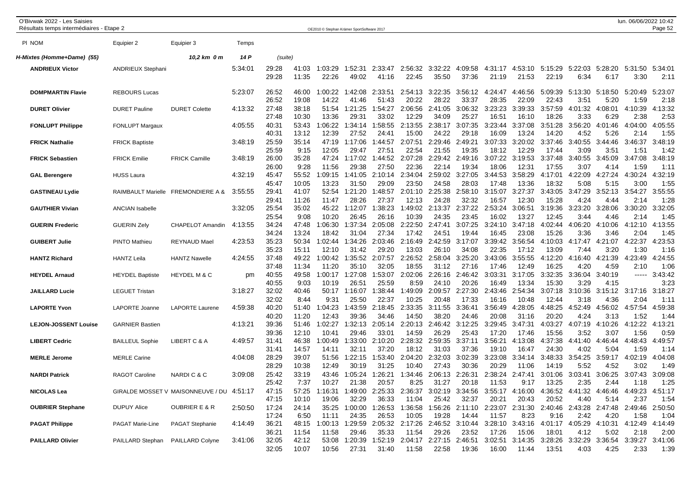| O'Bivwak 2022 - Les Saisies<br>Résultats temps intermédiaires - Etape 2 |                                  |                                           |         |                |                | OE2010 © Stephan Krämer SportSoftware 2017 |                        |                                                          |                  |                  |                          |                          |                      |                                                  |                 |                 | lun. 06/06/2022 10:42                           | Page 52         |
|-------------------------------------------------------------------------|----------------------------------|-------------------------------------------|---------|----------------|----------------|--------------------------------------------|------------------------|----------------------------------------------------------|------------------|------------------|--------------------------|--------------------------|----------------------|--------------------------------------------------|-----------------|-----------------|-------------------------------------------------|-----------------|
| PI NOM                                                                  | Equipier 2                       | Equipier 3                                | Temps   |                |                |                                            |                        |                                                          |                  |                  |                          |                          |                      |                                                  |                 |                 |                                                 |                 |
| H-Mixtes (Homme+Dame)  (55)                                             |                                  | 10,2 km 0 m                               | 14 P    | (suite)        |                |                                            |                        |                                                          |                  |                  |                          |                          |                      |                                                  |                 |                 |                                                 |                 |
| <b>ANDRIEUX Victor</b>                                                  | <b>ANDRIEUX Stephani</b>         |                                           | 5:34:01 | 29:28<br>29:28 | 41:03<br>11:35 | 1:03:29<br>22:26                           | :52:31<br>49:02        | 2:33:47<br>41:16                                         | 2:56:32<br>22:45 | 3:32:22<br>35:50 | 4:09:58<br>37:36         | 4:31:17<br>21:19         | 4:53:10<br>21:53     | 5:15:29<br>22:19                                 | 5:22:03<br>6:34 | 5:28:20<br>6:17 | 5:31:50<br>3:30                                 | 5:34:01<br>2:11 |
| <b>DOMPMARTIN Flavie</b>                                                | <b>REBOURS Lucas</b>             |                                           | 5:23:07 | 26:52          | 46:00          | :00:22                                     | :42:08                 | 2:33:51                                                  | 2:54:13          | 3:22:35          | 3:56:12                  | 4:24:47                  | 4:46:56              | 5:09:39                                          | 5:13:30         | 5:18:50         | 5:20:49                                         | 5:23:07         |
| <b>DURET Olivier</b>                                                    | <b>DURET Pauline</b>             | <b>DURET Colette</b>                      | 4:13:32 | 26:52<br>27:48 | 19:08<br>38:18 | 14:22<br>51:54                             | 41:46<br>1:21:25       | 51:43<br>1:54:27                                         | 20:22<br>2:06:56 | 28:22<br>2:41:05 | 33:37<br>3:06:32         | 28:35<br>3:23:23         | 22:09<br>:39:33<br>3 | 22:43<br>3:57:59                                 | 3:51<br>4:01:32 | 5:20<br>4:08:01 | 1:59<br>4:10:39                                 | 2:18<br>4:13:32 |
| <b>FONLUPT Philippe</b>                                                 | <b>FONLUPT Margaux</b>           |                                           | 4:05:55 | 27:48<br>40:31 | 10:30<br>53:43 | 13:36<br>:06:22                            | 29:31<br>:34:14        | 33:02<br>1:58:55                                         | 12:29<br>2:13:55 | 34:09<br>2:38:17 | 25:27<br>3:07:35         | 16:51<br>3:23:44         | 16:10<br>3:37:08     | 18:26<br>3:51:28                                 | 3:33<br>3:56:20 | 6:29<br>4:01:46 | 2:38<br>4:04:00                                 | 2:53<br>4:05:55 |
|                                                                         |                                  |                                           |         | 40:31          | 13:12          | 12:39                                      | 27:52                  | 24:41                                                    | 15:00            | 24:22            | 29:18                    | 16:09                    | 13:24                | 14:20                                            | 4:52            | 5:26            | 2:14                                            | 1:55            |
| <b>FRICK Nathalie</b>                                                   | <b>FRICK Baptiste</b>            |                                           | 3:48:19 | 25:59<br>25:59 | 35:14<br>9:15  | 47:19<br>12:05                             | 1:17:06<br>29:47       | 1:44:57<br>27:51                                         | 2:07:51<br>22:54 | 2:29:46<br>21:55 | 2:49:21<br>19:35         | 3:07:33<br>18:12         | 3:20:02<br>12:29     | 3:37:46<br>17:44                                 | 3:40:55<br>3:09 | 3:44:46<br>3:5' | 3:46:37<br>1:51                                 | 3:48:19<br>1:42 |
| <b>FRICK Sebastien</b>                                                  | <b>FRICK Emilie</b>              | <b>FRICK Camille</b>                      | 3:48:19 | 26:00<br>26:00 | 35:28<br>9:28  | 47:24<br>11:56                             | 1:17:02<br>29:38       | 1:44:52<br>27:50                                         | 2:07:28<br>22:36 | 2:29:42<br>22:14 | 2:49:16<br>19:34         | 3:07:22<br>18:06         | 3:19:53<br>12:31     | 3:37:48<br>17:55                                 | 3:40:55<br>3:07 | 3:45:09<br>4:14 | 3:47:08<br>1:59                                 | 3:48:19<br>1:11 |
| <b>GAL Berengere</b>                                                    | <b>HUSS Laura</b>                |                                           | 4:32:19 | 45:47<br>45:47 | 55:52<br>10:05 | :09:15<br>13:23                            | 1:41:05<br>31:50       | 2:10:14<br>29:09                                         | 2:34:04<br>23:50 | 2:59:02<br>24:58 | 3:27:05<br>28:03         | 3:44:53<br>17:48         | 3:58:29<br>13:36     | 4:17:01<br>18:32                                 | 4:22:09<br>5:08 | 4:27:24<br>5:15 | 4:30:24<br>3:00                                 | 4:32:19<br>1:55 |
| <b>GASTINEAU Lydie</b>                                                  | RAIMBAULT Marielle               | <b>FREMONDIERE A &amp;</b>                | 3:55:55 | 29:41<br>29:41 | 41:07<br>11:26 | 52:54<br>11:47                             | 1:21:20<br>28:26       | 1:48:57<br>27:37                                         | 2:01:10<br>12:13 | 2:25:38<br>24:28 | 2:58:10<br>32:32         | 3:15:07<br>16:57         | 3:27:37<br>12:30     | 3:43:05<br>15:28                                 | 3:47:29<br>4:24 | 3:52:13<br>4:44 | 3:54:27<br>2:14                                 | 3:55:55<br>1:28 |
| <b>GAUTHIER Vivian</b>                                                  | <b>ANCIAN Isabelle</b>           |                                           | 3:32:05 | 25:54<br>25:54 | 35:02          | 45:22<br>10:20                             | 1:12:07<br>26:45       | 1:38:23<br>26:16                                         | 1:49:02          | 2:13:37          | 2:37:22                  | 2:53:24<br>16:02         | 3:06:51              | 3:19:36                                          | 3:23:20         | 3:28:06         | 3:30:20<br>2:14                                 | 3:32:05         |
| <b>GUERIN Frederic</b>                                                  | <b>GUERIN Zely</b>               | CHAPELOT Amandin                          | 4:13:55 | 34:24          | 9:08<br>47:48  | :06:30                                     | 1:37:34                | 2:05:08                                                  | 10:39<br>2:22:50 | 24:35<br>2:47:41 | 23:45<br>3:07:25         | 3:24:10                  | 13:27<br>3:47:18     | 12:45<br>4:02:44                                 | 3:44<br>4:06:20 | 4:46<br>4:10:06 | 4:12:10                                         | 1:45<br>4:13:55 |
| <b>GUIBERT Julie</b>                                                    | <b>PINTO Mathieu</b>             | <b>REYNAUD Mael</b>                       | 4:23:53 | 34:24<br>35:23 | 13:24<br>50:34 | 18:42<br>1:02:44                           | 31:04<br>1:34:26       | 27:34<br>2:03:46                                         | 17:42<br>2:16:49 | 24:51<br>2:42:59 | 19:44<br>3:17:07         | 16:45<br>3:39:42         | 23:08<br>3:56:54     | 15:26<br>4:10:03                                 | 3:36<br>4:17:47 | 3:46<br>4:21:07 | 2:04<br>4:22:37                                 | 1:45<br>4:23:53 |
| <b>HANTZ Richard</b>                                                    | <b>HANTZ Leila</b>               | <b>HANTZ Nawelle</b>                      | 4:24:55 | 35:23<br>37:48 | 15:11<br>49:22 | 12:10<br>:00:42                            | 31:42<br>:35:52        | 29:20<br>2:07:57                                         | 13:03<br>2:26:52 | 26:10<br>2:58:04 | 34:08<br>3:25:20         | 22:35<br>3:43:06         | 17:12<br>3:55:55     | 13:09<br>4:12:20                                 | 7:44<br>4:16:40 | 3:20<br>4:21:39 | 1:30<br>:23:49<br>4                             | 1:16<br>:24:55  |
| <b>HEYDEL Arnaud</b>                                                    | <b>HEYDEL Baptiste</b>           | <b>HEYDEL M &amp; C</b>                   | pm      | 37:48<br>40:55 | 11:34<br>49:58 | 11:20<br>1:00:17                           | 35:10<br>1:27:08       | 32:05<br>1:53:07                                         | 18:55<br>2:02:06 | 31:12<br>2:26:16 | 27:16<br>2:46:42         | 17:46<br>3:03:31         | 12:49<br>3:17:05     | 16:25<br>3:32:35                                 | 4:20<br>3:36:04 | 4:59<br>3:40:19 | 2:10<br>$-----$                                 | 1:06<br>3:43:42 |
| <b>JAILLARD Lucie</b>                                                   | <b>LEGUET Tristan</b>            |                                           | 3:18:27 | 40:55<br>32:02 | 9:03<br>40:46  | 10:19<br>50:17                             | 26:51<br>1:16:07       | 25:59<br>1:38:44                                         | 8:59<br>1:49:09  | 24:10<br>2:09:57 | 20:26<br>2:27:30         | 16:49<br>2:43:46         | 13:34<br>2:54:34     | 15:30<br>3:07:18                                 | 3:29<br>3:10:36 | 4:15<br>3:15:12 | 3:17:16 3:18:27                                 | 3:23            |
| <b>LAPORTE Yvon</b>                                                     |                                  | <b>LAPORTE Laurene</b>                    | 4:59:38 | 32:02<br>40:20 | 8:44<br>51:40  | 9:31<br>:04:23                             | 25:50<br>:43:59        | 22:37<br>2:18:45                                         | 10:25<br>2:33:35 | 20:48<br>3:11:55 | 17:33<br>3:36:41         | 16:16<br>3:56:49         | 10:48<br>4:28:05     | 12:44<br>4:48:25                                 | 3:18<br>4:52:49 | 4:36<br>4:56:02 | 2:04<br>4:57:54                                 | 1:11<br>4:59:38 |
|                                                                         | LAPORTE Joanne                   |                                           |         | 40:20          | 11:20          | 12:43                                      | 39:36                  | 34:46                                                    | 14:50            | 38:20            | 24:46                    | 20:08                    | 31:16                | 20:20                                            | 4:24            | 3:13            | 1:52                                            | 1:44            |
| <b>LEJON-JOSSENT Louise</b>                                             | <b>GARNIER Bastien</b>           |                                           | 4:13:21 | 39:36<br>39:36 | 51:46<br>12:10 | :02:27<br>10:41                            | 1:32:13<br>29:46       | 2:05:14<br>33:01                                         | 2:20:13<br>14:59 | 2:46:42<br>26:29 | 3:12:25<br>25:43         | 3:29:45<br>17:20         | 3:47:31<br>17:46     | 4:03:27<br>15:56                                 | 4:07:19<br>3:52 | 4:10:26<br>3:07 | 4:12:22<br>1:56                                 | 4:13:21<br>0:59 |
| <b>LIBERT Cedric</b>                                                    | <b>BAILLEUL Sophie</b>           | LIBERT C & A                              | 4:49:57 | 31:41<br>31:41 | 46:38<br>14:57 | :00:49<br>14:11                            | :33:00<br>32:11        | 2:10:20<br>37:20                                         | 2:28:32<br>18:12 | 2:59:35<br>31:03 | 3:37:11<br>37:36         | 3:56:21<br>19:10         | 4:13:08<br>16:47     | 4:37:38<br>24:30                                 | 4:41:40<br>4:02 | 4:46:44<br>5:04 | 4:48:43<br>1:59                                 | 4:49:57<br>1:14 |
| <b>MERLE Jerome</b>                                                     | <b>MERLE Carine</b>              |                                           | 4:04:08 | 28:29<br>28:29 | 39:07<br>10:38 | 51:56<br>12:49                             | :22:15<br>30:19        | 1:53:40<br>31:25                                         | 2:04:20<br>10:40 | 2:32:03<br>27:43 | 3:02:39<br>30:36         | 3:23:08<br>20:29         | 3:34:14<br>11:06     | 3:48:33<br>14:19                                 | 3:54:25<br>5:52 | 3:59:17<br>4:52 | 4:02:19<br>3:02                                 | :04:08<br>1:49  |
| <b>NARDI Patrick</b>                                                    | <b>RAGOT Caroline</b>            | NARDIC&C                                  | 3:09:08 | 25:42<br>25:42 | 33:19<br>7:37  | 43:46<br>10:27                             | 1:05:24<br>21:38       | 1:26:21<br>20:57                                         | 1:34:46<br>8:25  | 2:06:13<br>31:27 | 2:26:31<br>20:18         | 2:38:24<br>11:53         | 2:47:41<br>9:17      | 3:01:06<br>13:25                                 | 3:03:41<br>2:35 | 3:06:25<br>2:44 | 3:07:43<br>1:18                                 | 3:09:08<br>1:25 |
| <b>NICOLAS Lea</b>                                                      |                                  | GIRALDE MOSSET V MAISONNEUVE / DU 4:51:17 |         | 47:15          | 57:25          | 1:16:31                                    | 1:49:00                | 2:25:33                                                  | 2:36:37          | 3:02:19          | 3:34:56                  |                          | 3:55:17 4:16:00      | 4:36:52                                          | 4:41:32         | 4:46:46         | 4:49:23 4:51:17                                 |                 |
| <b>OUBRIER Stephane</b>                                                 | <b>DUPUY Alice</b>               | <b>OUBRIER E &amp; R</b>                  | 2:50:50 | 47:15<br>17:24 | 10:10<br>24:14 | 19:06                                      | 32:29<br>35:25 1:00:00 | 36:33<br>1:26:53                                         | 11:04<br>1:36:58 | 25:42            | 32:37<br>1:56:26 2:11:10 | 20:21                    | 20:43                | 20:52<br>2:23:07 2:31:30 2:40:46 2:43:28 2:47:48 | 4:40            | 5:14            | 2:37<br>2:49:46 2:50:50                         | 1:54            |
| <b>PAGAT Philippe</b>                                                   | PAGAT Marie-Line                 | <b>PAGAT Stephanie</b>                    | 4:14:49 | 17:24<br>36:21 | 6:50<br>48:15  | 11:11                                      | 24:35                  | 26:53<br>1:00:13 1:29:59 2:05:32 2:17:26 2:46:52 3:10:44 | 10:05            | 19:28            | 14:44                    | 11:57<br>3:28:10 3:43:16 | 8:23                 | 9:16                                             | 2:42            | 4:20            | 1:58<br>4:01:17 4:05:29 4:10:31 4:12:49 4:14:49 | 1:04            |
| <b>PAILLARD Olivier</b>                                                 | PAILLARD Stephan PAILLARD Colyne |                                           | 3:41:06 | 36:21<br>32:05 | 11:54<br>42:12 | 11:58<br>53:08                             | 29:46                  | 35:33<br>1:20:39 1:52:19 2:04:17 2:27:15 2:46:51         | 11:54            | 29:26            | 23:52                    | 17:26                    | 15:06                | 18:01<br>3:02:51 3:14:35 3:28:26 3:32:29 3:36:54 | 4:12            | 5:02            | 2:18<br>3:39:27 3:41:06                         | 2:00            |
|                                                                         |                                  |                                           |         | 32:05          | 10:07          | 10:56                                      | 27:31                  | 31:40                                                    | 11:58            | 22:58            | 19:36                    | 16:00                    | 11:44                | 13:51                                            | 4:03            | 4:25            | 2:33                                            | 1:39            |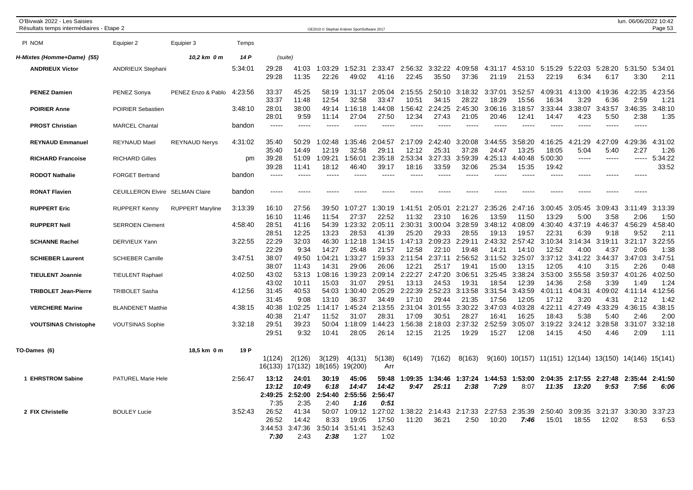| O'Bivwak 2022 - Les Saisies<br>Résultats temps intermédiaires - Etape 2 |                           |                         |         |                                           |                                           | OE2010 © Stephan Krämer SportSoftware 2017 |                                             |                                             |                  |                  |                  |                  |                  |                                         |                  |                     | lun. 06/06/2022 10:42 | Page 53          |
|-------------------------------------------------------------------------|---------------------------|-------------------------|---------|-------------------------------------------|-------------------------------------------|--------------------------------------------|---------------------------------------------|---------------------------------------------|------------------|------------------|------------------|------------------|------------------|-----------------------------------------|------------------|---------------------|-----------------------|------------------|
| PI NOM                                                                  | Equipier 2                | Equipier 3              | Temps   |                                           |                                           |                                            |                                             |                                             |                  |                  |                  |                  |                  |                                         |                  |                     |                       |                  |
| H-Mixtes (Homme+Dame) (55)                                              |                           | 10,2 km 0 m             | 14 P    |                                           | (suite)                                   |                                            |                                             |                                             |                  |                  |                  |                  |                  |                                         |                  |                     |                       |                  |
| <b>ANDRIEUX Victor</b>                                                  | <b>ANDRIEUX Stephani</b>  |                         | 5:34:01 | 29:28<br>29:28                            | 41:03<br>11:35                            | 1:03:29<br>22:26                           | 1:52:31<br>49:02                            | 2:33:47<br>41:16                            | 2:56:32<br>22:45 | 3:32:22<br>35:50 | 4:09:58<br>37:36 | 4:31:17<br>21:19 | 4:53:10<br>21:53 | 5:15:29<br>22:19                        | 5:22:03<br>6:34  | 5:28:20<br>6:17     | 5:31:50<br>3:30       | 5:34:01<br>2:11  |
| <b>PENEZ Damien</b>                                                     | PENEZ Sonya               | PENEZ Enzo & Pablo      | 4:23:56 | 33:37<br>33:37                            | 45:25<br>11:48                            | 58:19<br>12:54                             | 1:31:17<br>32:58                            | 2:05:04<br>33:47                            | 2:15:55<br>10:51 | 2:50:10<br>34:15 | 3:18:32<br>28:22 | 3:37:01<br>18:29 | 3:52:57<br>15:56 | 4:09:31<br>16:34                        | 4:13:00<br>3:29  | 4:19:36<br>6:36     | 4:22:35<br>2:59       | 4:23:56<br>1:21  |
| <b>POIRIER Anne</b>                                                     | <b>POIRIER Sebastien</b>  |                         | 3:48:10 | 28:01<br>28:01                            | 38:00<br>9:59                             | 49:14<br>11:14                             | 1:16:18<br>27:04                            | 1:44:08<br>27:50                            | 1:56:42<br>12:34 | 2:24:25<br>27:43 | :45:30<br>21:05  | 3:06:16<br>20:46 | 3:18:57<br>12:41 | 3:33:44<br>14:47                        | 3:38:07<br>4:23  | 3:43:57<br>5:50     | 3:46:35<br>2:38       | 3:48:10<br>1:35  |
| <b>PROST Christian</b>                                                  | <b>MARCEL Chantal</b>     |                         | bandon  | $\frac{1}{2}$                             | $---$                                     | $\frac{1}{2}$                              |                                             | $---$                                       | ----             | $\frac{1}{2}$    | $---$            | ----             |                  | $---$                                   | -----            | $\frac{1}{2}$       | $---$                 |                  |
| <b>REYNAUD Emmanuel</b>                                                 | <b>REYNAUD Mael</b>       | <b>REYNAUD Nerys</b>    | 4:31:02 | 35:40<br>35:40                            | 50:29<br>14:49                            | 1:02:48<br>12:19                           | 1:35:46<br>32:58                            | 2:04:57<br>29:11                            | 2:17:09<br>12:12 | 2:42:40<br>25:31 | 3:20:08<br>37:28 | 3:44:55<br>24:47 | 3:58:20<br>13:25 | 4:16:25<br>18:05                        | 4:21:29<br>5:04  | :27:09<br>4<br>5:40 | :29:36<br>4<br>2:27   | 4:31:02<br>1:26  |
| <b>RICHARD Francoise</b>                                                | <b>RICHARD Gilles</b>     |                         | pm      | 39:28<br>39:28                            | 51:09<br>11:41                            | 1:09:21<br>18:12                           | 1:56:01<br>46:40                            | 2:35:18<br>39:17                            | 2:53:34<br>18:16 | 3:27:33<br>33:59 | 3:59:39<br>32:06 | 4:25:13<br>25:34 | 4:40:48<br>15:35 | 5:00:30<br>19:42                        | -----            | $--- -$             | $- - - - -$           | 5:34:22<br>33:52 |
| <b>RODOT Nathalie</b>                                                   | <b>FORGET Bertrand</b>    |                         | bandon  | $---$                                     | -----                                     | -----                                      |                                             | -----                                       | ----             | $\frac{1}{2}$    | $---$            | ----             | $\frac{1}{2}$    | ----                                    | -----            |                     | $---$                 |                  |
| <b>RONAT Flavien</b>                                                    | <b>CEUILLERON Elvire</b>  | <b>SELMAN Claire</b>    | bandon  | $---$                                     | -----                                     | -----                                      |                                             |                                             |                  |                  |                  |                  |                  |                                         | -----            |                     | $---$                 |                  |
| <b>RUPPERT Eric</b>                                                     | <b>RUPPERT Kenny</b>      | <b>RUPPERT Maryline</b> | 3:13:39 | 16:10<br>16:10                            | 27:56<br>11:46                            | 39:50<br>11:54                             | 1:07:27<br>27:37                            | 1:30:19<br>22:52                            | 1:41:51<br>11:32 | 2:05:01<br>23:10 | 2:21:27<br>16:26 | 2:35:26<br>13:59 | 2:47:16<br>11:50 | 3:00:45<br>13:29                        | 3:05:45<br>5:00  | 3:09:43<br>3:58     | 3:11:49<br>2:06       | 3:13:39<br>1:50  |
| <b>RUPPERT Nell</b>                                                     | <b>SERROEN Clement</b>    |                         | 4:58:40 | 28:51<br>28:51                            | 41:16<br>12:25                            | 54:39<br>13:23                             | 1:23:32<br>28:53                            | 2:05:11<br>41:39                            | 2:30:31<br>25:20 | 3:00:04<br>29:33 | 3:28:59<br>28:55 | 3:48:12<br>19:13 | 4:08:09<br>19:57 | 4:30:40<br>22:31                        | 4:37:19<br>6:39  | 4:46:37<br>9:18     | 4:56:29<br>9:52       | 4:58:40<br>2:11  |
| <b>SCHANNE Rachel</b>                                                   | DERVIEUX Yann             |                         | 3:22:55 | 22:29<br>22:29                            | 32:03<br>9:34                             | 46:30<br>14:27                             | 1:12:18<br>25:48                            | 1:34:15<br>21:57                            | 1:47:13<br>12:58 | 2:09:23<br>22:10 | 2:29:11<br>19:48 | 2:43:32<br>14:21 | 2:57:42<br>14:10 | 3:10:34<br>12:52                        | 3:14:34<br>4:00  | 3:19:11<br>4:37     | 3:21:17<br>2:06       | 3:22:55<br>1:38  |
| <b>SCHIEBER Laurent</b>                                                 | <b>SCHIEBER Camille</b>   |                         | 3:47:51 | 38:07<br>38:07                            | 49:50<br>11:43                            | :04:21<br>14:31                            | 1:33:27<br>29:06                            | 1:59:33<br>26:06                            | 2:11:54<br>12:21 | 2:37:11<br>25:17 | 2:56:52<br>19:41 | 3:11:52<br>15:00 | 3:25:07<br>13:15 | 3:37:12<br>12:05                        | 3:41:22<br>4:10  | 3:44:37<br>3:15     | 3:47:03<br>2:26       | 3:47:51<br>0:48  |
| <b>TIEULENT Joannie</b>                                                 | <b>TIEULENT Raphael</b>   |                         | 4:02:50 | 43:02<br>43:02                            | 53:13<br>10:11                            | :08:16<br>15:03                            | 1:39:23<br>31:07                            | 2:09:14<br>29:51                            | 2:22:27<br>13:13 | 2:47:20<br>24:53 | 3:06:51<br>19:31 | 3:25:45<br>18:54 | 3:38:24<br>12:39 | 3:53:00<br>14:36                        | 3:55:58<br>2:58  | 3:59:37<br>3:39     | 4:01:26<br>1:49       | 4:02:50<br>1:24  |
| <b>TRIBOLET Jean-Pierre</b>                                             | <b>TRIBOLET Sasha</b>     |                         | 4:12:56 | 31:45<br>31:45                            | 40:53<br>9:08                             | 54:03<br>13:10                             | 1:30:40<br>36:37                            | 2:05:29<br>34:49                            | 2:22:39<br>17:10 | 2:52:23<br>29:44 | 3:13:58<br>21:35 | 3:31:54<br>17:56 | 3:43:59<br>12:05 | 4:01:11<br>17:12                        | 4:04:31<br>3:20  | 4:09:02<br>4:31     | 4:11:14<br>2:12       | 4:12:56<br>1:42  |
| <b>VERCHERE Marine</b>                                                  | <b>BLANDENET Matthie</b>  |                         | 4:38:15 | 40:38<br>40:38                            | 1:02:25<br>21:47                          | :14:17<br>11:52                            | 1:45:24<br>31:07                            | 2:13:55<br>28:31                            | 2:31:04<br>17:09 | 3:01:55<br>30:51 | 3:30:22<br>28:27 | 3:47:03<br>16:41 | 4:03:28<br>16:25 | 4:22:11<br>18:43                        | 4:27:49<br>5:38  | 4:33:29<br>5:40     | 4:36:15<br>2:46       | 4:38:15<br>2:00  |
| <b>VOUTSINAS Christophe</b>                                             | <b>VOUTSINAS Sophie</b>   |                         | 3:32:18 | 29:51<br>29:51                            | 39:23<br>9:32                             | 50:04<br>10:41                             | 1:18:09<br>28:05                            | 1:44:23<br>26:14                            | 1:56:38<br>12:15 | 2:18:03<br>21:25 | 2:37:32<br>19:29 | 2:52:59<br>15:27 | 3:05:07<br>12:08 | 3:19:22<br>14:15                        | 3:24:12<br>4:50  | 3:28:58<br>4:46     | 3:31:07<br>2:09       | 3:32:18<br>1:11  |
| TO-Dames (6)                                                            |                           | 18,5 km 0 m             | 19 P    | 1(124)                                    | 2(126)<br>16(133) 17(132)                 | 3(129)<br>18(165)                          | 4(131)<br>19(200)                           | 5(138)<br>Arr                               | 6(149)           | 7(162)           | 8(163)           | 9(160)           |                  | 10(157) 11(151) 12(144) 13(150) 14(146) |                  |                     |                       | 15(141)          |
| 1 EHRSTROM Sabine                                                       | <b>PATUREL Marie Hele</b> |                         | 2:56:47 | 13:12<br>13:12<br>2:49:25                 | 24:01<br>10:49<br>:52:00<br>2             | 30:19<br>6:18<br>2:54:40<br>2:40           | 45:06<br>14:47<br>2:55:56                   | 59:48<br>14:42<br>2:56:47                   | 1:09:35<br>9:47  | 1:34:46<br>25:11 | 1:37:24<br>2:38  | 1:44:53<br>7:29  | 1:53:00<br>8:07  | 2:04:35<br>11:35                        | 2:17:55<br>13:20 | 2:27:48<br>9:53     | 2:35:44<br>7:56       | 2:41:50<br>6:06  |
| 2 FIX Christelle                                                        | <b>BOULEY Lucie</b>       |                         | 3:52:43 | 7:35<br>26:52<br>26:52<br>3:44:53<br>7:30 | 2:35<br>41:34<br>14:42<br>3:47:36<br>2:43 | 50:07<br>8:33<br>3:50:14<br>2:38           | 1:16<br>1:09:12<br>19:05<br>3:51:41<br>1:27 | 0:51<br>1:27:02<br>17:50<br>3:52:43<br>1:02 | 1:38:22<br>11:20 | 2:14:43<br>36:21 | 2:17:33<br>2:50  | 2:27:53<br>10:20 | 2:35:39<br>7:46  | 2:50:40<br>15:01                        | 3:09:35<br>18:55 | 3:21:37<br>12:02    | 3:30:30<br>8:53       | 3:37:23<br>6:53  |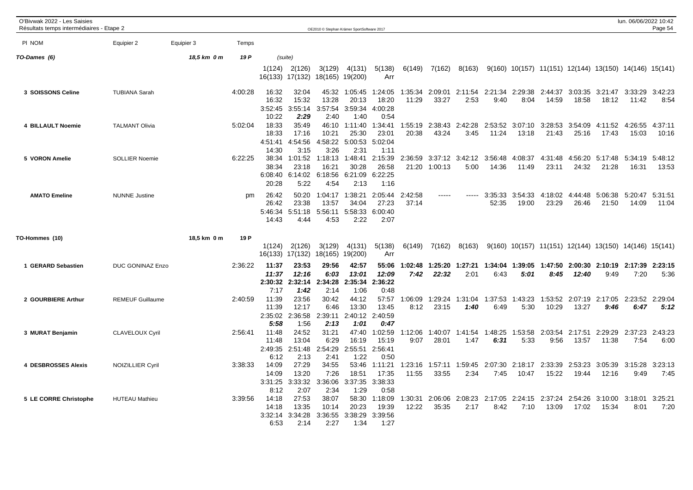| O'Bivwak 2022 - Les Saisies<br>Résultats temps intermédiaires - Etape 2 |                         |             |         |                                    |                                     | OE2010 © Stephan Krämer SportSoftware 2017 |                                     |                                     |                  |                  |                         |                                 |                  |                  |                                                          |                         | lun. 06/06/2022 10:42   | Page 54          |
|-------------------------------------------------------------------------|-------------------------|-------------|---------|------------------------------------|-------------------------------------|--------------------------------------------|-------------------------------------|-------------------------------------|------------------|------------------|-------------------------|---------------------------------|------------------|------------------|----------------------------------------------------------|-------------------------|-------------------------|------------------|
| PI NOM                                                                  | Equipier 2              | Equipier 3  | Temps   |                                    |                                     |                                            |                                     |                                     |                  |                  |                         |                                 |                  |                  |                                                          |                         |                         |                  |
| TO-Dames (6)                                                            |                         | 18,5 km 0 m | 19 P    |                                    | (suite)                             |                                            |                                     |                                     |                  |                  |                         |                                 |                  |                  |                                                          |                         |                         |                  |
|                                                                         |                         |             |         | 1(124)<br>16(133) 17(132)          | 2(126)                              | 3(129)<br>18(165) 19(200)                  | 4(131)                              | 5(138)<br>Arr                       | 6(149)           | 7(162)           | 8(163)                  |                                 |                  |                  | $9(160)$ 10(157) 11(151) 12(144) 13(150) 14(146) 15(141) |                         |                         |                  |
| 3 SOISSONS Celine                                                       | <b>TUBIANA Sarah</b>    |             | 4:00:28 | 16:32<br>16:32<br>3:52:45<br>10:22 | 32:04<br>15:32<br>3:55:14<br>2:29   | 45:32<br>13:28<br>3:57:54<br>2:40          | 1:05:45<br>20:13<br>3:59:34<br>1:40 | 1:24:05<br>18:20<br>4:00:28<br>0:54 | 1:35:34<br>11:29 | 2:09:01<br>33:27 | 2:11:54<br>2:53         | 2:21:34<br>9:40                 | 2:29:38<br>8:04  | 2:44:37<br>14:59 | 3:03:35<br>18:58                                         | 3:21:47<br>18:12        | 3:33:29<br>11:42        | 3:42:23<br>8:54  |
| 4 BILLAULT Noemie                                                       | <b>TALMANT Olivia</b>   |             | 5:02:04 | 18:33<br>18:33<br>4:51:41<br>14:30 | 35:49<br>17:16<br>4:54:56<br>3:15   | 46:10<br>10:21<br>4:58:22<br>3:26          | 1:11:40<br>25:30<br>5:00:53<br>2:31 | 1:34:41<br>23:01<br>5:02:04<br>1:11 | 1:55:19<br>20:38 | 2:38:43<br>43:24 | 2:42:28<br>3:45         | 2:53:52<br>11:24                | 3:07:10<br>13:18 | 3:28:53<br>21:43 | 3:54:09<br>25:16                                         | 4:11:52<br>17:43        | 4:26:55<br>15:03        | 4:37:11<br>10:16 |
| 5 VORON Amelie                                                          | <b>SOLLIER Noemie</b>   |             | 6:22:25 | 38:34<br>38:34<br>6:08:40<br>20:28 | 1:01:52<br>23:18<br>6:14:02<br>5:22 | 1:18:13<br>16:21<br>6:18:56<br>4:54        | 1:48:41<br>30:28<br>6:21:09<br>2:13 | 2:15:39<br>26:58<br>6:22:25<br>1:16 | 2:36:59          | 21:20 1:00:13    | 3:37:12 3:42:12<br>5:00 | 3:56:48<br>14:36                | 4:08:37<br>11:49 | 4:31:48<br>23:11 | 4:56:20<br>24:32                                         | 5:17:48<br>21:28        | 5:34:19<br>16:31        | 5:48:12<br>13:53 |
| <b>AMATO Emeline</b>                                                    | <b>NUNNE Justine</b>    |             | pm      | 26:42<br>26:42<br>5:46:34<br>14:43 | 50:20<br>23:38<br>5:51:18<br>4:44   | 1:04:17<br>13:57<br>5:56:11<br>4:53        | 1:38:21<br>34:04<br>5:58:33<br>2:22 | 2:05:44<br>27:23<br>6:00:40<br>2:07 | 2:42:58<br>37:14 | -----            |                         | 3:35:33<br>52:35                | 3:54:33<br>19:00 | 4:18:02<br>23:29 | 4:44:48<br>26:46                                         | 5:06:38<br>21:50        | 5:20:47<br>14:09        | 5:31:51<br>11:04 |
| TO-Hommes (10)                                                          |                         | 18,5 km 0 m | 19 P    | 1(124)<br>16(133)                  | 2(126)<br>17(132)                   | 3(129)<br>18(165) 19(200)                  | 4(131)                              | 5(138)<br>Arr                       | 6(149)           | 7(162)           | 8(163)                  |                                 |                  |                  | 9(160) 10(157) 11(151) 12(144) 13(150) 14(146) 15(141)   |                         |                         |                  |
| 1 GERARD Sebastien                                                      | DUC GONINAZ Enzo        |             | 2:36:22 | 11:37<br>11:37<br>2:30:32<br>7:17  | 23:53<br>12:16<br>2:32:14<br>1:42   | 29:56<br>6:03<br>2:34:28<br>2:14           | 42:57<br>13:01<br>2:35:34<br>1:06   | 55:06<br>12:09<br>2:36:22<br>0:48   | 1:02:48<br>7:42  | 1:25:20<br>22:32 | 1:27:21<br>2:01         | 1:34:04<br>6:43                 | 1:39:05<br>5:01  | 1:47:50<br>8:45  | 12:40                                                    | 2:00:30 2:10:19<br>9:49 | 2:17:39 2:23:15<br>7:20 | 5:36             |
| 2 GOURBIERE Arthur                                                      | <b>REMEUF Guillaume</b> |             | 2:40:59 | 11:39<br>11:39<br>2:35:02<br>5:58  | 23:56<br>12:17<br>2:36:58<br>1:56   | 30:42<br>6:46<br>2:39:11<br>2:13           | 44:12<br>13:30<br>2:40:12<br>1:01   | 57:57<br>13:45<br>2:40:59<br>0:47   | 1:06:09<br>8:12  | 1:29:24<br>23:15 | 1:31:04<br>1:40         | 1:37:53<br>6:49                 | 1:43:23<br>5:30  | 1:53:52<br>10:29 | 2:07:19<br>13:27                                         | 2:17:05<br>9:46         | 2:23:52 2:29:04<br>6:47 | 5:12             |
| 3 MURAT Benjamin                                                        | <b>CLAVELOUX Cyril</b>  |             | 2:56:41 | 11:48<br>11:48<br>2:49:35<br>6:12  | 24:52<br>13:04<br>2:51:48<br>2:13   | 31:21<br>6:29<br>2:54:29<br>2:41           | 47:40<br>16:19<br>2:55:51<br>1:22   | 1:02:59<br>15:19<br>2:56:41<br>0:50 | 1:12:06<br>9:07  | 1:40:07<br>28:01 | 1:41:54<br>1:47         | 1:48:25<br>6:31                 | 1:53:58<br>5:33  | 2:03:54<br>9:56  | 2:17:51<br>13:57                                         | 2:29:29<br>11:38        | 2:37:23 2:43:23<br>7:54 | 6:00             |
| <b>4 DESBROSSES Alexis</b>                                              | <b>NOIZILLIER Cyril</b> |             | 3:38:33 | 14:09<br>14:09<br>3:31:25<br>8:12  | 27:29<br>13:20<br>3:33:32<br>2:07   | 34:55<br>7:26<br>3:36:06<br>2:34           | 53:46<br>18:51<br>3:37:35<br>1:29   | 1:11:21<br>17:35<br>3:38:33<br>0:58 | 1:23:16<br>11:55 | 1:57:11<br>33:55 | 1:59:45<br>2:34         | 2:07:30<br>7:45                 | 2:18:17<br>10:47 | 2:33:39<br>15:22 | 2:53:23<br>19:44                                         | 3:05:39<br>12:16        | 3:15:28<br>9:49         | 3:23:13<br>7:45  |
| 5 LE CORRE Christophe                                                   | <b>HUTEAU Mathieu</b>   |             | 3:39:56 | 14:18<br>14:18<br>3:32:14<br>6:53  | 27:53<br>13:35<br>3:34:28<br>2:14   | 38:07<br>10:14<br>3:36:55<br>2:27          | 58:30<br>20:23<br>3:38:29<br>1:34   | 1:18:09<br>19:39<br>3:39:56<br>1:27 | 1:30:31<br>12:22 | 35:35            | 2:06:06 2:08:23<br>2:17 | 2:17:05 2:24:15 2:37:24<br>8:42 | 7:10             | 13:09            | 2:54:26<br>17:02                                         | 3:10:00<br>15:34        | 3:18:01<br>8:01         | 3:25:21<br>7:20  |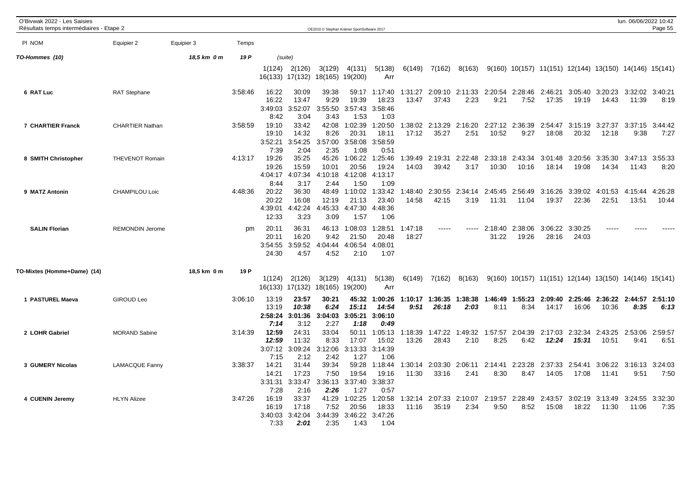| O'Bivwak 2022 - Les Saisies<br>Résultats temps intermédiaires - Etape 2 |                        |             |         |                                    |                                   | OE2010 © Stephan Krämer SportSoftware 2017 |                                     |                                     |                  |                  |                 |                  |                  |                                                                      |                  |                                  | lun. 06/06/2022 10:42 | Page 55          |
|-------------------------------------------------------------------------|------------------------|-------------|---------|------------------------------------|-----------------------------------|--------------------------------------------|-------------------------------------|-------------------------------------|------------------|------------------|-----------------|------------------|------------------|----------------------------------------------------------------------|------------------|----------------------------------|-----------------------|------------------|
| PI NOM                                                                  | Equipier 2             | Equipier 3  | Temps   |                                    |                                   |                                            |                                     |                                     |                  |                  |                 |                  |                  |                                                                      |                  |                                  |                       |                  |
| TO-Hommes (10)                                                          |                        | 18,5 km 0 m | 19 P    | (suite)                            |                                   |                                            |                                     |                                     |                  |                  |                 |                  |                  |                                                                      |                  |                                  |                       |                  |
|                                                                         |                        |             |         | 1(124)<br>16(133) 17(132)          | 2(126)                            | 3(129)<br>18(165) 19(200)                  | 4(131)                              | 5(138)<br>Arr                       | 6(149)           | 7(162)           | 8(163)          |                  |                  | 9(160) 10(157) 11(151) 12(144) 13(150) 14(146) 15(141)               |                  |                                  |                       |                  |
| 6 RAT Luc                                                               | <b>RAT Stephane</b>    |             | 3:58:46 | 16:22<br>16:22<br>3:49:03<br>8:42  | 30:09<br>13:47<br>3:52:07<br>3:04 | 39:38<br>9:29<br>3:55:50<br>3:43           | 59:17<br>19:39<br>3:57:43<br>1:53   | 1:17:40<br>18:23<br>3:58:46<br>1:03 | 1:31:27<br>13:47 | 2:09:10<br>37:43 | 2:11:33<br>2:23 | 2:20:54<br>9:21  | 2:28:46<br>7:52  | 2:46:21<br>17:35                                                     | 3:05:40<br>19:19 | 3:20:23<br>14:43                 | 3:32:02<br>11:39      | 3:40:21<br>8:19  |
| <b>7 CHARTIER Franck</b>                                                | <b>CHARTIER Nathan</b> |             | 3:58:59 | 19:10<br>19:10<br>3:52:21<br>7:39  | 33:42<br>14:32<br>3:54:25<br>2:04 | 42:08<br>8:26<br>3:57:00<br>2:35           | 1:02:39<br>20:31<br>3:58:08<br>1:08 | 1:20:50<br>18:11<br>3:58:59<br>0:51 | 1:38:02<br>17:12 | 2:13:29<br>35:27 | 2:16:20<br>2:51 | 2:27:12<br>10:52 | 2:36:39<br>9:27  | 2:54:47<br>18:08                                                     | 3:15:19<br>20:32 | 3:27:37<br>12:18                 | 3:37:15<br>9:38       | 3:44:42<br>7:27  |
| 8 SMITH Christopher                                                     | <b>THEVENOT Romain</b> |             | 4:13:17 | 19:26<br>19:26<br>4:04:17<br>8:44  | 35:25<br>15:59<br>4:07:34<br>3:17 | 45:26<br>10:01<br>4:10:18<br>2:44          | 1:06:22<br>20:56<br>4:12:08<br>1:50 | 1:25:46<br>19:24<br>4:13:17<br>1:09 | 1:39:49<br>14:03 | 2:19:31<br>39:42 | 2:22:48<br>3:17 | 2:33:18<br>10:30 | 2:43:34<br>10:16 | 3:01:48<br>18:14                                                     | 3:20:56<br>19:08 | 3:35:30<br>14:34                 | 3:47:13<br>11:43      | 3:55:33<br>8:20  |
| 9 MATZ Antonin                                                          | <b>CHAMPILOU Loic</b>  |             | 4:48:36 | 20:22<br>20:22<br>4:39:01<br>12:33 | 36:30<br>16:08<br>4:42:24<br>3:23 | 48:49<br>12:19<br>4:45:33<br>3:09          | 1:10:02<br>21:13<br>4:47:30<br>1:57 | 1:33:42<br>23:40<br>4:48:36<br>1:06 | 1:48:40<br>14:58 | 2:30:55<br>42:15 | 2:34:14<br>3:19 | 2:45:45<br>11:31 | 2:56:49<br>11:04 | 3:16:26<br>19:37                                                     | 3:39:02<br>22:36 | 4:01:53<br>22:51                 | 4:15:44<br>13:51      | 4:26:28<br>10:44 |
| <b>SALIN Florian</b>                                                    | <b>REMONDIN Jerome</b> |             | pm      | 20:11<br>20:11<br>3:54:55<br>24:30 | 36:31<br>16:20<br>3:59:52<br>4:57 | 46:13<br>9:42<br>4:04:44<br>4:52           | 1:08:03<br>21:50<br>4:06:54<br>2:10 | 1:28:51<br>20:48<br>4:08:01<br>1:07 | 1:47:18<br>18:27 |                  |                 | 2:18:40<br>31:22 | 2:38:06<br>19:26 | 3:06:22<br>28:16                                                     | 3:30:25<br>24:03 |                                  |                       |                  |
| TO-Mixtes (Homme+Dame) (14)                                             |                        | 18,5 km 0 m | 19 P    | 1(124)<br>16(133)                  | 2(126)<br>17(132)                 | 3(129)<br>18(165)                          | 4(131)<br>19(200)                   | 5(138)<br>Arr                       | 6(149)           | 7(162)           | 8(163)          |                  |                  | $9(160)$ $10(157)$ $11(151)$ $12(144)$ $13(150)$ $14(146)$ $15(141)$ |                  |                                  |                       |                  |
| 1 PASTUREL Maeva                                                        | GIROUD Leo             |             | 3:06:10 | 13:19<br>13:19<br>2:58:24<br>7:14  | 23:57<br>10:38<br>3:01:36<br>3:12 | 30:21<br>6:24<br>3:04:03<br>2:27           | 45:32<br>15:11<br>3:05:21<br>1:18   | 1:00:26<br>14:54<br>3:06:10<br>0:49 | 1:10:17<br>9:51  | 1:36:35<br>26:18 | 1:38:38<br>2:03 | 1:46:49<br>8:11  | 1:55:23<br>8:34  | 2:09:40<br>14:17                                                     | 16:06            | 2:25:46 2:36:22 2:44:57<br>10:36 | 8:35                  | 2:51:10<br>6:13  |
| 2 LOHR Gabriel                                                          | <b>MORAND Sabine</b>   |             | 3:14:39 | 12:59<br>12:59<br>3:07:12<br>7:15  | 24:31<br>11:32<br>3:09:24<br>2:12 | 33:04<br>8:33<br>3:12:06<br>2:42           | 50:11<br>17:07<br>3:13:33<br>1:27   | 1:05:13<br>15:02<br>3:14:39<br>1:06 | 1:18:39<br>13:26 | 1:47:22<br>28:43 | 1:49:32<br>2:10 | 1:57:57<br>8:25  | 2:04:39<br>6:42  | 2:17:03<br>12:24                                                     | 2:32:34<br>15:31 | 2:43:25<br>10:51                 | 2:53:06<br>9:41       | 2:59:57<br>6:51  |
| 3 GUMERY Nicolas                                                        | <b>LAMACQUE Fanny</b>  |             | 3:38:37 | 14:21<br>14:21<br>3:31:31<br>7:28  | 31:44<br>17:23<br>3:33:47<br>2:16 | 39:34<br>7:50<br>3:36:13<br>2:26           | 59:28<br>19:54<br>3:37:40<br>1:27   | 1:18:44<br>19:16<br>3:38:37<br>0:57 | 1:30:14<br>11:30 | 2:03:30<br>33:16 | 2:06:11<br>2:41 | 2:14:41<br>8:30  | 2:23:28<br>8:47  | 2:37:33<br>14:05                                                     | 2:54:41<br>17:08 | 3:06:22 3:16:13<br>11:41         | 9:51                  | 3:24:03<br>7:50  |
| 4 CUENIN Jeremy                                                         | <b>HLYN Alizee</b>     |             | 3:47:26 | 16:19<br>16:19<br>3:40:03<br>7:33  | 33:37<br>17:18<br>3:42:04<br>2:01 | 41:29<br>7:52<br>3:44:39<br>2:35           | 1:02:25<br>20:56<br>3:46:22<br>1:43 | 1:20:58<br>18:33<br>3:47:26<br>1:04 | 1:32:14<br>11:16 | 2:07:33<br>35:19 | 2:10:07<br>2:34 | 2:19:57<br>9:50  | 2:28:49<br>8:52  | 2:43:57<br>15:08                                                     | 18:22            | 3:02:19 3:13:49<br>11:30         | 3:24:55<br>11:06      | 3:32:30<br>7:35  |